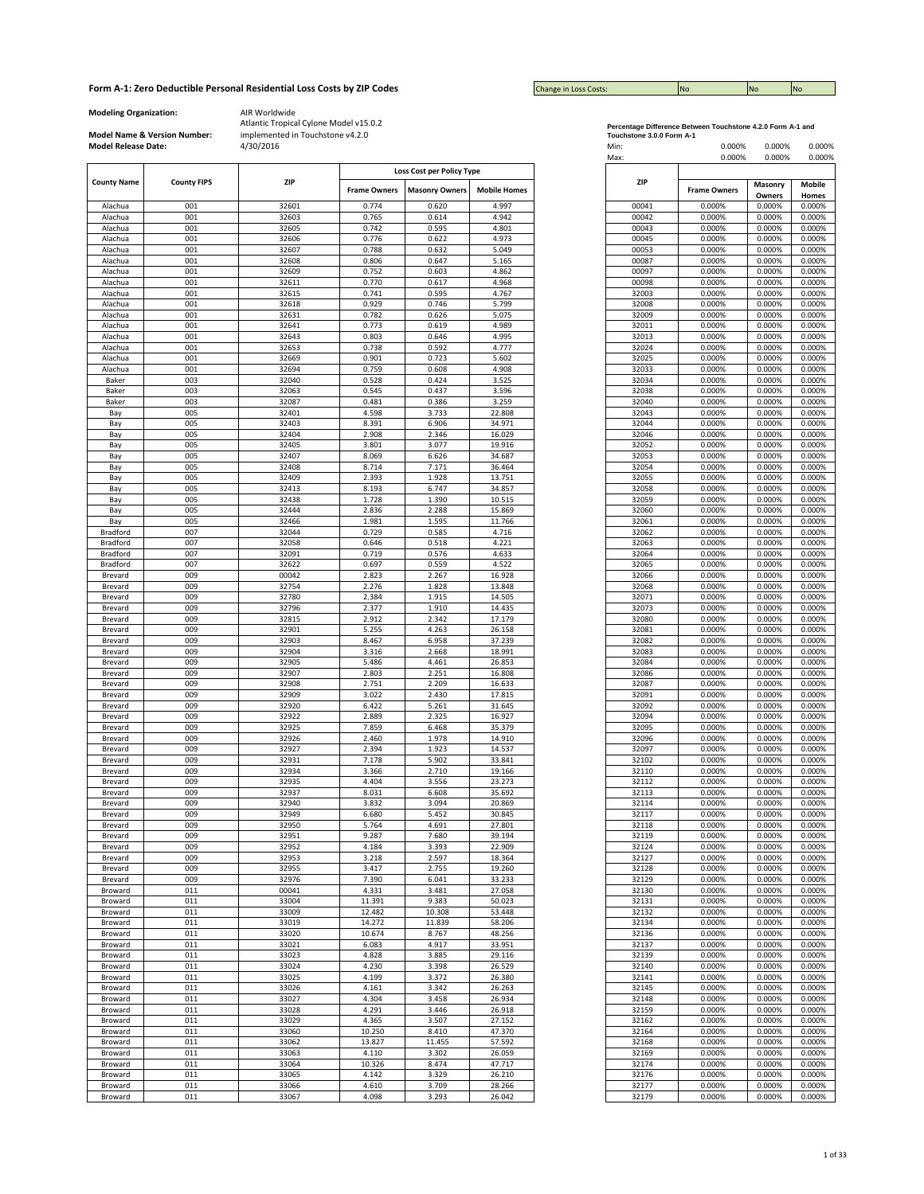| <b>Change in Loss Costs:</b> | <b>INO</b> | <b>No</b> | <b>No</b> |
|------------------------------|------------|-----------|-----------|

**Modeling Organization:** AIR Worldwide

l.

**Model Name & Version Number:**

|                      |                    |            |                     | Loss Cost per Policy Type |                     |                |                     |  |
|----------------------|--------------------|------------|---------------------|---------------------------|---------------------|----------------|---------------------|--|
| <b>County Name</b>   | <b>County FIPS</b> | <b>ZIP</b> |                     |                           |                     | ZIP            |                     |  |
|                      |                    |            | <b>Frame Owners</b> | <b>Masonry Owners</b>     | <b>Mobile Homes</b> |                | <b>Frame Owners</b> |  |
| Alachua              | 001                | 32601      | 0.774               | 0.620                     | 4.997               | 00041          | 0.000%              |  |
| Alachua              | 001                | 32603      | 0.765               | 0.614                     | 4.942               | 00042          | 0.000%              |  |
| Alachua              | 001                | 32605      | 0.742               | 0.595                     | 4.801               | 00043          | 0.000%              |  |
| Alachua              | 001                | 32606      | 0.776               | 0.622                     | 4.973               | 00045          | 0.000%              |  |
| Alachua              | 001                | 32607      | 0.788               | 0.632                     | 5.049               | 00053          | 0.000%              |  |
| Alachua              | 001                | 32608      | 0.806               | 0.647                     | 5.165               | 00087          | 0.000%              |  |
| Alachua              | 001                | 32609      | 0.752               | 0.603                     | 4.862               | 00097          | 0.000%              |  |
| Alachua              | 001                | 32611      | 0.770               | 0.617                     | 4.968               | 00098          | 0.000%              |  |
| Alachua              | 001                | 32615      | 0.741               | 0.595                     | 4.767               | 32003          | 0.000%              |  |
| Alachua              | 001                | 32618      | 0.929               | 0.746                     | 5.799               | 32008          | 0.000%              |  |
| Alachua              | 001                | 32631      | 0.782               | 0.626                     | 5.075               | 32009          | 0.000%              |  |
| Alachua              | 001                | 32641      | 0.773               | 0.619                     | 4.989               | 32011          | 0.000%              |  |
| Alachua              | 001                | 32643      | 0.803               | 0.646                     | 4.995               | 32013          | 0.000%              |  |
| Alachua              | 001                | 32653      | 0.738               | 0.592                     | 4.777               | 32024          | 0.000%              |  |
| Alachua              | 001                | 32669      | 0.901               | 0.723                     | 5.602               | 32025          | 0.000%              |  |
| Alachua              | 001                | 32694      | 0.759               | 0.608                     | 4.908               | 32033          | 0.000%              |  |
| Baker                | 003                | 32040      | 0.528               | 0.424                     | 3.525               | 32034          | 0.000%              |  |
| Baker                | 003                | 32063      | 0.545               | 0.437                     | 3.596               | 32038          | 0.000%              |  |
| Baker                | 003                | 32087      | 0.481               | 0.386                     | 3.259               | 32040          | 0.000%              |  |
| Bay                  | 005                | 32401      | 4.598               | 3.733                     | 22.808              | 32043          | 0.000%              |  |
| Bay                  | 005                | 32403      | 8.391               | 6.906                     | 34.971              | 32044          | 0.000%              |  |
| Bay                  | 005                | 32404      | 2.908               | 2.346                     | 16.029              | 32046          | 0.000%              |  |
| Bay                  | 005                | 32405      | 3.801               | 3.077                     | 19.916              | 32052          | 0.000%              |  |
| Bay                  | 005                | 32407      | 8.069               | 6.626                     | 34.687              | 32053          | 0.000%              |  |
| Bay                  | 005                | 32408      | 8.714               | 7.171                     | 36.464              | 32054          | 0.000%              |  |
| Bay                  | 005                | 32409      | 2.393               | 1.928                     | 13.751              | 32055          | 0.000%              |  |
|                      | 005                | 32413      | 8.193               | 6.747                     | 34.857              | 32058          | 0.000%              |  |
| Bay                  |                    | 32438      | 1.728               | 1.390                     | 10.515              | 32059          |                     |  |
| Bay                  | 005<br>005         | 32444      |                     | 2.288                     |                     |                | 0.000%<br>0.000%    |  |
| Bay                  | 005                | 32466      | 2.836<br>1.981      | 1.595                     | 15.869<br>11.766    | 32060<br>32061 | 0.000%              |  |
| Bay                  | 007                | 32044      | 0.729               | 0.585                     | 4.716               | 32062          | 0.000%              |  |
| Bradford<br>Bradford |                    |            | 0.646               |                           |                     |                |                     |  |
|                      | 007                | 32058      |                     | 0.518                     | 4.221               | 32063          | 0.000%              |  |
| Bradford             | 007                | 32091      | 0.719               | 0.576                     | 4.633               | 32064          | 0.000%              |  |
| Bradford             | 007<br>009         | 32622      | 0.697               | 0.559                     | 4.522               | 32065          | 0.000%              |  |
| Brevard              |                    | 00042      | 2.823               | 2.267                     | 16.928              | 32066          | 0.000%              |  |
| Brevard              | 009                | 32754      | 2.276               | 1.828                     | 13.848              | 32068          | 0.000%              |  |
| Brevard              | 009                | 32780      | 2.384               | 1.915                     | 14.505              | 32071          | 0.000%              |  |
| Brevard              | 009                | 32796      | 2.377               | 1.910                     | 14.435              | 32073          | 0.000%              |  |
| Brevard              | 009                | 32815      | 2.912               | 2.342                     | 17.179              | 32080          | 0.000%              |  |
| Brevard              | 009                | 32901      | 5.255               | 4.263                     | 26.158              | 32081          | 0.000%              |  |
| Brevard              | 009                | 32903      | 8.467               | 6.958                     | 37.239              | 32082          | 0.000%              |  |
| Brevard              | 009                | 32904      | 3.316               | 2.668                     | 18.991              | 32083          | 0.000%              |  |
| Brevard              | 009                | 32905      | 5.486               | 4.461                     | 26.853              | 32084          | 0.000%              |  |
| Brevard              | 009                | 32907      | 2.803               | 2.251                     | 16.808              | 32086          | 0.000%              |  |
| Brevard              | 009                | 32908      | 2.751               | 2.209                     | 16.633              | 32087          | 0.000%              |  |
| Brevard              | 009                | 32909      | 3.022               | 2.430                     | 17.815              | 32091          | 0.000%              |  |
| Brevard              | 009                | 32920      | 6.422               | 5.261                     | 31.645              | 32092          | 0.000%              |  |
| Brevard              | 009                | 32922      | 2.889               | 2.325                     | 16.927              | 32094          | 0.000%              |  |
| Brevard              | 009                | 32925      | 7.859               | 6.468                     | 35.379              | 32095          | 0.000%              |  |
| Brevard              | 009                | 32926      | 2.460               | 1.978                     | 14.910              | 32096          | 0.000%              |  |
| Brevard              | 009                | 32927      | 2.394               | 1.923                     | 14.537              | 32097          | 0.000%              |  |
| Brevard              | 009                | 32931      | 7.178               | 5.902                     | 33.841              | 32102          | 0.000%              |  |
| Brevard              | 009                | 32934      | 3.366               | 2.710                     | 19.166              | 32110          | 0.000%              |  |
| Brevard              | 009                | 32935      | 4.404               | 3.556                     | 23.273              | 32112          | 0.000%              |  |
| Brevard              | 009                | 32937      | 8.031               | 6.608                     | 35.692              | 32113          | 0.000%              |  |
| Brevard              | 009                | 32940      | 3.832               | 3.094                     | 20.869              | 32114          | 0.000%              |  |
| Brevard              | 009                | 32949      | 6.680               | 5.452                     | 30.845              | 32117          | 0.000%              |  |
| Brevard              | 009                | 32950      | 5.764               | 4.691                     | 27.801              | 32118          | 0.000%              |  |
| Brevard              | 009                | 32951      | 9.287               | 7.680                     | 39.194              | 32119          | 0.000%              |  |
| Brevard              | 009                | 32952      | 4.184               | 3.393                     | 22.909              | 32124          | 0.000%              |  |
| Brevard              | 009                | 32953      | 3.218               | 2.597                     | 18.364              | 32127          | 0.000%              |  |
| Brevard              | 009                | 32955      | 3.417               | 2.755                     | 19.260              | 32128          | 0.000%              |  |
| Brevard              | 009                | 32976      | 7.390               | 6.041                     | 33.233              | 32129          | 0.000%              |  |
| Broward              | 011                | 00041      | 4.331               | 3.481                     | 27.058              | 32130          | 0.000%              |  |
| Broward              | 011                | 33004      | 11.391              | 9.383                     | 50.023              | 32131          | 0.000%              |  |
| Broward              | 011                | 33009      | 12.482              | 10.308                    | 53.448              | 32132          | 0.000%              |  |
| Broward              | 011                | 33019      | 14.272              | 11.839                    | 58.206              | 32134          | 0.000%              |  |
| Broward              | 011                | 33020      | 10.674              | 8.767                     | 48.256              | 32136          | 0.000%              |  |
| Broward              | 011                | 33021      | 6.083               | 4.917                     | 33.951              | 32137          | 0.000%              |  |
| Broward              | 011                | 33023      | 4.828               | 3.885                     | 29.116              | 32139          | 0.000%              |  |
| Broward              | 011                | 33024      | 4.230               | 3.398                     | 26.529              | 32140          | 0.000%              |  |
| Broward              | 011                | 33025      | 4.199               | 3.372                     | 26.380              | 32141          | 0.000%              |  |
| Broward              | 011                | 33026      | 4.161               | 3.342                     | 26.263              | 32145          | 0.000%              |  |
| Broward              | 011                | 33027      | 4.304               | 3.458                     | 26.934              | 32148          | 0.000%              |  |
| Broward              | 011                | 33028      | 4.291               | 3.446                     | 26.918              | 32159          | 0.000%              |  |
| Broward              | 011                | 33029      | 4.365               | 3.507                     | 27.152              | 32162          | 0.000%              |  |
| Broward              | 011                | 33060      | 10.250              | 8.410                     | 47.370              | 32164          | 0.000%              |  |
| Broward              | 011                | 33062      | 13.827              | 11.455                    | 57.592              | 32168          | 0.000%              |  |
| Broward              | 011                | 33063      | 4.110               | 3.302                     | 26.059              | 32169          | 0.000%              |  |
| Broward              | 011                | 33064      | 10.326              | 8.474                     | 47.717              | 32174          | 0.000%              |  |
| Broward              | 011                | 33065      | 4.142               | 3.329                     | 26.210              | 32176          | 0.000%              |  |
| Broward              | 011                | 33066      | 4.610               | 3.709                     | 28.266              | 32177          | 0.000%              |  |
|                      | 011                |            | 4.098               |                           |                     |                |                     |  |
| Broward              |                    | 33067      |                     | 3.293                     | 26.042              | 32179          | 0.000%              |  |

| Percentage Difference Between Touchstone 4.2.0 Form A-1 and |  |
|-------------------------------------------------------------|--|
| Touchstone 2.0.0 Form A.4                                   |  |

| <b>Model Release Date:</b> | Model Name & Version Number: | implemented in Touchstone v4.2.0<br>4/30/2016 |                     |                                                    |                     | Touchstone 3.0.0 Form A-1<br>Min:<br>Max: | 0.000%<br>0.000%    | 0.000%<br>0.000% | 0.000%<br>0.000% |
|----------------------------|------------------------------|-----------------------------------------------|---------------------|----------------------------------------------------|---------------------|-------------------------------------------|---------------------|------------------|------------------|
| <b>County Name</b>         | <b>County FIPS</b>           | <b>ZIP</b>                                    | <b>Frame Owners</b> | Loss Cost per Policy Type<br><b>Masonry Owners</b> | <b>Mobile Homes</b> | <b>ZIP</b>                                | <b>Frame Owners</b> | Masonry          | Mobile           |
|                            |                              |                                               |                     |                                                    |                     |                                           |                     | Owners           | Homes            |
| Alachua<br>Alachua         | 001<br>001                   | 32601<br>32603                                | 0.774<br>0.765      | 0.620<br>0.614                                     | 4.997<br>4.942      | 00041<br>00042                            | 0.000%<br>0.000%    | 0.000%<br>0.000% | 0.000%<br>0.000% |
| Alachua                    | 001                          | 32605                                         | 0.742               | 0.595                                              | 4.801               | 00043                                     | 0.000%              | 0.000%           | 0.000%           |
| Alachua                    | 001                          | 32606                                         | 0.776               | 0.622                                              | 4.973               | 00045                                     | 0.000%              | 0.000%           | 0.000%           |
| Alachua                    | 001                          | 32607                                         | 0.788               | 0.632                                              | 5.049               | 00053                                     | 0.000%              | 0.000%           | 0.000%           |
| Alachua                    | 001                          | 32608                                         | 0.806               | 0.647                                              | 5.165               | 00087                                     | 0.000%              | 0.000%           | 0.000%           |
| Alachua                    | 001                          | 32609                                         | 0.752               | 0.603                                              | 4.862               | 00097                                     | 0.000%              | 0.000%           | 0.000%           |
| Alachua                    | 001                          | 32611                                         | 0.770               | 0.617                                              | 4.968               | 00098                                     | 0.000%              | 0.000%           | 0.000%           |
| Alachua                    | 001                          | 32615                                         | 0.741               | 0.595                                              | 4.767               | 32003                                     | 0.000%              | 0.000%           | 0.000%           |
| Alachua<br>Alachua         | 001<br>001                   | 32618<br>32631                                | 0.929<br>0.782      | 0.746<br>0.626                                     | 5.799<br>5.075      | 32008<br>32009                            | 0.000%<br>0.000%    | 0.000%<br>0.000% | 0.000%<br>0.000% |
| Alachua                    | 001                          | 32641                                         | 0.773               | 0.619                                              | 4.989               | 32011                                     | 0.000%              | 0.000%           | 0.000%           |
| Alachua                    | 001                          | 32643                                         | 0.803               | 0.646                                              | 4.995               | 32013                                     | 0.000%              | 0.000%           | 0.000%           |
| Alachua                    | 001                          | 32653                                         | 0.738               | 0.592                                              | 4.777               | 32024                                     | 0.000%              | 0.000%           | 0.000%           |
| Alachua                    | 001                          | 32669                                         | 0.901               | 0.723                                              | 5.602               | 32025                                     | 0.000%              | 0.000%           | 0.000%           |
| Alachua                    | 001                          | 32694                                         | 0.759               | 0.608                                              | 4.908               | 32033                                     | 0.000%              | 0.000%           | 0.000%           |
| Baker                      | 003                          | 32040                                         | 0.528               | 0.424                                              | 3.525               | 32034                                     | 0.000%              | 0.000%           | 0.000%           |
| Baker                      | 003                          | 32063                                         | 0.545               | 0.437                                              | 3.596               | 32038                                     | 0.000%              | 0.000%           | 0.000%           |
| Baker                      | 003                          | 32087                                         | 0.481               | 0.386                                              | 3.259               | 32040                                     | 0.000%              | 0.000%           | 0.000%           |
| Bay<br>Bay                 | 005<br>005                   | 32401<br>32403                                | 4.598<br>8.391      | 3.733<br>6.906                                     | 22.808<br>34.971    | 32043<br>32044                            | 0.000%<br>0.000%    | 0.000%<br>0.000% | 0.000%<br>0.000% |
| Bay                        | 005                          | 32404                                         | 2.908               | 2.346                                              | 16.029              | 32046                                     | 0.000%              | 0.000%           | 0.000%           |
| Bay                        | 005                          | 32405                                         | 3.801               | 3.077                                              | 19.916              | 32052                                     | 0.000%              | 0.000%           | 0.000%           |
| Bay                        | 005                          | 32407                                         | 8.069               | 6.626                                              | 34.687              | 32053                                     | 0.000%              | 0.000%           | 0.000%           |
| Bay                        | 005                          | 32408                                         | 8.714               | 7.171                                              | 36.464              | 32054                                     | 0.000%              | 0.000%           | 0.000%           |
| Bay                        | 005                          | 32409                                         | 2.393               | 1.928                                              | 13.751              | 32055                                     | 0.000%              | 0.000%           | 0.000%           |
| Bay                        | 005                          | 32413                                         | 8.193               | 6.747                                              | 34.857              | 32058                                     | 0.000%              | 0.000%           | 0.000%           |
| Bay                        | 005                          | 32438                                         | 1.728               | 1.390                                              | 10.515              | 32059                                     | 0.000%              | 0.000%           | 0.000%           |
| Bay                        | 005<br>005                   | 32444<br>32466                                | 2.836<br>1.981      | 2.288<br>1.595                                     | 15.869<br>11.766    | 32060<br>32061                            | 0.000%<br>0.000%    | 0.000%<br>0.000% | 0.000%<br>0.000% |
| Bay<br>Bradford            | 007                          | 32044                                         | 0.729               | 0.585                                              | 4.716               | 32062                                     | 0.000%              | 0.000%           | 0.000%           |
| Bradford                   | 007                          | 32058                                         | 0.646               | 0.518                                              | 4.221               | 32063                                     | 0.000%              | 0.000%           | 0.000%           |
| Bradford                   | 007                          | 32091                                         | 0.719               | 0.576                                              | 4.633               | 32064                                     | 0.000%              | 0.000%           | 0.000%           |
| Bradford                   | 007                          | 32622                                         | 0.697               | 0.559                                              | 4.522               | 32065                                     | 0.000%              | 0.000%           | 0.000%           |
| Brevard                    | 009                          | 00042                                         | 2.823               | 2.267                                              | 16.928              | 32066                                     | 0.000%              | 0.000%           | 0.000%           |
| Brevard                    | 009                          | 32754                                         | 2.276               | 1.828                                              | 13.848              | 32068                                     | 0.000%              | 0.000%           | 0.000%           |
| Brevard                    | 009                          | 32780                                         | 2.384               | 1.915                                              | 14.505              | 32071                                     | 0.000%              | 0.000%           | 0.000%           |
| Brevard                    | 009                          | 32796                                         | 2.377               | 1.910<br>2.342                                     | 14.435              | 32073                                     | 0.000%              | 0.000%           | 0.000%           |
| Brevard<br>Brevard         | 009<br>009                   | 32815<br>32901                                | 2.912<br>5.255      | 4.263                                              | 17.179<br>26.158    | 32080<br>32081                            | 0.000%<br>0.000%    | 0.000%<br>0.000% | 0.000%<br>0.000% |
| Brevard                    | 009                          | 32903                                         | 8.467               | 6.958                                              | 37.239              | 32082                                     | 0.000%              | 0.000%           | 0.000%           |
| Brevard                    | 009                          | 32904                                         | 3.316               | 2.668                                              | 18.991              | 32083                                     | 0.000%              | 0.000%           | 0.000%           |
| Brevard                    | 009                          | 32905                                         | 5.486               | 4.461                                              | 26.853              | 32084                                     | 0.000%              | 0.000%           | 0.000%           |
| Brevard                    | 009                          | 32907                                         | 2.803               | 2.251                                              | 16.808              | 32086                                     | 0.000%              | 0.000%           | 0.000%           |
| Brevard                    | 009                          | 32908                                         | 2.751               | 2.209                                              | 16.633              | 32087                                     | 0.000%              | 0.000%           | 0.000%           |
| Brevard                    | 009                          | 32909                                         | 3.022               | 2.430                                              | 17.815              | 32091                                     | 0.000%              | 0.000%           | 0.000%           |
| Brevard<br>Brevard         | 009<br>009                   | 32920<br>32922                                | 6.422<br>2.889      | 5.261<br>2.325                                     | 31.645<br>16.927    | 32092<br>32094                            | 0.000%<br>0.000%    | 0.000%<br>0.000% | 0.000%<br>0.000% |
| Brevard                    | 009                          | 32925                                         | 7.859               | 6.468                                              | 35.379              | 32095                                     | 0.000%              | 0.000%           | 0.000%           |
| Brevard                    | 009                          | 32926                                         | 2.460               | 1.978                                              | 14.910              | 32096                                     | 0.000%              | 0.000%           | 0.000%           |
| Brevard                    | 009                          | 32927                                         | 2.394               | 1.923                                              | 14.537              | 32097                                     | 0.000%              | 0.000%           | 0.000%           |
| Brevard                    | 009                          | 32931                                         | 7.178               | 5.902                                              | 33.841              | 32102                                     | 0.000%              | 0.000%           | 0.000%           |
| Brevard                    | 009                          | 32934                                         | 3.366               | 2.710                                              | 19.166              | 32110                                     | 0.000%              | 0.000%           | 0.000%           |
| Brevard                    | 009                          | 32935                                         | 4.404               | 3.556                                              | 23.273              | 32112                                     | 0.000%              | 0.000%           | 0.000%           |
| Brevard<br>Brevard         | 009<br>009                   | 32937<br>32940                                | 8.031<br>3.832      | 6.608<br>3.094                                     | 35.692<br>20.869    | 32113<br>32114                            | 0.000%<br>0.000%    | 0.000%<br>0.000% | 0.000%<br>0.000% |
| Brevard                    | 009                          | 32949                                         | 6.680               | 5.452                                              | 30.845              | 32117                                     | 0.000%              | 0.000%           | 0.000%           |
| Brevard                    | 009                          | 32950                                         | 5.764               | 4.691                                              | 27.801              | 32118                                     | 0.000%              | 0.000%           | 0.000%           |
| Brevard                    | 009                          | 32951                                         | 9.287               | 7.680                                              | 39.194              | 32119                                     | 0.000%              | 0.000%           | 0.000%           |
| Brevard                    | 009                          | 32952                                         | 4.184               | 3.393                                              | 22.909              | 32124                                     | 0.000%              | 0.000%           | 0.000%           |
| Brevard                    | 009                          | 32953                                         | 3.218               | 2.597                                              | 18.364              | 32127                                     | 0.000%              | 0.000%           | 0.000%           |
| Brevard                    | 009                          | 32955                                         | 3.417               | 2.755                                              | 19.260              | 32128                                     | 0.000%              | 0.000%           | 0.000%           |
| Brevard                    | 009<br>011                   | 32976<br>00041                                | 7.390<br>4.331      | 6.041<br>3.481                                     | 33.233<br>27.058    | 32129<br>32130                            | 0.000%              | 0.000%<br>0.000% | 0.000%           |
| Broward<br>Broward         | 011                          | 33004                                         | 11.391              | 9.383                                              | 50.023              | 32131                                     | 0.000%<br>0.000%    | 0.000%           | 0.000%<br>0.000% |
| Broward                    | 011                          | 33009                                         | 12.482              | 10.308                                             | 53.448              | 32132                                     | 0.000%              | 0.000%           | 0.000%           |
| Broward                    | 011                          | 33019                                         | 14.272              | 11.839                                             | 58.206              | 32134                                     | 0.000%              | 0.000%           | 0.000%           |
| Broward                    | 011                          | 33020                                         | 10.674              | 8.767                                              | 48.256              | 32136                                     | 0.000%              | 0.000%           | 0.000%           |
| Broward                    | 011                          | 33021                                         | 6.083               | 4.917                                              | 33.951              | 32137                                     | 0.000%              | 0.000%           | 0.000%           |
| Broward                    | 011                          | 33023                                         | 4.828               | 3.885                                              | 29.116              | 32139                                     | 0.000%              | 0.000%           | 0.000%           |
| Broward                    | 011                          | 33024                                         | 4.230               | 3.398                                              | 26.529              | 32140                                     | 0.000%              | 0.000%           | 0.000%           |
| Broward                    | 011                          | 33025                                         | 4.199               | 3.372                                              | 26.380              | 32141                                     | 0.000%              | 0.000%           | 0.000%           |
| Broward                    | 011<br>011                   | 33026<br>33027                                | 4.161<br>4.304      | 3.342<br>3.458                                     | 26.263<br>26.934    | 32145<br>32148                            | 0.000%              | 0.000%<br>0.000% | 0.000%<br>0.000% |
| Broward<br>Broward         | 011                          | 33028                                         | 4.291               | 3.446                                              | 26.918              | 32159                                     | 0.000%<br>0.000%    | 0.000%           | 0.000%           |
| Broward                    | 011                          | 33029                                         | 4.365               | 3.507                                              | 27.152              | 32162                                     | 0.000%              | 0.000%           | 0.000%           |
| Broward                    | 011                          | 33060                                         | 10.250              | 8.410                                              | 47.370              | 32164                                     | 0.000%              | 0.000%           | 0.000%           |
| Broward                    | 011                          | 33062                                         | 13.827              | 11.455                                             | 57.592              | 32168                                     | 0.000%              | 0.000%           | 0.000%           |
| Broward                    | 011                          | 33063                                         | 4.110               | 3.302                                              | 26.059              | 32169                                     | 0.000%              | 0.000%           | 0.000%           |
| Broward                    | 011                          | 33064                                         | 10.326              | 8.474                                              | 47.717              | 32174                                     | 0.000%              | 0.000%           | 0.000%           |
| Broward                    | 011                          | 33065                                         | 4.142               | 3.329                                              | 26.210              | 32176                                     | 0.000%              | 0.000%           | 0.000%           |
| Broward                    | 011                          | 33066                                         | 4.610               | 3.709                                              | 28.266              | 32177                                     | 0.000%              | 0.000%           | 0.000%           |
| Broward                    | 011                          | 33067                                         | 4.098               | 3.293                                              | 26.042              | 32179                                     | 0.000%              | 0.000%           | 0.000%           |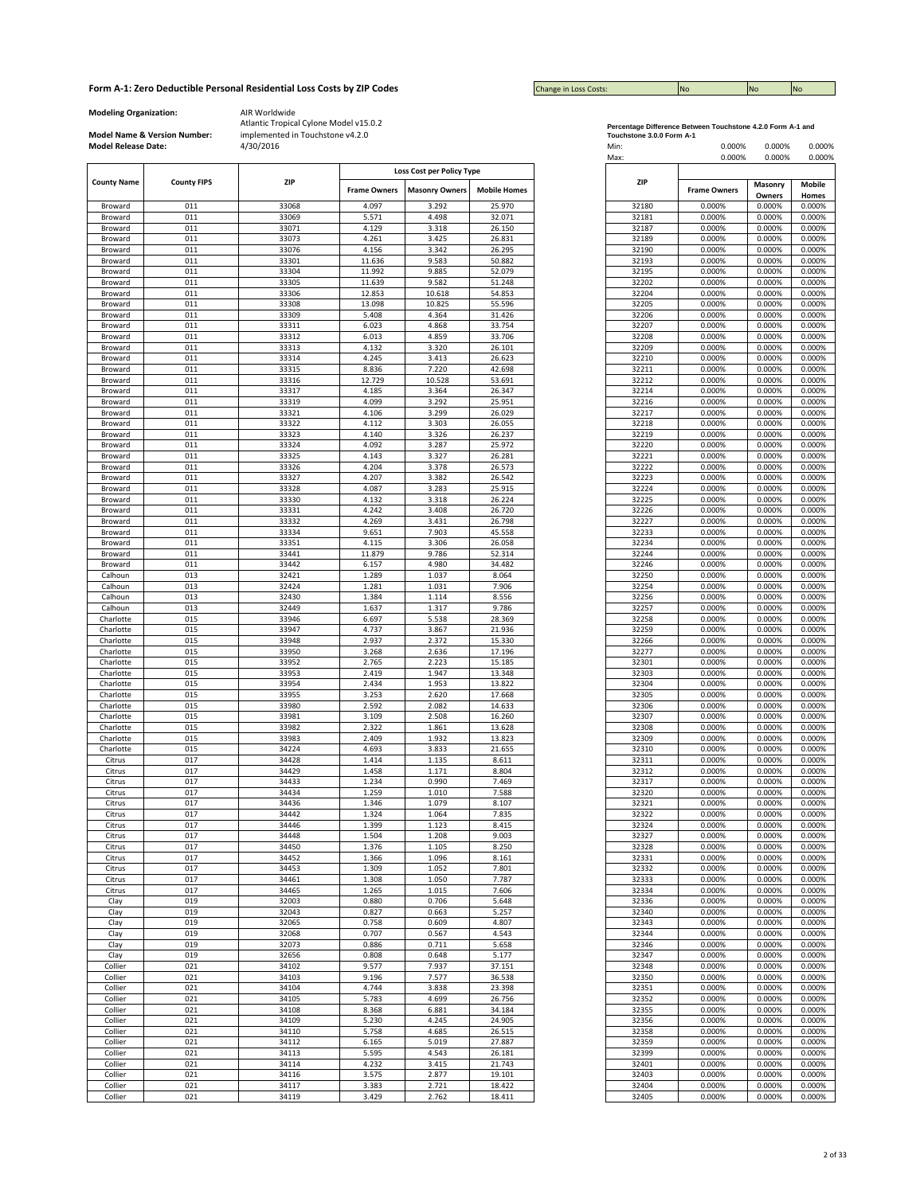| <b>Change in Loss Costs:</b> | <b>INO</b> | <b>No</b> | <b>No</b> |
|------------------------------|------------|-----------|-----------|

**Modeling Organization:** AIR Worldwide

**Model Name & Version Number:**

|                    |                    |                |                     | Loss Cost per Policy Type |                     |
|--------------------|--------------------|----------------|---------------------|---------------------------|---------------------|
| <b>County Name</b> | <b>County FIPS</b> | <b>ZIP</b>     | <b>Frame Owners</b> | <b>Masonry Owners</b>     | <b>Mobile Homes</b> |
|                    |                    |                |                     |                           |                     |
| Broward<br>Broward | 011<br>011         | 33068<br>33069 | 4.097<br>5.571      | 3.292<br>4.498            | 25.970<br>32.071    |
| Broward            | 011                | 33071          | 4.129               | 3.318                     | 26.150              |
| Broward            | 011                | 33073          | 4.261               | 3.425                     | 26.831              |
| Broward            | 011                | 33076          | 4.156               | 3.342                     | 26.295              |
| Broward            | 011                | 33301          | 11.636              | 9.583                     | 50.882              |
| Broward            | 011                | 33304          | 11.992              | 9.885                     | 52.079              |
| Broward            | 011                | 33305          | 11.639              | 9.582                     | 51.248              |
| Broward            | 011                | 33306          | 12.853              | 10.618                    | 54.853              |
| Broward            | 011                | 33308          | 13.098              | 10.825                    | 55.596              |
| Broward            | 011                | 33309          | 5.408               | 4.364                     | 31.426              |
| Broward            | 011                | 33311          | 6.023               | 4.868                     | 33.754              |
| Broward            | 011                | 33312          | 6.013               | 4.859                     | 33.706              |
| Broward            | 011                | 33313          | 4.132               | 3.320                     | 26.101              |
| Broward            | 011                | 33314          | 4.245               | 3.413                     | 26.623              |
| Broward            | 011                | 33315          | 8.836               | 7.220                     | 42.698              |
| Broward            | 011                | 33316          | 12.729              | 10.528                    | 53.691              |
| Broward            | 011                | 33317          | 4.185               | 3.364                     | 26.347              |
| Broward            | 011                | 33319          | 4.099               | 3.292                     | 25.951              |
| Broward            | 011                | 33321          | 4.106               | 3.299                     | 26.029              |
| Broward            | 011                | 33322          | 4.112               | 3.303                     | 26.055              |
| Broward            | 011                | 33323          | 4.140               | 3.326                     | 26.237              |
|                    |                    |                |                     |                           |                     |
| Broward            | 011<br>011         | 33324          | 4.092               | 3.287<br>3.327            | 25.972              |
| Broward            | 011                | 33325<br>33326 | 4.143<br>4.204      | 3.378                     | 26.281<br>26.573    |
| Broward            | 011                |                | 4.207               | 3.382                     |                     |
| Broward<br>Broward | 011                | 33327<br>33328 | 4.087               | 3.283                     | 26.542<br>25.915    |
|                    |                    |                |                     |                           |                     |
| Broward            | 011                | 33330          | 4.132               | 3.318                     | 26.224              |
| Broward            | 011                | 33331          | 4.242               | 3.408                     | 26.720              |
| Broward            | 011                | 33332          | 4.269               | 3.431                     | 26.798              |
| Broward            | 011                | 33334          | 9.651               | 7.903                     | 45.558              |
| Broward            | 011                | 33351          | 4.115               | 3.306                     | 26.058              |
| Broward            | 011                | 33441          | 11.879              | 9.786                     | 52.314              |
| Broward            | 011                | 33442          | 6.157               | 4.980                     | 34.482              |
| Calhoun            | 013                | 32421          | 1.289               | 1.037                     | 8.064               |
| Calhoun            | 013                | 32424          | 1.281               | 1.031                     | 7.906               |
| Calhoun            | 013                | 32430          | 1.384               | 1.114                     | 8.556               |
| Calhoun            | 013                | 32449          | 1.637               | 1.317                     | 9.786               |
| Charlotte          | 015                | 33946          | 6.697               | 5.538                     | 28.369              |
| Charlotte          | 015                | 33947          | 4.737               | 3.867                     | 21.936              |
| Charlotte          | 015                | 33948          | 2.937               | 2.372                     | 15.330              |
| Charlotte          | 015                | 33950          | 3.268               | 2.636                     | 17.196              |
| Charlotte          | 015                | 33952          | 2.765               | 2.223                     | 15.185              |
| Charlotte          | 015                | 33953          | 2.419               | 1.947                     | 13.348              |
| Charlotte          | 015                | 33954          | 2.434               | 1.953                     | 13.822              |
| Charlotte          | 015                | 33955          | 3.253               | 2.620                     | 17.668              |
|                    |                    |                |                     |                           |                     |
| Charlotte          | 015                | 33980          | 2.592               | 2.082                     | 14.633              |
| Charlotte          | 015                | 33981          | 3.109               | 2.508                     | 16.260              |
| Charlotte          | 015                | 33982          | 2.322               | 1.861                     | 13.628              |
| Charlotte          | 015                | 33983          | 2.409               | 1.932                     | 13.823              |
| Charlotte          | 015                | 34224          | 4.693               | 3.833                     | 21.655              |
| Citrus             | 017                | 34428          | 1.414               | 1.135                     | 8.611               |
| Citrus             | 017                | 34429          | 1.458               | 1.171                     | 8.804               |
| Citrus             | 017                | 34433          | 1.234               | 0.990                     | 7.469               |
| Citrus             | 017                | 34434          | 1.259               | 1.010                     | 7.588               |
| Citrus             | 017                | 34436          | 1.346               | 1.079                     | 8.107               |
| Citrus             | 017                | 34442          | 1.324               | 1.064                     | 7.835               |
| Citrus             | 017                | 34446          | 1.399               | 1.123                     | 8.415               |
| Citrus             | 017                | 34448          | 1.504               | 1.208                     | 9.003               |
| Citrus             | 017                | 34450          | 1.376               | 1.105                     | 8.250               |
| Citrus             | 017                | 34452          | 1.366               | 1.096                     | 8.161               |
|                    | 017                |                |                     |                           |                     |
| Citrus             |                    | 34453          | 1.309               | 1.052                     | 7.801               |
| Citrus             | 017                | 34461          | 1.308               | 1.050                     | 7.787               |
| Citrus             | 017                | 34465          | 1.265               | 1.015                     | 7.606               |
| Clay               | 019                | 32003          | 0.880               | 0.706                     | 5.648               |
| Clay               | 019                | 32043          | 0.827               | 0.663                     | 5.257               |
| Clay               | 019                | 32065          | 0.758               | 0.609                     | 4.807               |
| Clay               | 019                | 32068          | 0.707               | 0.567                     | 4.543               |
| Clay               | 019                | 32073          | 0.886               | 0.711                     | 5.658               |
| Clay               | 019                | 32656          | 0.808               | 0.648                     | 5.177               |
| Collier            | 021                | 34102          | 9.577               | 7.937                     | 37.151              |
| Collier            | 021                | 34103          | 9.196               | 7.577                     | 36.538              |
| Collier            | 021                | 34104          | 4.744               | 3.838                     | 23.398              |
| Collier            | 021                | 34105          | 5.783               | 4.699                     | 26.756              |
| Collier            | 021                | 34108          | 8.368               | 6.881                     | 34.184              |
| Collier            | 021                | 34109          | 5.230               | 4.245                     | 24.905              |
| Collier            | 021                | 34110          | 5.758               | 4.685                     | 26.515              |
|                    |                    |                |                     |                           |                     |
| Collier            | 021                | 34112          | 6.165               | 5.019                     | 27.887              |
| Collier            | 021                | 34113          | 5.595               | 4.543                     | 26.181              |
| Collier            | 021                | 34114          | 4.232               | 3.415                     | 21.743              |
| Collier            | 021                | 34116          | 3.575               | 2.877                     | 19.101              |
| Collier            | 021                | 34117          | 3.383               | 2.721                     | 18.422              |
| Collier            | 021                | 34119          | 3.429               | 2.762                     | 18.411              |

| Percentage Difference Between Touchstone 4.2.0 Form A-1 and |  |
|-------------------------------------------------------------|--|
| $T = 1$                                                     |  |

| <b>Model Release Date:</b> | Model Name & Version Number: | implemented in Touchstone v4.2.0<br>4/30/2016 |                     |                                                    |                     | Touchstone 3.0.0 Form A-1<br>Min:<br>Max: | 0.000%<br>0.000%    | 0.000%<br>0.000%  | 0.000%<br>0.000% |
|----------------------------|------------------------------|-----------------------------------------------|---------------------|----------------------------------------------------|---------------------|-------------------------------------------|---------------------|-------------------|------------------|
| <b>County Name</b>         | <b>County FIPS</b>           | ZIP                                           | <b>Frame Owners</b> | Loss Cost per Policy Type<br><b>Masonry Owners</b> | <b>Mobile Homes</b> | ZIP                                       | <b>Frame Owners</b> | Masonry<br>Owners | Mobile<br>Homes  |
| Broward                    | 011                          | 33068                                         | 4.097               | 3.292                                              | 25.970              | 32180                                     | 0.000%              | 0.000%            | 0.000%           |
| Broward                    | 011                          | 33069                                         | 5.571               | 4.498                                              | 32.071              | 32181                                     | 0.000%              | 0.000%            | 0.000%           |
| Broward                    | 011                          | 33071                                         | 4.129               | 3.318                                              | 26.150              | 32187                                     | 0.000%              | 0.000%            | 0.000%           |
| Broward                    | 011                          | 33073                                         | 4.261               | 3.425                                              | 26.831              | 32189                                     | 0.000%              | 0.000%            | 0.000%           |
| Broward                    | 011                          | 33076                                         | 4.156               | 3.342                                              | 26.295              | 32190                                     | 0.000%              | 0.000%            | 0.000%           |
| Broward                    | 011                          | 33301                                         | 11.636              | 9.583                                              | 50.882              | 32193                                     | 0.000%              | 0.000%            | 0.000%           |
| Broward                    | 011                          | 33304                                         | 11.992              | 9.885                                              | 52.079              | 32195                                     | 0.000%              | 0.000%            | 0.000%           |
| Broward                    | 011                          | 33305                                         | 11.639              | 9.582                                              | 51.248              | 32202                                     | 0.000%              | 0.000%            | 0.000%           |
| Broward                    | 011                          | 33306                                         | 12.853              | 10.618                                             | 54.853              | 32204                                     | 0.000%              | 0.000%            | 0.000%           |
| Broward                    | 011                          | 33308                                         | 13.098              | 10.825                                             | 55.596              | 32205                                     | 0.000%              | 0.000%            | 0.000%           |
| Broward                    | 011                          | 33309                                         | 5.408               | 4.364                                              | 31.426              | 32206                                     | 0.000%              | 0.000%            | 0.000%           |
| Broward                    | 011                          | 33311                                         | 6.023               | 4.868                                              | 33.754              | 32207                                     | 0.000%              | 0.000%            | 0.000%           |
| Broward                    | 011<br>011                   | 33312                                         | 6.013<br>4.132      | 4.859                                              | 33.706<br>26.101    | 32208                                     | 0.000%              | 0.000%            | 0.000%           |
| Broward<br>Broward         | 011                          | 33313<br>33314                                | 4.245               | 3.320<br>3.413                                     | 26.623              | 32209<br>32210                            | 0.000%<br>0.000%    | 0.000%<br>0.000%  | 0.000%<br>0.000% |
| Broward                    | 011                          | 33315                                         | 8.836               | 7.220                                              | 42.698              | 32211                                     | 0.000%              | 0.000%            | 0.000%           |
| Broward                    | 011                          | 33316                                         | 12.729              | 10.528                                             | 53.691              | 32212                                     | 0.000%              | 0.000%            | 0.000%           |
| Broward                    | 011                          | 33317                                         | 4.185               | 3.364                                              | 26.347              | 32214                                     | 0.000%              | 0.000%            | 0.000%           |
| Broward                    | 011                          | 33319                                         | 4.099               | 3.292                                              | 25.951              | 32216                                     | 0.000%              | 0.000%            | 0.000%           |
| Broward                    | 011                          | 33321                                         | 4.106               | 3.299                                              | 26.029              | 32217                                     | 0.000%              | 0.000%            | 0.000%           |
| Broward                    | 011                          | 33322                                         | 4.112               | 3.303                                              | 26.055              | 32218                                     | 0.000%              | 0.000%            | 0.000%           |
| Broward                    | 011                          | 33323                                         | 4.140               | 3.326                                              | 26.237              | 32219                                     | 0.000%              | 0.000%            | 0.000%           |
| Broward                    | 011                          | 33324                                         | 4.092               | 3.287                                              | 25.972              | 32220                                     | 0.000%              | 0.000%            | 0.000%           |
| Broward                    | 011                          | 33325                                         | 4.143               | 3.327                                              | 26.281              | 32221                                     | 0.000%              | 0.000%            | 0.000%           |
| Broward                    | 011                          | 33326                                         | 4.204               | 3.378                                              | 26.573              | 32222                                     | 0.000%              | 0.000%            | 0.000%           |
| Broward                    | 011                          | 33327                                         | 4.207               | 3.382                                              | 26.542              | 32223                                     | 0.000%              | 0.000%            | 0.000%           |
| Broward                    | 011                          | 33328                                         | 4.087               | 3.283                                              | 25.915              | 32224                                     | 0.000%              | 0.000%            | 0.000%           |
| Broward                    | 011                          | 33330                                         | 4.132               | 3.318                                              | 26.224              | 32225                                     | 0.000%              | 0.000%            | 0.000%           |
| Broward                    | 011                          | 33331                                         | 4.242               | 3.408                                              | 26.720              | 32226                                     | 0.000%              | 0.000%            | 0.000%           |
| Broward                    | 011<br>011                   | 33332                                         | 4.269               | 3.431<br>7.903                                     | 26.798              | 32227                                     | 0.000%              | 0.000%            | 0.000%           |
| Broward<br>Broward         | 011                          | 33334<br>33351                                | 9.651<br>4.115      | 3.306                                              | 45.558<br>26.058    | 32233<br>32234                            | 0.000%<br>0.000%    | 0.000%<br>0.000%  | 0.000%<br>0.000% |
| Broward                    | 011                          | 33441                                         | 11.879              | 9.786                                              | 52.314              | 32244                                     | 0.000%              | 0.000%            | 0.000%           |
| Broward                    | 011                          | 33442                                         | 6.157               | 4.980                                              | 34.482              | 32246                                     | 0.000%              | 0.000%            | 0.000%           |
| Calhoun                    | 013                          | 32421                                         | 1.289               | 1.037                                              | 8.064               | 32250                                     | 0.000%              | 0.000%            | 0.000%           |
| Calhoun                    | 013                          | 32424                                         | 1.281               | 1.031                                              | 7.906               | 32254                                     | 0.000%              | 0.000%            | 0.000%           |
| Calhoun                    | 013                          | 32430                                         | 1.384               | 1.114                                              | 8.556               | 32256                                     | 0.000%              | 0.000%            | 0.000%           |
| Calhoun                    | 013                          | 32449                                         | 1.637               | 1.317                                              | 9.786               | 32257                                     | 0.000%              | 0.000%            | 0.000%           |
| Charlotte                  | 015                          | 33946                                         | 6.697               | 5.538                                              | 28.369              | 32258                                     | 0.000%              | 0.000%            | 0.000%           |
| Charlotte                  | 015                          | 33947                                         | 4.737               | 3.867                                              | 21.936              | 32259                                     | 0.000%              | 0.000%            | 0.000%           |
| Charlotte                  | 015                          | 33948                                         | 2.937               | 2.372                                              | 15.330              | 32266                                     | 0.000%              | 0.000%            | 0.000%           |
| Charlotte                  | 015                          | 33950                                         | 3.268               | 2.636                                              | 17.196              | 32277                                     | 0.000%              | 0.000%            | 0.000%           |
| Charlotte                  | 015                          | 33952                                         | 2.765               | 2.223                                              | 15.185              | 32301                                     | 0.000%              | 0.000%            | 0.000%           |
| Charlotte                  | 015                          | 33953                                         | 2.419               | 1.947                                              | 13.348              | 32303                                     | 0.000%              | 0.000%            | 0.000%           |
| Charlotte                  | 015                          | 33954                                         | 2.434               | 1.953                                              | 13.822              | 32304                                     | 0.000%              | 0.000%            | 0.000%           |
| Charlotte                  | 015                          | 33955                                         | 3.253               | 2.620                                              | 17.668              | 32305                                     | 0.000%              | 0.000%            | 0.000%           |
| Charlotte                  | 015<br>015                   | 33980                                         | 2.592               | 2.082                                              | 14.633              | 32306                                     | 0.000%              | 0.000%            | 0.000%           |
| Charlotte<br>Charlotte     | 015                          | 33981<br>33982                                | 3.109<br>2.322      | 2.508<br>1.861                                     | 16.260<br>13.628    | 32307<br>32308                            | 0.000%<br>0.000%    | 0.000%<br>0.000%  | 0.000%<br>0.000% |
| Charlotte                  | 015                          | 33983                                         | 2.409               | 1.932                                              | 13.823              | 32309                                     | 0.000%              | 0.000%            | 0.000%           |
| Charlotte                  | 015                          | 34224                                         | 4.693               | 3.833                                              | 21.655              | 32310                                     | 0.000%              | 0.000%            | 0.000%           |
| Citrus                     | 017                          | 34428                                         | 1.414               | 1.135                                              | 8.611               | 32311                                     | 0.000%              | 0.000%            | 0.000%           |
| Citrus                     | 017                          | 34429                                         | 1.458               | 1.171                                              | 8.804               | 32312                                     | 0.000%              | 0.000%            | 0.000%           |
| Citrus                     | 017                          | 34433                                         | 1.234               | 0.990                                              | 7.469               | 32317                                     | 0.000%              | 0.000%            | 0.000%           |
| Citrus                     | 017                          | 34434                                         | 1.259               | 1.010                                              | 7.588               | 32320                                     | 0.000%              | 0.000%            | 0.000%           |
| Citrus                     | 017                          | 34436                                         | 1.346               | 1.079                                              | 8.107               | 32321                                     | 0.000%              | 0.000%            | 0.000%           |
| Citrus                     | 017                          | 34442                                         | 1.324               | 1.064                                              | 7.835               | 32322                                     | 0.000%              | 0.000%            | 0.000%           |
| Citrus                     | 017                          | 34446                                         | 1.399               | 1.123                                              | 8.415               | 32324                                     | 0.000%              | 0.000%            | 0.000%           |
| Citrus                     | 017                          | 34448                                         | 1.504               | 1.208                                              | 9.003               | 32327                                     | 0.000%              | 0.000%            | 0.000%           |
| Citrus                     | 017                          | 34450                                         | 1.376               | 1.105                                              | 8.250               | 32328                                     | 0.000%              | 0.000%            | 0.000%           |
| Citrus                     | 017                          | 34452                                         | 1.366               | 1.096                                              | 8.161               | 32331                                     | 0.000%              | 0.000%            | 0.000%           |
| Citrus                     | 017<br>017                   | 34453<br>34461                                | 1.309               | 1.052                                              | 7.801               | 32332                                     | 0.000%              | 0.000%<br>0.000%  | 0.000%           |
| Citrus<br>Citrus           | 017                          | 34465                                         | 1.308<br>1.265      | 1.050<br>1.015                                     | 7.787<br>7.606      | 32333<br>32334                            | 0.000%<br>0.000%    | 0.000%            | 0.000%<br>0.000% |
| Clay                       | 019                          | 32003                                         | 0.880               | 0.706                                              | 5.648               | 32336                                     | 0.000%              | 0.000%            | 0.000%           |
| Clay                       | 019                          | 32043                                         | 0.827               | 0.663                                              | 5.257               | 32340                                     | 0.000%              | 0.000%            | 0.000%           |
| Clay                       | 019                          | 32065                                         | 0.758               | 0.609                                              | 4.807               | 32343                                     | 0.000%              | 0.000%            | 0.000%           |
| Clay                       | 019                          | 32068                                         | 0.707               | 0.567                                              | 4.543               | 32344                                     | 0.000%              | 0.000%            | 0.000%           |
| Clay                       | 019                          | 32073                                         | 0.886               | 0.711                                              | 5.658               | 32346                                     | 0.000%              | 0.000%            | 0.000%           |
| Clay                       | 019                          | 32656                                         | 0.808               | 0.648                                              | 5.177               | 32347                                     | 0.000%              | 0.000%            | 0.000%           |
| Collier                    | 021                          | 34102                                         | 9.577               | 7.937                                              | 37.151              | 32348                                     | 0.000%              | 0.000%            | 0.000%           |
| Collier                    | 021                          | 34103                                         | 9.196               | 7.577                                              | 36.538              | 32350                                     | 0.000%              | 0.000%            | 0.000%           |
| Collier                    | 021                          | 34104                                         | 4.744               | 3.838                                              | 23.398              | 32351                                     | 0.000%              | 0.000%            | 0.000%           |
| Collier                    | 021                          | 34105                                         | 5.783               | 4.699                                              | 26.756              | 32352                                     | 0.000%              | 0.000%            | 0.000%           |
| Collier                    | 021                          | 34108                                         | 8.368               | 6.881                                              | 34.184              | 32355                                     | 0.000%              | 0.000%            | 0.000%           |
| Collier                    | 021                          | 34109                                         | 5.230               | 4.245                                              | 24.905              | 32356                                     | 0.000%              | 0.000%            | 0.000%           |
| Collier                    | 021                          | 34110                                         | 5.758               | 4.685                                              | 26.515              | 32358                                     | 0.000%              | 0.000%            | 0.000%           |
| Collier                    | 021                          | 34112                                         | 6.165               | 5.019                                              | 27.887              | 32359                                     | 0.000%              | 0.000%            | 0.000%           |
| Collier                    | 021                          | 34113                                         | 5.595               | 4.543                                              | 26.181              | 32399                                     | 0.000%              | 0.000%            | 0.000%           |
| Collier                    | 021                          | 34114                                         | 4.232               | 3.415                                              | 21.743              | 32401                                     | 0.000%              | 0.000%            | 0.000%           |
| Collier                    | 021                          | 34116                                         | 3.575               | 2.877                                              | 19.101              | 32403                                     | 0.000%              | 0.000%            | 0.000%           |
| Collier                    | 021                          | 34117                                         | 3.383               | 2.721                                              | 18.422              | 32404                                     | 0.000%              | 0.000%            | 0.000%           |
| Collier                    | 021                          | 34119                                         | 3.429               | 2.762                                              | 18.411              | 32405                                     | 0.000%              | 0.000%            | 0.000%           |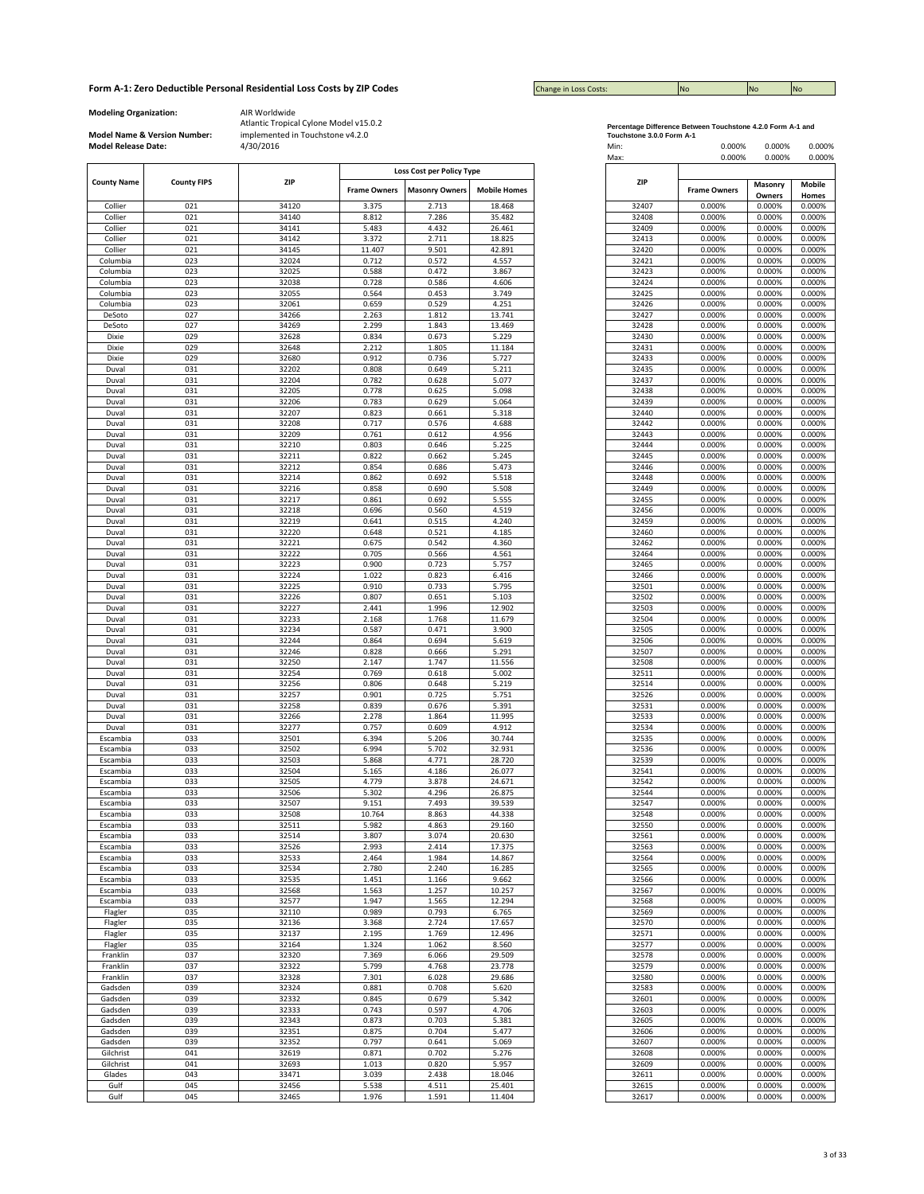| <b>Change in Loss Costs:</b> | <b>INO</b> | <b>No</b> | <b>No</b> |
|------------------------------|------------|-----------|-----------|

**Modeling Organization:** AIR Worldwide

**Model Name & Version Number:**

|                    |                    |            |                     | Loss Cost per Policy Type |                     |       |                     |
|--------------------|--------------------|------------|---------------------|---------------------------|---------------------|-------|---------------------|
| <b>County Name</b> | <b>County FIPS</b> | <b>ZIP</b> |                     |                           | <b>ZIP</b>          |       |                     |
|                    |                    |            | <b>Frame Owners</b> | <b>Masonry Owners</b>     | <b>Mobile Homes</b> |       | <b>Frame Owners</b> |
| Collier            | 021                | 34120      | 3.375               | 2.713                     | 18.468              | 32407 | 0.000%              |
| Collier            | 021                | 34140      | 8.812               | 7.286                     | 35.482              | 32408 | 0.000%              |
|                    | 021                | 34141      | 5.483               | 4.432                     | 26.461              | 32409 | 0.000%              |
| Collier            |                    |            |                     |                           |                     |       |                     |
| Collier            | 021                | 34142      | 3.372               | 2.711                     | 18.825              | 32413 | 0.000%              |
| Collier            | 021                | 34145      | 11.407              | 9.501                     | 42.891              | 32420 | 0.000%              |
| Columbia           | 023                | 32024      | 0.712               | 0.572                     | 4.557               | 32421 | 0.000%              |
| Columbia           | 023                | 32025      | 0.588               | 0.472                     | 3.867               | 32423 | 0.000%              |
| Columbia           | 023                | 32038      | 0.728               | 0.586                     | 4.606               | 32424 | 0.000%              |
| Columbia           | 023                | 32055      | 0.564               | 0.453                     | 3.749               | 32425 | 0.000%              |
| Columbia           | 023                | 32061      | 0.659               | 0.529                     | 4.251               | 32426 | 0.000%              |
| DeSoto             | 027                | 34266      | 2.263               | 1.812                     | 13.741              | 32427 | 0.000%              |
| DeSoto             | 027                | 34269      | 2.299               | 1.843                     | 13.469              | 32428 | 0.000%              |
| Dixie              | 029                | 32628      | 0.834               | 0.673                     | 5.229               | 32430 | 0.000%              |
|                    | 029                | 32648      | 2.212               | 1.805                     | 11.184              | 32431 | 0.000%              |
| Dixie<br>Dixie     | 029                | 32680      |                     |                           |                     | 32433 |                     |
|                    |                    |            | 0.912               | 0.736                     | 5.727               |       | 0.000%              |
| Duval<br>Duval     | 031                | 32202      | 0.808               | 0.649                     | 5.211               | 32435 | 0.000%              |
|                    | 031                | 32204      | 0.782               | 0.628                     | 5.077               | 32437 | 0.000%              |
| Duval              | 031                | 32205      | 0.778               | 0.625                     | 5.098               | 32438 | 0.000%              |
| Duval              | 031                | 32206      | 0.783               | 0.629                     | 5.064               | 32439 | 0.000%              |
|                    | 031                | 32207      | 0.823               | 0.661                     | 5.318               | 32440 | 0.000%              |
|                    | 031                | 32208      | 0.717               | 0.576                     | 4.688               | 32442 | 0.000%              |
|                    | 031                | 32209      | 0.761               | 0.612                     | 4.956               | 32443 | 0.000%              |
| Duval              | 031                | 32210      | 0.803               | 0.646                     | 5.225               | 32444 | 0.000%              |
| Duval<br>Duval     | 031                | 32211      | 0.822               | 0.662                     | 5.245               | 32445 | 0.000%              |
|                    | 031                | 32212      | 0.854               | 0.686                     | 5.473               | 32446 | 0.000%              |
|                    |                    |            |                     |                           |                     |       |                     |
| Duval              | 031                | 32214      | 0.862               | 0.692                     | 5.518               | 32448 | 0.000%              |
| Duval<br>Duval     | 031                | 32216      | 0.858               | 0.690                     | 5.508               | 32449 | 0.000%              |
|                    | 031                | 32217      | 0.861               | 0.692                     | 5.555               | 32455 | 0.000%              |
| Duval              | 031                | 32218      | 0.696               | 0.560                     | 4.519               | 32456 | 0.000%              |
|                    | 031                | 32219      | 0.641               | 0.515                     | 4.240               | 32459 | 0.000%              |
| Duval<br>Duval     | 031                | 32220      | 0.648               | 0.521                     | 4.185               | 32460 | 0.000%              |
| Duval              | 031                | 32221      | 0.675               | 0.542                     | 4.360               | 32462 | 0.000%              |
|                    |                    |            |                     |                           |                     |       |                     |
|                    | 031                | 32222      | 0.705               | 0.566                     | 4.561               | 32464 | 0.000%              |
| Duval              | 031                | 32223      | 0.900               | 0.723                     | 5.757               | 32465 | 0.000%              |
| Duval              | 031                | 32224      | 1.022               | 0.823                     | 6.416               | 32466 | 0.000%              |
| Duval              | 031                | 32225      | 0.910               | 0.733                     | 5.795               | 32501 | 0.000%              |
| Duval              | 031                | 32226      | 0.807               | 0.651                     | 5.103               | 32502 | 0.000%              |
| Duval              | 031                | 32227      | 2.441               | 1.996                     | 12.902              | 32503 | 0.000%              |
| Duval              | 031                | 32233      | 2.168               | 1.768                     | 11.679              | 32504 | 0.000%              |
| Duval              | 031                | 32234      | 0.587               | 0.471                     | 3.900               | 32505 | 0.000%              |
|                    |                    |            |                     |                           |                     |       |                     |
| Duval              | 031                | 32244      | 0.864               | 0.694                     | 5.619               | 32506 | 0.000%              |
| Duval              | 031                | 32246      | 0.828               | 0.666                     | 5.291               | 32507 | 0.000%              |
| Duval              | 031                | 32250      | 2.147               | 1.747                     | 11.556              | 32508 | 0.000%              |
| Duval              | 031                | 32254      | 0.769               | 0.618                     | 5.002               | 32511 | 0.000%              |
| Duval              | 031                | 32256      | 0.806               | 0.648                     | 5.219               | 32514 | 0.000%              |
| Duval              | 031                | 32257      | 0.901               | 0.725                     | 5.751               | 32526 | 0.000%              |
|                    | 031                | 32258      | 0.839               | 0.676                     | 5.391               | 32531 | 0.000%              |
| Duval<br>Duval     | 031                | 32266      | 2.278               | 1.864                     | 11.995              |       | 0.000%              |
|                    |                    |            |                     |                           |                     | 32533 |                     |
|                    | 031                | 32277      | 0.757               | 0.609                     | 4.912               | 32534 | 0.000%              |
| Escambia           | 033                | 32501      | 6.394               | 5.206                     | 30.744              | 32535 | 0.000%              |
| Escambia           | 033                | 32502      | 6.994               | 5.702                     | 32.931              | 32536 | 0.000%              |
| Escambia           | 033                | 32503      | 5.868               | 4.771                     | 28.720              | 32539 | 0.000%              |
| Escambia           | 033                | 32504      | 5.165               | 4.186                     | 26.077              | 32541 | 0.000%              |
| Escambia           | 033                | 32505      | 4.779               | 3.878                     | 24.671              | 32542 | 0.000%              |
| Escambia           | 033                | 32506      | 5.302               | 4.296                     | 26.875              | 32544 | 0.000%              |
| Escambia           | 033                | 32507      | 9.151               | 7.493                     | 39.539              | 32547 | 0.000%              |
|                    |                    |            |                     |                           |                     |       |                     |
| Escambia           | 033                | 32508      | 10.764              | 8.863                     | 44.338              | 32548 | 0.000%              |
| Escambia           | 033                | 32511      | 5.982               | 4.863                     | 29.160              | 32550 | 0.000%              |
| Escambia           | 033                | 32514      | 3.807               | 3.074                     | 20.630              | 32561 | 0.000%              |
| Escambia           | 033                | 32526      | 2.993               | 2.414                     | 17.375              | 32563 | 0.000%              |
| Escambia           | 033                | 32533      | 2.464               | 1.984                     | 14.867              | 32564 | 0.000%              |
| Escambia           | 033                | 32534      | 2.780               | 2.240                     | 16.285              | 32565 | 0.000%              |
| Escambia           | 033                | 32535      | 1.451               | 1.166                     | 9.662               | 32566 | 0.000%              |
| Escambia           | 033                | 32568      | 1.563               | 1.257                     | 10.257              | 32567 | 0.000%              |
|                    |                    |            |                     |                           |                     |       |                     |
| Escambia           | 033                | 32577      | 1.947               | 1.565                     | 12.294              | 32568 | 0.000%              |
| Flagler            | 035                | 32110      | 0.989               | 0.793                     | 6.765               | 32569 | 0.000%              |
| Flagler            | 035                | 32136      | 3.368               | 2.724                     | 17.657              | 32570 | 0.000%              |
| Flagler            | 035                | 32137      | 2.195               | 1.769                     | 12.496              | 32571 | 0.000%              |
| Flagler            | 035                | 32164      | 1.324               | 1.062                     | 8.560               | 32577 | 0.000%              |
| Franklin           | 037                | 32320      | 7.369               | 6.066                     | 29.509              | 32578 | 0.000%              |
|                    | 037                | 32322      | 5.799               | 4.768                     | 23.778              | 32579 | 0.000%              |
| Franklin           |                    |            |                     |                           |                     |       |                     |
| Franklin           | 037                | 32328      | 7.301               | 6.028                     | 29.686              | 32580 | 0.000%              |
| Gadsden            | 039                | 32324      | 0.881               | 0.708                     | 5.620               | 32583 | 0.000%              |
| Gadsden            | 039                | 32332      | 0.845               | 0.679                     | 5.342               | 32601 | 0.000%              |
| Gadsden            | 039                | 32333      | 0.743               | 0.597                     | 4.706               | 32603 | 0.000%              |
| Gadsden            | 039                | 32343      | 0.873               | 0.703                     | 5.381               | 32605 | 0.000%              |
|                    | 039                |            |                     |                           | 5.477               |       |                     |
| Gadsden            |                    | 32351      | 0.875               | 0.704                     |                     | 32606 | 0.000%              |
| Gadsden            | 039                | 32352      | 0.797               | 0.641                     | 5.069               | 32607 | 0.000%              |
| Gilchrist          | 041                | 32619      | 0.871               | 0.702                     | 5.276               | 32608 | 0.000%              |
| Gilchrist          | 041                | 32693      | 1.013               | 0.820                     | 5.957               | 32609 | 0.000%              |
| Glades             | 043                | 33471      | 3.039               | 2.438                     | 18.046              | 32611 | 0.000%              |
|                    | 045                | 32456      | 5.538               | 4.511                     | 25.401              | 32615 | 0.000%              |
| Gulf               | 045                | 32465      | 1.976               | 1.591                     | 11.404              | 32617 | 0.000%              |
| Gulf               |                    |            |                     |                           |                     |       |                     |

| Percentage Difference Between Touchstone 4.2.0 Form A-1 and |  |
|-------------------------------------------------------------|--|
| Touchstone 3.0.0 Form A-1                                   |  |

| <b>Model Release Date:</b> | Model Name & Version Number: | implemented in Touchstone v4.2.0<br>4/30/2016 |                     |                                                    |                     | Touchstone 3.0.0 Form A-1<br>Min:<br>Max: | 0.000%<br>0.000%    | 0.000%<br>0.000% | 0.000%<br>0.000% |
|----------------------------|------------------------------|-----------------------------------------------|---------------------|----------------------------------------------------|---------------------|-------------------------------------------|---------------------|------------------|------------------|
| <b>County Name</b>         | <b>County FIPS</b>           | <b>ZIP</b>                                    | <b>Frame Owners</b> | Loss Cost per Policy Type<br><b>Masonry Owners</b> | <b>Mobile Homes</b> | ZIP                                       | <b>Frame Owners</b> | Masonry          | Mobile           |
|                            |                              |                                               |                     |                                                    |                     |                                           |                     | Owners           | Homes            |
| Collier<br>Collier         | 021<br>021                   | 34120<br>34140                                | 3.375<br>8.812      | 2.713<br>7.286                                     | 18.468<br>35.482    | 32407<br>32408                            | 0.000%<br>0.000%    | 0.000%<br>0.000% | 0.000%<br>0.000% |
| Collier                    | 021                          | 34141                                         | 5.483               | 4.432                                              | 26.461              | 32409                                     | 0.000%              | 0.000%           | 0.000%           |
| Collier                    | 021                          | 34142                                         | 3.372               | 2.711                                              | 18.825              | 32413                                     | 0.000%              | 0.000%           | 0.000%           |
| Collier                    | 021                          | 34145                                         | 11.407              | 9.501                                              | 42.891              | 32420                                     | 0.000%              | 0.000%           | 0.000%           |
| Columbia                   | 023                          | 32024                                         | 0.712               | 0.572                                              | 4.557               | 32421                                     | 0.000%              | 0.000%           | 0.000%           |
| Columbia<br>Columbia       | 023<br>023                   | 32025<br>32038                                | 0.588<br>0.728      | 0.472<br>0.586                                     | 3.867<br>4.606      | 32423<br>32424                            | 0.000%<br>0.000%    | 0.000%<br>0.000% | 0.000%<br>0.000% |
| Columbia                   | 023                          | 32055                                         | 0.564               | 0.453                                              | 3.749               | 32425                                     | 0.000%              | 0.000%           | 0.000%           |
| Columbia                   | 023                          | 32061                                         | 0.659               | 0.529                                              | 4.251               | 32426                                     | 0.000%              | 0.000%           | 0.000%           |
| DeSoto                     | 027                          | 34266                                         | 2.263               | 1.812                                              | 13.741              | 32427                                     | 0.000%              | 0.000%           | 0.000%           |
| DeSoto<br>Dixie            | 027<br>029                   | 34269<br>32628                                | 2.299<br>0.834      | 1.843<br>0.673                                     | 13.469<br>5.229     | 32428<br>32430                            | 0.000%<br>0.000%    | 0.000%<br>0.000% | 0.000%<br>0.000% |
| Dixie                      | 029                          | 32648                                         | 2.212               | 1.805                                              | 11.184              | 32431                                     | 0.000%              | 0.000%           | 0.000%           |
| Dixie                      | 029                          | 32680                                         | 0.912               | 0.736                                              | 5.727               | 32433                                     | 0.000%              | 0.000%           | 0.000%           |
| Duval                      | 031                          | 32202                                         | 0.808               | 0.649                                              | 5.211               | 32435                                     | 0.000%              | 0.000%           | 0.000%           |
| Duval                      | 031                          | 32204                                         | 0.782               | 0.628                                              | 5.077               | 32437                                     | 0.000%              | 0.000%           | 0.000%           |
| Duval<br>Duval             | 031<br>031                   | 32205<br>32206                                | 0.778<br>0.783      | 0.625<br>0.629                                     | 5.098<br>5.064      | 32438<br>32439                            | 0.000%<br>0.000%    | 0.000%<br>0.000% | 0.000%<br>0.000% |
| Duval                      | 031                          | 32207                                         | 0.823               | 0.661                                              | 5.318               | 32440                                     | 0.000%              | 0.000%           | 0.000%           |
| Duval                      | 031                          | 32208                                         | 0.717               | 0.576                                              | 4.688               | 32442                                     | 0.000%              | 0.000%           | 0.000%           |
| Duval                      | 031                          | 32209                                         | 0.761               | 0.612                                              | 4.956               | 32443                                     | 0.000%              | 0.000%           | 0.000%           |
| Duval                      | 031                          | 32210                                         | 0.803               | 0.646                                              | 5.225               | 32444                                     | 0.000%              | 0.000%           | 0.000%           |
| Duval<br>Duval             | 031<br>031                   | 32211<br>32212                                | 0.822<br>0.854      | 0.662<br>0.686                                     | 5.245<br>5.473      | 32445<br>32446                            | 0.000%<br>0.000%    | 0.000%<br>0.000% | 0.000%<br>0.000% |
| Duval                      | 031                          | 32214                                         | 0.862               | 0.692                                              | 5.518               | 32448                                     | 0.000%              | 0.000%           | 0.000%           |
| Duval                      | 031                          | 32216                                         | 0.858               | 0.690                                              | 5.508               | 32449                                     | 0.000%              | 0.000%           | 0.000%           |
| Duval                      | 031                          | 32217                                         | 0.861               | 0.692                                              | 5.555               | 32455                                     | 0.000%              | 0.000%           | 0.000%           |
| Duval                      | 031                          | 32218                                         | 0.696               | 0.560                                              | 4.519               | 32456                                     | 0.000%              | 0.000%           | 0.000%           |
| Duval<br>Duval             | 031<br>031                   | 32219<br>32220                                | 0.641<br>0.648      | 0.515<br>0.521                                     | 4.240<br>4.185      | 32459<br>32460                            | 0.000%<br>0.000%    | 0.000%<br>0.000% | 0.000%<br>0.000% |
| Duval                      | 031                          | 32221                                         | 0.675               | 0.542                                              | 4.360               | 32462                                     | 0.000%              | 0.000%           | 0.000%           |
| Duval                      | 031                          | 32222                                         | 0.705               | 0.566                                              | 4.561               | 32464                                     | 0.000%              | 0.000%           | 0.000%           |
| Duval                      | 031                          | 32223                                         | 0.900               | 0.723                                              | 5.757               | 32465                                     | 0.000%              | 0.000%           | 0.000%           |
| Duval                      | 031                          | 32224                                         | 1.022               | 0.823                                              | 6.416               | 32466                                     | 0.000%              | 0.000%           | 0.000%           |
| Duval                      | 031                          | 32225                                         | 0.910<br>0.807      | 0.733                                              | 5.795<br>5.103      | 32501<br>32502                            | 0.000%              | 0.000%           | 0.000%           |
| Duval<br>Duval             | 031<br>031                   | 32226<br>32227                                | 2.441               | 0.651<br>1.996                                     | 12.902              | 32503                                     | 0.000%<br>0.000%    | 0.000%<br>0.000% | 0.000%<br>0.000% |
| Duval                      | 031                          | 32233                                         | 2.168               | 1.768                                              | 11.679              | 32504                                     | 0.000%              | 0.000%           | 0.000%           |
| Duval                      | 031                          | 32234                                         | 0.587               | 0.471                                              | 3.900               | 32505                                     | 0.000%              | 0.000%           | 0.000%           |
| Duval                      | 031                          | 32244                                         | 0.864               | 0.694                                              | 5.619               | 32506                                     | 0.000%              | 0.000%           | 0.000%           |
| Duval                      | 031                          | 32246                                         | 0.828               | 0.666                                              | 5.291               | 32507                                     | 0.000%              | 0.000%           | 0.000%           |
| Duval<br>Duval             | 031<br>031                   | 32250<br>32254                                | 2.147<br>0.769      | 1.747<br>0.618                                     | 11.556<br>5.002     | 32508<br>32511                            | 0.000%<br>0.000%    | 0.000%<br>0.000% | 0.000%<br>0.000% |
| Duval                      | 031                          | 32256                                         | 0.806               | 0.648                                              | 5.219               | 32514                                     | 0.000%              | 0.000%           | 0.000%           |
| Duval                      | 031                          | 32257                                         | 0.901               | 0.725                                              | 5.751               | 32526                                     | 0.000%              | 0.000%           | 0.000%           |
| Duval                      | 031                          | 32258                                         | 0.839               | 0.676                                              | 5.391               | 32531                                     | 0.000%              | 0.000%           | 0.000%           |
| Duval                      | 031                          | 32266                                         | 2.278               | 1.864                                              | 11.995              | 32533                                     | 0.000%              | 0.000%           | 0.000%           |
| Duval<br>Escambia          | 031<br>033                   | 32277<br>32501                                | 0.757<br>6.394      | 0.609<br>5.206                                     | 4.912<br>30.744     | 32534<br>32535                            | 0.000%<br>0.000%    | 0.000%<br>0.000% | 0.000%<br>0.000% |
| Escambia                   | 033                          | 32502                                         | 6.994               | 5.702                                              | 32.931              | 32536                                     | 0.000%              | 0.000%           | 0.000%           |
| Escambia                   | 033                          | 32503                                         | 5.868               | 4.771                                              | 28.720              | 32539                                     | 0.000%              | 0.000%           | 0.000%           |
| Escambia                   | 033                          | 32504                                         | 5.165               | 4.186                                              | 26.077              | 32541                                     | 0.000%              | 0.000%           | 0.000%           |
| Escambia                   | 033                          | 32505                                         | 4.779               | 3.878                                              | 24.671              | 32542                                     | 0.000%              | 0.000%           | 0.000%           |
| Escambia<br>Escambia       | 033<br>033                   | 32506<br>32507                                | 5.302<br>9.151      | 4.296<br>7.493                                     | 26.875<br>39.539    | 32544<br>32547                            | 0.000%<br>0.000%    | 0.000%<br>0.000% | 0.000%<br>0.000% |
| Escambia                   | 033                          | 32508                                         | 10.764              | 8.863                                              | 44.338              | 32548                                     | 0.000%              | 0.000%           | 0.000%           |
| Escambia                   | 033                          | 32511                                         | 5.982               | 4.863                                              | 29.160              | 32550                                     | 0.000%              | 0.000%           | 0.000%           |
| Escambia                   | 033                          | 32514                                         | 3.807               | 3.074                                              | 20.630              | 32561                                     | 0.000%              | 0.000%           | 0.000%           |
| Escambia<br>Escambia       | 033<br>033                   | 32526<br>32533                                | 2.993<br>2.464      | 2.414<br>1.984                                     | 17.375<br>14.867    | 32563<br>32564                            | 0.000%<br>0.000%    | 0.000%<br>0.000% | 0.000%<br>0.000% |
| Escambia                   | 033                          | 32534                                         | 2.780               | 2.240                                              | 16.285              | 32565                                     | 0.000%              | 0.000%           | 0.000%           |
| Escambia                   | 033                          | 32535                                         | 1.451               | 1.166                                              | 9.662               | 32566                                     | 0.000%              | 0.000%           | 0.000%           |
| Escambia                   | 033                          | 32568                                         | 1.563               | 1.257                                              | 10.257              | 32567                                     | 0.000%              | 0.000%           | 0.000%           |
| Escambia                   | 033                          | 32577                                         | 1.947               | 1.565                                              | 12.294              | 32568                                     | 0.000%              | 0.000%           | 0.000%           |
| Flagler<br>Flagler         | 035<br>035                   | 32110<br>32136                                | 0.989<br>3.368      | 0.793<br>2.724                                     | 6.765<br>17.657     | 32569<br>32570                            | 0.000%<br>0.000%    | 0.000%<br>0.000% | 0.000%<br>0.000% |
| Flagler                    | 035                          | 32137                                         | 2.195               | 1.769                                              | 12.496              | 32571                                     | 0.000%              | 0.000%           | 0.000%           |
| Flagler                    | 035                          | 32164                                         | 1.324               | 1.062                                              | 8.560               | 32577                                     | 0.000%              | 0.000%           | 0.000%           |
| Franklin                   | 037                          | 32320                                         | 7.369               | 6.066                                              | 29.509              | 32578                                     | 0.000%              | 0.000%           | 0.000%           |
| Franklin                   | 037                          | 32322                                         | 5.799               | 4.768                                              | 23.778              | 32579                                     | 0.000%              | 0.000%           | 0.000%           |
| Franklin                   | 037<br>039                   | 32328<br>32324                                | 7.301               | 6.028<br>0.708                                     | 29.686              | 32580                                     | 0.000%              | 0.000%           | 0.000%           |
| Gadsden<br>Gadsden         | 039                          | 32332                                         | 0.881<br>0.845      | 0.679                                              | 5.620<br>5.342      | 32583<br>32601                            | 0.000%<br>0.000%    | 0.000%<br>0.000% | 0.000%<br>0.000% |
| Gadsden                    | 039                          | 32333                                         | 0.743               | 0.597                                              | 4.706               | 32603                                     | 0.000%              | 0.000%           | 0.000%           |
| Gadsden                    | 039                          | 32343                                         | 0.873               | 0.703                                              | 5.381               | 32605                                     | 0.000%              | 0.000%           | 0.000%           |
| Gadsden                    | 039                          | 32351                                         | 0.875               | 0.704                                              | 5.477               | 32606                                     | 0.000%              | 0.000%           | 0.000%           |
| Gadsden                    | 039                          | 32352                                         | 0.797               | 0.641                                              | 5.069               | 32607                                     | 0.000%              | 0.000%           | 0.000%           |
| Gilchrist<br>Gilchrist     | 041<br>041                   | 32619<br>32693                                | 0.871<br>1.013      | 0.702<br>0.820                                     | 5.276<br>5.957      | 32608<br>32609                            | 0.000%<br>0.000%    | 0.000%<br>0.000% | 0.000%<br>0.000% |
| Glades                     | 043                          | 33471                                         | 3.039               | 2.438                                              | 18.046              | 32611                                     | 0.000%              | 0.000%           | 0.000%           |
| Gulf                       | 045                          | 32456                                         | 5.538               | 4.511                                              | 25.401              | 32615                                     | 0.000%              | 0.000%           | 0.000%           |
| Gulf                       | 045                          | 32465                                         | 1.976               | 1.591                                              | 11.404              | 32617                                     | 0.000%              | 0.000%           | 0.000%           |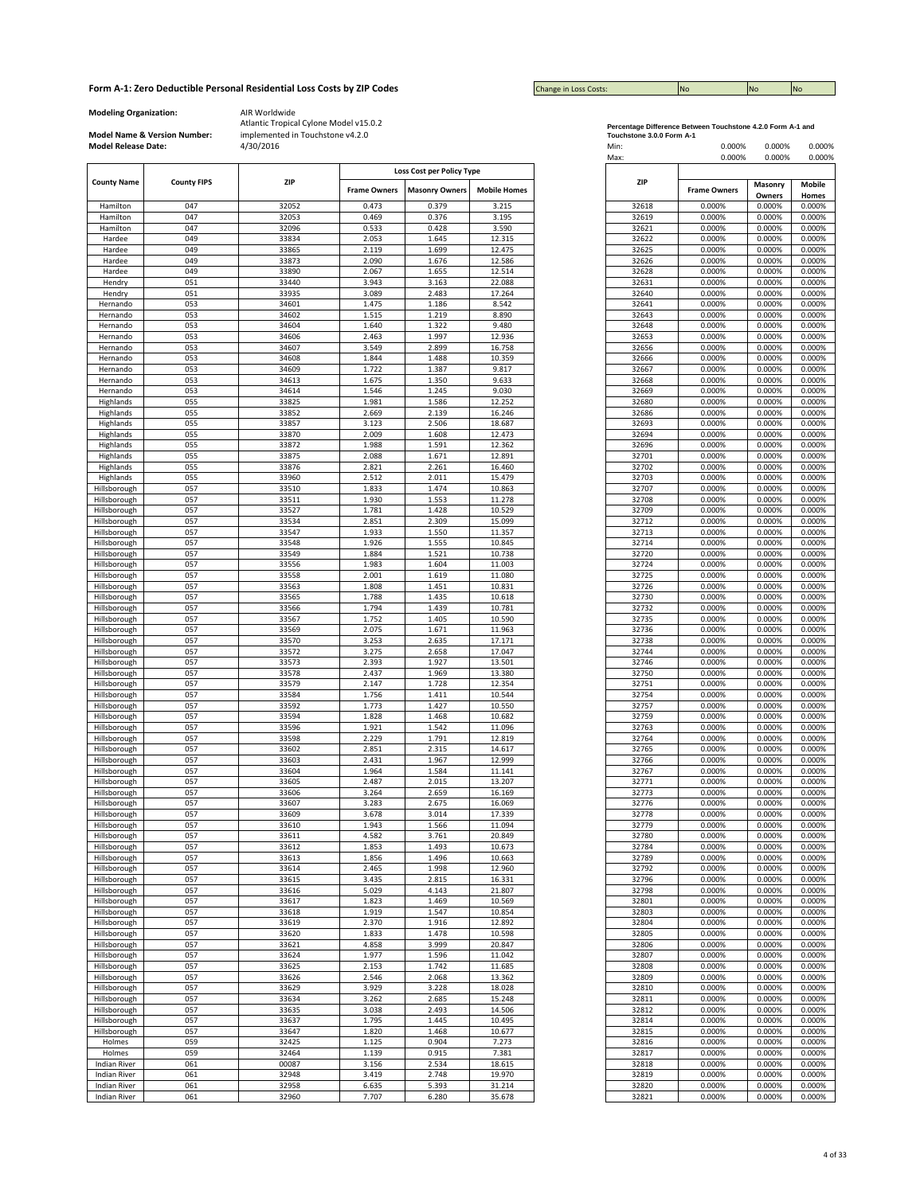| <b>Change in Loss Costs:</b> | <b>INO</b> | <b>No</b> | <b>No</b> |
|------------------------------|------------|-----------|-----------|

**Modeling Organization:** AIR Worldwide

**Model Name & Version Number:**

|                     |                    |       |                     | Loss Cost per Policy Type |                     |
|---------------------|--------------------|-------|---------------------|---------------------------|---------------------|
| <b>County Name</b>  | <b>County FIPS</b> | ZIP   |                     |                           |                     |
|                     |                    |       | <b>Frame Owners</b> | <b>Masonry Owners</b>     | <b>Mobile Homes</b> |
|                     |                    |       |                     |                           |                     |
| Hamilton            | 047                | 32052 | 0.473               | 0.379                     | 3.215               |
| Hamilton            | 047                | 32053 | 0.469               | 0.376                     | 3.195               |
| Hamilton            | 047                | 32096 | 0.533               | 0.428                     | 3.590               |
|                     |                    |       |                     |                           |                     |
| Hardee              | 049                | 33834 | 2.053               | 1.645                     | 12.315              |
| Hardee              | 049                | 33865 | 2.119               | 1.699                     | 12.475              |
| Hardee              | 049                | 33873 | 2.090               | 1.676                     | 12.586              |
| Hardee              | 049                | 33890 | 2.067               | 1.655                     | 12.514              |
|                     |                    |       |                     |                           |                     |
| Hendry              | 051                | 33440 | 3.943               | 3.163                     | 22.088              |
| Hendry              | 051                | 33935 | 3.089               | 2.483                     | 17.264              |
|                     | 053                | 34601 | 1.475               | 1.186                     | 8.542               |
| Hernando            |                    |       |                     |                           |                     |
| Hernando            | 053                | 34602 | 1.515               | 1.219                     | 8.890               |
| Hernando            | 053                | 34604 | 1.640               | 1.322                     | 9.480               |
| Hernando            | 053                | 34606 | 2.463               | 1.997                     | 12.936              |
|                     |                    |       |                     |                           |                     |
| Hernando            | 053                | 34607 | 3.549               | 2.899                     | 16.758              |
| Hernando            | 053                | 34608 | 1.844               | 1.488                     | 10.359              |
| Hernando            | 053                | 34609 | 1.722               | 1.387                     | 9.817               |
|                     |                    |       |                     |                           |                     |
| Hernando            | 053                | 34613 | 1.675               | 1.350                     | 9.633               |
| Hernando            | 053                | 34614 | 1.546               | 1.245                     | 9.030               |
| Highlands           | 055                | 33825 | 1.981               | 1.586                     | 12.252              |
|                     |                    |       |                     |                           |                     |
| Highlands           | 055                | 33852 | 2.669               | 2.139                     | 16.246              |
| Highlands           | 055                | 33857 | 3.123               | 2.506                     | 18.687              |
| Highlands           | 055                | 33870 | 2.009               | 1.608                     | 12.473              |
|                     |                    |       |                     |                           |                     |
| Highlands           | 055                | 33872 | 1.988               | 1.591                     | 12.362              |
| Highlands           | 055                | 33875 | 2.088               | 1.671                     | 12.891              |
| Highlands           | 055                | 33876 | 2.821               | 2.261                     | 16.460              |
| Highlands           | 055                | 33960 | 2.512               | 2.011                     | 15.479              |
|                     |                    |       |                     |                           |                     |
| <b>Hillsborough</b> | 057                | 33510 | 1.833               | 1.474                     | 10.863              |
| Hillsborough        | 057                | 33511 | 1.930               | 1.553                     | 11.278              |
| Hillsborough        | 057                | 33527 | 1.781               | 1.428                     | 10.529              |
| Hillsborough        | 057                | 33534 | 2.851               | 2.309                     | 15.099              |
|                     |                    |       |                     |                           |                     |
| Hillsborough        | 057                | 33547 | 1.933               | 1.550                     | 11.357              |
| Hillsborough        | 057                | 33548 | 1.926               | 1.555                     | 10.845              |
| Hillsborough        | 057                | 33549 | 1.884               | 1.521                     | 10.738              |
|                     |                    |       |                     |                           |                     |
| Hillsborough        | 057                | 33556 | 1.983               | 1.604                     | 11.003              |
| Hillsborough        | 057                | 33558 | 2.001               | 1.619                     | 11.080              |
| Hillsborough        | 057                | 33563 | 1.808               | 1.451                     | 10.831              |
|                     |                    |       |                     |                           |                     |
| Hillsborough        | 057                | 33565 | 1.788               | 1.435                     | 10.618              |
| Hillsborough        | 057                | 33566 | 1.794               | 1.439                     | 10.781              |
| Hillsborough        | 057                | 33567 | 1.752               | 1.405                     | 10.590              |
| Hillsborough        | 057                | 33569 | 2.075               | 1.671                     | 11.963              |
|                     |                    |       |                     |                           |                     |
| Hillsborough        | 057                | 33570 | 3.253               | 2.635                     | 17.171              |
| Hillsborough        | 057                | 33572 | 3.275               | 2.658                     | 17.047              |
| Hillsborough        | 057                | 33573 | 2.393               | 1.927                     | 13.501              |
|                     |                    |       |                     |                           |                     |
| Hillsborough        | 057                | 33578 | 2.437               | 1.969                     | 13.380              |
| Hillsborough        | 057                | 33579 | 2.147               | 1.728                     | 12.354              |
| Hillsborough        | 057                | 33584 | 1.756               | 1.411                     | 10.544              |
|                     |                    |       |                     |                           |                     |
| Hillsborough        | 057                | 33592 | 1.773               | 1.427                     | 10.550              |
| Hillsborough        | 057                | 33594 | 1.828               | 1.468                     | 10.682              |
| Hillsborough        | 057                | 33596 | 1.921               | 1.542                     | 11.096              |
|                     |                    |       |                     |                           |                     |
| Hillsborough        | 057                | 33598 | 2.229               | 1.791                     | 12.819              |
| Hillsborough        | 057                | 33602 | 2.851               | 2.315                     | 14.617              |
| Hillsborough        | 057                | 33603 | 2.431               | 1.967                     | 12.999              |
|                     |                    |       |                     |                           |                     |
| Hillsborough        | 057                | 33604 | 1.964               | 1.584                     | 11.141              |
| Hillsborough        | 057                | 33605 | 2.487               | 2.015                     | 13.207              |
| Hillsborough        | 057                | 33606 | 3.264               | 2.659                     | 16.169              |
| Hillsborough        | 057                | 33607 | 3.283               | 2.675                     | 16.069              |
| Hillsborough        |                    |       |                     |                           |                     |
|                     | 057                | 33609 | 3.678               | 3.014                     | 17.339              |
| Hillsborough        | 057                | 33610 | 1.943               | 1.566                     | 11.094              |
| Hillsborough        | 057                | 33611 | 4.582               | 3.761                     | 20.849              |
| Hillsborough        | 057                | 33612 | 1.853               | 1.493                     | 10.673              |
|                     |                    |       |                     |                           |                     |
| Hillsborough        | 057                | 33613 | 1.856               | 1.496                     | 10.663              |
| Hillsborough        | 057                | 33614 | 2.465               | 1.998                     | 12.960              |
| Hillsborough        | 057                | 33615 | 3.435               | 2.815                     | 16.331              |
|                     |                    |       |                     |                           |                     |
| Hillsborough        | 057                | 33616 | 5.029               | 4.143                     | 21.807              |
| Hillsborough        | 057                | 33617 | 1.823               | 1.469                     | 10.569              |
| Hillsborough        | 057                | 33618 | 1.919               | 1.547                     | 10.854              |
|                     |                    |       |                     |                           |                     |
| Hillsborough        | 057                | 33619 | 2.370               | 1.916                     | 12.892              |
| Hillsborough        | 057                | 33620 | 1.833               | 1.478                     | 10.598              |
| Hillsborough        | 057                | 33621 | 4.858               | 3.999                     | 20.847              |
| Hillsborough        | 057                | 33624 | 1.977               | 1.596                     | 11.042              |
|                     |                    |       |                     |                           |                     |
| Hillsborough        | 057                | 33625 | 2.153               | 1.742                     | 11.685              |
| Hillsborough        | 057                | 33626 | 2.546               | 2.068                     | 13.362              |
|                     |                    |       |                     |                           |                     |
| Hillsborough        | 057                | 33629 | 3.929               | 3.228                     | 18.028              |
| Hillsborough        | 057                | 33634 | 3.262               | 2.685                     | 15.248              |
| Hillsborough        | 057                | 33635 | 3.038               | 2.493                     | 14.506              |
|                     |                    |       |                     |                           |                     |
| Hillsborough        | 057                | 33637 | 1.795               | 1.445                     | 10.495              |
| Hillsborough        | 057                | 33647 | 1.820               | 1.468                     | 10.677              |
| Holmes              | 059                | 32425 | 1.125               | 0.904                     | 7.273               |
| Holmes              | 059                | 32464 | 1.139               | 0.915                     | 7.381               |
|                     |                    |       |                     |                           |                     |
| <b>Indian River</b> | 061                | 00087 | 3.156               | 2.534                     | 18.615              |
| <b>Indian River</b> | 061                | 32948 | 3.419               | 2.748                     | 19.970              |
| <b>Indian River</b> | 061                | 32958 | 6.635               | 5.393                     | 31.214              |
|                     |                    |       |                     |                           |                     |
| <b>Indian River</b> | 061                | 32960 | 7.707               | 6.280                     | 35.678              |

|                           | Percentage Difference Between Touchstone 4.2.0 Form A-1 and |  |
|---------------------------|-------------------------------------------------------------|--|
| Touchstone 3 0 0 Form A-1 |                                                             |  |

| <b>Model Release Date:</b>   | Model Name & Version Number: | implemented in Touchstone v4.2.0<br>4/30/2016 |                     |                                  |                     | Touchstone 3.0.0 Form A-1<br>Min: | 0.000%              | 0.000%            | 0.000%                 |
|------------------------------|------------------------------|-----------------------------------------------|---------------------|----------------------------------|---------------------|-----------------------------------|---------------------|-------------------|------------------------|
| <b>County Name</b>           | <b>County FIPS</b>           | ZIP                                           |                     | <b>Loss Cost per Policy Type</b> |                     | Max:<br>ZIP                       | 0.000%              | 0.000%            | 0.000%                 |
|                              |                              |                                               | <b>Frame Owners</b> | <b>Masonry Owners</b>            | <b>Mobile Homes</b> |                                   | <b>Frame Owners</b> | Masonry<br>Owners | <b>Mobile</b><br>Homes |
| Hamilton                     | 047                          | 32052                                         | 0.473               | 0.379                            | 3.215               | 32618                             | 0.000%              | 0.000%            | 0.000%                 |
| Hamilton                     | 047                          | 32053                                         | 0.469               | 0.376                            | 3.195               | 32619                             | 0.000%              | 0.000%            | 0.000%                 |
| Hamilton                     | 047                          | 32096                                         | 0.533               | 0.428                            | 3.590               | 32621                             | 0.000%              | 0.000%            | 0.000%                 |
| Hardee                       | 049<br>049                   | 33834                                         | 2.053<br>2.119      | 1.645<br>1.699                   | 12.315<br>12.475    | 32622<br>32625                    | 0.000%<br>0.000%    | 0.000%<br>0.000%  | 0.000%<br>0.000%       |
| Hardee<br>Hardee             | 049                          | 33865<br>33873                                | 2.090               | 1.676                            | 12.586              | 32626                             | 0.000%              | 0.000%            | 0.000%                 |
| Hardee                       | 049                          | 33890                                         | 2.067               | 1.655                            | 12.514              | 32628                             | 0.000%              | 0.000%            | 0.000%                 |
| Hendry                       | 051                          | 33440                                         | 3.943               | 3.163                            | 22.088              | 32631                             | 0.000%              | 0.000%            | 0.000%                 |
| Hendry                       | 051                          | 33935                                         | 3.089               | 2.483                            | 17.264              | 32640                             | 0.000%              | 0.000%            | 0.000%                 |
| Hernando                     | 053                          | 34601                                         | 1.475               | 1.186                            | 8.542               | 32641                             | 0.000%              | 0.000%            | 0.000%                 |
| Hernando                     | 053                          | 34602                                         | 1.515               | 1.219                            | 8.890               | 32643                             | 0.000%              | 0.000%            | 0.000%                 |
| Hernando                     | 053                          | 34604                                         | 1.640               | 1.322                            | 9.480               | 32648                             | 0.000%              | 0.000%            | 0.000%                 |
| Hernando<br>Hernando         | 053<br>053                   | 34606<br>34607                                | 2.463<br>3.549      | 1.997<br>2.899                   | 12.936<br>16.758    | 32653<br>32656                    | 0.000%<br>0.000%    | 0.000%<br>0.000%  | 0.000%<br>0.000%       |
| Hernando                     | 053                          | 34608                                         | 1.844               | 1.488                            | 10.359              | 32666                             | 0.000%              | 0.000%            | 0.000%                 |
| Hernando                     | 053                          | 34609                                         | 1.722               | 1.387                            | 9.817               | 32667                             | 0.000%              | 0.000%            | 0.000%                 |
| Hernando                     | 053                          | 34613                                         | 1.675               | 1.350                            | 9.633               | 32668                             | 0.000%              | 0.000%            | 0.000%                 |
| Hernando                     | 053                          | 34614                                         | 1.546               | 1.245                            | 9.030               | 32669                             | 0.000%              | 0.000%            | 0.000%                 |
| Highlands                    | 055                          | 33825                                         | 1.981               | 1.586                            | 12.252              | 32680                             | 0.000%              | 0.000%            | 0.000%                 |
| Highlands                    | 055                          | 33852                                         | 2.669               | 2.139                            | 16.246              | 32686                             | 0.000%              | 0.000%            | 0.000%                 |
| Highlands                    | 055                          | 33857                                         | 3.123               | 2.506                            | 18.687              | 32693                             | 0.000%              | 0.000%            | 0.000%                 |
| Highlands                    | 055                          | 33870                                         | 2.009               | 1.608                            | 12.473              | 32694                             | 0.000%              | 0.000%            | 0.000%                 |
| Highlands                    | 055                          | 33872                                         | 1.988               | 1.591                            | 12.362              | 32696                             | 0.000%              | 0.000%            | 0.000%                 |
| Highlands<br>Highlands       | 055<br>055                   | 33875<br>33876                                | 2.088<br>2.821      | 1.671<br>2.261                   | 12.891<br>16.460    | 32701<br>32702                    | 0.000%<br>0.000%    | 0.000%<br>0.000%  | 0.000%<br>0.000%       |
| Highlands                    | 055                          | 33960                                         | 2.512               | 2.011                            | 15.479              | 32703                             | 0.000%              | 0.000%            | 0.000%                 |
| Hillsborough                 | 057                          | 33510                                         | 1.833               | 1.474                            | 10.863              | 32707                             | 0.000%              | 0.000%            | 0.000%                 |
| Hillsborough                 | 057                          | 33511                                         | 1.930               | 1.553                            | 11.278              | 32708                             | 0.000%              | 0.000%            | 0.000%                 |
| Hillsborough                 | 057                          | 33527                                         | 1.781               | 1.428                            | 10.529              | 32709                             | 0.000%              | 0.000%            | 0.000%                 |
| Hillsborough                 | 057                          | 33534                                         | 2.851               | 2.309                            | 15.099              | 32712                             | 0.000%              | 0.000%            | 0.000%                 |
| Hillsborough                 | 057                          | 33547                                         | 1.933               | 1.550                            | 11.357              | 32713                             | 0.000%              | 0.000%            | 0.000%                 |
| Hillsborough                 | 057                          | 33548                                         | 1.926               | 1.555                            | 10.845              | 32714                             | 0.000%              | 0.000%            | 0.000%                 |
| Hillsborough                 | 057                          | 33549                                         | 1.884               | 1.521                            | 10.738              | 32720                             | 0.000%              | 0.000%            | 0.000%                 |
| Hillsborough<br>Hillsborough | 057<br>057                   | 33556<br>33558                                | 1.983<br>2.001      | 1.604<br>1.619                   | 11.003<br>11.080    | 32724<br>32725                    | 0.000%<br>0.000%    | 0.000%<br>0.000%  | 0.000%<br>0.000%       |
| Hillsborough                 | 057                          | 33563                                         | 1.808               | 1.451                            | 10.831              | 32726                             | 0.000%              | 0.000%            | 0.000%                 |
| Hillsborough                 | 057                          | 33565                                         | 1.788               | 1.435                            | 10.618              | 32730                             | 0.000%              | 0.000%            | 0.000%                 |
| Hillsborough                 | 057                          | 33566                                         | 1.794               | 1.439                            | 10.781              | 32732                             | 0.000%              | 0.000%            | 0.000%                 |
| Hillsborough                 | 057                          | 33567                                         | 1.752               | 1.405                            | 10.590              | 32735                             | 0.000%              | 0.000%            | 0.000%                 |
| Hillsborough                 | 057                          | 33569                                         | 2.075               | 1.671                            | 11.963              | 32736                             | 0.000%              | 0.000%            | 0.000%                 |
| Hillsborough                 | 057                          | 33570                                         | 3.253               | 2.635                            | 17.171              | 32738                             | 0.000%              | 0.000%            | 0.000%                 |
| Hillsborough                 | 057                          | 33572                                         | 3.275               | 2.658                            | 17.047              | 32744                             | 0.000%              | 0.000%            | 0.000%                 |
| Hillsborough                 | 057                          | 33573                                         | 2.393               | 1.927                            | 13.501              | 32746                             | 0.000%              | 0.000%            | 0.000%                 |
| Hillsborough                 | 057                          | 33578                                         | 2.437               | 1.969                            | 13.380              | 32750                             | 0.000%              | 0.000%            | 0.000%                 |
| Hillsborough<br>Hillsborough | 057<br>057                   | 33579<br>33584                                | 2.147<br>1.756      | 1.728<br>1.411                   | 12.354<br>10.544    | 32751<br>32754                    | 0.000%<br>0.000%    | 0.000%<br>0.000%  | 0.000%<br>0.000%       |
| Hillsborough                 | 057                          | 33592                                         | 1.773               | 1.427                            | 10.550              | 32757                             | 0.000%              | 0.000%            | 0.000%                 |
| Hillsborough                 | 057                          | 33594                                         | 1.828               | 1.468                            | 10.682              | 32759                             | 0.000%              | 0.000%            | 0.000%                 |
| Hillsborough                 | 057                          | 33596                                         | 1.921               | 1.542                            | 11.096              | 32763                             | 0.000%              | 0.000%            | 0.000%                 |
| Hillsborough                 | 057                          | 33598                                         | 2.229               | 1.791                            | 12.819              | 32764                             | 0.000%              | 0.000%            | 0.000%                 |
| Hillsborough                 | 057                          | 33602                                         | 2.851               | 2.315                            | 14.617              | 32765                             | 0.000%              | 0.000%            | 0.000%                 |
| Hillsborough                 | 057                          | 33603                                         | 2.431               | 1.967                            | 12.999              | 32766                             | 0.000%              | 0.000%            | 0.000%                 |
| Hillsborough                 | 057                          | 33604                                         | 1.964               | 1.584                            | 11.141              | 32767                             | 0.000%              | 0.000%            | 0.000%                 |
| Hillsborough<br>Hillsborough | 057<br>057                   | 33605<br>33606                                | 2.487<br>3.264      | 2.015<br>2.659                   | 13.207<br>16.169    | 32771<br>32773                    | 0.000%<br>0.000%    | 0.000%<br>0.000%  | 0.000%<br>0.000%       |
| Hillsborough                 | 057                          | 33607                                         | 3.283               | 2.675                            | 16.069              | 32776                             | 0.000%              | 0.000%            | 0.000%                 |
| Hillsborough                 | 057                          | 33609                                         | 3.678               | 3.014                            | 17.339              | 32778                             | 0.000%              | 0.000%            | 0.000%                 |
| Hillsborough                 | 057                          | 33610                                         | 1.943               | 1.566                            | 11.094              | 32779                             | 0.000%              | 0.000%            | 0.000%                 |
| Hillsborough                 | 057                          | 33611                                         | 4.582               | 3.761                            | 20.849              | 32780                             | 0.000%              | 0.000%            | 0.000%                 |
| Hillsborough                 | 057                          | 33612                                         | 1.853               | 1.493                            | 10.673              | 32784                             | 0.000%              | 0.000%            | 0.000%                 |
| Hillsborough                 | 057                          | 33613                                         | 1.856               | 1.496                            | 10.663              | 32789                             | 0.000%              | 0.000%            | 0.000%                 |
| Hillsborough<br>Hillsborough | 057<br>057                   | 33614                                         | 2.465               | 1.998                            | 12.960              | 32792                             | 0.000%              | 0.000%            | 0.000%                 |
| Hillsborough                 | 057                          | 33615<br>33616                                | 3.435<br>5.029      | 2.815<br>4.143                   | 16.331<br>21.807    | 32796<br>32798                    | 0.000%<br>0.000%    | 0.000%<br>0.000%  | 0.000%<br>0.000%       |
| Hillsborough                 | 057                          | 33617                                         | 1.823               | 1.469                            | 10.569              | 32801                             | 0.000%              | 0.000%            | 0.000%                 |
| Hillsborough                 | 057                          | 33618                                         | 1.919               | 1.547                            | 10.854              | 32803                             | 0.000%              | 0.000%            | 0.000%                 |
| Hillsborough                 | 057                          | 33619                                         | 2.370               | 1.916                            | 12.892              | 32804                             | 0.000%              | 0.000%            | 0.000%                 |
| Hillsborough                 | 057                          | 33620                                         | 1.833               | 1.478                            | 10.598              | 32805                             | 0.000%              | 0.000%            | 0.000%                 |
| Hillsborough                 | 057                          | 33621                                         | 4.858               | 3.999                            | 20.847              | 32806                             | 0.000%              | 0.000%            | 0.000%                 |
| Hillsborough                 | 057                          | 33624                                         | 1.977               | 1.596                            | 11.042              | 32807                             | 0.000%              | 0.000%            | 0.000%                 |
| Hillsborough                 | 057                          | 33625                                         | 2.153               | 1.742                            | 11.685              | 32808                             | 0.000%              | 0.000%            | 0.000%                 |
| Hillsborough                 | 057                          | 33626                                         | 2.546               | 2.068                            | 13.362              | 32809                             | 0.000%              | 0.000%            | 0.000%                 |
| Hillsborough                 | 057                          | 33629                                         | 3.929               | 3.228                            | 18.028              | 32810                             | 0.000%              | 0.000%            | 0.000%                 |
| Hillsborough                 | 057                          | 33634                                         | 3.262               | 2.685                            | 15.248              | 32811                             | 0.000%              | 0.000%            | 0.000%                 |
| Hillsborough<br>Hillsborough | 057<br>057                   | 33635<br>33637                                | 3.038<br>1.795      | 2.493<br>1.445                   | 14.506<br>10.495    | 32812<br>32814                    | 0.000%<br>0.000%    | 0.000%<br>0.000%  | 0.000%<br>0.000%       |
| Hillsborough                 | 057                          | 33647                                         | 1.820               | 1.468                            | 10.677              | 32815                             | 0.000%              | 0.000%            | 0.000%                 |
| Holmes                       | 059                          | 32425                                         | 1.125               | 0.904                            | 7.273               | 32816                             | 0.000%              | 0.000%            | 0.000%                 |
| Holmes                       | 059                          | 32464                                         | 1.139               | 0.915                            | 7.381               | 32817                             | 0.000%              | 0.000%            | 0.000%                 |
| <b>Indian River</b>          | 061                          | 00087                                         | 3.156               | 2.534                            | 18.615              | 32818                             | 0.000%              | 0.000%            | 0.000%                 |
| <b>Indian River</b>          | 061                          | 32948                                         | 3.419               | 2.748                            | 19.970              | 32819                             | 0.000%              | 0.000%            | 0.000%                 |
| <b>Indian River</b>          | 061                          | 32958                                         | 6.635               | 5.393                            | 31.214              | 32820                             | 0.000%              | 0.000%            | 0.000%                 |
| Indian River                 | 061                          | 32960                                         | 7.707               | 6.280                            | 35.678              | 32821                             | 0.000%              | 0.000%            | 0.000%                 |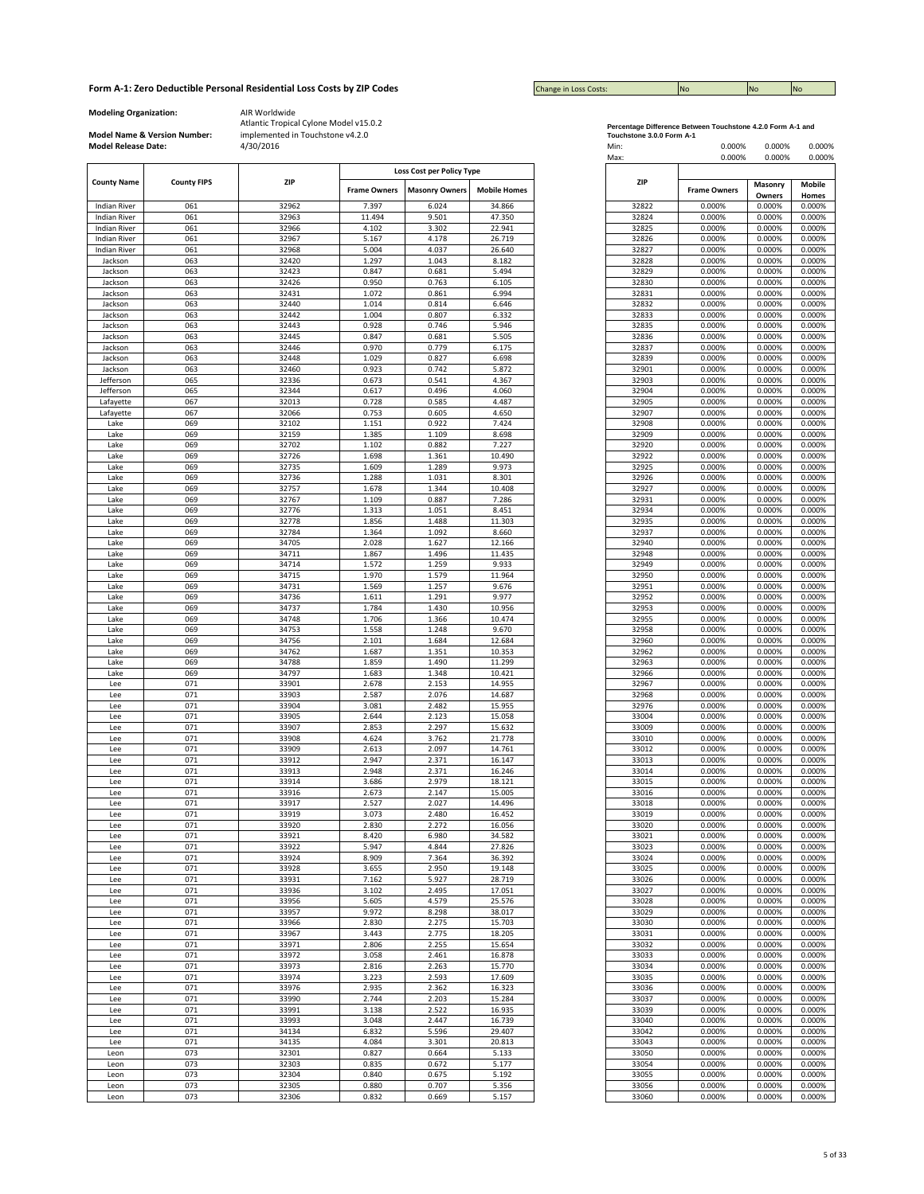| <b>Change in Loss Costs:</b> | <b>INO</b> | <b>No</b> | <b>No</b> |
|------------------------------|------------|-----------|-----------|

**Modeling Organization:** AIR Worldwide

**Model Name & Version Number:**

|                                            |                    |                |                     | Loss Cost per Policy Type |                     |                |                     |         |        |
|--------------------------------------------|--------------------|----------------|---------------------|---------------------------|---------------------|----------------|---------------------|---------|--------|
| <b>County Name</b>                         | <b>County FIPS</b> | ZIP            | <b>Frame Owners</b> | <b>Masonry Owners</b>     | <b>Mobile Homes</b> | ZIP            | <b>Frame Owners</b> | Masonry | Mobile |
|                                            |                    |                | 7.397               |                           |                     |                | 0.000%              | Owners  | Homes  |
| <b>Indian River</b><br><b>Indian River</b> | 061                | 32962          |                     | 6.024                     | 34.866              | 32822          |                     | 0.000%  | 0.000% |
|                                            | 061                | 32963          | 11.494              | 9.501                     | 47.350              | 32824          | 0.000%              | 0.000%  | 0.000% |
| <b>Indian River</b>                        | 061                | 32966          | 4.102               | 3.302                     | 22.941              | 32825          | 0.000%              | 0.000%  | 0.000% |
| <b>Indian River</b>                        | 061                | 32967          | 5.167               | 4.178                     | 26.719              | 32826          | 0.000%              | 0.000%  | 0.000% |
| <b>Indian River</b>                        | 061                | 32968          | 5.004               | 4.037                     | 26.640              | 32827          | 0.000%              | 0.000%  | 0.000% |
| Jackson                                    | 063                | 32420          | 1.297               | 1.043                     | 8.182               | 32828          | 0.000%              | 0.000%  | 0.000% |
| Jackson                                    | 063                | 32423          | 0.847               | 0.681                     | 5.494               | 32829          | 0.000%              | 0.000%  | 0.000% |
| Jackson                                    | 063                | 32426          | 0.950               | 0.763                     | 6.105               | 32830          | 0.000%              | 0.000%  | 0.000% |
| Jackson                                    | 063                | 32431          | 1.072               | 0.861                     | 6.994               | 32831          | 0.000%              | 0.000%  | 0.000% |
| Jackson                                    | 063                | 32440          | 1.014               | 0.814                     | 6.646               | 32832          | 0.000%              | 0.000%  | 0.000% |
| Jackson                                    | 063                | 32442          | 1.004               | 0.807                     | 6.332               | 32833          | 0.000%              | 0.000%  | 0.000% |
| Jackson                                    | 063                | 32443          | 0.928               | 0.746                     | 5.946               | 32835          | 0.000%              | 0.000%  | 0.000% |
| Jackson                                    | 063                | 32445          | 0.847               | 0.681                     | 5.505               | 32836          | 0.000%              | 0.000%  | 0.000% |
| Jackson                                    | 063                | 32446          | 0.970               | 0.779                     | 6.175               | 32837          | 0.000%              | 0.000%  | 0.000% |
| Jackson                                    | 063                | 32448          | 1.029               | 0.827                     | 6.698               | 32839          | 0.000%              | 0.000%  | 0.000% |
| Jackson                                    | 063                | 32460          | 0.923               | 0.742                     | 5.872               | 32901          | 0.000%              | 0.000%  | 0.000% |
| Jefferson                                  | 065                | 32336          | 0.673               | 0.541                     | 4.367               | 32903          | 0.000%              | 0.000%  | 0.000% |
| Jefferson                                  | 065                | 32344          | 0.617               | 0.496                     | 4.060               | 32904          | 0.000%              | 0.000%  | 0.000% |
| Lafayette                                  | 067                | 32013          | 0.728               | 0.585                     | 4.487               | 32905          | 0.000%              | 0.000%  | 0.000% |
| Lafayette                                  | 067                | 32066          | 0.753               | 0.605                     | 4.650               | 32907          | 0.000%              | 0.000%  | 0.000% |
| Lake                                       | 069                | 32102          | 1.151               | 0.922                     | 7.424               | 32908          | 0.000%              | 0.000%  | 0.000% |
| Lake                                       | 069                | 32159          | 1.385               | 1.109                     | 8.698               | 32909          | 0.000%              | 0.000%  | 0.000% |
| Lake                                       | 069                | 32702          | 1.102               | 0.882                     | 7.227               | 32920          | 0.000%              | 0.000%  | 0.000% |
| Lake                                       | 069                | 32726          | 1.698               | 1.361                     | 10.490              | 32922          | 0.000%              | 0.000%  | 0.000% |
| Lake                                       | 069                | 32735          | 1.609               | 1.289                     | 9.973               | 32925          | 0.000%              | 0.000%  | 0.000% |
| Lake                                       | 069                | 32736          | 1.288               | 1.031                     | 8.301               | 32926          | 0.000%              | 0.000%  | 0.000% |
| Lake                                       | 069                | 32757          | 1.678               | 1.344                     | 10.408              | 32927          | 0.000%              | 0.000%  | 0.000% |
| Lake                                       | 069                | 32767          | 1.109               | 0.887                     | 7.286               | 32931          | 0.000%              | 0.000%  | 0.000% |
| Lake                                       | 069                | 32776          | 1.313               | 1.051                     | 8.451               | 32934          | 0.000%              | 0.000%  | 0.000% |
| Lake                                       | 069                | 32778          | 1.856               | 1.488                     | 11.303              | 32935          | 0.000%              | 0.000%  | 0.000% |
| Lake                                       | 069                | 32784          | 1.364               | 1.092                     | 8.660               | 32937          | 0.000%              | 0.000%  | 0.000% |
| Lake                                       | 069                | 34705          | 2.028               | 1.627                     | 12.166              | 32940          | 0.000%              | 0.000%  | 0.000% |
| Lake                                       | 069                | 34711          | 1.867               | 1.496                     | 11.435              | 32948          | 0.000%              | 0.000%  | 0.000% |
|                                            | 069                |                |                     | 1.259                     | 9.933               |                | 0.000%              | 0.000%  | 0.000% |
| Lake                                       | 069                | 34714<br>34715 | 1.572<br>1.970      | 1.579                     | 11.964              | 32949<br>32950 | 0.000%              | 0.000%  | 0.000% |
| Lake                                       |                    |                |                     |                           |                     |                |                     |         | 0.000% |
| Lake                                       | 069                | 34731          | 1.569               | 1.257                     | 9.676<br>9.977      | 32951          | 0.000%              | 0.000%  |        |
| Lake                                       | 069                | 34736          | 1.611               | 1.291                     |                     | 32952          | 0.000%              | 0.000%  | 0.000% |
| Lake                                       | 069                | 34737          | 1.784               | 1.430                     | 10.956              | 32953          | 0.000%              | 0.000%  | 0.000% |
| Lake                                       | 069                | 34748          | 1.706               | 1.366                     | 10.474              | 32955          | 0.000%              | 0.000%  | 0.000% |
| Lake                                       | 069                | 34753          | 1.558               | 1.248                     | 9.670               | 32958          | 0.000%              | 0.000%  | 0.000% |
| Lake                                       | 069                | 34756          | 2.101               | 1.684                     | 12.684              | 32960          | 0.000%              | 0.000%  | 0.000% |
| Lake                                       | 069                | 34762          | 1.687               | 1.351                     | 10.353              | 32962          | 0.000%              | 0.000%  | 0.000% |
| Lake                                       | 069                | 34788          | 1.859               | 1.490                     | 11.299              | 32963          | 0.000%              | 0.000%  | 0.000% |
| Lake                                       | 069                | 34797          | 1.683               | 1.348                     | 10.421              | 32966          | 0.000%              | 0.000%  | 0.000% |
| Lee                                        | 071                | 33901          | 2.678               | 2.153                     | 14.955              | 32967          | 0.000%              | 0.000%  | 0.000% |
| Lee                                        | 071                | 33903          | 2.587               | 2.076                     | 14.687              | 32968          | 0.000%              | 0.000%  | 0.000% |
| Lee                                        | 071                | 33904          | 3.081               | 2.482                     | 15.955              | 32976          | 0.000%              | 0.000%  | 0.000% |
| Lee                                        | 071                | 33905          | 2.644               | 2.123                     | 15.058              | 33004          | 0.000%              | 0.000%  | 0.000% |
| Lee                                        | 071                | 33907          | 2.853               | 2.297                     | 15.632              | 33009          | 0.000%              | 0.000%  | 0.000% |
| Lee                                        | 071                | 33908          | 4.624               | 3.762                     | 21.778              | 33010          | 0.000%              | 0.000%  | 0.000% |
| Lee                                        | 071                | 33909          | 2.613               | 2.097                     | 14.761              | 33012          | 0.000%              | 0.000%  | 0.000% |
| Lee                                        | 071                | 33912          | 2.947               | 2.371                     | 16.147              | 33013          | 0.000%              | 0.000%  | 0.000% |
| Lee                                        | 071                | 33913          | 2.948               | 2.371                     | 16.246              | 33014          | 0.000%              | 0.000%  | 0.000% |
| Lee                                        | 071                | 33914          | 3.686               | 2.979                     | 18.121              | 33015          | 0.000%              | 0.000%  | 0.000% |
| Lee                                        | 071                | 33916          | 2.673               | 2.147                     | 15.005              | 33016          | 0.000%              | 0.000%  | 0.000% |
| Lee                                        | 071                | 33917          | 2.527               | 2.027                     | 14.496              | 33018          | 0.000%              | 0.000%  | 0.000% |
| Lee                                        | 071                | 33919          | 3.073               | 2.480                     | 16.452              | 33019          | 0.000%              | 0.000%  | 0.000% |
| Lee                                        | 071                | 33920          | 2.830               | 2.272                     | 16.056              | 33020          | 0.000%              | 0.000%  | 0.000% |
| Lee                                        | 071                | 33921          | 8.420               | 6.980                     | 34.582              | 33021          | 0.000%              | 0.000%  | 0.000% |
| Lee                                        | 071                | 33922          | 5.947               | 4.844                     | 27.826              | 33023          | 0.000%              | 0.000%  | 0.000% |
| Lee                                        | 071                | 33924          | 8.909               | 7.364                     | 36.392              | 33024          | 0.000%              | 0.000%  | 0.000% |
| Lee                                        | 071                | 33928          | 3.655               | 2.950                     | 19.148              | 33025          | 0.000%              | 0.000%  | 0.000% |
| Lee                                        | 071                | 33931          | 7.162               | 5.927                     | 28.719              | 33026          | 0.000%              | 0.000%  | 0.000% |
| Lee                                        | 071                | 33936          | 3.102               | 2.495                     | 17.051              | 33027          | 0.000%              | 0.000%  | 0.000% |
| Lee                                        | 071                | 33956          | 5.605               | 4.579                     | 25.576              | 33028          | 0.000%              | 0.000%  | 0.000% |
| Lee                                        | 071                | 33957          | 9.972               | 8.298                     | 38.017              | 33029          | 0.000%              | 0.000%  | 0.000% |
| Lee                                        | 071                | 33966          | 2.830               | 2.275                     | 15.703              | 33030          | 0.000%              | 0.000%  | 0.000% |
| Lee                                        | 071                | 33967          | 3.443               | 2.775                     | 18.205              | 33031          | 0.000%              | 0.000%  | 0.000% |
| Lee                                        | 071                | 33971          | 2.806               | 2.255                     | 15.654              | 33032          | 0.000%              | 0.000%  | 0.000% |
| Lee                                        | 071                | 33972          | 3.058               | 2.461                     | 16.878              | 33033          | 0.000%              | 0.000%  | 0.000% |
| Lee                                        | 071                | 33973          | 2.816               | 2.263                     | 15.770              | 33034          | 0.000%              | 0.000%  | 0.000% |
| Lee                                        | 071                | 33974          | 3.223               | 2.593                     | 17.609              | 33035          | 0.000%              | 0.000%  | 0.000% |
| Lee                                        | 071                | 33976          | 2.935               | 2.362                     | 16.323              | 33036          | 0.000%              | 0.000%  | 0.000% |
| Lee                                        | 071                | 33990          | 2.744               | 2.203                     | 15.284              | 33037          | 0.000%              | 0.000%  | 0.000% |
| Lee                                        | 071                | 33991          | 3.138               | 2.522                     | 16.935              | 33039          | 0.000%              | 0.000%  | 0.000% |
| Lee                                        | 071                | 33993          | 3.048               | 2.447                     | 16.739              | 33040          | 0.000%              | 0.000%  | 0.000% |
| Lee                                        | 071                | 34134          | 6.832               | 5.596                     | 29.407              | 33042          | 0.000%              | 0.000%  | 0.000% |
| Lee                                        | 071                | 34135          | 4.084               | 3.301                     | 20.813              | 33043          | 0.000%              | 0.000%  | 0.000% |
| Leon                                       | 073                | 32301          | 0.827               | 0.664                     | 5.133               | 33050          | 0.000%              | 0.000%  | 0.000% |
| Leon                                       | 073                | 32303          | 0.835               | 0.672                     | 5.177               | 33054          | 0.000%              | 0.000%  | 0.000% |
| Leon                                       | 073                | 32304          | 0.840               | 0.675                     | 5.192               | 33055          | 0.000%              | 0.000%  | 0.000% |
| Leon                                       | 073                | 32305          | 0.880               | 0.707                     | 5.356               | 33056          | 0.000%              | 0.000%  | 0.000% |
|                                            | 073                | 32306          | 0.832               | 0.669                     | 5.157               | 33060          | 0.000%              | 0.000%  | 0.000% |
| Leon                                       |                    |                |                     |                           |                     |                |                     |         |        |

|                        | Percentage Difference Between Touchstone 4.2.0 Form A-1 and |  |
|------------------------|-------------------------------------------------------------|--|
| Toughoises 200 Farm Ad |                                                             |  |

| <b>Model Release Date:</b>                 | Model Name & Version Number: | implemented in Touchstone v4.2.0<br>4/30/2016 |                     |                                  |                     | Touchstone 3.0.0 Form A-1<br>Min:<br>Max: | 0.000%<br>0.000%    | 0.000%<br>0.000%  | 0.000%<br>0.000%       |
|--------------------------------------------|------------------------------|-----------------------------------------------|---------------------|----------------------------------|---------------------|-------------------------------------------|---------------------|-------------------|------------------------|
| <b>County Name</b>                         | <b>County FIPS</b>           | ZIP                                           |                     | <b>Loss Cost per Policy Type</b> |                     | ZIP                                       |                     |                   |                        |
|                                            |                              |                                               | <b>Frame Owners</b> | <b>Masonry Owners</b>            | <b>Mobile Homes</b> |                                           | <b>Frame Owners</b> | Masonry<br>Owners | <b>Mobile</b><br>Homes |
| <b>Indian River</b>                        | 061                          | 32962                                         | 7.397               | 6.024                            | 34.866              | 32822                                     | 0.000%              | 0.000%            | 0.000%                 |
| <b>Indian River</b>                        | 061                          | 32963                                         | 11.494              | 9.501                            | 47.350              | 32824                                     | 0.000%              | 0.000%            | 0.000%                 |
| <b>Indian River</b><br><b>Indian River</b> | 061<br>061                   | 32966<br>32967                                | 4.102<br>5.167      | 3.302<br>4.178                   | 22.941<br>26.719    | 32825<br>32826                            | 0.000%<br>0.000%    | 0.000%<br>0.000%  | 0.000%<br>0.000%       |
| <b>Indian River</b>                        | 061                          | 32968                                         | 5.004               | 4.037                            | 26.640              | 32827                                     | 0.000%              | 0.000%            | 0.000%                 |
| Jackson                                    | 063                          | 32420                                         | 1.297               | 1.043                            | 8.182               | 32828                                     | 0.000%              | 0.000%            | 0.000%                 |
| Jackson                                    | 063                          | 32423                                         | 0.847               | 0.681                            | 5.494               | 32829                                     | 0.000%              | 0.000%            | 0.000%                 |
| Jackson                                    | 063                          | 32426                                         | 0.950               | 0.763                            | 6.105               | 32830                                     | 0.000%              | 0.000%            | 0.000%                 |
| Jackson                                    | 063                          | 32431                                         | 1.072               | 0.861                            | 6.994               | 32831                                     | 0.000%              | 0.000%            | 0.000%                 |
| Jackson                                    | 063                          | 32440                                         | 1.014               | 0.814                            | 6.646               | 32832                                     | 0.000%              | 0.000%            | 0.000%                 |
| Jackson                                    | 063                          | 32442                                         | 1.004               | 0.807                            | 6.332               | 32833                                     | 0.000%              | 0.000%            | 0.000%                 |
| Jackson                                    | 063                          | 32443                                         | 0.928               | 0.746                            | 5.946               | 32835                                     | 0.000%              | 0.000%            | 0.000%                 |
| Jackson                                    | 063                          | 32445                                         | 0.847               | 0.681                            | 5.505               | 32836                                     | 0.000%              | 0.000%            | 0.000%                 |
| Jackson                                    | 063                          | 32446                                         | 0.970               | 0.779                            | 6.175               | 32837                                     | 0.000%              | 0.000%            | 0.000%                 |
| Jackson                                    | 063                          | 32448                                         | 1.029               | 0.827                            | 6.698               | 32839                                     | 0.000%              | 0.000%            | 0.000%                 |
| Jackson                                    | 063                          | 32460                                         | 0.923               | 0.742                            | 5.872               | 32901                                     | 0.000%              | 0.000%            | 0.000%                 |
| Jefferson                                  | 065                          | 32336                                         | 0.673               | 0.541                            | 4.367               | 32903                                     | 0.000%              | 0.000%            | 0.000%                 |
| Jefferson                                  | 065<br>067                   | 32344                                         | 0.617               | 0.496<br>0.585                   | 4.060<br>4.487      | 32904<br>32905                            | 0.000%<br>0.000%    | 0.000%<br>0.000%  | 0.000%<br>0.000%       |
| Lafayette<br>Lafayette                     | 067                          | 32013<br>32066                                | 0.728<br>0.753      | 0.605                            | 4.650               | 32907                                     | 0.000%              | 0.000%            | 0.000%                 |
| Lake                                       | 069                          | 32102                                         | 1.151               | 0.922                            | 7.424               | 32908                                     | 0.000%              | 0.000%            | 0.000%                 |
| Lake                                       | 069                          | 32159                                         | 1.385               | 1.109                            | 8.698               | 32909                                     | 0.000%              | 0.000%            | 0.000%                 |
| Lake                                       | 069                          | 32702                                         | 1.102               | 0.882                            | 7.227               | 32920                                     | 0.000%              | 0.000%            | 0.000%                 |
| Lake                                       | 069                          | 32726                                         | 1.698               | 1.361                            | 10.490              | 32922                                     | 0.000%              | 0.000%            | 0.000%                 |
| Lake                                       | 069                          | 32735                                         | 1.609               | 1.289                            | 9.973               | 32925                                     | 0.000%              | 0.000%            | 0.000%                 |
| Lake                                       | 069                          | 32736                                         | 1.288               | 1.031                            | 8.301               | 32926                                     | 0.000%              | 0.000%            | 0.000%                 |
| Lake                                       | 069                          | 32757                                         | 1.678               | 1.344                            | 10.408              | 32927                                     | 0.000%              | 0.000%            | 0.000%                 |
| Lake                                       | 069                          | 32767                                         | 1.109               | 0.887                            | 7.286               | 32931                                     | 0.000%              | 0.000%            | 0.000%                 |
| Lake                                       | 069                          | 32776                                         | 1.313               | 1.051                            | 8.451               | 32934                                     | 0.000%              | 0.000%            | 0.000%                 |
| Lake                                       | 069                          | 32778                                         | 1.856               | 1.488                            | 11.303              | 32935                                     | 0.000%              | 0.000%            | 0.000%                 |
| Lake                                       | 069                          | 32784                                         | 1.364               | 1.092                            | 8.660               | 32937                                     | 0.000%              | 0.000%            | 0.000%                 |
| Lake                                       | 069                          | 34705                                         | 2.028               | 1.627                            | 12.166              | 32940                                     | 0.000%              | 0.000%            | 0.000%                 |
| Lake                                       | 069                          | 34711                                         | 1.867               | 1.496                            | 11.435              | 32948                                     | 0.000%              | 0.000%            | 0.000%                 |
| Lake                                       | 069                          | 34714                                         | 1.572               | 1.259                            | 9.933               | 32949                                     | 0.000%              | 0.000%            | 0.000%                 |
| Lake                                       | 069                          | 34715                                         | 1.970               | 1.579                            | 11.964              | 32950                                     | 0.000%              | 0.000%            | 0.000%                 |
| Lake<br>Lake                               | 069<br>069                   | 34731<br>34736                                | 1.569<br>1.611      | 1.257<br>1.291                   | 9.676<br>9.977      | 32951<br>32952                            | 0.000%<br>0.000%    | 0.000%<br>0.000%  | 0.000%<br>0.000%       |
| Lake                                       | 069                          | 34737                                         | 1.784               | 1.430                            | 10.956              | 32953                                     | 0.000%              | 0.000%            | 0.000%                 |
| Lake                                       | 069                          | 34748                                         | 1.706               | 1.366                            | 10.474              | 32955                                     | 0.000%              | 0.000%            | 0.000%                 |
| Lake                                       | 069                          | 34753                                         | 1.558               | 1.248                            | 9.670               | 32958                                     | 0.000%              | 0.000%            | 0.000%                 |
| Lake                                       | 069                          | 34756                                         | 2.101               | 1.684                            | 12.684              | 32960                                     | 0.000%              | 0.000%            | 0.000%                 |
| Lake                                       | 069                          | 34762                                         | 1.687               | 1.351                            | 10.353              | 32962                                     | 0.000%              | 0.000%            | 0.000%                 |
| Lake                                       | 069                          | 34788                                         | 1.859               | 1.490                            | 11.299              | 32963                                     | 0.000%              | 0.000%            | 0.000%                 |
| Lake                                       | 069                          | 34797                                         | 1.683               | 1.348                            | 10.421              | 32966                                     | 0.000%              | 0.000%            | 0.000%                 |
| Lee                                        | 071                          | 33901                                         | 2.678               | 2.153                            | 14.955              | 32967                                     | 0.000%              | 0.000%            | 0.000%                 |
| Lee                                        | 071                          | 33903                                         | 2.587               | 2.076                            | 14.687              | 32968                                     | 0.000%              | 0.000%            | 0.000%                 |
| Lee                                        | 071                          | 33904                                         | 3.081               | 2.482                            | 15.955              | 32976                                     | 0.000%              | 0.000%            | 0.000%                 |
| Lee                                        | 071                          | 33905                                         | 2.644               | 2.123                            | 15.058              | 33004                                     | 0.000%              | 0.000%            | 0.000%                 |
| Lee                                        | 071                          | 33907                                         | 2.853               | 2.297                            | 15.632              | 33009                                     | 0.000%              | 0.000%            | 0.000%                 |
| Lee                                        | 071                          | 33908                                         | 4.624               | 3.762                            | 21.778              | 33010                                     | 0.000%              | 0.000%            | 0.000%                 |
| Lee                                        | 071<br>071                   | 33909                                         | 2.613               | 2.097                            | 14.761              | 33012<br>33013                            | 0.000%              | 0.000%            | 0.000%                 |
| Lee<br>Lee                                 | 071                          | 33912<br>33913                                | 2.947<br>2.948      | 2.371<br>2.371                   | 16.147<br>16.246    | 33014                                     | 0.000%<br>0.000%    | 0.000%<br>0.000%  | 0.000%<br>0.000%       |
| Lee                                        | 071                          | 33914                                         | 3.686               | 2.979                            | 18.121              | 33015                                     | 0.000%              | 0.000%            | 0.000%                 |
| Lee                                        | 071                          | 33916                                         | 2.673               | 2.147                            | 15.005              | 33016                                     | 0.000%              | 0.000%            | 0.000%                 |
| Lee                                        | 071                          | 33917                                         | 2.527               | 2.027                            | 14.496              | 33018                                     | 0.000%              | 0.000%            | 0.000%                 |
| Lee                                        | 071                          | 33919                                         | 3.073               | 2.480                            | 16.452              | 33019                                     | 0.000%              | 0.000%            | 0.000%                 |
| Lee                                        | 071                          | 33920                                         | 2.830               | 2.272                            | 16.056              | 33020                                     | 0.000%              | 0.000%            | 0.000%                 |
| Lee                                        | 071                          | 33921                                         | 8.420               | 6.980                            | 34.582              | 33021                                     | 0.000%              | 0.000%            | 0.000%                 |
| Lee                                        | 071                          | 33922                                         | 5.947               | 4.844                            | 27.826              | 33023                                     | 0.000%              | 0.000%            | 0.000%                 |
| Lee                                        | 071                          | 33924                                         | 8.909               | 7.364                            | 36.392              | 33024                                     | 0.000%              | 0.000%            | 0.000%                 |
| Lee                                        | 071                          | 33928                                         | 3.655               | 2.950                            | 19.148              | 33025                                     | 0.000%              | 0.000%            | 0.000%                 |
| Lee                                        | 071                          | 33931                                         | 7.162               | 5.927                            | 28.719              | 33026                                     | 0.000%              | 0.000%            | 0.000%                 |
| Lee                                        | 071                          | 33936                                         | 3.102               | 2.495                            | 17.051              | 33027                                     | 0.000%              | 0.000%            | 0.000%                 |
| Lee                                        | 071                          | 33956                                         | 5.605               | 4.579                            | 25.576              | 33028                                     | 0.000%              | 0.000%            | 0.000%                 |
| Lee                                        | 071                          | 33957                                         | 9.972               | 8.298                            | 38.017              | 33029                                     | 0.000%              | 0.000%            | 0.000%                 |
| Lee                                        | 071                          | 33966                                         | 2.830               | 2.275                            | 15.703              | 33030                                     | 0.000%              | 0.000%            | 0.000%                 |
| Lee                                        | 071<br>071                   | 33967<br>33971                                | 3.443<br>2.806      | 2.775<br>2.255                   | 18.205<br>15.654    | 33031<br>33032                            | 0.000%<br>0.000%    | 0.000%<br>0.000%  | 0.000%<br>0.000%       |
| Lee                                        | 071                          | 33972                                         | 3.058               | 2.461                            | 16.878              | 33033                                     | 0.000%              | 0.000%            | 0.000%                 |
| Lee<br>Lee                                 | 071                          | 33973                                         | 2.816               | 2.263                            | 15.770              | 33034                                     | 0.000%              | 0.000%            | 0.000%                 |
| Lee                                        | 071                          | 33974                                         | 3.223               | 2.593                            | 17.609              | 33035                                     | 0.000%              | 0.000%            | 0.000%                 |
| Lee                                        | 071                          | 33976                                         | 2.935               | 2.362                            | 16.323              | 33036                                     | 0.000%              | 0.000%            | 0.000%                 |
| Lee                                        | 071                          | 33990                                         | 2.744               | 2.203                            | 15.284              | 33037                                     | 0.000%              | 0.000%            | 0.000%                 |
| Lee                                        | 071                          | 33991                                         | 3.138               | 2.522                            | 16.935              | 33039                                     | 0.000%              | 0.000%            | 0.000%                 |
| Lee                                        | 071                          | 33993                                         | 3.048               | 2.447                            | 16.739              | 33040                                     | 0.000%              | 0.000%            | 0.000%                 |
| Lee                                        | 071                          | 34134                                         | 6.832               | 5.596                            | 29.407              | 33042                                     | 0.000%              | 0.000%            | 0.000%                 |
| Lee                                        | 071                          | 34135                                         | 4.084               | 3.301                            | 20.813              | 33043                                     | 0.000%              | 0.000%            | 0.000%                 |
| Leon                                       | 073                          | 32301                                         | 0.827               | 0.664                            | 5.133               | 33050                                     | 0.000%              | 0.000%            | 0.000%                 |
| Leon                                       | 073                          | 32303                                         | 0.835               | 0.672                            | 5.177               | 33054                                     | 0.000%              | 0.000%            | 0.000%                 |
| Leon                                       | 073                          | 32304                                         | 0.840               | 0.675                            | 5.192               | 33055                                     | 0.000%              | 0.000%            | 0.000%                 |
| Leon                                       | 073                          | 32305                                         | 0.880               | 0.707                            | 5.356               | 33056                                     | 0.000%              | 0.000%            | 0.000%                 |
| Leon                                       | 073                          | 32306                                         | 0.832               | 0.669                            | 5.157               | 33060                                     | 0.000%              | 0.000%            | 0.000%                 |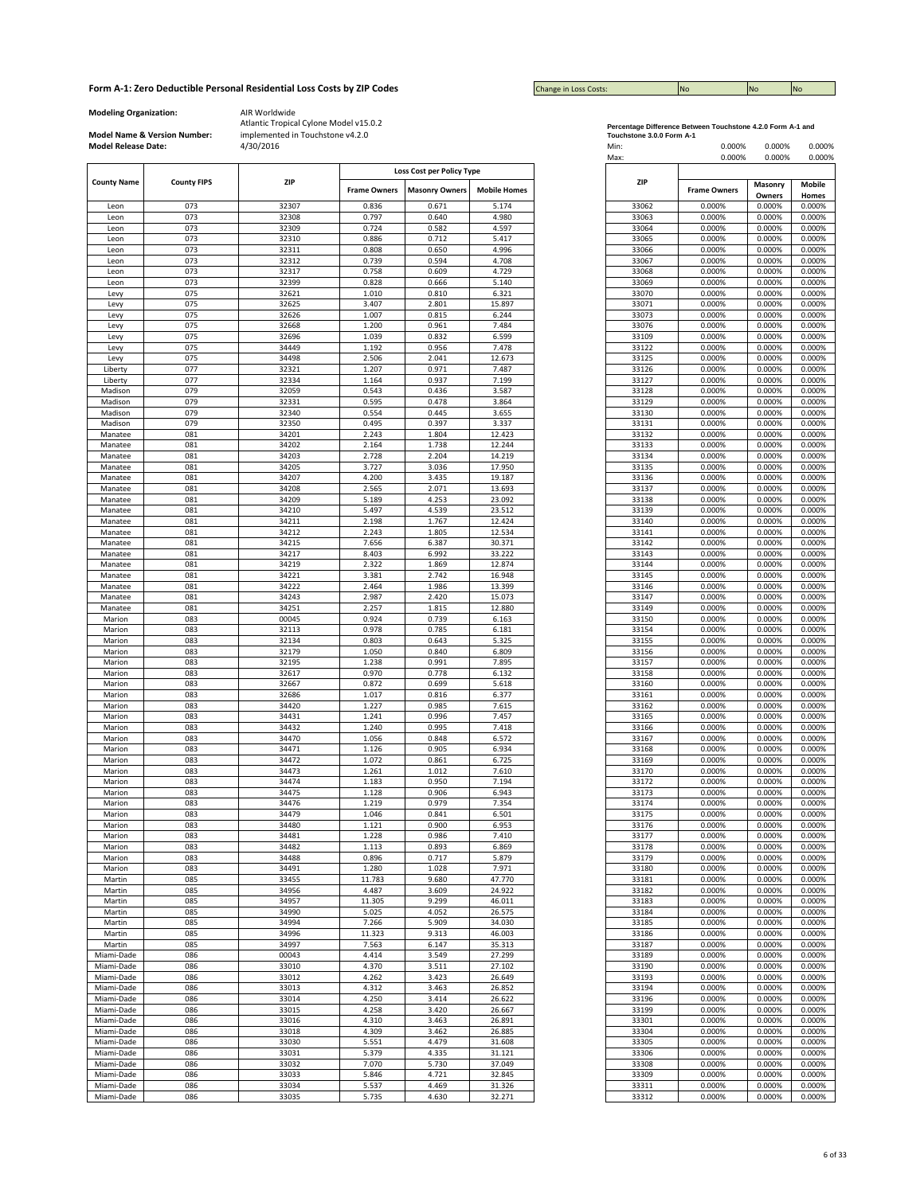| <b>Change in Loss Costs:</b> | <b>INO</b> | <b>No</b> | <b>INO</b> |
|------------------------------|------------|-----------|------------|

**Modeling Organization:** AIR Worldwide

**Model Name & Version Number:**

|                    |                    |       |                     | Loss Cost per Policy Type |                     |
|--------------------|--------------------|-------|---------------------|---------------------------|---------------------|
|                    |                    |       |                     |                           |                     |
| <b>County Name</b> | <b>County FIPS</b> | ZIP   |                     |                           |                     |
|                    |                    |       | <b>Frame Owners</b> | <b>Masonry Owners</b>     | <b>Mobile Homes</b> |
| Leon               | 073                | 32307 | 0.836               | 0.671                     | 5.174               |
|                    | 073                | 32308 | 0.797               | 0.640                     | 4.980               |
| Leon               |                    |       |                     |                           |                     |
| Leon               | 073                | 32309 | 0.724               | 0.582                     | 4.597               |
| Leon               | 073                | 32310 | 0.886               | 0.712                     | 5.417               |
| Leon               | 073                | 32311 | 0.808               | 0.650                     | 4.996               |
|                    |                    |       |                     |                           |                     |
| Leon               | 073                | 32312 | 0.739               | 0.594                     | 4.708               |
| Leon               | 073                | 32317 | 0.758               | 0.609                     | 4.729               |
| Leon               | 073                | 32399 | 0.828               | 0.666                     | 5.140               |
| Levy               | 075                | 32621 | 1.010               | 0.810                     | 6.321               |
|                    |                    |       |                     |                           |                     |
| Levy               | 075                | 32625 | 3.407               | 2.801                     | 15.897              |
| Levy               | 075                | 32626 | 1.007               | 0.815                     | 6.244               |
| Levy               | 075                | 32668 | 1.200               | 0.961                     | 7.484               |
|                    |                    |       |                     |                           |                     |
| Levy               | 075                | 32696 | 1.039               | 0.832                     | 6.599               |
| Levy               | 075                | 34449 | 1.192               | 0.956                     | 7.478               |
| Levy               | 075                | 34498 | 2.506               | 2.041                     | 12.673              |
|                    |                    |       |                     |                           |                     |
| Liberty            | 077                | 32321 | 1.207               | 0.971                     | 7.487               |
| Liberty            | 077                | 32334 | 1.164               | 0.937                     | 7.199               |
| Madison            | 079                | 32059 | 0.543               | 0.436                     | 3.587               |
|                    |                    |       |                     |                           |                     |
| Madison            | 079                | 32331 | 0.595               | 0.478                     | 3.864               |
| Madison            | 079                | 32340 | 0.554               | 0.445                     | 3.655               |
| Madison            | 079                | 32350 | 0.495               | 0.397                     | 3.337               |
|                    |                    |       |                     |                           |                     |
| Manatee            | 081                | 34201 | 2.243               | 1.804                     | 12.423              |
| Manatee            | 081                | 34202 | 2.164               | 1.738                     | 12.244              |
| Manatee            | 081                | 34203 | 2.728               | 2.204                     | 14.219              |
|                    |                    |       |                     |                           |                     |
| Manatee            | 081                | 34205 | 3.727               | 3.036                     | 17.950              |
| Manatee            | 081                | 34207 | 4.200               | 3.435                     | 19.187              |
| Manatee            | 081                | 34208 | 2.565               | 2.071                     | 13.693              |
|                    |                    |       |                     |                           |                     |
| Manatee            | 081                | 34209 | 5.189               | 4.253                     | 23.092              |
| Manatee            | 081                | 34210 | 5.497               | 4.539                     | 23.512              |
| Manatee            | 081                | 34211 | 2.198               | 1.767                     | 12.424              |
| Manatee            | 081                | 34212 | 2.243               | 1.805                     | 12.534              |
|                    |                    |       |                     |                           |                     |
| Manatee            | 081                | 34215 | 7.656               | 6.387                     | 30.371              |
| Manatee            | 081                | 34217 | 8.403               | 6.992                     | 33.222              |
| Manatee            | 081                | 34219 | 2.322               | 1.869                     | 12.874              |
|                    |                    |       |                     |                           |                     |
| Manatee            | 081                | 34221 | 3.381               | 2.742                     | 16.948              |
| Manatee            | 081                | 34222 | 2.464               | 1.986                     | 13.399              |
| Manatee            | 081                | 34243 | 2.987               | 2.420                     | 15.073              |
|                    |                    | 34251 | 2.257               | 1.815                     |                     |
| Manatee            | 081                |       |                     |                           | 12.880              |
| Marion             | 083                | 00045 | 0.924               | 0.739                     | 6.163               |
| Marion             | 083                | 32113 | 0.978               | 0.785                     | 6.181               |
| Marion             | 083                | 32134 | 0.803               | 0.643                     | 5.325               |
|                    |                    |       |                     |                           |                     |
| Marion             | 083                | 32179 | 1.050               | 0.840                     | 6.809               |
| Marion             | 083                | 32195 | 1.238               | 0.991                     | 7.895               |
| Marion             | 083                | 32617 | 0.970               | 0.778                     | 6.132               |
| Marion             | 083                | 32667 | 0.872               | 0.699                     | 5.618               |
|                    |                    |       |                     |                           |                     |
| Marion             | 083                | 32686 | 1.017               | 0.816                     | 6.377               |
| Marion             | 083                | 34420 | 1.227               | 0.985                     | 7.615               |
| Marion             | 083                | 34431 | 1.241               | 0.996                     | 7.457               |
|                    |                    |       |                     |                           |                     |
| Marion             | 083                | 34432 | 1.240               | 0.995                     | 7.418               |
| Marion             | 083                | 34470 | 1.056               | 0.848                     | 6.572               |
| Marion             | 083                | 34471 | 1.126               | 0.905                     | 6.934               |
|                    |                    | 34472 |                     |                           |                     |
| Marion             | 083                |       | 1.072               | 0.861                     | 6.725               |
| Marion             | 083                | 34473 | 1.261               | 1.012                     | 7.610               |
| Marion             | 083                | 34474 | 1.183               | 0.950                     | 7.194               |
| Marion             | 083                | 34475 | 1.128               | 0.906                     | 6.943               |
|                    |                    | 34476 |                     |                           |                     |
| Marion             | 083                |       | 1.219               | 0.979                     | 7.354               |
| Marion             | 083                | 34479 | 1.046               | 0.841                     | 6.501               |
| Marion             | 083                | 34480 | 1.121               | 0.900                     | 6.953               |
| Marion             | 083                | 34481 | 1.228               | 0.986                     | 7.410               |
|                    |                    |       |                     |                           |                     |
| Marion             | 083                | 34482 | 1.113               | 0.893                     | 6.869               |
| Marion             | 083                | 34488 | 0.896               | 0.717                     | 5.879               |
| Marion             | 083                | 34491 | 1.280               | 1.028                     | 7.971               |
| Martin             | 085                | 33455 | 11.783              | 9.680                     | 47.770              |
|                    |                    |       |                     |                           |                     |
| Martin             | 085                | 34956 | 4.487               | 3.609                     | 24.922              |
| Martin             | 085                | 34957 | 11.305              | 9.299                     | 46.011              |
| Martin             | 085                | 34990 | 5.025               | 4.052                     | 26.575              |
|                    |                    |       |                     |                           |                     |
| Martin             | 085                | 34994 | 7.266               | 5.909                     | 34.030              |
| Martin             | 085                | 34996 | 11.323              | 9.313                     | 46.003              |
| Martin             | 085                | 34997 | 7.563               | 6.147                     | 35.313              |
|                    |                    |       |                     |                           |                     |
| Miami-Dade         | 086                | 00043 | 4.414               | 3.549                     | 27.299              |
| Miami-Dade         | 086                | 33010 | 4.370               | 3.511                     | 27.102              |
| Miami-Dade         | 086                | 33012 | 4.262               | 3.423                     | 26.649              |
|                    |                    |       |                     |                           |                     |
| Miami-Dade         | 086                | 33013 | 4.312               | 3.463                     | 26.852              |
| Miami-Dade         | 086                | 33014 | 4.250               | 3.414                     | 26.622              |
| Miami-Dade         | 086                | 33015 | 4.258               | 3.420                     | 26.667              |
|                    |                    |       |                     |                           |                     |
| Miami-Dade         | 086                | 33016 | 4.310               | 3.463                     | 26.891              |
| Miami-Dade         | 086                | 33018 | 4.309               | 3.462                     | 26.885              |
| Miami-Dade         | 086                | 33030 | 5.551               | 4.479                     | 31.608              |
|                    |                    |       |                     |                           |                     |
| Miami-Dade         | 086                | 33031 | 5.379               | 4.335                     | 31.121              |
| Miami-Dade         | 086                | 33032 | 7.070               | 5.730                     | 37.049              |
| Miami-Dade         | 086                | 33033 | 5.846               | 4.721                     | 32.845              |
| Miami-Dade         | 086                | 33034 | 5.537               | 4.469                     | 31.326              |
|                    |                    |       |                     |                           |                     |
| Miami-Dade         | 086                | 33035 | 5.735               | 4.630                     | 32.271              |

|                           | Percentage Difference Between Touchstone 4.2.0 Form A-1 and |
|---------------------------|-------------------------------------------------------------|
| Touchstone 3.0.0 Form A-1 |                                                             |

| <b>Model Release Date:</b> | Model Name & Version Number: | implemented in Touchstone v4.2.0<br>4/30/2016 |                     |                           |                     | Touchstone 3.0.0 Form A-1<br>Min:<br>Max: | 0.000%<br>0.000%    | 0.000%<br>0.000% | 0.000%<br>0.000% |
|----------------------------|------------------------------|-----------------------------------------------|---------------------|---------------------------|---------------------|-------------------------------------------|---------------------|------------------|------------------|
| <b>County Name</b>         | <b>County FIPS</b>           | <b>ZIP</b>                                    |                     | Loss Cost per Policy Type |                     | ZIP                                       |                     | Masonry          | <b>Mobile</b>    |
|                            |                              |                                               | <b>Frame Owners</b> | <b>Masonry Owners</b>     | <b>Mobile Homes</b> |                                           | <b>Frame Owners</b> | Owners           | Homes            |
| Leon                       | 073                          | 32307                                         | 0.836               | 0.671                     | 5.174               | 33062                                     | 0.000%              | 0.000%           | 0.000%           |
| Leon                       | 073                          | 32308                                         | 0.797               | 0.640                     | 4.980               | 33063                                     | 0.000%              | 0.000%           | 0.000%           |
| Leon<br>Leon               | 073<br>073                   | 32309<br>32310                                | 0.724<br>0.886      | 0.582<br>0.712            | 4.597<br>5.417      | 33064<br>33065                            | 0.000%<br>0.000%    | 0.000%<br>0.000% | 0.000%<br>0.000% |
| Leon                       | 073                          | 32311                                         | 0.808               | 0.650                     | 4.996               | 33066                                     | 0.000%              | 0.000%           | 0.000%           |
| Leon                       | 073                          | 32312                                         | 0.739               | 0.594                     | 4.708               | 33067                                     | 0.000%              | 0.000%           | 0.000%           |
| Leon                       | 073                          | 32317                                         | 0.758               | 0.609                     | 4.729               | 33068                                     | 0.000%              | 0.000%           | 0.000%           |
| Leon<br>Levy               | 073<br>075                   | 32399<br>32621                                | 0.828<br>1.010      | 0.666<br>0.810            | 5.140<br>6.321      | 33069<br>33070                            | 0.000%<br>0.000%    | 0.000%<br>0.000% | 0.000%<br>0.000% |
| Levy                       | 075                          | 32625                                         | 3.407               | 2.801                     | 15.897              | 33071                                     | 0.000%              | 0.000%           | 0.000%           |
| Levy                       | 075                          | 32626                                         | 1.007               | 0.815                     | 6.244               | 33073                                     | 0.000%              | 0.000%           | 0.000%           |
| Levy                       | 075                          | 32668                                         | 1.200               | 0.961                     | 7.484               | 33076                                     | 0.000%              | 0.000%           | 0.000%           |
| Levy                       | 075                          | 32696                                         | 1.039               | 0.832                     | 6.599               | 33109                                     | 0.000%              | 0.000%           | 0.000%           |
| Levy<br>Levy               | 075<br>075                   | 34449<br>34498                                | 1.192<br>2.506      | 0.956<br>2.041            | 7.478<br>12.673     | 33122<br>33125                            | 0.000%<br>0.000%    | 0.000%<br>0.000% | 0.000%<br>0.000% |
| Liberty                    | 077                          | 32321                                         | 1.207               | 0.971                     | 7.487               | 33126                                     | 0.000%              | 0.000%           | 0.000%           |
| Liberty                    | 077                          | 32334                                         | 1.164               | 0.937                     | 7.199               | 33127                                     | 0.000%              | 0.000%           | 0.000%           |
| Madison                    | 079                          | 32059                                         | 0.543               | 0.436                     | 3.587               | 33128                                     | 0.000%              | 0.000%           | 0.000%           |
| Madison                    | 079                          | 32331                                         | 0.595               | 0.478                     | 3.864               | 33129                                     | 0.000%              | 0.000%           | 0.000%           |
| Madison<br>Madison         | 079<br>079                   | 32340<br>32350                                | 0.554<br>0.495      | 0.445<br>0.397            | 3.655<br>3.337      | 33130<br>33131                            | 0.000%<br>0.000%    | 0.000%<br>0.000% | 0.000%<br>0.000% |
| Manatee                    | 081                          | 34201                                         | 2.243               | 1.804                     | 12.423              | 33132                                     | 0.000%              | 0.000%           | 0.000%           |
| Manatee                    | 081                          | 34202                                         | 2.164               | 1.738                     | 12.244              | 33133                                     | 0.000%              | 0.000%           | 0.000%           |
| Manatee                    | 081                          | 34203                                         | 2.728               | 2.204                     | 14.219              | 33134                                     | 0.000%              | 0.000%           | 0.000%           |
| Manatee                    | 081                          | 34205                                         | 3.727               | 3.036                     | 17.950              | 33135                                     | 0.000%              | 0.000%           | 0.000%           |
| Manatee<br>Manatee         | 081<br>081                   | 34207<br>34208                                | 4.200<br>2.565      | 3.435<br>2.071            | 19.187<br>13.693    | 33136<br>33137                            | 0.000%<br>0.000%    | 0.000%<br>0.000% | 0.000%<br>0.000% |
| Manatee                    | 081                          | 34209                                         | 5.189               | 4.253                     | 23.092              | 33138                                     | 0.000%              | 0.000%           | 0.000%           |
| Manatee                    | 081                          | 34210                                         | 5.497               | 4.539                     | 23.512              | 33139                                     | 0.000%              | 0.000%           | 0.000%           |
| Manatee                    | 081                          | 34211                                         | 2.198               | 1.767                     | 12.424              | 33140                                     | 0.000%              | 0.000%           | 0.000%           |
| Manatee                    | 081                          | 34212                                         | 2.243               | 1.805                     | 12.534              | 33141                                     | 0.000%              | 0.000%           | 0.000%           |
| Manatee                    | 081                          | 34215                                         | 7.656               | 6.387                     | 30.371              | 33142                                     | 0.000%              | 0.000%           | 0.000%           |
| Manatee<br>Manatee         | 081<br>081                   | 34217<br>34219                                | 8.403<br>2.322      | 6.992<br>1.869            | 33.222<br>12.874    | 33143<br>33144                            | 0.000%<br>0.000%    | 0.000%<br>0.000% | 0.000%<br>0.000% |
| Manatee                    | 081                          | 34221                                         | 3.381               | 2.742                     | 16.948              | 33145                                     | 0.000%              | 0.000%           | 0.000%           |
| Manatee                    | 081                          | 34222                                         | 2.464               | 1.986                     | 13.399              | 33146                                     | 0.000%              | 0.000%           | 0.000%           |
| Manatee                    | 081                          | 34243                                         | 2.987               | 2.420                     | 15.073              | 33147                                     | 0.000%              | 0.000%           | 0.000%           |
| Manatee                    | 081                          | 34251                                         | 2.257               | 1.815                     | 12.880              | 33149                                     | 0.000%              | 0.000%           | 0.000%           |
| Marion<br>Marion           | 083<br>083                   | 00045<br>32113                                | 0.924<br>0.978      | 0.739<br>0.785            | 6.163<br>6.181      | 33150<br>33154                            | 0.000%<br>0.000%    | 0.000%<br>0.000% | 0.000%<br>0.000% |
| Marion                     | 083                          | 32134                                         | 0.803               | 0.643                     | 5.325               | 33155                                     | 0.000%              | 0.000%           | 0.000%           |
| Marion                     | 083                          | 32179                                         | 1.050               | 0.840                     | 6.809               | 33156                                     | 0.000%              | 0.000%           | 0.000%           |
| Marion                     | 083                          | 32195                                         | 1.238               | 0.991                     | 7.895               | 33157                                     | 0.000%              | 0.000%           | 0.000%           |
| Marion                     | 083<br>083                   | 32617                                         | 0.970               | 0.778                     | 6.132               | 33158                                     | 0.000%              | 0.000%           | 0.000%           |
| Marion<br>Marion           | 083                          | 32667<br>32686                                | 0.872<br>1.017      | 0.699<br>0.816            | 5.618<br>6.377      | 33160<br>33161                            | 0.000%<br>0.000%    | 0.000%<br>0.000% | 0.000%<br>0.000% |
| Marion                     | 083                          | 34420                                         | 1.227               | 0.985                     | 7.615               | 33162                                     | 0.000%              | 0.000%           | 0.000%           |
| Marion                     | 083                          | 34431                                         | 1.241               | 0.996                     | 7.457               | 33165                                     | 0.000%              | 0.000%           | 0.000%           |
| Marion                     | 083                          | 34432                                         | 1.240               | 0.995                     | 7.418               | 33166                                     | 0.000%              | 0.000%           | 0.000%           |
| Marion<br>Marion           | 083<br>083                   | 34470<br>34471                                | 1.056<br>1.126      | 0.848<br>0.905            | 6.572<br>6.934      | 33167<br>33168                            | 0.000%<br>0.000%    | 0.000%<br>0.000% | 0.000%<br>0.000% |
| Marion                     | 083                          | 34472                                         | 1.072               | 0.861                     | 6.725               | 33169                                     | 0.000%              | 0.000%           | 0.000%           |
| Marion                     | 083                          | 34473                                         | 1.261               | 1.012                     | 7.610               | 33170                                     | 0.000%              | 0.000%           | 0.000%           |
| Marion                     | 083                          | 34474                                         | 1.183               | 0.950                     | 7.194               | 33172                                     | 0.000%              | 0.000%           | 0.000%           |
| Marion                     | 083                          | 34475                                         | 1.128               | 0.906                     | 6.943               | 33173                                     | 0.000%              | 0.000%           | 0.000%           |
| Marion<br>Marion           | 083<br>083                   | 34476<br>34479                                | 1.219<br>1.046      | 0.979<br>0.841            | 7.354<br>6.501      | 33174<br>33175                            | 0.000%<br>0.000%    | 0.000%<br>0.000% | 0.000%<br>0.000% |
| Marion                     | 083                          | 34480                                         | 1.121               | 0.900                     | 6.953               | 33176                                     | 0.000%              | 0.000%           | 0.000%           |
| Marion                     | 083                          | 34481                                         | 1.228               | 0.986                     | 7.410               | 33177                                     | 0.000%              | 0.000%           | 0.000%           |
| Marion                     | 083                          | 34482                                         | 1.113               | 0.893                     | 6.869               | 33178                                     | 0.000%              | 0.000%           | 0.000%           |
| Marion<br>Marion           | 083<br>083                   | 34488<br>34491                                | 0.896<br>1.280      | 0.717<br>1.028            | 5.879<br>7.971      | 33179<br>33180                            | 0.000%<br>0.000%    | 0.000%<br>0.000% | 0.000%<br>0.000% |
| Martin                     | 085                          | 33455                                         | 11.783              | 9.680                     | 47.770              | 33181                                     | 0.000%              | 0.000%           | 0.000%           |
| Martin                     | 085                          | 34956                                         | 4.487               | 3.609                     | 24.922              | 33182                                     | 0.000%              | 0.000%           | 0.000%           |
| Martin                     | 085                          | 34957                                         | 11.305              | 9.299                     | 46.011              | 33183                                     | 0.000%              | 0.000%           | 0.000%           |
| Martin                     | 085                          | 34990                                         | 5.025               | 4.052                     | 26.575              | 33184                                     | 0.000%              | 0.000%           | 0.000%           |
| Martin<br>Martin           | 085<br>085                   | 34994<br>34996                                | 7.266<br>11.323     | 5.909<br>9.313            | 34.030<br>46.003    | 33185<br>33186                            | 0.000%<br>0.000%    | 0.000%<br>0.000% | 0.000%<br>0.000% |
| Martin                     | 085                          | 34997                                         | 7.563               | 6.147                     | 35.313              | 33187                                     | 0.000%              | 0.000%           | 0.000%           |
| Miami-Dade                 | 086                          | 00043                                         | 4.414               | 3.549                     | 27.299              | 33189                                     | 0.000%              | 0.000%           | 0.000%           |
| Miami-Dade                 | 086                          | 33010                                         | 4.370               | 3.511                     | 27.102              | 33190                                     | 0.000%              | 0.000%           | 0.000%           |
| Miami-Dade                 | 086                          | 33012                                         | 4.262               | 3.423                     | 26.649              | 33193                                     | 0.000%              | 0.000%           | 0.000%           |
| Miami-Dade<br>Miami-Dade   | 086<br>086                   | 33013<br>33014                                | 4.312<br>4.250      | 3.463<br>3.414            | 26.852<br>26.622    | 33194<br>33196                            | 0.000%<br>0.000%    | 0.000%<br>0.000% | 0.000%<br>0.000% |
| Miami-Dade                 | 086                          | 33015                                         | 4.258               | 3.420                     | 26.667              | 33199                                     | 0.000%              | 0.000%           | 0.000%           |
| Miami-Dade                 | 086                          | 33016                                         | 4.310               | 3.463                     | 26.891              | 33301                                     | 0.000%              | 0.000%           | 0.000%           |
| Miami-Dade                 | 086                          | 33018                                         | 4.309               | 3.462                     | 26.885              | 33304                                     | 0.000%              | 0.000%           | 0.000%           |
| Miami-Dade                 | 086                          | 33030                                         | 5.551               | 4.479                     | 31.608              | 33305                                     | 0.000%              | 0.000%           | 0.000%           |
| Miami-Dade                 | 086<br>086                   | 33031<br>33032                                | 5.379<br>7.070      | 4.335<br>5.730            | 31.121<br>37.049    | 33306<br>33308                            | 0.000%<br>0.000%    | 0.000%<br>0.000% | 0.000%<br>0.000% |
| Miami-Dade<br>Miami-Dade   | 086                          | 33033                                         | 5.846               | 4.721                     | 32.845              | 33309                                     | 0.000%              | 0.000%           | 0.000%           |
| Miami-Dade                 | 086                          | 33034                                         | 5.537               | 4.469                     | 31.326              | 33311                                     | 0.000%              | 0.000%           | 0.000%           |
| Miami-Dade                 | 086                          | 33035                                         | 5.735               | 4.630                     | 32.271              | 33312                                     | 0.000%              | 0.000%           | 0.000%           |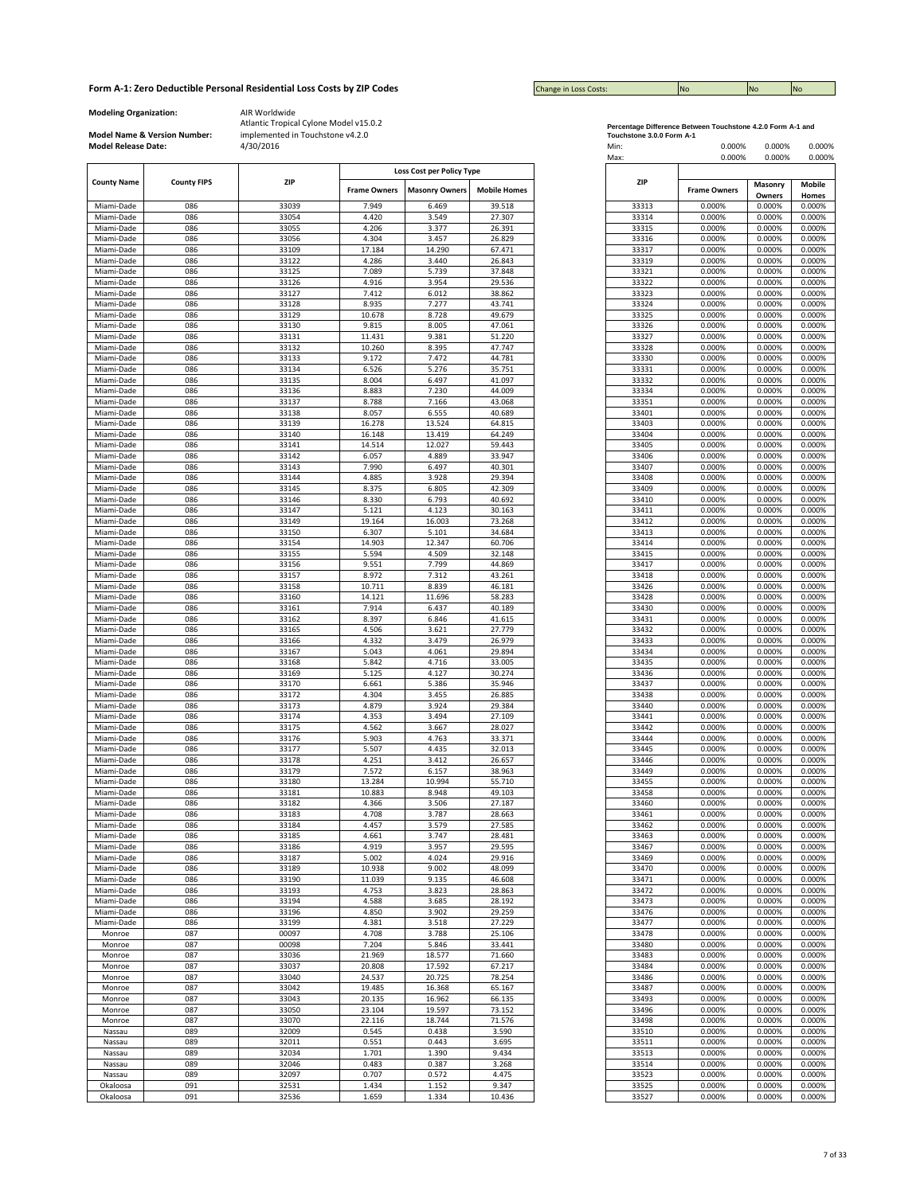| <b>Change in Loss Costs:</b> | <b>INC</b> | <b>No</b> | <b>INc</b> |
|------------------------------|------------|-----------|------------|

**Modeling Organization:** AIR Worldwide

**Model Name & Version Number:**

|                          |                    |                |                     | Loss Cost per Policy Type |                     |
|--------------------------|--------------------|----------------|---------------------|---------------------------|---------------------|
| <b>County Name</b>       | <b>County FIPS</b> | <b>ZIP</b>     | <b>Frame Owners</b> | <b>Masonry Owners</b>     | <b>Mobile Homes</b> |
| Miami-Dade               | 086                | 33039          | 7.949               | 6.469                     | 39.518              |
| Miami-Dade               | 086                | 33054          | 4.420               | 3.549                     | 27.307              |
| Miami-Dade               | 086                | 33055          | 4.206               | 3.377                     | 26.391              |
| Miami-Dade               | 086                | 33056          | 4.304               | 3.457                     | 26.829              |
| Miami-Dade               | 086                | 33109          | 17.184              | 14.290                    | 67.471              |
| Miami-Dade               | 086                | 33122          | 4.286               | 3.440                     | 26.843              |
| Miami-Dade               | 086                | 33125          | 7.089               | 5.739                     | 37.848              |
| Miami-Dade               | 086                | 33126          | 4.916               | 3.954                     | 29.536              |
| Miami-Dade               | 086                | 33127          | 7.412               | 6.012                     | 38.862              |
| Miami-Dade               | 086                | 33128          | 8.935               | 7.277                     | 43.741              |
| Miami-Dade               | 086                | 33129          | 10.678              | 8.728                     | 49.679              |
| Miami-Dade               | 086                | 33130          | 9.815               | 8.005                     | 47.061              |
| Miami-Dade               | 086                | 33131          | 11.431              | 9.381                     | 51.220              |
| Miami-Dade               | 086                | 33132          | 10.260              | 8.395                     | 47.747              |
| Miami-Dade               | 086                | 33133          | 9.172               | 7.472                     | 44.781              |
| Miami-Dade               | 086                | 33134          | 6.526               | 5.276                     | 35.751              |
| Miami-Dade               | 086                | 33135          | 8.004               | 6.497                     | 41.097              |
| Miami-Dade               | 086                | 33136          | 8.883               | 7.230                     | 44.009              |
| Miami-Dade               | 086                | 33137          | 8.788               | 7.166                     | 43.068              |
| Miami-Dade               | 086                | 33138          | 8.057               | 6.555                     | 40.689              |
| Miami-Dade               | 086                | 33139          | 16.278              | 13.524                    | 64.815              |
| Miami-Dade               | 086                | 33140          | 16.148              | 13.419                    | 64.249              |
| Miami-Dade               | 086                | 33141          | 14.514              | 12.027                    | 59.443              |
| Miami-Dade               | 086<br>086         | 33142          | 6.057<br>7.990      | 4.889<br>6.497            | 33.947<br>40.301    |
| Miami-Dade<br>Miami-Dade |                    | 33143          |                     | 3.928                     |                     |
| Miami-Dade               | 086<br>086         | 33144<br>33145 | 4.885<br>8.375      | 6.805                     | 29.394<br>42.309    |
|                          |                    |                |                     |                           |                     |
| Miami-Dade               | 086                | 33146          | 8.330               | 6.793                     | 40.692              |
| Miami-Dade               | 086                | 33147          | 5.121               | 4.123                     | 30.163              |
| Miami-Dade               | 086                | 33149          | 19.164              | 16.003                    | 73.268              |
| Miami-Dade<br>Miami-Dade | 086                | 33150          | 6.307               | 5.101                     | 34.684              |
|                          | 086                | 33154          | 14.903              | 12.347                    | 60.706              |
| Miami-Dade               | 086                | 33155          | 5.594               | 4.509                     | 32.148              |
| Miami-Dade               | 086<br>086         | 33156          | 9.551<br>8.972      | 7.799<br>7.312            | 44.869<br>43.261    |
| Miami-Dade<br>Miami-Dade |                    | 33157          |                     |                           |                     |
| Miami-Dade               | 086<br>086         | 33158<br>33160 | 10.711<br>14.121    | 8.839<br>11.696           | 46.181<br>58.283    |
|                          |                    |                |                     |                           |                     |
| Miami-Dade               | 086                | 33161          | 7.914               | 6.437                     | 40.189              |
| Miami-Dade               | 086                | 33162          | 8.397               | 6.846                     | 41.615              |
| Miami-Dade               | 086                | 33165          | 4.506               | 3.621                     | 27.779              |
| Miami-Dade               | 086                | 33166          | 4.332               | 3.479                     | 26.979              |
| Miami-Dade               | 086                | 33167          | 5.043               | 4.061                     | 29.894              |
| Miami-Dade               | 086                | 33168          | 5.842               | 4.716                     | 33.005              |
| Miami-Dade               | 086                | 33169          | 5.125               | 4.127                     | 30.274              |
| Miami-Dade               | 086                | 33170          | 6.661               | 5.386                     | 35.946              |
| Miami-Dade               | 086                | 33172          | 4.304               | 3.455                     | 26.885              |
| Miami-Dade               | 086                | 33173          | 4.879               | 3.924                     | 29.384              |
| Miami-Dade               | 086                | 33174          | 4.353               | 3.494                     | 27.109              |
| Miami-Dade               | 086                | 33175          | 4.562               | 3.667                     | 28.027              |
| Miami-Dade               | 086                | 33176          | 5.903               | 4.763                     | 33.371              |
| Miami-Dade               | 086                | 33177          | 5.507               | 4.435                     | 32.013              |
| Miami-Dade               | 086                | 33178          | 4.251               | 3.412                     | 26.657              |
| Miami-Dade               | 086                | 33179          | 7.572               | 6.157                     | 38.963              |
| Miami-Dade               | 086                | 33180          | 13.284              | 10.994                    | 55.710              |
| Miami-Dade               | 086                | 33181          | 10.883              | 8.948                     | 49.103              |
| Miami-Dade               | 086                | 33182          | 4.366               | 3.506                     | 27.187              |
| Miami-Dade               | 086                | 33183          | 4.708               | 3.787                     | 28.663              |
| Miami-Dade               | 086                | 33184          | 4.457               | 3.579                     | 27.585              |
| Miami-Dade               | 086                | 33185          | 4.661               | 3.747                     | 28.481              |
| Miami-Dade               | 086                | 33186          | 4.919               | 3.957                     | 29.595              |
| Miami-Dade               | 086                | 33187          | 5.002               | 4.024                     | 29.916              |
| Miami-Dade               | 086                | 33189          | 10.938              | 9.002                     | 48.099              |
| Miami-Dade               | 086                | 33190          | 11.039              | 9.135                     | 46.608              |
| Miami-Dade               | 086                | 33193          | 4.753               | 3.823                     | 28.863              |
| Miami-Dade               | 086                | 33194          | 4.588               | 3.685                     | 28.192              |
| Miami-Dade               | 086                | 33196          | 4.850               | 3.902                     | 29.259              |
| Miami-Dade               | 086                | 33199          | 4.381               | 3.518                     | 27.229              |
| Monroe                   | 087                | 00097          | 4.708               | 3.788                     | 25.106              |
| Monroe                   | 087                | 00098          | 7.204               | 5.846                     | 33.441              |
| Monroe                   | 087                | 33036          | 21.969              | 18.577                    | 71.660              |
| Monroe                   | 087                | 33037          | 20.808              | 17.592                    | 67.217              |
| Monroe                   | 087                | 33040          | 24.537              | 20.725                    | 78.254              |
| Monroe                   | 087                | 33042          | 19.485              | 16.368                    | 65.167              |
| Monroe                   | 087                | 33043          | 20.135              | 16.962                    | 66.135              |
| Monroe                   | 087                | 33050          | 23.104              | 19.597                    | 73.152              |
| Monroe                   | 087                | 33070          | 22.116              | 18.744                    | 71.576              |
| Nassau                   | 089                | 32009          | 0.545               | 0.438                     | 3.590               |
| Nassau                   | 089                | 32011          | 0.551               | 0.443                     | 3.695               |
| Nassau                   | 089                | 32034          | 1.701               | 1.390                     | 9.434               |
| Nassau                   | 089                | 32046          | 0.483               | 0.387                     | 3.268               |
| Nassau                   | 089                | 32097          | 0.707               | 0.572                     | 4.475               |
| Okaloosa                 | 091                | 32531          | 1.434               | 1.152                     | 9.347               |
| Okaloosa                 | 091                | 32536          | 1.659               | 1.334                     | 10.436              |

| Percentage Difference Between Touchstone 4.2.0 Form A-1 and |  |
|-------------------------------------------------------------|--|
| Touchstone 3.0.0 Form A-1                                   |  |

| <b>Model Release Date:</b> | Model Name & Version Number: | implemented in Touchstone v4.2.0<br>4/30/2016 |                     |                                                    |                     | Touchstone 3.0.0 Form A-1<br>Min:<br>Max: | 0.000%<br>0.000%    | 0.000%<br>0.000% | 0.000%<br>0.000% |
|----------------------------|------------------------------|-----------------------------------------------|---------------------|----------------------------------------------------|---------------------|-------------------------------------------|---------------------|------------------|------------------|
| <b>County Name</b>         | <b>County FIPS</b>           | ZIP                                           | <b>Frame Owners</b> | Loss Cost per Policy Type<br><b>Masonry Owners</b> | <b>Mobile Homes</b> | ZIP                                       | <b>Frame Owners</b> | Masonry          | Mobile           |
| Miami-Dade                 | 086                          | 33039                                         | 7.949               | 6.469                                              | 39.518              | 33313                                     | 0.000%              | Owners<br>0.000% | Homes<br>0.000%  |
| Miami-Dade                 | 086                          | 33054                                         | 4.420               | 3.549                                              | 27.307              | 33314                                     | 0.000%              | 0.000%           | 0.000%           |
| Miami-Dade                 | 086                          | 33055                                         | 4.206               | 3.377                                              | 26.391              | 33315                                     | 0.000%              | 0.000%           | 0.000%           |
| Miami-Dade                 | 086                          | 33056                                         | 4.304               | 3.457                                              | 26.829              | 33316                                     | 0.000%              | 0.000%           | 0.000%           |
| Miami-Dade                 | 086                          | 33109                                         | 17.184              | 14.290                                             | 67.471              | 33317                                     | 0.000%              | 0.000%           | 0.000%           |
| Miami-Dade                 | 086                          | 33122                                         | 4.286               | 3.440                                              | 26.843              | 33319                                     | 0.000%              | 0.000%           | 0.000%           |
| Miami-Dade                 | 086                          | 33125                                         | 7.089               | 5.739                                              | 37.848              | 33321                                     | 0.000%              | 0.000%           | 0.000%           |
| Miami-Dade<br>Miami-Dade   | 086<br>086                   | 33126<br>33127                                | 4.916<br>7.412      | 3.954<br>6.012                                     | 29.536<br>38.862    | 33322<br>33323                            | 0.000%<br>0.000%    | 0.000%<br>0.000% | 0.000%<br>0.000% |
| Miami-Dade                 | 086                          | 33128                                         | 8.935               | 7.277                                              | 43.741              | 33324                                     | 0.000%              | 0.000%           | 0.000%           |
| Miami-Dade                 | 086                          | 33129                                         | 10.678              | 8.728                                              | 49.679              | 33325                                     | 0.000%              | 0.000%           | 0.000%           |
| Miami-Dade                 | 086                          | 33130                                         | 9.815               | 8.005                                              | 47.061              | 33326                                     | 0.000%              | 0.000%           | 0.000%           |
| Miami-Dade                 | 086                          | 33131                                         | 11.431              | 9.381                                              | 51.220              | 33327                                     | 0.000%              | 0.000%           | 0.000%           |
| Miami-Dade                 | 086                          | 33132                                         | 10.260              | 8.395                                              | 47.747              | 33328                                     | 0.000%              | 0.000%           | 0.000%           |
| Miami-Dade                 | 086                          | 33133                                         | 9.172               | 7.472                                              | 44.781              | 33330                                     | 0.000%              | 0.000%           | 0.000%           |
| Miami-Dade                 | 086                          | 33134                                         | 6.526               | 5.276                                              | 35.751              | 33331                                     | 0.000%              | 0.000%           | 0.000%           |
| Miami-Dade                 | 086<br>086                   | 33135                                         | 8.004               | 6.497<br>7.230                                     | 41.097<br>44.009    | 33332                                     | 0.000%              | 0.000%           | 0.000%           |
| Miami-Dade<br>Miami-Dade   | 086                          | 33136<br>33137                                | 8.883<br>8.788      | 7.166                                              | 43.068              | 33334<br>33351                            | 0.000%<br>0.000%    | 0.000%<br>0.000% | 0.000%<br>0.000% |
| Miami-Dade                 | 086                          | 33138                                         | 8.057               | 6.555                                              | 40.689              | 33401                                     | 0.000%              | 0.000%           | 0.000%           |
| Miami-Dade                 | 086                          | 33139                                         | 16.278              | 13.524                                             | 64.815              | 33403                                     | 0.000%              | 0.000%           | 0.000%           |
| Miami-Dade                 | 086                          | 33140                                         | 16.148              | 13.419                                             | 64.249              | 33404                                     | 0.000%              | 0.000%           | 0.000%           |
| Miami-Dade                 | 086                          | 33141                                         | 14.514              | 12.027                                             | 59.443              | 33405                                     | 0.000%              | 0.000%           | 0.000%           |
| Miami-Dade                 | 086                          | 33142                                         | 6.057               | 4.889                                              | 33.947              | 33406                                     | 0.000%              | 0.000%           | 0.000%           |
| Miami-Dade                 | 086                          | 33143                                         | 7.990               | 6.497                                              | 40.301              | 33407                                     | 0.000%              | 0.000%           | 0.000%           |
| Miami-Dade                 | 086                          | 33144                                         | 4.885               | 3.928                                              | 29.394              | 33408                                     | 0.000%              | 0.000%           | 0.000%           |
| Miami-Dade                 | 086                          | 33145                                         | 8.375               | 6.805                                              | 42.309              | 33409                                     | 0.000%              | 0.000%           | 0.000%           |
| Miami-Dade<br>Miami-Dade   | 086<br>086                   | 33146<br>33147                                | 8.330<br>5.121      | 6.793<br>4.123                                     | 40.692<br>30.163    | 33410<br>33411                            | 0.000%<br>0.000%    | 0.000%<br>0.000% | 0.000%<br>0.000% |
| Miami-Dade                 | 086                          | 33149                                         | 19.164              | 16.003                                             | 73.268              | 33412                                     | 0.000%              | 0.000%           | 0.000%           |
| Miami-Dade                 | 086                          | 33150                                         | 6.307               | 5.101                                              | 34.684              | 33413                                     | 0.000%              | 0.000%           | 0.000%           |
| Miami-Dade                 | 086                          | 33154                                         | 14.903              | 12.347                                             | 60.706              | 33414                                     | 0.000%              | 0.000%           | 0.000%           |
| Miami-Dade                 | 086                          | 33155                                         | 5.594               | 4.509                                              | 32.148              | 33415                                     | 0.000%              | 0.000%           | 0.000%           |
| Miami-Dade                 | 086                          | 33156                                         | 9.551               | 7.799                                              | 44.869              | 33417                                     | 0.000%              | 0.000%           | 0.000%           |
| Miami-Dade                 | 086                          | 33157                                         | 8.972               | 7.312                                              | 43.261              | 33418                                     | 0.000%              | 0.000%           | 0.000%           |
| Miami-Dade                 | 086                          | 33158                                         | 10.711              | 8.839                                              | 46.181              | 33426                                     | 0.000%              | 0.000%           | 0.000%           |
| Miami-Dade                 | 086                          | 33160                                         | 14.121              | 11.696                                             | 58.283              | 33428                                     | 0.000%              | 0.000%           | 0.000%           |
| Miami-Dade<br>Miami-Dade   | 086<br>086                   | 33161<br>33162                                | 7.914<br>8.397      | 6.437<br>6.846                                     | 40.189<br>41.615    | 33430<br>33431                            | 0.000%<br>0.000%    | 0.000%<br>0.000% | 0.000%<br>0.000% |
| Miami-Dade                 | 086                          | 33165                                         | 4.506               | 3.621                                              | 27.779              | 33432                                     | 0.000%              | 0.000%           | 0.000%           |
| Miami-Dade                 | 086                          | 33166                                         | 4.332               | 3.479                                              | 26.979              | 33433                                     | 0.000%              | 0.000%           | 0.000%           |
| Miami-Dade                 | 086                          | 33167                                         | 5.043               | 4.061                                              | 29.894              | 33434                                     | 0.000%              | 0.000%           | 0.000%           |
| Miami-Dade                 | 086                          | 33168                                         | 5.842               | 4.716                                              | 33.005              | 33435                                     | 0.000%              | 0.000%           | 0.000%           |
| Miami-Dade                 | 086                          | 33169                                         | 5.125               | 4.127                                              | 30.274              | 33436                                     | 0.000%              | 0.000%           | 0.000%           |
| Miami-Dade                 | 086                          | 33170                                         | 6.661               | 5.386                                              | 35.946              | 33437                                     | 0.000%              | 0.000%           | 0.000%           |
| Miami-Dade                 | 086                          | 33172                                         | 4.304               | 3.455                                              | 26.885              | 33438                                     | 0.000%              | 0.000%           | 0.000%           |
| Miami-Dade<br>Miami-Dade   | 086<br>086                   | 33173<br>33174                                | 4.879<br>4.353      | 3.924<br>3.494                                     | 29.384<br>27.109    | 33440<br>33441                            | 0.000%<br>0.000%    | 0.000%<br>0.000% | 0.000%<br>0.000% |
| Miami-Dade                 | 086                          | 33175                                         | 4.562               | 3.667                                              | 28.027              | 33442                                     | 0.000%              | 0.000%           | 0.000%           |
| Miami-Dade                 | 086                          | 33176                                         | 5.903               | 4.763                                              | 33.371              | 33444                                     | 0.000%              | 0.000%           | 0.000%           |
| Miami-Dade                 | 086                          | 33177                                         | 5.507               | 4.435                                              | 32.013              | 33445                                     | 0.000%              | 0.000%           | 0.000%           |
| Miami-Dade                 | 086                          | 33178                                         | 4.251               | 3.412                                              | 26.657              | 33446                                     | 0.000%              | 0.000%           | 0.000%           |
| Miami-Dade                 | 086                          | 33179                                         | 7.572               | 6.157                                              | 38.963              | 33449                                     | 0.000%              | 0.000%           | 0.000%           |
| Miami-Dade                 | 086                          | 33180                                         | 13.284              | 10.994                                             | 55.710              | 33455                                     | 0.000%              | 0.000%           | 0.000%           |
| Miami-Dade<br>Miami-Dade   | 086<br>086                   | 33181<br>33182                                | 10.883<br>4.366     | 8.948<br>3.506                                     | 49.103<br>27.187    | 33458<br>33460                            | 0.000%<br>0.000%    | 0.000%<br>0.000% | 0.000%<br>0.000% |
| Miami-Dade                 | 086                          | 33183                                         | 4.708               | 3.787                                              | 28.663              | 33461                                     | 0.000%              | 0.000%           | 0.000%           |
| Miami-Dade                 | 086                          | 33184                                         | 4.457               | 3.579                                              | 27.585              | 33462                                     | 0.000%              | 0.000%           | 0.000%           |
| Miami-Dade                 | 086                          | 33185                                         | 4.661               | 3.747                                              | 28.481              | 33463                                     | 0.000%              | 0.000%           | 0.000%           |
| Miami-Dade                 | 086                          | 33186                                         | 4.919               | 3.957                                              | 29.595              | 33467                                     | 0.000%              | 0.000%           | 0.000%           |
| Miami-Dade                 | 086                          | 33187                                         | 5.002               | 4.024                                              | 29.916              | 33469                                     | 0.000%              | 0.000%           | 0.000%           |
| Miami-Dade                 | 086                          | 33189                                         | 10.938              | 9.002                                              | 48.099              | 33470                                     | 0.000%              | 0.000%           | 0.000%           |
| Miami-Dade                 | 086                          | 33190                                         | 11.039              | 9.135                                              | 46.608              | 33471                                     | 0.000%              | 0.000%           | 0.000%           |
| Miami-Dade                 | 086                          | 33193                                         | 4.753               | 3.823                                              | 28.863              | 33472<br>33473                            | 0.000%              | 0.000%           | 0.000%           |
| Miami-Dade<br>Miami-Dade   | 086<br>086                   | 33194<br>33196                                | 4.588<br>4.850      | 3.685<br>3.902                                     | 28.192<br>29.259    | 33476                                     | 0.000%<br>0.000%    | 0.000%<br>0.000% | 0.000%<br>0.000% |
| Miami-Dade                 | 086                          | 33199                                         | 4.381               | 3.518                                              | 27.229              | 33477                                     | 0.000%              | 0.000%           | 0.000%           |
| Monroe                     | 087                          | 00097                                         | 4.708               | 3.788                                              | 25.106              | 33478                                     | 0.000%              | 0.000%           | 0.000%           |
| Monroe                     | 087                          | 00098                                         | 7.204               | 5.846                                              | 33.441              | 33480                                     | 0.000%              | 0.000%           | 0.000%           |
| Monroe                     | 087                          | 33036                                         | 21.969              | 18.577                                             | 71.660              | 33483                                     | 0.000%              | 0.000%           | 0.000%           |
| Monroe                     | 087                          | 33037                                         | 20.808              | 17.592                                             | 67.217              | 33484                                     | 0.000%              | 0.000%           | 0.000%           |
| Monroe                     | 087                          | 33040                                         | 24.537              | 20.725                                             | 78.254              | 33486                                     | 0.000%              | 0.000%           | 0.000%           |
| Monroe                     | 087                          | 33042                                         | 19.485              | 16.368                                             | 65.167              | 33487                                     | 0.000%              | 0.000%           | 0.000%           |
| Monroe                     | 087                          | 33043                                         | 20.135              | 16.962                                             | 66.135              | 33493                                     | 0.000%              | 0.000%           | 0.000%           |
| Monroe                     | 087<br>087                   | 33050<br>33070                                | 23.104              | 19.597<br>18.744                                   | 73.152<br>71.576    | 33496<br>33498                            | 0.000%<br>0.000%    | 0.000%<br>0.000% | 0.000%           |
| Monroe<br>Nassau           | 089                          | 32009                                         | 22.116<br>0.545     | 0.438                                              | 3.590               | 33510                                     | 0.000%              | 0.000%           | 0.000%<br>0.000% |
| Nassau                     | 089                          | 32011                                         | 0.551               | 0.443                                              | 3.695               | 33511                                     | 0.000%              | 0.000%           | 0.000%           |
| Nassau                     | 089                          | 32034                                         | 1.701               | 1.390                                              | 9.434               | 33513                                     | 0.000%              | 0.000%           | 0.000%           |
| Nassau                     | 089                          | 32046                                         | 0.483               | 0.387                                              | 3.268               | 33514                                     | 0.000%              | 0.000%           | 0.000%           |
| Nassau                     | 089                          | 32097                                         | 0.707               | 0.572                                              | 4.475               | 33523                                     | 0.000%              | 0.000%           | 0.000%           |
| Okaloosa                   | 091                          | 32531                                         | 1.434               | 1.152                                              | 9.347               | 33525                                     | 0.000%              | 0.000%           | 0.000%           |
| Okaloosa                   | 091                          | 32536                                         | 1.659               | 1.334                                              | 10.436              | 33527                                     | 0.000%              | 0.000%           | 0.000%           |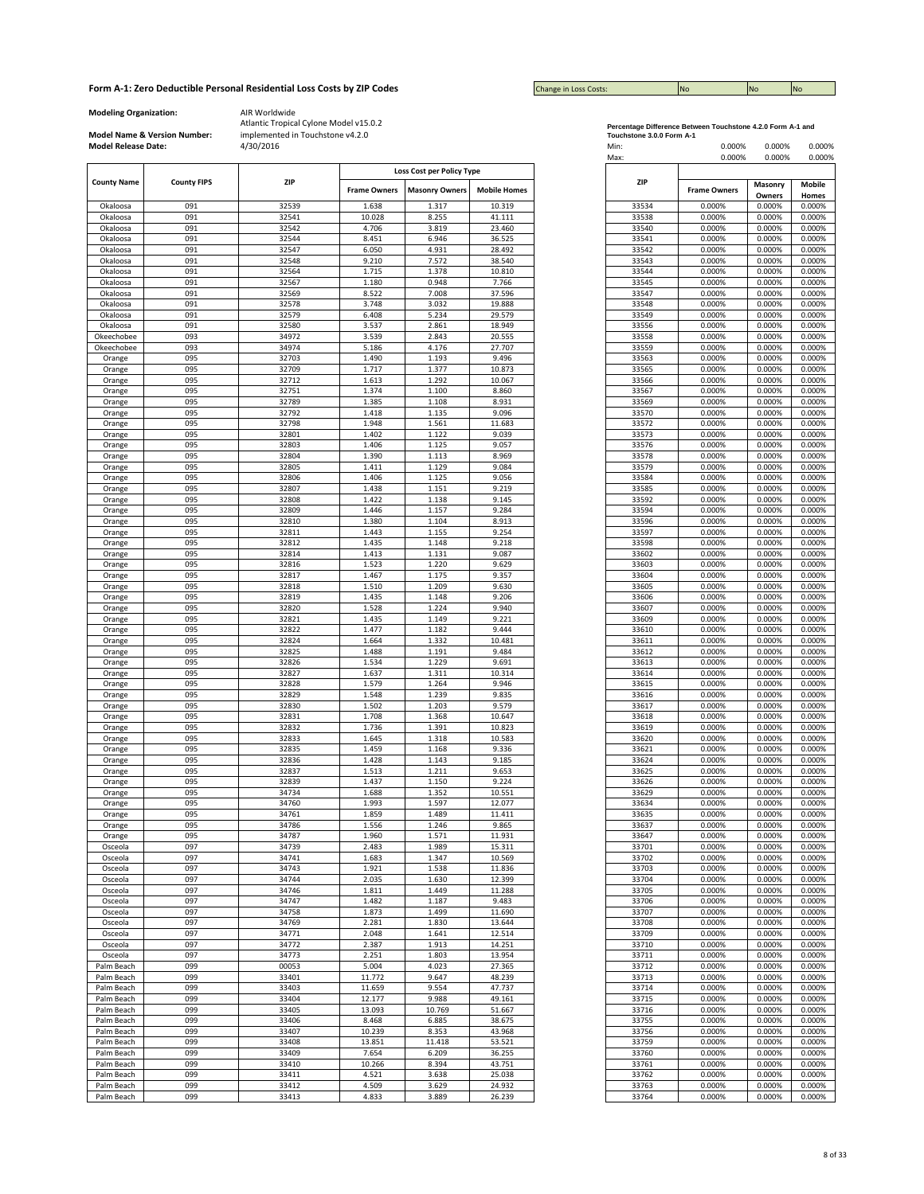| <b>Change in Loss Costs:</b> | <b>INO</b> | <b>No</b> | <b>No</b> |
|------------------------------|------------|-----------|-----------|

**Modeling Organization:** AIR Worldwide

**Model Name & Version Number:**

|                    |                    |       |                     | Loss Cost per Policy Type |                     |
|--------------------|--------------------|-------|---------------------|---------------------------|---------------------|
| <b>County Name</b> | <b>County FIPS</b> | ZIP   |                     |                           |                     |
|                    |                    |       | <b>Frame Owners</b> | <b>Masonry Owners</b>     | <b>Mobile Homes</b> |
|                    |                    |       |                     |                           |                     |
| Okaloosa           | 091                | 32539 | 1.638               | 1.317                     | 10.319              |
| Okaloosa           | 091                | 32541 | 10.028              | 8.255                     | 41.111              |
| Okaloosa           | 091                | 32542 | 4.706               | 3.819                     | 23.460              |
| Okaloosa           | 091                | 32544 | 8.451               | 6.946                     | 36.525              |
|                    |                    |       |                     |                           |                     |
| Okaloosa           | 091                | 32547 | 6.050               | 4.931                     | 28.492              |
| Okaloosa           | 091                | 32548 | 9.210               | 7.572                     | 38.540              |
| Okaloosa           | 091                | 32564 | 1.715               | 1.378                     | 10.810              |
| Okaloosa           | 091                | 32567 | 1.180               | 0.948                     | 7.766               |
|                    |                    |       |                     |                           |                     |
| Okaloosa           | 091                | 32569 | 8.522               | 7.008                     | 37.596              |
| Okaloosa           | 091                | 32578 | 3.748               | 3.032                     | 19.888              |
| Okaloosa           | 091                | 32579 | 6.408               | 5.234                     | 29.579              |
| Okaloosa           | 091                | 32580 | 3.537               | 2.861                     | 18.949              |
|                    | 093                | 34972 | 3.539               | 2.843                     |                     |
| Okeechobee         |                    |       |                     |                           | 20.555              |
| Okeechobee         | 093                | 34974 | 5.186               | 4.176                     | 27.707              |
| Orange             | 095                | 32703 | 1.490               | 1.193                     | 9.496               |
| Orange             | 095                | 32709 | 1.717               | 1.377                     | 10.873              |
| Orange             | 095                | 32712 | 1.613               | 1.292                     | 10.067              |
|                    |                    |       |                     |                           |                     |
| Orange             | 095                | 32751 | 1.374               | 1.100                     | 8.860               |
| Orange             | 095                | 32789 | 1.385               | 1.108                     | 8.931               |
| Orange             | 095                | 32792 | 1.418               | 1.135                     | 9.096               |
| Orange             | 095                | 32798 | 1.948               | 1.561                     | 11.683              |
|                    |                    |       |                     |                           |                     |
| Orange             | 095                | 32801 | 1.402               | 1.122                     | 9.039               |
| Orange             | 095                | 32803 | 1.406               | 1.125                     | 9.057               |
| Orange             | 095                | 32804 | 1.390               | 1.113                     | 8.969               |
| Orange             | 095                | 32805 | 1.411               | 1.129                     | 9.084               |
|                    | 095                | 32806 | 1.406               | 1.125                     | 9.056               |
| Orange             |                    |       |                     |                           |                     |
| Orange             | 095                | 32807 | 1.438               | 1.151                     | 9.219               |
| Orange             | 095                | 32808 | 1.422               | 1.138                     | 9.145               |
| Orange             | 095                | 32809 | 1.446               | 1.157                     | 9.284               |
| Orange             | 095                | 32810 | 1.380               | 1.104                     | 8.913               |
|                    |                    |       |                     |                           |                     |
| Orange             | 095                | 32811 | 1.443               | 1.155                     | 9.254               |
| Orange             | 095                | 32812 | 1.435               | 1.148                     | 9.218               |
| Orange             | 095                | 32814 | 1.413               | 1.131                     | 9.087               |
| Orange             | 095                | 32816 | 1.523               | 1.220                     | 9.629               |
|                    | 095                | 32817 | 1.467               | 1.175                     | 9.357               |
| Orange             |                    |       |                     |                           |                     |
| Orange             | 095                | 32818 | 1.510               | 1.209                     | 9.630               |
| Orange             | 095                | 32819 | 1.435               | 1.148                     | 9.206               |
| Orange             | 095                | 32820 | 1.528               | 1.224                     | 9.940               |
| Orange             | 095                | 32821 | 1.435               | 1.149                     | 9.221               |
|                    | 095                | 32822 | 1.477               | 1.182                     | 9.444               |
| Orange             |                    |       |                     |                           |                     |
| Orange             | 095                | 32824 | 1.664               | 1.332                     | 10.481              |
| Orange             | 095                | 32825 | 1.488               | 1.191                     | 9.484               |
| Orange             | 095                | 32826 | 1.534               | 1.229                     | 9.691               |
| Orange             | 095                | 32827 | 1.637               | 1.311                     | 10.314              |
|                    | 095                |       | 1.579               |                           | 9.946               |
| Orange             |                    | 32828 |                     | 1.264                     |                     |
| Orange             | 095                | 32829 | 1.548               | 1.239                     | 9.835               |
| Orange             | 095                | 32830 | 1.502               | 1.203                     | 9.579               |
| Orange             | 095                | 32831 | 1.708               | 1.368                     | 10.647              |
| Orange             | 095                | 32832 | 1.736               | 1.391                     | 10.823              |
|                    |                    |       |                     |                           |                     |
| Orange             | 095                | 32833 | 1.645               | 1.318                     | 10.583              |
| Orange             | 095                | 32835 | 1.459               | 1.168                     | 9.336               |
| Orange             | 095                | 32836 | 1.428               | 1.143                     | 9.185               |
| Orange             | 095                | 32837 | 1.513               | 1.211                     | 9.653               |
| Orange             | 095                | 32839 | 1.437               | 1.150                     | 9.224               |
|                    |                    |       |                     |                           |                     |
| Orange             | 095                | 34734 | 1.688               | 1.352                     | 10.551              |
| Orange             | 095                | 34760 | 1.993               | 1.597                     | 12.077              |
| Orange             | 095                | 34761 | 1.859               | 1.489                     | 11.411              |
| Orange             | 095                | 34786 | 1.556               | 1.246                     | 9.865               |
| Orange             | 095                | 34787 | 1.960               | 1.571                     | 11.931              |
|                    | 097                | 34739 |                     | 1.989                     | 15.311              |
| Osceola            |                    |       | 2.483               |                           |                     |
| Osceola            | 097                | 34741 | 1.683               | 1.347                     | 10.569              |
| Osceola            | 097                | 34743 | 1.921               | 1.538                     | 11.836              |
| Osceola            | 097                | 34744 | 2.035               | 1.630                     | 12.399              |
| Osceola            | 097                | 34746 | 1.811               | 1.449                     | 11.288              |
| Osceola            |                    | 34747 |                     |                           | 9.483               |
|                    | 097                |       | 1.482               | 1.187                     |                     |
| Osceola            | 097                | 34758 | 1.873               | 1.499                     | 11.690              |
| Osceola            | 097                | 34769 | 2.281               | 1.830                     | 13.644              |
| Osceola            | 097                | 34771 | 2.048               | 1.641                     | 12.514              |
| Osceola            | 097                | 34772 | 2.387               | 1.913                     | 14.251              |
|                    |                    |       |                     |                           |                     |
| Osceola            | 097                | 34773 | 2.251               | 1.803                     | 13.954              |
| Palm Beach         | 099                | 00053 | 5.004               | 4.023                     | 27.365              |
| Palm Beach         | 099                | 33401 | 11.772              | 9.647                     | 48.239              |
| Palm Beach         | 099                | 33403 | 11.659              | 9.554                     | 47.737              |
|                    |                    |       |                     |                           |                     |
| Palm Beach         | 099                | 33404 | 12.177              | 9.988                     | 49.161              |
| Palm Beach         | 099                | 33405 | 13.093              | 10.769                    | 51.667              |
| Palm Beach         | 099                | 33406 | 8.468               | 6.885                     | 38.675              |
| Palm Beach         | 099                | 33407 | 10.239              | 8.353                     | 43.968              |
|                    |                    |       |                     |                           |                     |
| Palm Beach         | 099                | 33408 | 13.851              | 11.418                    | 53.521              |
| Palm Beach         | 099                | 33409 | 7.654               | 6.209                     | 36.255              |
| Palm Beach         | 099                | 33410 | 10.266              | 8.394                     | 43.751              |
| Palm Beach         | 099                | 33411 | 4.521               | 3.638                     | 25.038              |
| Palm Beach         | 099                | 33412 | 4.509               | 3.629                     | 24.932              |
|                    |                    |       |                     |                           |                     |
| Palm Beach         | 099                | 33413 | 4.833               | 3.889                     | 26.239              |

|                           | Percentage Difference Between Touchstone 4.2.0 Form A-1 and |
|---------------------------|-------------------------------------------------------------|
| Touchstone 3.0.0 Form A-1 |                                                             |

| <b>Model Release Date:</b> | Model Name & Version Number: | implemented in Touchstone v4.2.0<br>4/30/2016 |                     |                                                    |                     | Touchstone 3.0.0 Form A-1<br>Min:<br>Max: | 0.000%<br>0.000%    | 0.000%<br>0.000% | 0.000%<br>0.000% |
|----------------------------|------------------------------|-----------------------------------------------|---------------------|----------------------------------------------------|---------------------|-------------------------------------------|---------------------|------------------|------------------|
| <b>County Name</b>         | <b>County FIPS</b>           | <b>ZIP</b>                                    | <b>Frame Owners</b> | Loss Cost per Policy Type<br><b>Masonry Owners</b> | <b>Mobile Homes</b> | ZIP                                       | <b>Frame Owners</b> | Masonry          | Mobile           |
| Okaloosa                   | 091                          | 32539                                         | 1.638               | 1.317                                              | 10.319              | 33534                                     | 0.000%              | Owners<br>0.000% | Homes<br>0.000%  |
| Okaloosa                   | 091                          | 32541                                         | 10.028              | 8.255                                              | 41.111              | 33538                                     | 0.000%              | 0.000%           | 0.000%           |
| Okaloosa                   | 091                          | 32542                                         | 4.706               | 3.819                                              | 23.460              | 33540                                     | 0.000%              | 0.000%           | 0.000%           |
| Okaloosa                   | 091                          | 32544                                         | 8.451               | 6.946                                              | 36.525              | 33541                                     | 0.000%              | 0.000%           | 0.000%           |
| Okaloosa                   | 091                          | 32547                                         | 6.050               | 4.931                                              | 28.492              | 33542                                     | 0.000%              | 0.000%           | 0.000%           |
| Okaloosa                   | 091                          | 32548                                         | 9.210               | 7.572                                              | 38.540              | 33543                                     | 0.000%              | 0.000%           | 0.000%           |
| Okaloosa                   | 091                          | 32564                                         | 1.715               | 1.378                                              | 10.810              | 33544                                     | 0.000%              | 0.000%           | 0.000%           |
| Okaloosa<br>Okaloosa       | 091<br>091                   | 32567<br>32569                                | 1.180<br>8.522      | 0.948<br>7.008                                     | 7.766<br>37.596     | 33545<br>33547                            | 0.000%<br>0.000%    | 0.000%<br>0.000% | 0.000%<br>0.000% |
| Okaloosa                   | 091                          | 32578                                         | 3.748               | 3.032                                              | 19.888              | 33548                                     | 0.000%              | 0.000%           | 0.000%           |
| Okaloosa                   | 091                          | 32579                                         | 6.408               | 5.234                                              | 29.579              | 33549                                     | 0.000%              | 0.000%           | 0.000%           |
| Okaloosa                   | 091                          | 32580                                         | 3.537               | 2.861                                              | 18.949              | 33556                                     | 0.000%              | 0.000%           | 0.000%           |
| Okeechobee                 | 093                          | 34972                                         | 3.539               | 2.843                                              | 20.555              | 33558                                     | 0.000%              | 0.000%           | 0.000%           |
| Okeechobee                 | 093                          | 34974                                         | 5.186               | 4.176                                              | 27.707              | 33559                                     | 0.000%              | 0.000%           | 0.000%           |
| Orange                     | 095                          | 32703                                         | 1.490               | 1.193                                              | 9.496               | 33563                                     | 0.000%              | 0.000%           | 0.000%           |
| Orange                     | 095                          | 32709                                         | 1.717               | 1.377                                              | 10.873<br>10.067    | 33565                                     | 0.000%              | 0.000%           | 0.000%           |
| Orange<br>Orange           | 095<br>095                   | 32712<br>32751                                | 1.613<br>1.374      | 1.292<br>1.100                                     | 8.860               | 33566<br>33567                            | 0.000%<br>0.000%    | 0.000%<br>0.000% | 0.000%<br>0.000% |
| Orange                     | 095                          | 32789                                         | 1.385               | 1.108                                              | 8.931               | 33569                                     | 0.000%              | 0.000%           | 0.000%           |
| Orange                     | 095                          | 32792                                         | 1.418               | 1.135                                              | 9.096               | 33570                                     | 0.000%              | 0.000%           | 0.000%           |
| Orange                     | 095                          | 32798                                         | 1.948               | 1.561                                              | 11.683              | 33572                                     | 0.000%              | 0.000%           | 0.000%           |
| Orange                     | 095                          | 32801                                         | 1.402               | 1.122                                              | 9.039               | 33573                                     | 0.000%              | 0.000%           | 0.000%           |
| Orange                     | 095                          | 32803                                         | 1.406               | 1.125                                              | 9.057               | 33576                                     | 0.000%              | 0.000%           | 0.000%           |
| Orange                     | 095                          | 32804                                         | 1.390               | 1.113                                              | 8.969               | 33578                                     | 0.000%              | 0.000%           | 0.000%           |
| Orange                     | 095                          | 32805                                         | 1.411               | 1.129                                              | 9.084               | 33579                                     | 0.000%              | 0.000%           | 0.000%           |
| Orange                     | 095                          | 32806                                         | 1.406               | 1.125                                              | 9.056               | 33584                                     | 0.000%              | 0.000%           | 0.000%           |
| Orange                     | 095<br>095                   | 32807<br>32808                                | 1.438<br>1.422      | 1.151<br>1.138                                     | 9.219<br>9.145      | 33585                                     | 0.000%<br>0.000%    | 0.000%<br>0.000% | 0.000%<br>0.000% |
| Orange<br>Orange           | 095                          | 32809                                         | 1.446               | 1.157                                              | 9.284               | 33592<br>33594                            | 0.000%              | 0.000%           | 0.000%           |
| Orange                     | 095                          | 32810                                         | 1.380               | 1.104                                              | 8.913               | 33596                                     | 0.000%              | 0.000%           | 0.000%           |
| Orange                     | 095                          | 32811                                         | 1.443               | 1.155                                              | 9.254               | 33597                                     | 0.000%              | 0.000%           | 0.000%           |
| Orange                     | 095                          | 32812                                         | 1.435               | 1.148                                              | 9.218               | 33598                                     | 0.000%              | 0.000%           | 0.000%           |
| Orange                     | 095                          | 32814                                         | 1.413               | 1.131                                              | 9.087               | 33602                                     | 0.000%              | 0.000%           | 0.000%           |
| Orange                     | 095                          | 32816                                         | 1.523               | 1.220                                              | 9.629               | 33603                                     | 0.000%              | 0.000%           | 0.000%           |
| Orange                     | 095                          | 32817                                         | 1.467               | 1.175                                              | 9.357               | 33604                                     | 0.000%              | 0.000%           | 0.000%           |
| Orange                     | 095                          | 32818                                         | 1.510               | 1.209                                              | 9.630               | 33605                                     | 0.000%              | 0.000%           | 0.000%           |
| Orange                     | 095                          | 32819                                         | 1.435               | 1.148                                              | 9.206               | 33606                                     | 0.000%              | 0.000%           | 0.000%           |
| Orange<br>Orange           | 095<br>095                   | 32820<br>32821                                | 1.528<br>1.435      | 1.224<br>1.149                                     | 9.940<br>9.221      | 33607<br>33609                            | 0.000%<br>0.000%    | 0.000%<br>0.000% | 0.000%<br>0.000% |
| Orange                     | 095                          | 32822                                         | 1.477               | 1.182                                              | 9.444               | 33610                                     | 0.000%              | 0.000%           | 0.000%           |
| Orange                     | 095                          | 32824                                         | 1.664               | 1.332                                              | 10.481              | 33611                                     | 0.000%              | 0.000%           | 0.000%           |
| Orange                     | 095                          | 32825                                         | 1.488               | 1.191                                              | 9.484               | 33612                                     | 0.000%              | 0.000%           | 0.000%           |
| Orange                     | 095                          | 32826                                         | 1.534               | 1.229                                              | 9.691               | 33613                                     | 0.000%              | 0.000%           | 0.000%           |
| Orange                     | 095                          | 32827                                         | 1.637               | 1.311                                              | 10.314              | 33614                                     | 0.000%              | 0.000%           | 0.000%           |
| Orange                     | 095                          | 32828                                         | 1.579               | 1.264                                              | 9.946               | 33615                                     | 0.000%              | 0.000%           | 0.000%           |
| Orange                     | 095                          | 32829                                         | 1.548               | 1.239                                              | 9.835               | 33616                                     | 0.000%              | 0.000%           | 0.000%           |
| Orange<br>Orange           | 095<br>095                   | 32830<br>32831                                | 1.502<br>1.708      | 1.203<br>1.368                                     | 9.579<br>10.647     | 33617<br>33618                            | 0.000%<br>0.000%    | 0.000%<br>0.000% | 0.000%<br>0.000% |
| Orange                     | 095                          | 32832                                         | 1.736               | 1.391                                              | 10.823              | 33619                                     | 0.000%              | 0.000%           | 0.000%           |
| Orange                     | 095                          | 32833                                         | 1.645               | 1.318                                              | 10.583              | 33620                                     | 0.000%              | 0.000%           | 0.000%           |
| Orange                     | 095                          | 32835                                         | 1.459               | 1.168                                              | 9.336               | 33621                                     | 0.000%              | 0.000%           | 0.000%           |
| Orange                     | 095                          | 32836                                         | 1.428               | 1.143                                              | 9.185               | 33624                                     | 0.000%              | 0.000%           | 0.000%           |
| Orange                     | 095                          | 32837                                         | 1.513               | 1.211                                              | 9.653               | 33625                                     | 0.000%              | 0.000%           | 0.000%           |
| Orange                     | 095                          | 32839                                         | 1.437               | 1.150                                              | 9.224               | 33626                                     | 0.000%              | 0.000%           | 0.000%           |
| Orange                     | 095<br>095                   | 34734<br>34760                                | 1.688<br>1.993      | 1.352<br>1.597                                     | 10.551<br>12.077    | 33629<br>33634                            | 0.000%              | 0.000%<br>0.000% | 0.000%           |
| Orange<br>Orange           | 095                          | 34761                                         | 1.859               | 1.489                                              | 11.411              | 33635                                     | 0.000%<br>0.000%    | 0.000%           | 0.000%<br>0.000% |
| Orange                     | 095                          | 34786                                         | 1.556               | 1.246                                              | 9.865               | 33637                                     | 0.000%              | 0.000%           | 0.000%           |
| Orange                     | 095                          | 34787                                         | 1.960               | 1.571                                              | 11.931              | 33647                                     | 0.000%              | 0.000%           | 0.000%           |
| Osceola                    | 097                          | 34739                                         | 2.483               | 1.989                                              | 15.311              | 33701                                     | 0.000%              | 0.000%           | 0.000%           |
| Osceola                    | 097                          | 34741                                         | 1.683               | 1.347                                              | 10.569              | 33702                                     | 0.000%              | 0.000%           | 0.000%           |
| Osceola                    | 097                          | 34743                                         | 1.921               | 1.538                                              | 11.836              | 33703                                     | 0.000%              | 0.000%           | 0.000%           |
| Osceola                    | 097                          | 34744                                         | 2.035               | 1.630                                              | 12.399              | 33704                                     | 0.000%              | 0.000%           | 0.000%           |
| Osceola<br>Osceola         | 097<br>097                   | 34746<br>34747                                | 1.811<br>1.482      | 1.449<br>1.187                                     | 11.288<br>9.483     | 33705<br>33706                            | 0.000%<br>0.000%    | 0.000%<br>0.000% | 0.000%<br>0.000% |
| Osceola                    | 097                          | 34758                                         | 1.873               | 1.499                                              | 11.690              | 33707                                     | 0.000%              | 0.000%           | 0.000%           |
| Osceola                    | 097                          | 34769                                         | 2.281               | 1.830                                              | 13.644              | 33708                                     | 0.000%              | 0.000%           | 0.000%           |
| Osceola                    | 097                          | 34771                                         | 2.048               | 1.641                                              | 12.514              | 33709                                     | 0.000%              | 0.000%           | 0.000%           |
| Osceola                    | 097                          | 34772                                         | 2.387               | 1.913                                              | 14.251              | 33710                                     | 0.000%              | 0.000%           | 0.000%           |
| Osceola                    | 097                          | 34773                                         | 2.251               | 1.803                                              | 13.954              | 33711                                     | 0.000%              | 0.000%           | 0.000%           |
| Palm Beach                 | 099                          | 00053                                         | 5.004               | 4.023                                              | 27.365              | 33712                                     | 0.000%              | 0.000%           | 0.000%           |
| Palm Beach                 | 099                          | 33401                                         | 11.772              | 9.647                                              | 48.239              | 33713                                     | 0.000%              | 0.000%           | 0.000%           |
| Palm Beach                 | 099                          | 33403                                         | 11.659              | 9.554                                              | 47.737              | 33714                                     | 0.000%              | 0.000%           | 0.000%           |
| Palm Beach                 | 099                          | 33404                                         | 12.177              | 9.988                                              | 49.161              | 33715                                     | 0.000%              | 0.000%           | 0.000%           |
| Palm Beach<br>Palm Beach   | 099<br>099                   | 33405<br>33406                                | 13.093<br>8.468     | 10.769<br>6.885                                    | 51.667<br>38.675    | 33716<br>33755                            | 0.000%<br>0.000%    | 0.000%<br>0.000% | 0.000%<br>0.000% |
| Palm Beach                 | 099                          | 33407                                         | 10.239              | 8.353                                              | 43.968              | 33756                                     | 0.000%              | 0.000%           | 0.000%           |
| Palm Beach                 | 099                          | 33408                                         | 13.851              | 11.418                                             | 53.521              | 33759                                     | 0.000%              | 0.000%           | 0.000%           |
| Palm Beach                 | 099                          | 33409                                         | 7.654               | 6.209                                              | 36.255              | 33760                                     | 0.000%              | 0.000%           | 0.000%           |
| Palm Beach                 | 099                          | 33410                                         | 10.266              | 8.394                                              | 43.751              | 33761                                     | 0.000%              | 0.000%           | 0.000%           |
| Palm Beach                 | 099                          | 33411                                         | 4.521               | 3.638                                              | 25.038              | 33762                                     | 0.000%              | 0.000%           | 0.000%           |
| Palm Beach                 | 099                          | 33412                                         | 4.509               | 3.629                                              | 24.932              | 33763                                     | 0.000%              | 0.000%           | 0.000%           |
| Palm Beach                 | 099                          | 33413                                         | 4.833               | 3.889                                              | 26.239              | 33764                                     | 0.000%              | 0.000%           | 0.000%           |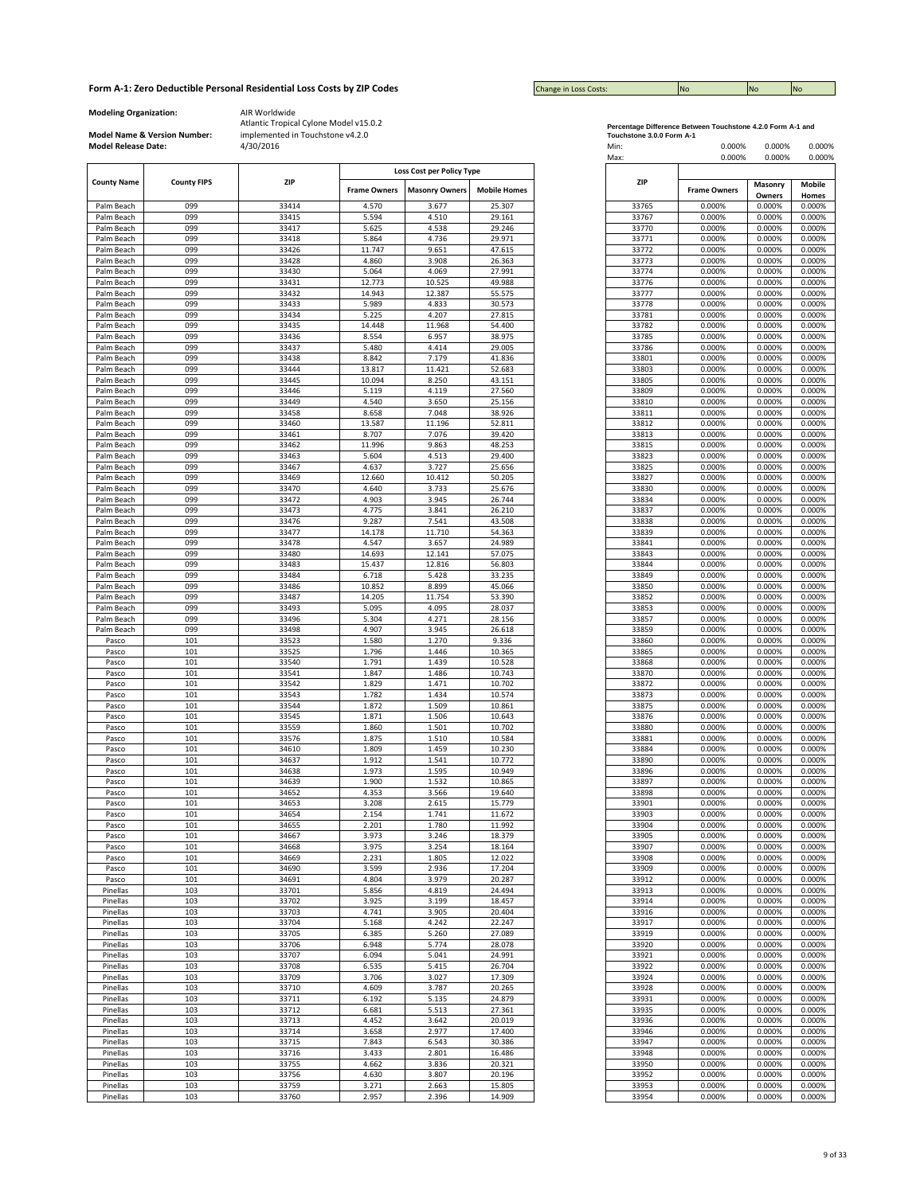| <b>Change in Loss Costs:</b> | <b>INC</b> | <b>No</b> | <b>INc</b> |
|------------------------------|------------|-----------|------------|

**Modeling Organization:** AIR Worldwide

**Model Name & Version Number:**

|                                          |     |            |                     | Loss Cost per Policy Type |                     |            |  |
|------------------------------------------|-----|------------|---------------------|---------------------------|---------------------|------------|--|
| <b>County Name</b><br><b>County FIPS</b> |     | <b>ZIP</b> |                     |                           |                     | <b>ZIP</b> |  |
|                                          |     |            | <b>Frame Owners</b> | <b>Masonry Owners</b>     | <b>Mobile Homes</b> |            |  |
|                                          |     |            |                     |                           |                     |            |  |
| Palm Beach                               | 099 | 33414      | 4.570               | 3.677                     | 25.307              |            |  |
| Palm Beach                               | 099 | 33415      | 5.594               | 4.510                     | 29.161              |            |  |
| Palm Beach                               | 099 | 33417      | 5.625               | 4.538                     | 29.246              |            |  |
| Palm Beach                               | 099 | 33418      | 5.864               | 4.736                     | 29.971              |            |  |
| Palm Beach                               | 099 | 33426      | 11.747              | 9.651                     | 47.615              |            |  |
| Palm Beach                               | 099 | 33428      | 4.860               | 3.908                     | 26.363              |            |  |
|                                          | 099 |            |                     |                           |                     |            |  |
| Palm Beach                               |     | 33430      | 5.064               | 4.069                     | 27.991              |            |  |
| Palm Beach                               | 099 | 33431      | 12.773              | 10.525                    | 49.988              |            |  |
| Palm Beach                               | 099 | 33432      | 14.943              | 12.387                    | 55.575              |            |  |
| Palm Beach                               | 099 | 33433      | 5.989               | 4.833                     | 30.573              |            |  |
| Palm Beach                               | 099 | 33434      | 5.225               | 4.207                     | 27.815              |            |  |
| Palm Beach                               | 099 | 33435      | 14.448              | 11.968                    | 54.400              |            |  |
|                                          | 099 | 33436      | 8.554               | 6.957                     | 38.975              |            |  |
| Palm Beach                               |     |            |                     |                           |                     |            |  |
| Palm Beach                               | 099 | 33437      | 5.480               | 4.414                     | 29.005              |            |  |
| Palm Beach                               | 099 | 33438      | 8.842               | 7.179                     | 41.836              |            |  |
| Palm Beach                               | 099 | 33444      | 13.817              | 11.421                    | 52.683              |            |  |
| Palm Beach                               | 099 | 33445      | 10.094              | 8.250                     | 43.151              |            |  |
| Palm Beach                               | 099 | 33446      | 5.119               | 4.119                     | 27.560              |            |  |
| Palm Beach                               | 099 | 33449      | 4.540               | 3.650                     | 25.156              |            |  |
|                                          |     |            |                     |                           |                     |            |  |
| Palm Beach                               | 099 | 33458      | 8.658               | 7.048                     | 38.926              |            |  |
| Palm Beach                               | 099 | 33460      | 13.587              | 11.196                    | 52.811              |            |  |
| Palm Beach                               | 099 | 33461      | 8.707               | 7.076                     | 39.420              |            |  |
| Palm Beach                               | 099 | 33462      | 11.996              | 9.863                     | 48.253              |            |  |
| Palm Beach                               | 099 | 33463      | 5.604               | 4.513                     | 29.400              |            |  |
|                                          |     |            |                     |                           |                     |            |  |
| Palm Beach                               | 099 | 33467      | 4.637               | 3.727                     | 25.656              |            |  |
| Palm Beach                               | 099 | 33469      | 12.660              | 10.412                    | 50.205              |            |  |
| Palm Beach                               | 099 | 33470      | 4.640               | 3.733                     | 25.676              |            |  |
| Palm Beach                               | 099 | 33472      | 4.903               | 3.945                     | 26.744              |            |  |
| Palm Beach                               | 099 | 33473      | 4.775               | 3.841                     | 26.210              |            |  |
| Palm Beach                               | 099 | 33476      | 9.287               | 7.541                     | 43.508              |            |  |
|                                          | 099 | 33477      | 14.178              | 11.710                    | 54.363              |            |  |
| Palm Beach                               |     |            |                     |                           |                     |            |  |
| Palm Beach                               | 099 | 33478      | 4.547               | 3.657                     | 24.989              |            |  |
| Palm Beach                               | 099 | 33480      | 14.693              | 12.141                    | 57.075              |            |  |
| Palm Beach                               | 099 | 33483      | 15.437              | 12.816                    | 56.803              |            |  |
| Palm Beach                               | 099 | 33484      | 6.718               | 5.428                     | 33.235              |            |  |
| Palm Beach                               | 099 | 33486      | 10.852              | 8.899                     | 45.066              |            |  |
| Palm Beach                               | 099 | 33487      | 14.205              | 11.754                    | 53.390              |            |  |
|                                          |     |            |                     |                           |                     |            |  |
| Palm Beach                               | 099 | 33493      | 5.095               | 4.095                     | 28.037              |            |  |
| Palm Beach                               | 099 | 33496      | 5.304               | 4.271                     | 28.156              |            |  |
| Palm Beach                               | 099 | 33498      | 4.907               | 3.945                     | 26.618              |            |  |
| Pasco                                    | 101 | 33523      | 1.580               | 1.270                     | 9.336               |            |  |
| Pasco                                    | 101 | 33525      | 1.796               | 1.446                     | 10.365              |            |  |
| Pasco                                    | 101 | 33540      | 1.791               | 1.439                     | 10.528              |            |  |
|                                          |     |            |                     |                           |                     |            |  |
| Pasco<br>Pasco                           | 101 | 33541      | 1.847               | 1.486                     | 10.743              |            |  |
|                                          | 101 | 33542      | 1.829               | 1.471                     | 10.702              |            |  |
| Pasco                                    | 101 | 33543      | 1.782               | 1.434                     | 10.574              |            |  |
|                                          | 101 | 33544      | 1.872               | 1.509                     | 10.861              |            |  |
|                                          | 101 | 33545      | 1.871               | 1.506                     | 10.643              |            |  |
|                                          | 101 | 33559      | 1.860               | 1.501                     | 10.702              |            |  |
| Pasco<br>Pasco                           |     |            |                     |                           |                     |            |  |
|                                          | 101 | 33576      | 1.875               | 1.510                     | 10.584              |            |  |
| Pasco                                    | 101 | 34610      | 1.809               | 1.459                     | 10.230              |            |  |
| Pasco                                    | 101 | 34637      | 1.912               | 1.541                     | 10.772              |            |  |
|                                          | 101 | 34638      | 1.973               | 1.595                     | 10.949              |            |  |
| Pasco<br>Pasco                           | 101 | 34639      | 1.900               | 1.532                     | 10.865              |            |  |
|                                          | 101 | 34652      | 4.353               | 3.566                     | 19.640              |            |  |
| Pasco                                    |     |            |                     |                           |                     |            |  |
| Pasco                                    | 101 | 34653      | 3.208               | 2.615                     | 15.779              |            |  |
| Pasco                                    | 101 | 34654      | 2.154               | 1.741                     | 11.672              |            |  |
| Pasco                                    | 101 | 34655      | 2.201               | 1.780                     | 11.992              |            |  |
| Pasco                                    | 101 | 34667      | 3.973               | 3.246                     | 18.379              |            |  |
| Pasco                                    | 101 | 34668      | 3.975               | 3.254                     | 18.164              |            |  |
| Pasco                                    | 101 | 34669      | 2.231               | 1.805                     | 12.022              |            |  |
|                                          | 101 | 34690      | 3.599               | 2.936                     | 17.204              |            |  |
| Pasco                                    |     |            |                     |                           |                     |            |  |
| Pasco                                    | 101 | 34691      | 4.804               | 3.979                     | 20.287              |            |  |
| Pinellas                                 | 103 | 33701      | 5.856               | 4.819                     | 24.494              |            |  |
| Pinellas                                 | 103 | 33702      | 3.925               | 3.199                     | 18.457              |            |  |
| Pinellas                                 | 103 | 33703      | 4.741               | 3.905                     | 20.404              |            |  |
| Pinellas                                 | 103 | 33704      | 5.168               | 4.242                     | 22.247              |            |  |
|                                          |     |            |                     |                           |                     |            |  |
| Pinellas                                 | 103 | 33705      | 6.385               | 5.260                     | 27.089              |            |  |
| Pinellas                                 | 103 | 33706      | 6.948               | 5.774                     | 28.078              |            |  |
| Pinellas                                 | 103 | 33707      | 6.094               | 5.041                     | 24.991              |            |  |
| Pinellas                                 | 103 | 33708      | 6.535               | 5.415                     | 26.704              |            |  |
|                                          | 103 | 33709      | 3.706               | 3.027                     | 17.309              |            |  |
| Pinellas                                 |     |            |                     |                           |                     |            |  |
| Pinellas                                 | 103 | 33710      | 4.609               | 3.787                     | 20.265              |            |  |
| Pinellas                                 | 103 | 33711      | 6.192               | 5.135                     | 24.879              |            |  |
| Pinellas                                 | 103 | 33712      | 6.681               | 5.513                     | 27.361              |            |  |
| Pinellas                                 | 103 | 33713      | 4.452               | 3.642                     | 20.019              |            |  |
| Pinellas                                 | 103 | 33714      | 3.658               | 2.977                     | 17.400              |            |  |
|                                          |     |            |                     |                           |                     |            |  |
| Pinellas                                 | 103 | 33715      | 7.843               | 6.543                     | 30.386              |            |  |
| Pinellas                                 | 103 | 33716      | 3.433               | 2.801                     | 16.486              |            |  |
| Pinellas                                 | 103 | 33755      | 4.662               | 3.836                     | 20.321              |            |  |
| Pinellas                                 | 103 | 33756      | 4.630               | 3.807                     | 20.196              |            |  |
| Pinellas                                 | 103 | 33759      | 3.271               | 2.663                     | 15.805              |            |  |
|                                          | 103 | 33760      | 2.957               | 2.396                     | 14.909              |            |  |
| Pinellas                                 |     |            |                     |                           |                     |            |  |

| Percentage Difference Between Touchstone 4.2.0 Form A-1 and |  |
|-------------------------------------------------------------|--|
| Touchstone 3.0.0 Form A-1                                   |  |

| <b>Model Release Date:</b> | Model Name & Version Number: | implemented in Touchstone v4.2.0<br>4/30/2016 |                     |                                                    |                     | Touchstone 3.0.0 Form A-1<br>Min:<br>Max: | 0.000%<br>0.000%    | 0.000%<br>0.000% | 0.000%<br>0.000% |
|----------------------------|------------------------------|-----------------------------------------------|---------------------|----------------------------------------------------|---------------------|-------------------------------------------|---------------------|------------------|------------------|
| <b>County Name</b>         | <b>County FIPS</b>           | <b>ZIP</b>                                    | <b>Frame Owners</b> | Loss Cost per Policy Type<br><b>Masonry Owners</b> | <b>Mobile Homes</b> | ZIP                                       | <b>Frame Owners</b> | Masonry          | Mobile           |
| Palm Beach                 | 099                          | 33414                                         | 4.570               | 3.677                                              | 25.307              | 33765                                     | 0.000%              | Owners<br>0.000% | Homes<br>0.000%  |
| Palm Beach                 | 099                          | 33415                                         | 5.594               | 4.510                                              | 29.161              | 33767                                     | 0.000%              | 0.000%           | 0.000%           |
| Palm Beach                 | 099                          | 33417                                         | 5.625               | 4.538                                              | 29.246              | 33770                                     | 0.000%              | 0.000%           | 0.000%           |
| Palm Beach                 | 099                          | 33418                                         | 5.864               | 4.736                                              | 29.971              | 33771                                     | 0.000%              | 0.000%           | 0.000%           |
| Palm Beach                 | 099                          | 33426                                         | 11.747              | 9.651                                              | 47.615              | 33772                                     | 0.000%              | 0.000%           | 0.000%           |
| Palm Beach                 | 099                          | 33428                                         | 4.860               | 3.908                                              | 26.363              | 33773                                     | 0.000%              | 0.000%           | 0.000%           |
| Palm Beach                 | 099                          | 33430                                         | 5.064               | 4.069                                              | 27.991              | 33774                                     | 0.000%              | 0.000%           | 0.000%           |
| Palm Beach<br>Palm Beach   | 099<br>099                   | 33431<br>33432                                | 12.773<br>14.943    | 10.525<br>12.387                                   | 49.988<br>55.575    | 33776<br>33777                            | 0.000%<br>0.000%    | 0.000%<br>0.000% | 0.000%<br>0.000% |
| Palm Beach                 | 099                          | 33433                                         | 5.989               | 4.833                                              | 30.573              | 33778                                     | 0.000%              | 0.000%           | 0.000%           |
| Palm Beach                 | 099                          | 33434                                         | 5.225               | 4.207                                              | 27.815              | 33781                                     | 0.000%              | 0.000%           | 0.000%           |
| Palm Beach                 | 099                          | 33435                                         | 14.448              | 11.968                                             | 54.400              | 33782                                     | 0.000%              | 0.000%           | 0.000%           |
| Palm Beach                 | 099                          | 33436                                         | 8.554               | 6.957                                              | 38.975              | 33785                                     | 0.000%              | 0.000%           | 0.000%           |
| Palm Beach                 | 099                          | 33437                                         | 5.480               | 4.414                                              | 29.005              | 33786                                     | 0.000%              | 0.000%           | 0.000%           |
| Palm Beach                 | 099                          | 33438                                         | 8.842               | 7.179                                              | 41.836              | 33801                                     | 0.000%              | 0.000%           | 0.000%           |
| Palm Beach                 | 099                          | 33444                                         | 13.817              | 11.421                                             | 52.683              | 33803                                     | 0.000%              | 0.000%           | 0.000%           |
| Palm Beach<br>Palm Beach   | 099<br>099                   | 33445<br>33446                                | 10.094<br>5.119     | 8.250<br>4.119                                     | 43.151<br>27.560    | 33805<br>33809                            | 0.000%<br>0.000%    | 0.000%<br>0.000% | 0.000%<br>0.000% |
| Palm Beach                 | 099                          | 33449                                         | 4.540               | 3.650                                              | 25.156              | 33810                                     | 0.000%              | 0.000%           | 0.000%           |
| Palm Beach                 | 099                          | 33458                                         | 8.658               | 7.048                                              | 38.926              | 33811                                     | 0.000%              | 0.000%           | 0.000%           |
| Palm Beach                 | 099                          | 33460                                         | 13.587              | 11.196                                             | 52.811              | 33812                                     | 0.000%              | 0.000%           | 0.000%           |
| Palm Beach                 | 099                          | 33461                                         | 8.707               | 7.076                                              | 39.420              | 33813                                     | 0.000%              | 0.000%           | 0.000%           |
| Palm Beach                 | 099                          | 33462                                         | 11.996              | 9.863                                              | 48.253              | 33815                                     | 0.000%              | 0.000%           | 0.000%           |
| Palm Beach                 | 099                          | 33463                                         | 5.604               | 4.513                                              | 29.400              | 33823                                     | 0.000%              | 0.000%           | 0.000%           |
| Palm Beach                 | 099                          | 33467                                         | 4.637               | 3.727                                              | 25.656              | 33825                                     | 0.000%              | 0.000%           | 0.000%           |
| Palm Beach                 | 099                          | 33469                                         | 12.660              | 10.412                                             | 50.205              | 33827                                     | 0.000%              | 0.000%           | 0.000%           |
| Palm Beach<br>Palm Beach   | 099<br>099                   | 33470<br>33472                                | 4.640<br>4.903      | 3.733<br>3.945                                     | 25.676<br>26.744    | 33830<br>33834                            | 0.000%<br>0.000%    | 0.000%<br>0.000% | 0.000%<br>0.000% |
| Palm Beach                 | 099                          | 33473                                         | 4.775               | 3.841                                              | 26.210              | 33837                                     | 0.000%              | 0.000%           | 0.000%           |
| Palm Beach                 | 099                          | 33476                                         | 9.287               | 7.541                                              | 43.508              | 33838                                     | 0.000%              | 0.000%           | 0.000%           |
| Palm Beach                 | 099                          | 33477                                         | 14.178              | 11.710                                             | 54.363              | 33839                                     | 0.000%              | 0.000%           | 0.000%           |
| Palm Beach                 | 099                          | 33478                                         | 4.547               | 3.657                                              | 24.989              | 33841                                     | 0.000%              | 0.000%           | 0.000%           |
| Palm Beach                 | 099                          | 33480                                         | 14.693              | 12.141                                             | 57.075              | 33843                                     | 0.000%              | 0.000%           | 0.000%           |
| Palm Beach                 | 099                          | 33483                                         | 15.437              | 12.816                                             | 56.803              | 33844                                     | 0.000%              | 0.000%           | 0.000%           |
| Palm Beach                 | 099                          | 33484                                         | 6.718               | 5.428                                              | 33.235              | 33849                                     | 0.000%              | 0.000%           | 0.000%           |
| Palm Beach                 | 099                          | 33486                                         | 10.852              | 8.899                                              | 45.066              | 33850                                     | 0.000%              | 0.000%           | 0.000%           |
| Palm Beach<br>Palm Beach   | 099<br>099                   | 33487<br>33493                                | 14.205<br>5.095     | 11.754<br>4.095                                    | 53.390<br>28.037    | 33852<br>33853                            | 0.000%<br>0.000%    | 0.000%<br>0.000% | 0.000%<br>0.000% |
| Palm Beach                 | 099                          | 33496                                         | 5.304               | 4.271                                              | 28.156              | 33857                                     | 0.000%              | 0.000%           | 0.000%           |
| Palm Beach                 | 099                          | 33498                                         | 4.907               | 3.945                                              | 26.618              | 33859                                     | 0.000%              | 0.000%           | 0.000%           |
| Pasco                      | 101                          | 33523                                         | 1.580               | 1.270                                              | 9.336               | 33860                                     | 0.000%              | 0.000%           | 0.000%           |
| Pasco                      | 101                          | 33525                                         | 1.796               | 1.446                                              | 10.365              | 33865                                     | 0.000%              | 0.000%           | 0.000%           |
| Pasco                      | 101                          | 33540                                         | 1.791               | 1.439                                              | 10.528              | 33868                                     | 0.000%              | 0.000%           | 0.000%           |
| Pasco                      | 101                          | 33541                                         | 1.847               | 1.486                                              | 10.743              | 33870                                     | 0.000%              | 0.000%           | 0.000%           |
| Pasco                      | 101                          | 33542                                         | 1.829               | 1.471                                              | 10.702              | 33872                                     | 0.000%              | 0.000%           | 0.000%           |
| Pasco<br>Pasco             | 101<br>101                   | 33543<br>33544                                | 1.782<br>1.872      | 1.434<br>1.509                                     | 10.574<br>10.861    | 33873<br>33875                            | 0.000%<br>0.000%    | 0.000%<br>0.000% | 0.000%<br>0.000% |
| Pasco                      | 101                          | 33545                                         | 1.871               | 1.506                                              | 10.643              | 33876                                     | 0.000%              | 0.000%           | 0.000%           |
| Pasco                      | 101                          | 33559                                         | 1.860               | 1.501                                              | 10.702              | 33880                                     | 0.000%              | 0.000%           | 0.000%           |
| Pasco                      | 101                          | 33576                                         | 1.875               | 1.510                                              | 10.584              | 33881                                     | 0.000%              | 0.000%           | 0.000%           |
| Pasco                      | 101                          | 34610                                         | 1.809               | 1.459                                              | 10.230              | 33884                                     | 0.000%              | 0.000%           | 0.000%           |
| Pasco                      | 101                          | 34637                                         | 1.912               | 1.541                                              | 10.772              | 33890                                     | 0.000%              | 0.000%           | 0.000%           |
| Pasco                      | 101                          | 34638                                         | 1.973               | 1.595                                              | 10.949              | 33896                                     | 0.000%              | 0.000%           | 0.000%           |
| Pasco                      | 101                          | 34639                                         | 1.900               | 1.532                                              | 10.865              | 33897                                     | 0.000%              | 0.000%           | 0.000%           |
| Pasco<br>Pasco             | 101<br>101                   | 34652<br>34653                                | 4.353<br>3.208      | 3.566<br>2.615                                     | 19.640<br>15.779    | 33898<br>33901                            | 0.000%<br>0.000%    | 0.000%<br>0.000% | 0.000%<br>0.000% |
| Pasco                      | 101                          | 34654                                         | 2.154               | 1.741                                              | 11.672              | 33903                                     | 0.000%              | 0.000%           | 0.000%           |
| Pasco                      | 101                          | 34655                                         | 2.201               | 1.780                                              | 11.992              | 33904                                     | 0.000%              | 0.000%           | 0.000%           |
| Pasco                      | 101                          | 34667                                         | 3.973               | 3.246                                              | 18.379              | 33905                                     | 0.000%              | 0.000%           | 0.000%           |
| Pasco                      | 101                          | 34668                                         | 3.975               | 3.254                                              | 18.164              | 33907                                     | 0.000%              | 0.000%           | 0.000%           |
| Pasco                      | 101                          | 34669                                         | 2.231               | 1.805                                              | 12.022              | 33908                                     | 0.000%              | 0.000%           | 0.000%           |
| Pasco                      | 101                          | 34690                                         | 3.599               | 2.936                                              | 17.204              | 33909                                     | 0.000%              | 0.000%           | 0.000%           |
| Pasco<br>Pinellas          | 101<br>103                   | 34691<br>33701                                | 4.804<br>5.856      | 3.979<br>4.819                                     | 20.287<br>24.494    | 33912<br>33913                            | 0.000%<br>0.000%    | 0.000%<br>0.000% | 0.000%<br>0.000% |
| Pinellas                   | 103                          | 33702                                         | 3.925               | 3.199                                              | 18.457              | 33914                                     | 0.000%              | 0.000%           | 0.000%           |
| Pinellas                   | 103                          | 33703                                         | 4.741               | 3.905                                              | 20.404              | 33916                                     | 0.000%              | 0.000%           | 0.000%           |
| Pinellas                   | 103                          | 33704                                         | 5.168               | 4.242                                              | 22.247              | 33917                                     | 0.000%              | 0.000%           | 0.000%           |
| Pinellas                   | 103                          | 33705                                         | 6.385               | 5.260                                              | 27.089              | 33919                                     | 0.000%              | 0.000%           | 0.000%           |
| Pinellas                   | 103                          | 33706                                         | 6.948               | 5.774                                              | 28.078              | 33920                                     | 0.000%              | 0.000%           | 0.000%           |
| Pinellas                   | 103                          | 33707                                         | 6.094               | 5.041                                              | 24.991              | 33921                                     | 0.000%              | 0.000%           | 0.000%           |
| Pinellas                   | 103                          | 33708                                         | 6.535               | 5.415                                              | 26.704              | 33922                                     | 0.000%              | 0.000%           | 0.000%           |
| Pinellas                   | 103                          | 33709                                         | 3.706               | 3.027                                              | 17.309              | 33924                                     | 0.000%              | 0.000%           | 0.000%           |
| Pinellas                   | 103                          | 33710                                         | 4.609               | 3.787                                              | 20.265              | 33928                                     | 0.000%              | 0.000%           | 0.000%           |
| Pinellas<br>Pinellas       | 103<br>103                   | 33711<br>33712                                | 6.192<br>6.681      | 5.135<br>5.513                                     | 24.879<br>27.361    | 33931<br>33935                            | 0.000%<br>0.000%    | 0.000%<br>0.000% | 0.000%<br>0.000% |
| Pinellas                   | 103                          | 33713                                         | 4.452               | 3.642                                              | 20.019              | 33936                                     | 0.000%              | 0.000%           | 0.000%           |
| Pinellas                   | 103                          | 33714                                         | 3.658               | 2.977                                              | 17.400              | 33946                                     | 0.000%              | 0.000%           | 0.000%           |
| Pinellas                   | 103                          | 33715                                         | 7.843               | 6.543                                              | 30.386              | 33947                                     | 0.000%              | 0.000%           | 0.000%           |
| Pinellas                   | 103                          | 33716                                         | 3.433               | 2.801                                              | 16.486              | 33948                                     | 0.000%              | 0.000%           | 0.000%           |
| Pinellas                   | 103                          | 33755                                         | 4.662               | 3.836                                              | 20.321              | 33950                                     | 0.000%              | 0.000%           | 0.000%           |
| Pinellas                   | 103                          | 33756                                         | 4.630               | 3.807                                              | 20.196              | 33952                                     | 0.000%              | 0.000%           | 0.000%           |
| Pinellas                   | 103                          | 33759                                         | 3.271               | 2.663                                              | 15.805              | 33953                                     | 0.000%              | 0.000%           | 0.000%           |
| Pinellas                   | 103                          | 33760                                         | 2.957               | 2.396                                              | 14.909              | 33954                                     | 0.000%              | 0.000%           | 0.000%           |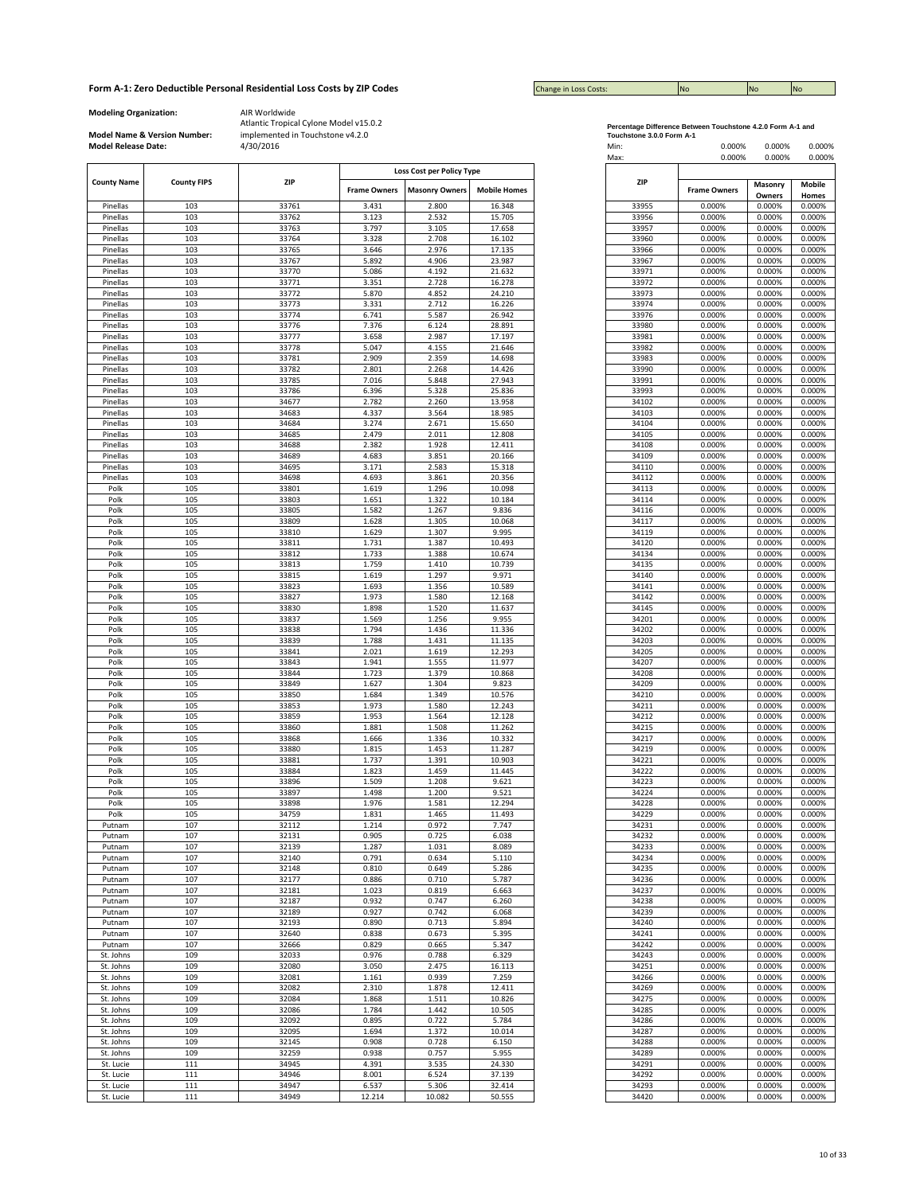| <b>Change in Loss Costs:</b> | <b>INO</b> | <b>No</b> | <b>No</b> |
|------------------------------|------------|-----------|-----------|

**Modeling Organization:** AIR Worldwide

**Model Name & Version Number:**

|                    |                    |            |                     | Loss Cost per Policy Type |                     |
|--------------------|--------------------|------------|---------------------|---------------------------|---------------------|
| <b>County Name</b> | <b>County FIPS</b> | <b>ZIP</b> |                     |                           |                     |
|                    |                    |            | <b>Frame Owners</b> | <b>Masonry Owners</b>     | <b>Mobile Homes</b> |
|                    | 103                | 33761      | 3.431               | 2.800                     | 16.348              |
| Pinellas           |                    |            |                     |                           |                     |
| Pinellas           | 103                | 33762      | 3.123               | 2.532                     | 15.705              |
| Pinellas           | 103                | 33763      | 3.797               | 3.105                     | 17.658              |
| Pinellas           | 103                | 33764      | 3.328               | 2.708                     | 16.102              |
| Pinellas           | 103                | 33765      | 3.646               | 2.976                     | 17.135              |
| Pinellas           | 103                | 33767      | 5.892               | 4.906                     | 23.987              |
| Pinellas           | 103                | 33770      | 5.086               | 4.192                     | 21.632              |
| Pinellas           | 103                | 33771      | 3.351               | 2.728                     | 16.278              |
| Pinellas           | 103                | 33772      | 5.870               | 4.852                     | 24.210              |
| Pinellas           | 103                | 33773      | 3.331               | 2.712                     | 16.226              |
| Pinellas           | 103                | 33774      | 6.741               | 5.587                     | 26.942              |
|                    | 103                | 33776      | 7.376               | 6.124                     | 28.891              |
| Pinellas           |                    |            |                     |                           |                     |
| Pinellas           | 103                | 33777      | 3.658               | 2.987                     | 17.197              |
| Pinellas           | 103                | 33778      | 5.047               | 4.155                     | 21.646              |
| Pinellas           | 103                | 33781      | 2.909               | 2.359                     | 14.698              |
| Pinellas           | 103                | 33782      | 2.801               | 2.268                     | 14.426              |
| Pinellas           | 103                | 33785      | 7.016               | 5.848                     | 27.943              |
| Pinellas           | 103                | 33786      | 6.396               | 5.328                     | 25.836              |
| Pinellas           | 103                | 34677      | 2.782               | 2.260                     | 13.958              |
| Pinellas           | 103                | 34683      | 4.337               | 3.564                     | 18.985              |
| Pinellas           | 103                | 34684      | 3.274               | 2.671                     | 15.650              |
| Pinellas           | 103                | 34685      | 2.479               | 2.011                     | 12.808              |
| Pinellas           | 103                | 34688      | 2.382               | 1.928                     | 12.411              |
|                    |                    |            |                     |                           |                     |
| Pinellas           | 103                | 34689      | 4.683               | 3.851                     | 20.166              |
| Pinellas           | 103                | 34695      | 3.171               | 2.583                     | 15.318              |
| Pinellas           | 103                | 34698      | 4.693               | 3.861                     | 20.356              |
| Polk               | 105                | 33801      | 1.619               | 1.296                     | 10.098              |
| Polk               | 105                | 33803      | 1.651               | 1.322                     | 10.184              |
| Polk               | 105                | 33805      | 1.582               | 1.267                     | 9.836               |
| Polk               | 105                | 33809      | 1.628               | 1.305                     | 10.068              |
| Polk               | 105                | 33810      | 1.629               | 1.307                     | 9.995               |
| Polk               | 105                | 33811      | 1.731               | 1.387                     | 10.493              |
|                    |                    |            |                     |                           |                     |
| Polk<br>Polk       | 105                | 33812      | 1.733               | 1.388                     | 10.674              |
|                    | 105                | 33813      | 1.759               | 1.410                     | 10.739              |
| Polk               | 105                | 33815      | 1.619               | 1.297                     | 9.971               |
| Polk               | 105                | 33823      | 1.693               | 1.356                     | 10.589              |
| Polk               | 105                | 33827      | 1.973               | 1.580                     | 12.168              |
| Polk               | 105                | 33830      | 1.898               | 1.520                     | 11.637              |
| Polk               | 105                | 33837      | 1.569               | 1.256                     | 9.955               |
| Polk               | 105                | 33838      | 1.794               | 1.436                     | 11.336              |
| Polk               | 105                | 33839      | 1.788               | 1.431                     | 11.135              |
| Polk               | 105                | 33841      | 2.021               | 1.619                     | 12.293              |
|                    | 105                | 33843      | 1.941               | 1.555                     | 11.977              |
| Polk               |                    |            |                     |                           |                     |
| Polk               | 105                | 33844      | 1.723               | 1.379                     | 10.868              |
| Polk               | 105                | 33849      | 1.627               | 1.304                     | 9.823               |
| Polk               | 105                | 33850      | 1.684               | 1.349                     | 10.576              |
| Polk               | 105                | 33853      | 1.973               | 1.580                     | 12.243              |
| Polk               | 105                | 33859      | 1.953               | 1.564                     | 12.128              |
| Polk               | 105                | 33860      | 1.881               | 1.508                     | 11.262              |
| Polk               | 105                | 33868      | 1.666               | 1.336                     | 10.332              |
| Polk               | 105                | 33880      | 1.815               | 1.453                     | 11.287              |
| Polk               | 105                | 33881      | 1.737               | 1.391                     | 10.903              |
| Polk               |                    |            |                     |                           |                     |
|                    | 105                | 33884      | 1.823               | 1.459                     | 11.445              |
| Polk               | 105                | 33896      | 1.509               | 1.208                     | 9.621               |
| Polk               | 105                | 33897      | 1.498               | 1.200                     | 9.521               |
| Polk               | 105                | 33898      | 1.976               | 1.581                     | 12.294              |
| Polk               | 105                | 34759      | 1.831               | 1.465                     | 11.493              |
| Putnam             | 107                | 32112      | 1.214               | 0.972                     | 7.747               |
| Putnam             | 107                | 32131      | 0.905               | 0.725                     | 6.038               |
| Putnam             | 107                | 32139      | 1.287               | 1.031                     | 8.089               |
| Putnam             | 107                | 32140      | 0.791               | 0.634                     | 5.110               |
|                    | 107                | 32148      |                     |                           | 5.286               |
| Putnam             |                    |            | 0.810               | 0.649                     |                     |
| Putnam             | 107                | 32177      | 0.886               | 0.710                     | 5.787               |
| Putnam             | 107                | 32181      | 1.023               | 0.819                     | 6.663               |
| Putnam             | 107                | 32187      | 0.932               | 0.747                     | 6.260               |
| Putnam             | 107                | 32189      | 0.927               | 0.742                     | 6.068               |
| Putnam             | 107                | 32193      | 0.890               | 0.713                     | 5.894               |
| Putnam             | 107                | 32640      | 0.838               | 0.673                     | 5.395               |
|                    | 107                | 32666      | 0.829               | 0.665                     | 5.347               |
| Putnam             |                    |            |                     |                           |                     |
| St. Johns          | 109                | 32033      | 0.976               | 0.788                     | 6.329               |
| St. Johns          | 109                | 32080      | 3.050               | 2.475                     | 16.113              |
| St. Johns          | 109                | 32081      | 1.161               | 0.939                     | 7.259               |
| St. Johns          | 109                | 32082      | 2.310               | 1.878                     | 12.411              |
| St. Johns          | 109                | 32084      | 1.868               | 1.511                     | 10.826              |
| St. Johns          | 109                | 32086      | 1.784               | 1.442                     | 10.505              |
|                    |                    |            |                     |                           |                     |
| St. Johns          | 109                | 32092      | 0.895               | 0.722                     | 5.784               |
| St. Johns          | 109                | 32095      | 1.694               | 1.372                     | 10.014              |
| St. Johns          | 109                | 32145      | 0.908               | 0.728                     | 6.150               |
| St. Johns          | 109                | 32259      | 0.938               | 0.757                     | 5.955               |
| St. Lucie          | 111                | 34945      | 4.391               | 3.535                     | 24.330              |
| St. Lucie          | 111                | 34946      | 8.001               | 6.524                     | 37.139              |
| St. Lucie          |                    | 34947      |                     |                           |                     |
|                    | 111                |            | 6.537               | 5.306                     | 32.414              |
| St. Lucie          | 111                | 34949      | 12.214              | 10.082                    | 50.555              |

| Percentage Difference Between Touchstone 4.2.0 Form A-1 and |  |  |
|-------------------------------------------------------------|--|--|
| Touchstone 3.0.0 Form A-1                                   |  |  |

| <b>Model Release Date:</b> | Model Name & Version Number: | implemented in Touchstone v4.2.0<br>4/30/2016 |                     |                                                    |                     | Touchstone 3.0.0 Form A-1<br>Min:<br>Max: | 0.000%<br>0.000%    | 0.000%<br>0.000%  | 0.000%<br>0.000%       |
|----------------------------|------------------------------|-----------------------------------------------|---------------------|----------------------------------------------------|---------------------|-------------------------------------------|---------------------|-------------------|------------------------|
| <b>County Name</b>         | <b>County FIPS</b>           | <b>ZIP</b>                                    | <b>Frame Owners</b> | Loss Cost per Policy Type<br><b>Masonry Owners</b> | <b>Mobile Homes</b> | ZIP                                       | <b>Frame Owners</b> | Masonry<br>Owners | <b>Mobile</b><br>Homes |
| Pinellas                   | 103                          | 33761                                         | 3.431               | 2.800                                              | 16.348              | 33955                                     | 0.000%              | 0.000%            | 0.000%                 |
| Pinellas                   | 103                          | 33762                                         | 3.123               | 2.532                                              | 15.705              | 33956                                     | 0.000%              | 0.000%            | 0.000%                 |
| Pinellas                   | 103                          | 33763                                         | 3.797               | 3.105                                              | 17.658              | 33957                                     | 0.000%              | 0.000%            | 0.000%                 |
| Pinellas                   | 103                          | 33764                                         | 3.328               | 2.708                                              | 16.102              | 33960                                     | 0.000%              | 0.000%            | 0.000%                 |
| Pinellas                   | 103                          | 33765                                         | 3.646               | 2.976                                              | 17.135              | 33966                                     | 0.000%              | 0.000%            | 0.000%                 |
| Pinellas                   | 103                          | 33767                                         | 5.892               | 4.906                                              | 23.987              | 33967                                     | 0.000%              | 0.000%            | 0.000%                 |
| Pinellas<br>Pinellas       | 103<br>103                   | 33770<br>33771                                | 5.086<br>3.351      | 4.192<br>2.728                                     | 21.632<br>16.278    | 33971<br>33972                            | 0.000%<br>0.000%    | 0.000%<br>0.000%  | 0.000%<br>0.000%       |
| Pinellas                   | 103                          | 33772                                         | 5.870               | 4.852                                              | 24.210              | 33973                                     | 0.000%              | 0.000%            | 0.000%                 |
| Pinellas                   | 103                          | 33773                                         | 3.331               | 2.712                                              | 16.226              | 33974                                     | 0.000%              | 0.000%            | 0.000%                 |
| Pinellas                   | 103                          | 33774                                         | 6.741               | 5.587                                              | 26.942              | 33976                                     | 0.000%              | 0.000%            | 0.000%                 |
| Pinellas                   | 103                          | 33776                                         | 7.376               | 6.124                                              | 28.891              | 33980                                     | 0.000%              | 0.000%            | 0.000%                 |
| Pinellas                   | 103                          | 33777                                         | 3.658               | 2.987                                              | 17.197              | 33981                                     | 0.000%              | 0.000%            | 0.000%                 |
| Pinellas                   | 103                          | 33778                                         | 5.047               | 4.155                                              | 21.646              | 33982                                     | 0.000%              | 0.000%            | 0.000%                 |
| Pinellas<br>Pinellas       | 103<br>103                   | 33781<br>33782                                | 2.909<br>2.801      | 2.359<br>2.268                                     | 14.698<br>14.426    | 33983<br>33990                            | 0.000%<br>0.000%    | 0.000%<br>0.000%  | 0.000%<br>0.000%       |
| Pinellas                   | 103                          | 33785                                         | 7.016               | 5.848                                              | 27.943              | 33991                                     | 0.000%              | 0.000%            | 0.000%                 |
| Pinellas                   | 103                          | 33786                                         | 6.396               | 5.328                                              | 25.836              | 33993                                     | 0.000%              | 0.000%            | 0.000%                 |
| Pinellas                   | 103                          | 34677                                         | 2.782               | 2.260                                              | 13.958              | 34102                                     | 0.000%              | 0.000%            | 0.000%                 |
| Pinellas                   | 103                          | 34683                                         | 4.337               | 3.564                                              | 18.985              | 34103                                     | 0.000%              | 0.000%            | 0.000%                 |
| Pinellas                   | 103                          | 34684                                         | 3.274               | 2.671                                              | 15.650              | 34104                                     | 0.000%              | 0.000%            | 0.000%                 |
| Pinellas                   | 103                          | 34685                                         | 2.479               | 2.011                                              | 12.808              | 34105                                     | 0.000%              | 0.000%            | 0.000%                 |
| Pinellas                   | 103                          | 34688                                         | 2.382               | 1.928                                              | 12.411              | 34108                                     | 0.000%              | 0.000%            | 0.000%                 |
| Pinellas                   | 103                          | 34689                                         | 4.683               | 3.851                                              | 20.166              | 34109                                     | 0.000%              | 0.000%            | 0.000%                 |
| Pinellas<br>Pinellas       | 103<br>103                   | 34695<br>34698                                | 3.171<br>4.693      | 2.583<br>3.861                                     | 15.318<br>20.356    | 34110<br>34112                            | 0.000%<br>0.000%    | 0.000%<br>0.000%  | 0.000%<br>0.000%       |
| Polk                       | 105                          | 33801                                         | 1.619               | 1.296                                              | 10.098              | 34113                                     | 0.000%              | 0.000%            | 0.000%                 |
| Polk                       | 105                          | 33803                                         | 1.651               | 1.322                                              | 10.184              | 34114                                     | 0.000%              | 0.000%            | 0.000%                 |
| Polk                       | 105                          | 33805                                         | 1.582               | 1.267                                              | 9.836               | 34116                                     | 0.000%              | 0.000%            | 0.000%                 |
| Polk                       | 105                          | 33809                                         | 1.628               | 1.305                                              | 10.068              | 34117                                     | 0.000%              | 0.000%            | 0.000%                 |
| Polk                       | 105                          | 33810                                         | 1.629               | 1.307                                              | 9.995               | 34119                                     | 0.000%              | 0.000%            | 0.000%                 |
| Polk                       | 105                          | 33811                                         | 1.731               | 1.387                                              | 10.493              | 34120                                     | 0.000%              | 0.000%            | 0.000%                 |
| Polk                       | 105                          | 33812                                         | 1.733               | 1.388                                              | 10.674              | 34134                                     | 0.000%              | 0.000%            | 0.000%                 |
| Polk                       | 105                          | 33813                                         | 1.759               | 1.410<br>1.297                                     | 10.739              | 34135                                     | 0.000%              | 0.000%            | 0.000%                 |
| Polk<br>Polk               | 105<br>105                   | 33815<br>33823                                | 1.619<br>1.693      | 1.356                                              | 9.971<br>10.589     | 34140<br>34141                            | 0.000%<br>0.000%    | 0.000%<br>0.000%  | 0.000%<br>0.000%       |
| Polk                       | 105                          | 33827                                         | 1.973               | 1.580                                              | 12.168              | 34142                                     | 0.000%              | 0.000%            | 0.000%                 |
| Polk                       | 105                          | 33830                                         | 1.898               | 1.520                                              | 11.637              | 34145                                     | 0.000%              | 0.000%            | 0.000%                 |
| Polk                       | 105                          | 33837                                         | 1.569               | 1.256                                              | 9.955               | 34201                                     | 0.000%              | 0.000%            | 0.000%                 |
| Polk                       | 105                          | 33838                                         | 1.794               | 1.436                                              | 11.336              | 34202                                     | 0.000%              | 0.000%            | 0.000%                 |
| Polk                       | 105                          | 33839                                         | 1.788               | 1.431                                              | 11.135              | 34203                                     | 0.000%              | 0.000%            | 0.000%                 |
| Polk                       | 105                          | 33841                                         | 2.021               | 1.619                                              | 12.293              | 34205                                     | 0.000%              | 0.000%            | 0.000%                 |
| Polk                       | 105                          | 33843                                         | 1.941               | 1.555                                              | 11.977              | 34207                                     | 0.000%              | 0.000%            | 0.000%                 |
| Polk                       | 105                          | 33844                                         | 1.723               | 1.379                                              | 10.868              | 34208                                     | 0.000%              | 0.000%            | 0.000%                 |
| Polk<br>Polk               | 105<br>105                   | 33849                                         | 1.627<br>1.684      | 1.304<br>1.349                                     | 9.823<br>10.576     | 34209<br>34210                            | 0.000%<br>0.000%    | 0.000%            | 0.000%<br>0.000%       |
| Polk                       | 105                          | 33850<br>33853                                | 1.973               | 1.580                                              | 12.243              | 34211                                     | 0.000%              | 0.000%<br>0.000%  | 0.000%                 |
| Polk                       | 105                          | 33859                                         | 1.953               | 1.564                                              | 12.128              | 34212                                     | 0.000%              | 0.000%            | 0.000%                 |
| Polk                       | 105                          | 33860                                         | 1.881               | 1.508                                              | 11.262              | 34215                                     | 0.000%              | 0.000%            | 0.000%                 |
| Polk                       | 105                          | 33868                                         | 1.666               | 1.336                                              | 10.332              | 34217                                     | 0.000%              | 0.000%            | 0.000%                 |
| Polk                       | 105                          | 33880                                         | 1.815               | 1.453                                              | 11.287              | 34219                                     | 0.000%              | 0.000%            | 0.000%                 |
| Polk                       | 105                          | 33881                                         | 1.737               | 1.391                                              | 10.903              | 34221                                     | 0.000%              | 0.000%            | 0.000%                 |
| Polk                       | 105                          | 33884                                         | 1.823               | 1.459                                              | 11.445              | 34222                                     | 0.000%              | 0.000%            | 0.000%                 |
| Polk                       | 105                          | 33896                                         | 1.509               | 1.208                                              | 9.621               | 34223                                     | 0.000%              | 0.000%            | 0.000%                 |
| Polk<br>Polk               | 105<br>105                   | 33897<br>33898                                | 1.498<br>1.976      | 1.200<br>1.581                                     | 9.521<br>12.294     | 34224<br>34228                            | 0.000%<br>0.000%    | 0.000%<br>0.000%  | 0.000%<br>0.000%       |
| Polk                       | 105                          | 34759                                         | 1.831               | 1.465                                              | 11.493              | 34229                                     | 0.000%              | 0.000%            | 0.000%                 |
| Putnam                     | 107                          | 32112                                         | 1.214               | 0.972                                              | 7.747               | 34231                                     | 0.000%              | 0.000%            | 0.000%                 |
| Putnam                     | 107                          | 32131                                         | 0.905               | 0.725                                              | 6.038               | 34232                                     | 0.000%              | 0.000%            | 0.000%                 |
| Putnam                     | 107                          | 32139                                         | 1.287               | 1.031                                              | 8.089               | 34233                                     | 0.000%              | 0.000%            | 0.000%                 |
| Putnam                     | 107                          | 32140                                         | 0.791               | 0.634                                              | 5.110               | 34234                                     | 0.000%              | 0.000%            | 0.000%                 |
| Putnam                     | 107                          | 32148                                         | 0.810               | 0.649                                              | 5.286               | 34235                                     | 0.000%              | 0.000%            | 0.000%                 |
| Putnam                     | 107                          | 32177                                         | 0.886               | 0.710                                              | 5.787               | 34236                                     | 0.000%              | 0.000%            | 0.000%                 |
| Putnam<br>Putnam           | 107<br>107                   | 32181<br>32187                                | 1.023<br>0.932      | 0.819<br>0.747                                     | 6.663<br>6.260      | 34237<br>34238                            | 0.000%<br>0.000%    | 0.000%<br>0.000%  | 0.000%<br>0.000%       |
| Putnam                     | 107                          | 32189                                         | 0.927               | 0.742                                              | 6.068               | 34239                                     | 0.000%              | 0.000%            | 0.000%                 |
| Putnam                     | 107                          | 32193                                         | 0.890               | 0.713                                              | 5.894               | 34240                                     | 0.000%              | 0.000%            | 0.000%                 |
| Putnam                     | 107                          | 32640                                         | 0.838               | 0.673                                              | 5.395               | 34241                                     | 0.000%              | 0.000%            | 0.000%                 |
| Putnam                     | 107                          | 32666                                         | 0.829               | 0.665                                              | 5.347               | 34242                                     | 0.000%              | 0.000%            | 0.000%                 |
| St. Johns                  | 109                          | 32033                                         | 0.976               | 0.788                                              | 6.329               | 34243                                     | 0.000%              | 0.000%            | 0.000%                 |
| St. Johns                  | 109                          | 32080                                         | 3.050               | 2.475                                              | 16.113              | 34251                                     | 0.000%              | 0.000%            | 0.000%                 |
| St. Johns                  | 109                          | 32081                                         | 1.161               | 0.939                                              | 7.259               | 34266                                     | 0.000%              | 0.000%            | 0.000%                 |
| St. Johns                  | 109                          | 32082                                         | 2.310               | 1.878                                              | 12.411              | 34269                                     | 0.000%              | 0.000%            | 0.000%                 |
| St. Johns                  | 109                          | 32084                                         | 1.868               | 1.511                                              | 10.826              | 34275                                     | 0.000%              | 0.000%            | 0.000%                 |
| St. Johns<br>St. Johns     | 109<br>109                   | 32086<br>32092                                | 1.784<br>0.895      | 1.442<br>0.722                                     | 10.505<br>5.784     | 34285<br>34286                            | 0.000%<br>0.000%    | 0.000%<br>0.000%  | 0.000%<br>0.000%       |
| St. Johns                  | 109                          | 32095                                         | 1.694               | 1.372                                              | 10.014              | 34287                                     | 0.000%              | 0.000%            | 0.000%                 |
| St. Johns                  | 109                          | 32145                                         | 0.908               | 0.728                                              | 6.150               | 34288                                     | 0.000%              | 0.000%            | 0.000%                 |
| St. Johns                  | 109                          | 32259                                         | 0.938               | 0.757                                              | 5.955               | 34289                                     | 0.000%              | 0.000%            | 0.000%                 |
| St. Lucie                  | 111                          | 34945                                         | 4.391               | 3.535                                              | 24.330              | 34291                                     | 0.000%              | 0.000%            | 0.000%                 |
| St. Lucie                  | 111                          | 34946                                         | 8.001               | 6.524                                              | 37.139              | 34292                                     | 0.000%              | 0.000%            | 0.000%                 |
| St. Lucie                  | 111                          | 34947                                         | 6.537               | 5.306                                              | 32.414              | 34293                                     | 0.000%              | 0.000%            | 0.000%                 |
| St. Lucie                  | 111                          | 34949                                         | 12.214              | 10.082                                             | 50.555              | 34420                                     | 0.000%              | 0.000%            | 0.000%                 |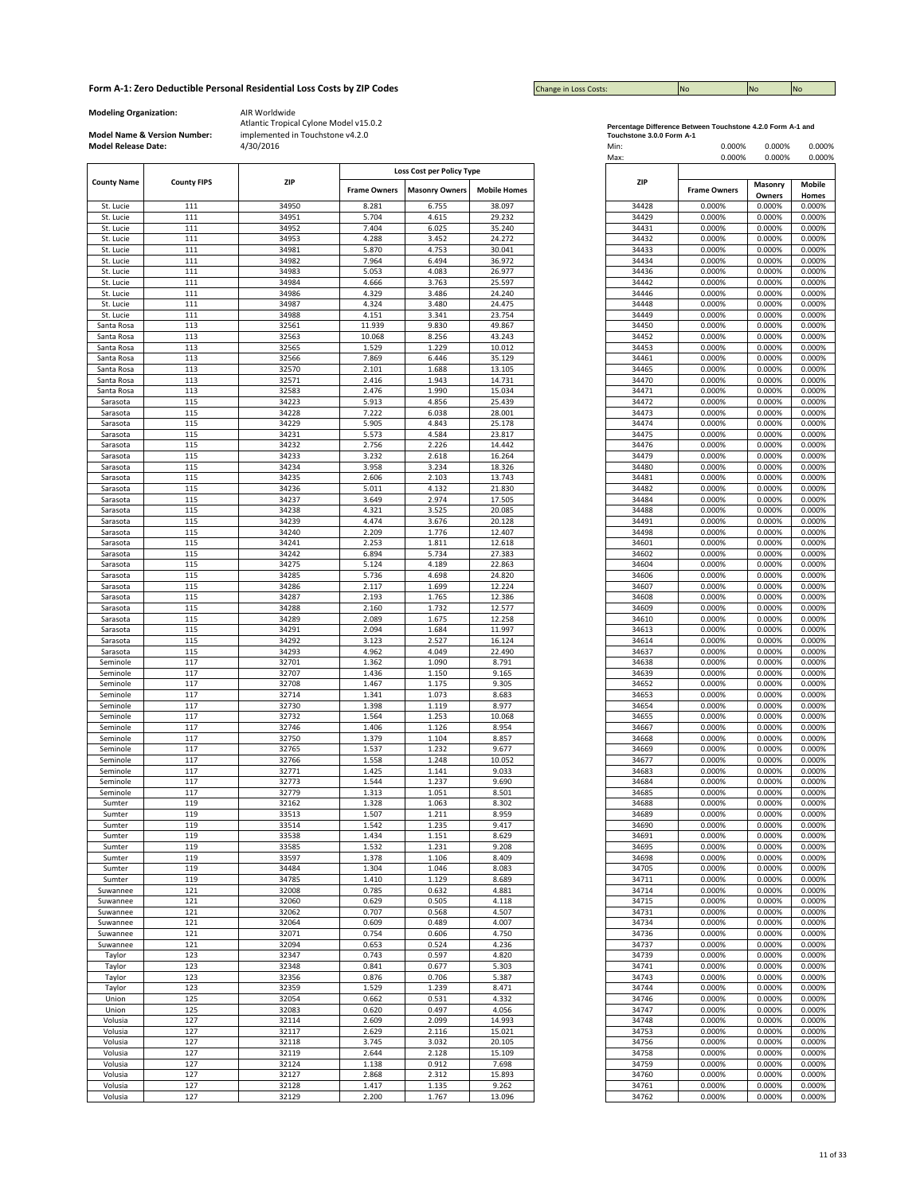| <b>Change in Loss Costs:</b> | <b>INO</b> | <b>No</b> | <b>No</b> |
|------------------------------|------------|-----------|-----------|

**Modeling Organization:** AIR Worldwide

**Model Name & Version Number:**

|                    |                    |       |                     | Loss Cost per Policy Type |                     |       |                     |         |        |
|--------------------|--------------------|-------|---------------------|---------------------------|---------------------|-------|---------------------|---------|--------|
| <b>County Name</b> | <b>County FIPS</b> | ZIP   |                     |                           |                     | ZIP   |                     | Masonry | Mobile |
|                    |                    |       | <b>Frame Owners</b> | <b>Masonry Owners</b>     | <b>Mobile Homes</b> |       | <b>Frame Owners</b> | Owners  | Homes  |
| St. Lucie          | 111                | 34950 | 8.281               | 6.755                     | 38.097              | 34428 | 0.000%              | 0.000%  | 0.000% |
|                    |                    |       |                     |                           |                     |       |                     |         |        |
| St. Lucie          | 111                | 34951 | 5.704               | 4.615                     | 29.232              | 34429 | 0.000%              | 0.000%  | 0.000% |
| St. Lucie          | 111                | 34952 | 7.404               | 6.025                     | 35.240              | 34431 | 0.000%              | 0.000%  | 0.000% |
| St. Lucie          | 111                | 34953 | 4.288               | 3.452                     | 24.272              | 34432 | 0.000%              | 0.000%  | 0.000% |
| St. Lucie          | 111                | 34981 | 5.870               | 4.753                     | 30.041              | 34433 | 0.000%              | 0.000%  | 0.000% |
| St. Lucie          | 111                | 34982 | 7.964               | 6.494                     | 36.972              | 34434 | 0.000%              | 0.000%  | 0.000% |
| St. Lucie          | 111                | 34983 | 5.053               | 4.083                     | 26.977              | 34436 | 0.000%              | 0.000%  | 0.000% |
|                    | 111                |       |                     | 3.763                     |                     |       |                     |         |        |
| St. Lucie          |                    | 34984 | 4.666               |                           | 25.597              | 34442 | 0.000%              | 0.000%  | 0.000% |
| St. Lucie          | 111                | 34986 | 4.329               | 3.486                     | 24.240              | 34446 | 0.000%              | 0.000%  | 0.000% |
| St. Lucie          | 111                | 34987 | 4.324               | 3.480                     | 24.475              | 34448 | 0.000%              | 0.000%  | 0.000% |
| St. Lucie          | 111                | 34988 | 4.151               | 3.341                     | 23.754              | 34449 | 0.000%              | 0.000%  | 0.000% |
| Santa Rosa         | 113                | 32561 | 11.939              | 9.830                     | 49.867              | 34450 | 0.000%              | 0.000%  | 0.000% |
| Santa Rosa         | 113                | 32563 | 10.068              | 8.256                     | 43.243              | 34452 | 0.000%              | 0.000%  | 0.000% |
| Santa Rosa         | 113                | 32565 | 1.529               | 1.229                     | 10.012              | 34453 | 0.000%              | 0.000%  | 0.000% |
|                    |                    |       |                     |                           |                     |       |                     |         |        |
| Santa Rosa         | 113                | 32566 | 7.869               | 6.446                     | 35.129              | 34461 | 0.000%              | 0.000%  | 0.000% |
| Santa Rosa         | 113                | 32570 | 2.101               | 1.688                     | 13.105              | 34465 | 0.000%              | 0.000%  | 0.000% |
| Santa Rosa         | 113                | 32571 | 2.416               | 1.943                     | 14.731              | 34470 | 0.000%              | 0.000%  | 0.000% |
| Santa Rosa         | 113                | 32583 | 2.476               | 1.990                     | 15.034              | 34471 | 0.000%              | 0.000%  | 0.000% |
| Sarasota           | 115                | 34223 | 5.913               | 4.856                     | 25.439              | 34472 | 0.000%              | 0.000%  | 0.000% |
| Sarasota           | 115                | 34228 | 7.222               | 6.038                     | 28.001              | 34473 | 0.000%              | 0.000%  | 0.000% |
|                    | 115                | 34229 |                     | 4.843                     |                     | 34474 | 0.000%              |         |        |
| Sarasota           |                    |       | 5.905               |                           | 25.178              |       |                     | 0.000%  | 0.000% |
| Sarasota           | 115                | 34231 | 5.573               | 4.584                     | 23.817              | 34475 | 0.000%              | 0.000%  | 0.000% |
| Sarasota           | 115                | 34232 | 2.756               | 2.226                     | 14.442              | 34476 | 0.000%              | 0.000%  | 0.000% |
| Sarasota           | 115                | 34233 | 3.232               | 2.618                     | 16.264              | 34479 | 0.000%              | 0.000%  | 0.000% |
| Sarasota           | 115                | 34234 | 3.958               | 3.234                     | 18.326              | 34480 | 0.000%              | 0.000%  | 0.000% |
| Sarasota           | 115                | 34235 | 2.606               | 2.103                     | 13.743              | 34481 | 0.000%              | 0.000%  | 0.000% |
|                    | 115                | 34236 | 5.011               | 4.132                     | 21.830              | 34482 | 0.000%              | 0.000%  | 0.000% |
| Sarasota           |                    |       |                     |                           |                     |       |                     |         |        |
| Sarasota           | 115                | 34237 | 3.649               | 2.974                     | 17.505              | 34484 | 0.000%              | 0.000%  | 0.000% |
| Sarasota           | 115                | 34238 | 4.321               | 3.525                     | 20.085              | 34488 | 0.000%              | 0.000%  | 0.000% |
| Sarasota           | 115                | 34239 | 4.474               | 3.676                     | 20.128              | 34491 | 0.000%              | 0.000%  | 0.000% |
| Sarasota           | 115                | 34240 | 2.209               | 1.776                     | 12.407              | 34498 | 0.000%              | 0.000%  | 0.000% |
| Sarasota           | 115                | 34241 | 2.253               | 1.811                     | 12.618              | 34601 | 0.000%              | 0.000%  | 0.000% |
|                    | 115                | 34242 | 6.894               | 5.734                     | 27.383              | 34602 | 0.000%              | 0.000%  | 0.000% |
| Sarasota           |                    |       |                     |                           |                     |       |                     |         |        |
| Sarasota           | 115                | 34275 | 5.124               | 4.189                     | 22.863              | 34604 | 0.000%              | 0.000%  | 0.000% |
| Sarasota           | 115                | 34285 | 5.736               | 4.698                     | 24.820              | 34606 | 0.000%              | 0.000%  | 0.000% |
| Sarasota           | 115                | 34286 | 2.117               | 1.699                     | 12.224              | 34607 | 0.000%              | 0.000%  | 0.000% |
| Sarasota           | 115                | 34287 | 2.193               | 1.765                     | 12.386              | 34608 | 0.000%              | 0.000%  | 0.000% |
| Sarasota           | 115                | 34288 | 2.160               | 1.732                     | 12.577              | 34609 | 0.000%              | 0.000%  | 0.000% |
| Sarasota           | 115                | 34289 | 2.089               | 1.675                     | 12.258              | 34610 | 0.000%              | 0.000%  | 0.000% |
| Sarasota           | 115                | 34291 | 2.094               | 1.684                     | 11.997              | 34613 | 0.000%              | 0.000%  | 0.000% |
|                    |                    |       |                     |                           |                     |       |                     |         |        |
| Sarasota           | 115                | 34292 | 3.123               | 2.527                     | 16.124              | 34614 | 0.000%              | 0.000%  | 0.000% |
| Sarasota           | 115                | 34293 | 4.962               | 4.049                     | 22.490              | 34637 | 0.000%              | 0.000%  | 0.000% |
| Seminole           | 117                | 32701 | 1.362               | 1.090                     | 8.791               | 34638 | 0.000%              | 0.000%  | 0.000% |
| Seminole           | 117                | 32707 | 1.436               | 1.150                     | 9.165               | 34639 | 0.000%              | 0.000%  | 0.000% |
| Seminole           | 117                | 32708 | 1.467               | 1.175                     | 9.305               | 34652 | 0.000%              | 0.000%  | 0.000% |
| Seminole           | 117                | 32714 | 1.341               | 1.073                     | 8.683               | 34653 | 0.000%              | 0.000%  | 0.000% |
| Seminole           | 117                | 32730 | 1.398               | 1.119                     | 8.977               | 34654 | 0.000%              | 0.000%  | 0.000% |
|                    |                    |       |                     |                           |                     |       |                     |         |        |
| Seminole           | 117                | 32732 | 1.564               | 1.253                     | 10.068              | 34655 | 0.000%              | 0.000%  | 0.000% |
| Seminole           | 117                | 32746 | 1.406               | 1.126                     | 8.954               | 34667 | 0.000%              | 0.000%  | 0.000% |
| Seminole           | 117                | 32750 | 1.379               | 1.104                     | 8.857               | 34668 | 0.000%              | 0.000%  | 0.000% |
| Seminole           | 117                | 32765 | 1.537               | 1.232                     | 9.677               | 34669 | 0.000%              | 0.000%  | 0.000% |
| Seminole           | 117                | 32766 | 1.558               | 1.248                     | 10.052              | 34677 | 0.000%              | 0.000%  | 0.000% |
| Seminole           | 117                | 32771 | 1.425               | 1.141                     | 9.033               | 34683 | 0.000%              | 0.000%  | 0.000% |
| Seminole           | 117                | 32773 | 1.544               | 1.237                     | 9.690               | 34684 | 0.000%              | 0.000%  | 0.000% |
|                    | 117                | 32779 |                     | 1.051                     |                     |       | 0.000%              |         |        |
| Seminole           |                    |       | 1.313               |                           | 8.501               | 34685 |                     | 0.000%  | 0.000% |
| Sumter             | 119                | 32162 | 1.328               | 1.063                     | 8.302               | 34688 | 0.000%              | 0.000%  | 0.000% |
| Sumter             | 119                | 33513 | 1.507               | 1.211                     | 8.959               | 34689 | 0.000%              | 0.000%  | 0.000% |
| Sumter             | 119                | 33514 | 1.542               | 1.235                     | 9.417               | 34690 | 0.000%              | 0.000%  | 0.000% |
| Sumter             | 119                | 33538 | 1.434               | 1.151                     | 8.629               | 34691 | 0.000%              | 0.000%  | 0.000% |
| Sumter             | 119                | 33585 | 1.532               | 1.231                     | 9.208               | 34695 | 0.000%              | 0.000%  | 0.000% |
| Sumter             | 119                | 33597 | 1.378               | 1.106                     | 8.409               | 34698 | 0.000%              | 0.000%  | 0.000% |
| Sumter             | 119                | 34484 | 1.304               | 1.046                     | 8.083               | 34705 | 0.000%              | 0.000%  | 0.000% |
|                    | 119                | 34785 | 1.410               | 1.129                     | 8.689               | 34711 |                     | 0.000%  | 0.000% |
| Sumter             |                    |       |                     |                           |                     |       | 0.000%              |         |        |
| Suwannee           | 121                | 32008 | 0.785               | 0.632                     | 4.881               | 34714 | 0.000%              | 0.000%  | 0.000% |
| Suwannee           | 121                | 32060 | 0.629               | 0.505                     | 4.118               | 34715 | 0.000%              | 0.000%  | 0.000% |
| Suwannee           | 121                | 32062 | 0.707               | 0.568                     | 4.507               | 34731 | 0.000%              | 0.000%  | 0.000% |
| Suwannee           | 121                | 32064 | 0.609               | 0.489                     | 4.007               | 34734 | 0.000%              | 0.000%  | 0.000% |
| Suwannee           | 121                | 32071 | 0.754               | 0.606                     | 4.750               | 34736 | 0.000%              | 0.000%  | 0.000% |
| Suwannee           | 121                | 32094 | 0.653               | 0.524                     | 4.236               | 34737 | 0.000%              | 0.000%  | 0.000% |
|                    | 123                | 32347 | 0.743               | 0.597                     | 4.820               | 34739 | 0.000%              | 0.000%  | 0.000% |
| Taylor             |                    |       |                     |                           |                     |       |                     |         |        |
| Taylor             | 123                | 32348 | 0.841               | 0.677                     | 5.303               | 34741 | 0.000%              | 0.000%  | 0.000% |
| Taylor             | 123                | 32356 | 0.876               | 0.706                     | 5.387               | 34743 | 0.000%              | 0.000%  | 0.000% |
| Taylor             | 123                | 32359 | 1.529               | 1.239                     | 8.471               | 34744 | 0.000%              | 0.000%  | 0.000% |
| Union              | 125                | 32054 | 0.662               | 0.531                     | 4.332               | 34746 | 0.000%              | 0.000%  | 0.000% |
| Union              | 125                | 32083 | 0.620               | 0.497                     | 4.056               | 34747 | 0.000%              | 0.000%  | 0.000% |
| Volusia            | 127                | 32114 | 2.609               | 2.099                     | 14.993              | 34748 | 0.000%              | 0.000%  | 0.000% |
|                    |                    |       |                     |                           |                     |       |                     |         |        |
| Volusia            | 127                | 32117 | 2.629               | 2.116                     | 15.021              | 34753 | 0.000%              | 0.000%  | 0.000% |
| Volusia            | 127                | 32118 | 3.745               | 3.032                     | 20.105              | 34756 | 0.000%              | 0.000%  | 0.000% |
| Volusia            | 127                | 32119 | 2.644               | 2.128                     | 15.109              | 34758 | 0.000%              | 0.000%  | 0.000% |
| Volusia            | 127                | 32124 | 1.138               | 0.912                     | 7.698               | 34759 | 0.000%              | 0.000%  | 0.000% |
| Volusia            | 127                | 32127 | 2.868               | 2.312                     | 15.893              | 34760 | 0.000%              | 0.000%  | 0.000% |
| Volusia            | 127                | 32128 | 1.417               | 1.135                     | 9.262               | 34761 | 0.000%              | 0.000%  | 0.000% |
| Volusia            | 127                | 32129 | 2.200               | 1.767                     | 13.096              | 34762 | 0.000%              | 0.000%  | 0.000% |
|                    |                    |       |                     |                           |                     |       |                     |         |        |

|                           | Percentage Difference Between Touchstone 4.2.0 Form A-1 and |
|---------------------------|-------------------------------------------------------------|
| Touchstone 3 0 0 Form A-1 |                                                             |

| <b>Model Release Date:</b> | Model Name & Version Number: | implemented in Touchstone v4.2.0<br>4/30/2016 |                     |                                                    |                     | Touchstone 3.0.0 Form A-1<br>Min:<br>Max: | 0.000%<br>0.000%    | 0.000%<br>0.000% | 0.000%<br>0.000% |
|----------------------------|------------------------------|-----------------------------------------------|---------------------|----------------------------------------------------|---------------------|-------------------------------------------|---------------------|------------------|------------------|
| <b>County Name</b>         | <b>County FIPS</b>           | <b>ZIP</b>                                    | <b>Frame Owners</b> | Loss Cost per Policy Type<br><b>Masonry Owners</b> | <b>Mobile Homes</b> | ZIP                                       | <b>Frame Owners</b> | Masonry          | Mobile           |
| St. Lucie                  | 111                          | 34950                                         | 8.281               | 6.755                                              | 38.097              | 34428                                     | 0.000%              | Owners<br>0.000% | Homes<br>0.000%  |
| St. Lucie                  | 111                          | 34951                                         | 5.704               | 4.615                                              | 29.232              | 34429                                     | 0.000%              | 0.000%           | 0.000%           |
| St. Lucie                  | 111                          | 34952                                         | 7.404               | 6.025                                              | 35.240              | 34431                                     | 0.000%              | 0.000%           | 0.000%           |
| St. Lucie                  | 111                          | 34953                                         | 4.288               | 3.452                                              | 24.272              | 34432                                     | 0.000%              | 0.000%           | 0.000%           |
| St. Lucie                  | 111                          | 34981                                         | 5.870               | 4.753                                              | 30.041              | 34433                                     | 0.000%              | 0.000%           | 0.000%           |
| St. Lucie                  | 111                          | 34982                                         | 7.964               | 6.494                                              | 36.972              | 34434                                     | 0.000%              | 0.000%           | 0.000%           |
| St. Lucie                  | 111                          | 34983                                         | 5.053               | 4.083                                              | 26.977              | 34436                                     | 0.000%              | 0.000%           | 0.000%           |
| St. Lucie<br>St. Lucie     | 111<br>111                   | 34984<br>34986                                | 4.666<br>4.329      | 3.763<br>3.486                                     | 25.597<br>24.240    | 34442<br>34446                            | 0.000%<br>0.000%    | 0.000%<br>0.000% | 0.000%<br>0.000% |
| St. Lucie                  | 111                          | 34987                                         | 4.324               | 3.480                                              | 24.475              | 34448                                     | 0.000%              | 0.000%           | 0.000%           |
| St. Lucie                  | 111                          | 34988                                         | 4.151               | 3.341                                              | 23.754              | 34449                                     | 0.000%              | 0.000%           | 0.000%           |
| Santa Rosa                 | 113                          | 32561                                         | 11.939              | 9.830                                              | 49.867              | 34450                                     | 0.000%              | 0.000%           | 0.000%           |
| Santa Rosa                 | 113                          | 32563                                         | 10.068              | 8.256                                              | 43.243              | 34452                                     | 0.000%              | 0.000%           | 0.000%           |
| Santa Rosa                 | 113                          | 32565                                         | 1.529               | 1.229                                              | 10.012              | 34453                                     | 0.000%              | 0.000%           | 0.000%           |
| Santa Rosa                 | 113                          | 32566                                         | 7.869               | 6.446                                              | 35.129              | 34461                                     | 0.000%              | 0.000%           | 0.000%           |
| Santa Rosa                 | 113<br>113                   | 32570<br>32571                                | 2.101<br>2.416      | 1.688<br>1.943                                     | 13.105              | 34465<br>34470                            | 0.000%<br>0.000%    | 0.000%<br>0.000% | 0.000%<br>0.000% |
| Santa Rosa<br>Santa Rosa   | 113                          | 32583                                         | 2.476               | 1.990                                              | 14.731<br>15.034    | 34471                                     | 0.000%              | 0.000%           | 0.000%           |
| Sarasota                   | 115                          | 34223                                         | 5.913               | 4.856                                              | 25.439              | 34472                                     | 0.000%              | 0.000%           | 0.000%           |
| Sarasota                   | 115                          | 34228                                         | 7.222               | 6.038                                              | 28.001              | 34473                                     | 0.000%              | 0.000%           | 0.000%           |
| Sarasota                   | 115                          | 34229                                         | 5.905               | 4.843                                              | 25.178              | 34474                                     | 0.000%              | 0.000%           | 0.000%           |
| Sarasota                   | 115                          | 34231                                         | 5.573               | 4.584                                              | 23.817              | 34475                                     | 0.000%              | 0.000%           | 0.000%           |
| Sarasota                   | 115                          | 34232                                         | 2.756               | 2.226                                              | 14.442              | 34476                                     | 0.000%              | 0.000%           | 0.000%           |
| Sarasota                   | 115                          | 34233                                         | 3.232               | 2.618                                              | 16.264              | 34479                                     | 0.000%              | 0.000%           | 0.000%           |
| Sarasota                   | 115                          | 34234                                         | 3.958               | 3.234<br>2.103                                     | 18.326<br>13.743    | 34480<br>34481                            | 0.000%              | 0.000%           | 0.000%<br>0.000% |
| Sarasota<br>Sarasota       | 115<br>115                   | 34235<br>34236                                | 2.606<br>5.011      | 4.132                                              | 21.830              | 34482                                     | 0.000%<br>0.000%    | 0.000%<br>0.000% | 0.000%           |
| Sarasota                   | 115                          | 34237                                         | 3.649               | 2.974                                              | 17.505              | 34484                                     | 0.000%              | 0.000%           | 0.000%           |
| Sarasota                   | 115                          | 34238                                         | 4.321               | 3.525                                              | 20.085              | 34488                                     | 0.000%              | 0.000%           | 0.000%           |
| Sarasota                   | 115                          | 34239                                         | 4.474               | 3.676                                              | 20.128              | 34491                                     | 0.000%              | 0.000%           | 0.000%           |
| Sarasota                   | 115                          | 34240                                         | 2.209               | 1.776                                              | 12.407              | 34498                                     | 0.000%              | 0.000%           | 0.000%           |
| Sarasota                   | 115                          | 34241                                         | 2.253               | 1.811                                              | 12.618              | 34601                                     | 0.000%              | 0.000%           | 0.000%           |
| Sarasota                   | 115                          | 34242                                         | 6.894               | 5.734                                              | 27.383              | 34602                                     | 0.000%              | 0.000%           | 0.000%           |
| Sarasota                   | 115                          | 34275                                         | 5.124               | 4.189                                              | 22.863              | 34604                                     | 0.000%              | 0.000%           | 0.000%           |
| Sarasota                   | 115                          | 34285                                         | 5.736               | 4.698                                              | 24.820              | 34606                                     | 0.000%              | 0.000%           | 0.000%           |
| Sarasota<br>Sarasota       | 115<br>115                   | 34286<br>34287                                | 2.117<br>2.193      | 1.699<br>1.765                                     | 12.224<br>12.386    | 34607<br>34608                            | 0.000%<br>0.000%    | 0.000%<br>0.000% | 0.000%<br>0.000% |
| Sarasota                   | 115                          | 34288                                         | 2.160               | 1.732                                              | 12.577              | 34609                                     | 0.000%              | 0.000%           | 0.000%           |
| Sarasota                   | 115                          | 34289                                         | 2.089               | 1.675                                              | 12.258              | 34610                                     | 0.000%              | 0.000%           | 0.000%           |
| Sarasota                   | 115                          | 34291                                         | 2.094               | 1.684                                              | 11.997              | 34613                                     | 0.000%              | 0.000%           | 0.000%           |
| Sarasota                   | 115                          | 34292                                         | 3.123               | 2.527                                              | 16.124              | 34614                                     | 0.000%              | 0.000%           | 0.000%           |
| Sarasota                   | 115                          | 34293                                         | 4.962               | 4.049                                              | 22.490              | 34637                                     | 0.000%              | 0.000%           | 0.000%           |
| Seminole                   | 117                          | 32701                                         | 1.362               | 1.090                                              | 8.791               | 34638                                     | 0.000%              | 0.000%           | 0.000%           |
| Seminole                   | 117                          | 32707                                         | 1.436               | 1.150                                              | 9.165               | 34639                                     | 0.000%              | 0.000%           | 0.000%           |
| Seminole                   | 117                          | 32708                                         | 1.467               | 1.175                                              | 9.305               | 34652                                     | 0.000%              | 0.000%           | 0.000%           |
| Seminole<br>Seminole       | 117<br>117                   | 32714<br>32730                                | 1.341<br>1.398      | 1.073<br>1.119                                     | 8.683<br>8.977      | 34653<br>34654                            | 0.000%<br>0.000%    | 0.000%<br>0.000% | 0.000%<br>0.000% |
| Seminole                   | 117                          | 32732                                         | 1.564               | 1.253                                              | 10.068              | 34655                                     | 0.000%              | 0.000%           | 0.000%           |
| Seminole                   | 117                          | 32746                                         | 1.406               | 1.126                                              | 8.954               | 34667                                     | 0.000%              | 0.000%           | 0.000%           |
| Seminole                   | 117                          | 32750                                         | 1.379               | 1.104                                              | 8.857               | 34668                                     | 0.000%              | 0.000%           | 0.000%           |
| Seminole                   | 117                          | 32765                                         | 1.537               | 1.232                                              | 9.677               | 34669                                     | 0.000%              | 0.000%           | 0.000%           |
| Seminole                   | 117                          | 32766                                         | 1.558               | 1.248                                              | 10.052              | 34677                                     | 0.000%              | 0.000%           | 0.000%           |
| Seminole                   | 117                          | 32771                                         | 1.425               | 1.141                                              | 9.033               | 34683                                     | 0.000%              | 0.000%           | 0.000%           |
| Seminole                   | 117<br>117                   | 32773<br>32779                                | 1.544<br>1.313      | 1.237<br>1.051                                     | 9.690<br>8.501      | 34684<br>34685                            | 0.000%<br>0.000%    | 0.000%<br>0.000% | 0.000%<br>0.000% |
| Seminole<br>Sumter         | 119                          | 32162                                         | 1.328               | 1.063                                              | 8.302               | 34688                                     | 0.000%              | 0.000%           | 0.000%           |
| Sumter                     | 119                          | 33513                                         | 1.507               | 1.211                                              | 8.959               | 34689                                     | 0.000%              | 0.000%           | 0.000%           |
| Sumter                     | 119                          | 33514                                         | 1.542               | 1.235                                              | 9.417               | 34690                                     | 0.000%              | 0.000%           | 0.000%           |
| Sumter                     | 119                          | 33538                                         | 1.434               | 1.151                                              | 8.629               | 34691                                     | 0.000%              | 0.000%           | 0.000%           |
| Sumter                     | 119                          | 33585                                         | 1.532               | 1.231                                              | 9.208               | 34695                                     | 0.000%              | 0.000%           | 0.000%           |
| Sumter                     | 119                          | 33597                                         | 1.378               | 1.106                                              | 8.409               | 34698                                     | 0.000%              | 0.000%           | 0.000%           |
| Sumter                     | 119                          | 34484                                         | 1.304               | 1.046                                              | 8.083               | 34705                                     | 0.000%              | 0.000%           | 0.000%           |
| Sumter<br>Suwannee         | 119<br>121                   | 34785<br>32008                                | 1.410<br>0.785      | 1.129<br>0.632                                     | 8.689<br>4.881      | 34711<br>34714                            | 0.000%<br>0.000%    | 0.000%<br>0.000% | 0.000%<br>0.000% |
| Suwannee                   | 121                          | 32060                                         | 0.629               | 0.505                                              | 4.118               | 34715                                     | 0.000%              | 0.000%           | 0.000%           |
| Suwannee                   | 121                          | 32062                                         | 0.707               | 0.568                                              | 4.507               | 34731                                     | 0.000%              | 0.000%           | 0.000%           |
| Suwannee                   | 121                          | 32064                                         | 0.609               | 0.489                                              | 4.007               | 34734                                     | 0.000%              | 0.000%           | 0.000%           |
| Suwannee                   | 121                          | 32071                                         | 0.754               | 0.606                                              | 4.750               | 34736                                     | 0.000%              | 0.000%           | 0.000%           |
| Suwannee                   | 121                          | 32094                                         | 0.653               | 0.524                                              | 4.236               | 34737                                     | 0.000%              | 0.000%           | 0.000%           |
| Taylor                     | 123                          | 32347                                         | 0.743               | 0.597                                              | 4.820               | 34739                                     | 0.000%              | 0.000%           | 0.000%           |
| Taylor                     | 123                          | 32348                                         | 0.841               | 0.677                                              | 5.303               | 34741                                     | 0.000%              | 0.000%           | 0.000%           |
| Taylor                     | 123                          | 32356                                         | 0.876               | 0.706                                              | 5.387               | 34743                                     | 0.000%              | 0.000%           | 0.000%           |
| Taylor<br>Union            | 123<br>125                   | 32359<br>32054                                | 1.529<br>0.662      | 1.239<br>0.531                                     | 8.471<br>4.332      | 34744<br>34746                            | 0.000%<br>0.000%    | 0.000%<br>0.000% | 0.000%<br>0.000% |
| Union                      | 125                          | 32083                                         | 0.620               | 0.497                                              | 4.056               | 34747                                     | 0.000%              | 0.000%           | 0.000%           |
| Volusia                    | 127                          | 32114                                         | 2.609               | 2.099                                              | 14.993              | 34748                                     | 0.000%              | 0.000%           | 0.000%           |
| Volusia                    | 127                          | 32117                                         | 2.629               | 2.116                                              | 15.021              | 34753                                     | 0.000%              | 0.000%           | 0.000%           |
| Volusia                    | 127                          | 32118                                         | 3.745               | 3.032                                              | 20.105              | 34756                                     | 0.000%              | 0.000%           | 0.000%           |
| Volusia                    | 127                          | 32119                                         | 2.644               | 2.128                                              | 15.109              | 34758                                     | 0.000%              | 0.000%           | 0.000%           |
| Volusia                    | 127                          | 32124                                         | 1.138               | 0.912                                              | 7.698               | 34759                                     | 0.000%              | 0.000%           | 0.000%           |
| Volusia                    | 127                          | 32127                                         | 2.868               | 2.312                                              | 15.893              | 34760                                     | 0.000%              | 0.000%           | 0.000%           |
| Volusia                    | 127                          | 32128                                         | 1.417               | 1.135                                              | 9.262               | 34761                                     | 0.000%              | 0.000%           | 0.000%           |
| Volusia                    | 127                          | 32129                                         | 2.200               | 1.767                                              | 13.096              | 34762                                     | 0.000%              | 0.000%           | 0.000%           |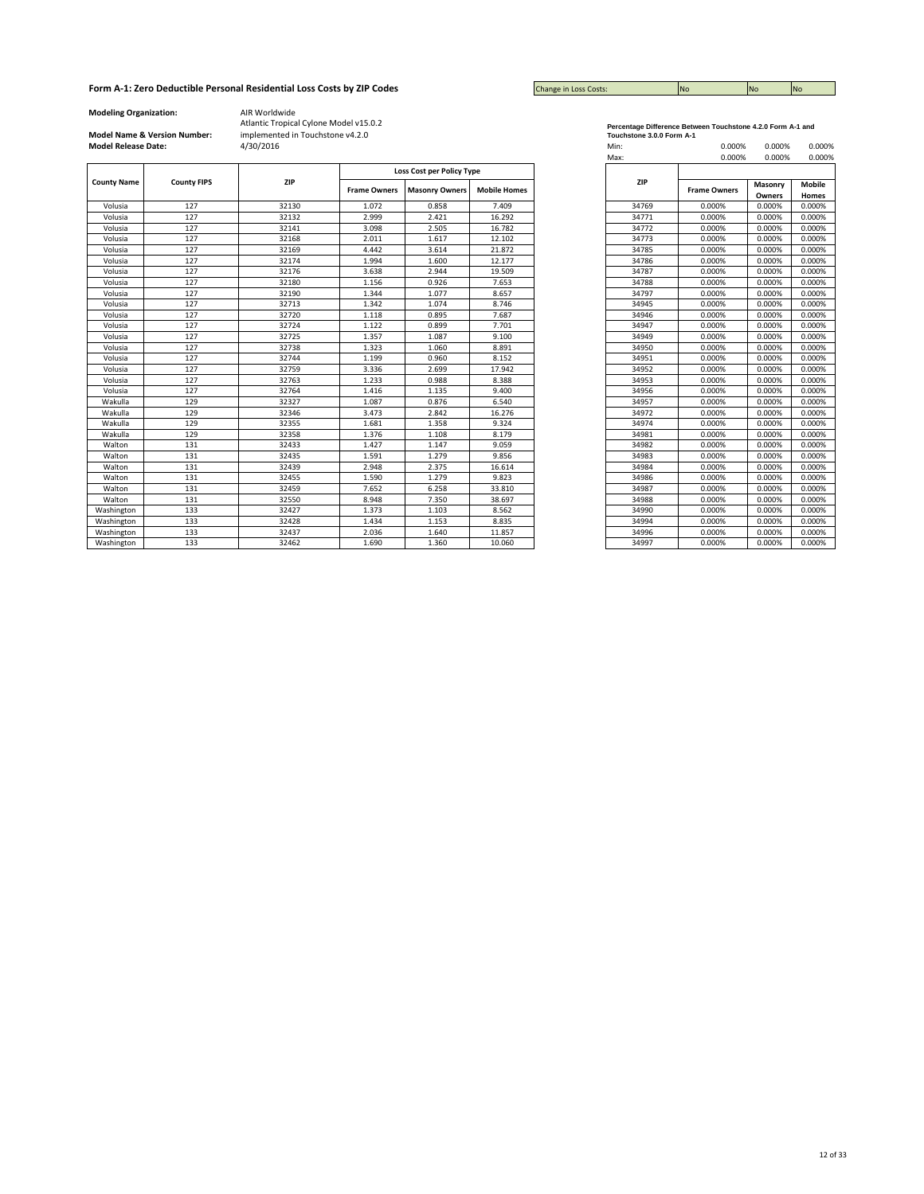| <b>Change in Loss Costs:</b> | <b>No</b> | <b>No</b> | <b>INO</b> |
|------------------------------|-----------|-----------|------------|

**Modeling Organization:** AIR Worldwide

# **Model Name & Version Number:**

|                    |                    |       | <b>Loss Cost per Policy Type</b> |                       |                     |
|--------------------|--------------------|-------|----------------------------------|-----------------------|---------------------|
| <b>County Name</b> | <b>County FIPS</b> | ZIP   | <b>Frame Owners</b>              | <b>Masonry Owners</b> | <b>Mobile Homes</b> |
| Volusia            | 127                | 32130 | 1.072                            | 0.858                 | 7.409               |
| Volusia            | 127                | 32132 | 2.999                            | 2.421                 | 16.292              |
| Volusia            | 127                | 32141 | 3.098                            | 2.505                 | 16.782              |
| Volusia            | 127                | 32168 | 2.011                            | 1.617                 | 12.102              |
| Volusia            | 127                | 32169 | 4.442                            | 3.614                 | 21.872              |
| Volusia            | 127                | 32174 | 1.994                            | 1.600                 | 12.177              |
| Volusia            | 127                | 32176 | 3.638                            | 2.944                 | 19.509              |
| Volusia            | 127                | 32180 | 1.156                            | 0.926                 | 7.653               |
| Volusia            | 127                | 32190 | 1.344                            | 1.077                 | 8.657               |
| Volusia            | 127                | 32713 | 1.342                            | 1.074                 | 8.746               |
| Volusia            | 127                | 32720 | 1.118                            | 0.895                 | 7.687               |
| Volusia            | 127                | 32724 | 1.122                            | 0.899                 | 7.701               |
| Volusia            | 127                | 32725 | 1.357                            | 1.087                 | 9.100               |
| Volusia            | 127                | 32738 | 1.323                            | 1.060                 | 8.891               |
| Volusia            | 127                | 32744 | 1.199                            | 0.960                 | 8.152               |
| Volusia            | 127                | 32759 | 3.336                            | 2.699                 | 17.942              |
| Volusia            | 127                | 32763 | 1.233                            | 0.988                 | 8.388               |
| Volusia            | 127                | 32764 | 1.416                            | 1.135                 | 9.400               |
| Wakulla            | 129                | 32327 | 1.087                            | 0.876                 | 6.540               |
| Wakulla            | 129                | 32346 | 3.473                            | 2.842                 | 16.276              |
| Wakulla            | 129                | 32355 | 1.681                            | 1.358                 | 9.324               |
| Wakulla            | 129                | 32358 | 1.376                            | 1.108                 | 8.179               |
| Walton             | 131                | 32433 | 1.427                            | 1.147                 | 9.059               |
| Walton             | 131                | 32435 | 1.591                            | 1.279                 | 9.856               |
| Walton             | 131                | 32439 | 2.948                            | 2.375                 | 16.614              |
| Walton             | 131                | 32455 | 1.590                            | 1.279                 | 9.823               |
| Walton             | 131                | 32459 | 7.652                            | 6.258                 | 33,810              |
| Walton             | 131                | 32550 | 8.948                            | 7.350                 | 38.697              |
| Washington         | 133                | 32427 | 1.373                            | 1.103                 | 8.562               |
| Washington         | 133                | 32428 | 1.434                            | 1.153                 | 8.835               |
| Washington         | 133                | 32437 | 2.036                            | 1.640                 | 11.857              |
| Washington         | 133                | 32462 | 1.690                            | 1.360                 | 10.060              |

| Percentage Difference Between Touchstone 4.2.0 Form A-1 and |
|-------------------------------------------------------------|
| Touchstone 3.0.0 Form A-1                                   |

| <b>Model Release Date:</b> |                    | 4/30/2016 |                     |                           |                     | Min:<br>Max: | 0.000%<br>0.000%    | 0.000%<br>0.000%  | 0.000%<br>0.000%       |
|----------------------------|--------------------|-----------|---------------------|---------------------------|---------------------|--------------|---------------------|-------------------|------------------------|
|                            |                    |           |                     | Loss Cost per Policy Type |                     |              |                     |                   |                        |
| <b>County Name</b>         | <b>County FIPS</b> | ZIP       | <b>Frame Owners</b> | <b>Masonry Owners</b>     | <b>Mobile Homes</b> | ZIP          | <b>Frame Owners</b> | Masonry<br>Owners | <b>Mobile</b><br>Homes |
| Volusia                    | 127                | 32130     | 1.072               | 0.858                     | 7.409               | 34769        | 0.000%              | 0.000%            | 0.000%                 |
| Volusia                    | 127                | 32132     | 2.999               | 2.421                     | 16.292              | 34771        | 0.000%              | 0.000%            | 0.000%                 |
| Volusia                    | 127                | 32141     | 3.098               | 2.505                     | 16.782              | 34772        | 0.000%              | 0.000%            | 0.000%                 |
| Volusia                    | 127                | 32168     | 2.011               | 1.617                     | 12.102              | 34773        | 0.000%              | 0.000%            | 0.000%                 |
| Volusia                    | 127                | 32169     | 4.442               | 3.614                     | 21.872              | 34785        | 0.000%              | 0.000%            | 0.000%                 |
| Volusia                    | 127                | 32174     | 1.994               | 1.600                     | 12.177              | 34786        | 0.000%              | 0.000%            | 0.000%                 |
| Volusia                    | 127                | 32176     | 3.638               | 2.944                     | 19.509              | 34787        | 0.000%              | 0.000%            | 0.000%                 |
| Volusia                    | 127                | 32180     | 1.156               | 0.926                     | 7.653               | 34788        | 0.000%              | 0.000%            | 0.000%                 |
| Volusia                    | 127                | 32190     | 1.344               | 1.077                     | 8.657               | 34797        | 0.000%              | 0.000%            | 0.000%                 |
| Volusia                    | 127                | 32713     | 1.342               | 1.074                     | 8.746               | 34945        | 0.000%              | 0.000%            | 0.000%                 |
| Volusia                    | 127                | 32720     | 1.118               | 0.895                     | 7.687               | 34946        | 0.000%              | 0.000%            | 0.000%                 |
| Volusia                    | 127                | 32724     | 1.122               | 0.899                     | 7.701               | 34947        | 0.000%              | 0.000%            | 0.000%                 |
| Volusia                    | 127                | 32725     | 1.357               | 1.087                     | 9.100               | 34949        | 0.000%              | 0.000%            | 0.000%                 |
| Volusia                    | 127                | 32738     | 1.323               | 1.060                     | 8.891               | 34950        | 0.000%              | 0.000%            | 0.000%                 |
| Volusia                    | 127                | 32744     | 1.199               | 0.960                     | 8.152               | 34951        | 0.000%              | 0.000%            | 0.000%                 |
| Volusia                    | 127                | 32759     | 3.336               | 2.699                     | 17.942              | 34952        | 0.000%              | 0.000%            | 0.000%                 |
| Volusia                    | 127                | 32763     | 1.233               | 0.988                     | 8.388               | 34953        | 0.000%              | 0.000%            | 0.000%                 |
| Volusia                    | 127                | 32764     | 1.416               | 1.135                     | 9.400               | 34956        | 0.000%              | 0.000%            | 0.000%                 |
| Wakulla                    | 129                | 32327     | 1.087               | 0.876                     | 6.540               | 34957        | 0.000%              | 0.000%            | 0.000%                 |
| Wakulla                    | 129                | 32346     | 3.473               | 2.842                     | 16.276              | 34972        | 0.000%              | 0.000%            | 0.000%                 |
| Wakulla                    | 129                | 32355     | 1.681               | 1.358                     | 9.324               | 34974        | 0.000%              | 0.000%            | 0.000%                 |
| Wakulla                    | 129                | 32358     | 1.376               | 1.108                     | 8.179               | 34981        | 0.000%              | 0.000%            | 0.000%                 |
| Walton                     | 131                | 32433     | 1.427               | 1.147                     | 9.059               | 34982        | 0.000%              | 0.000%            | 0.000%                 |
| Walton                     | 131                | 32435     | 1.591               | 1.279                     | 9.856               | 34983        | 0.000%              | 0.000%            | 0.000%                 |
| Walton                     | 131                | 32439     | 2.948               | 2.375                     | 16.614              | 34984        | 0.000%              | 0.000%            | 0.000%                 |
| Walton                     | 131                | 32455     | 1.590               | 1.279                     | 9.823               | 34986        | 0.000%              | 0.000%            | 0.000%                 |
| Walton                     | 131                | 32459     | 7.652               | 6.258                     | 33.810              | 34987        | 0.000%              | 0.000%            | 0.000%                 |
| Walton                     | 131                | 32550     | 8.948               | 7.350                     | 38.697              | 34988        | 0.000%              | 0.000%            | 0.000%                 |
| Washington                 | 133                | 32427     | 1.373               | 1.103                     | 8.562               | 34990        | 0.000%              | 0.000%            | 0.000%                 |
| Washington                 | 133                | 32428     | 1.434               | 1.153                     | 8.835               | 34994        | 0.000%              | 0.000%            | 0.000%                 |
| Washington                 | 133                | 32437     | 2.036               | 1.640                     | 11.857              | 34996        | 0.000%              | 0.000%            | 0.000%                 |
| Washington                 | 133                | 32462     | 1.690               | 1.360                     | 10.060              | 34997        | 0.000%              | 0.000%            | 0.000%                 |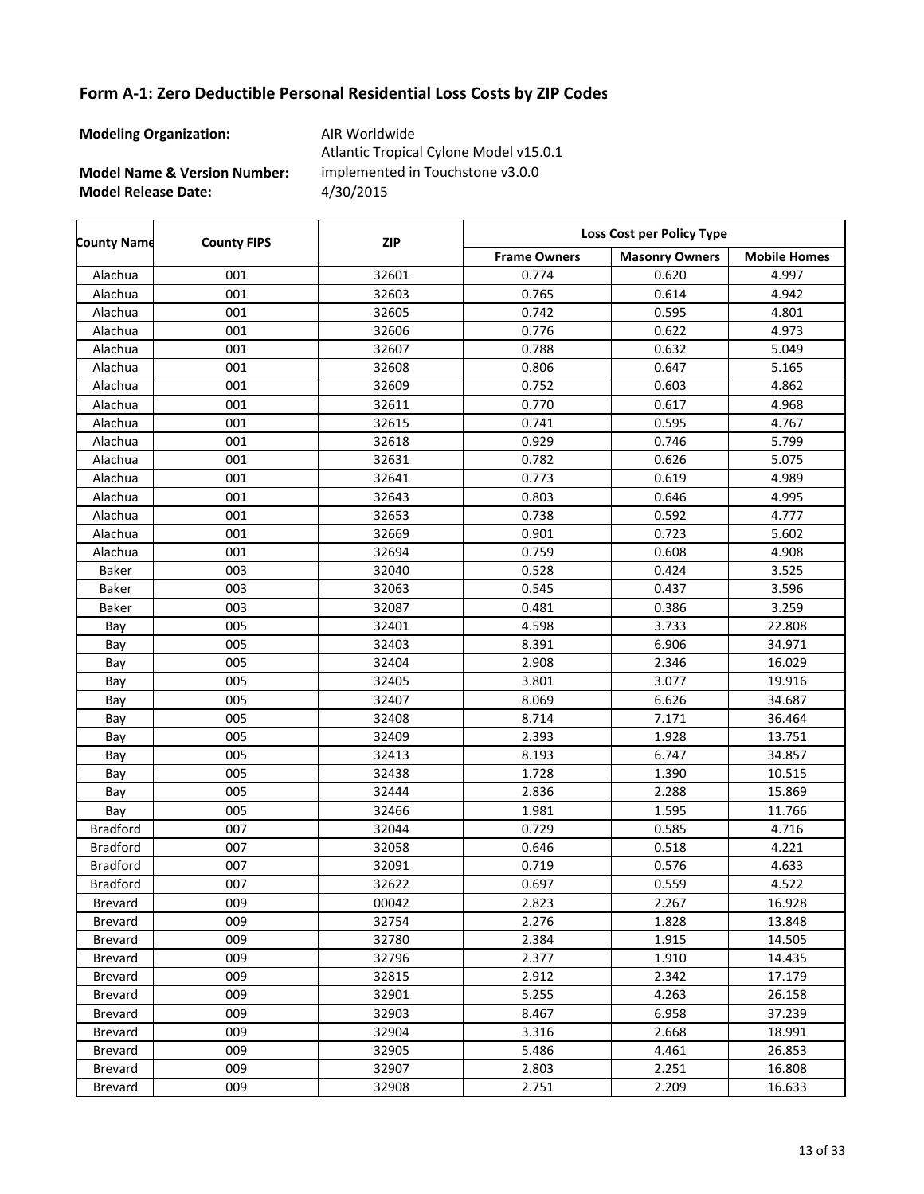**Modeling Organization:** AIR Worldwide

**Model Name & Version Number:**

**Model Release Date:** 4/30/2015 Atlantic Tropical Cylone Model v15.0.1 implemented in Touchstone v3.0.0

| <b>County Name</b> | <b>County FIPS</b> | <b>ZIP</b> | Loss Cost per Policy Type |                       |                     |  |
|--------------------|--------------------|------------|---------------------------|-----------------------|---------------------|--|
|                    |                    |            | <b>Frame Owners</b>       | <b>Masonry Owners</b> | <b>Mobile Homes</b> |  |
| Alachua            | 001                | 32601      | 0.774                     | 0.620                 | 4.997               |  |
| Alachua            | 001                | 32603      | 0.765                     | 0.614                 | 4.942               |  |
| Alachua            | 001                | 32605      | 0.742                     | 0.595                 | 4.801               |  |
| Alachua            | 001                | 32606      | 0.776                     | 0.622                 | 4.973               |  |
| Alachua            | 001                | 32607      | 0.788                     | 0.632                 | 5.049               |  |
| Alachua            | 001                | 32608      | 0.806                     | 0.647                 | 5.165               |  |
| Alachua            | 001                | 32609      | 0.752                     | 0.603                 | 4.862               |  |
| Alachua            | 001                | 32611      | 0.770                     | 0.617                 | 4.968               |  |
| Alachua            | 001                | 32615      | 0.741                     | 0.595                 | 4.767               |  |
| Alachua            | 001                | 32618      | 0.929                     | 0.746                 | 5.799               |  |
| Alachua            | 001                | 32631      | 0.782                     | 0.626                 | 5.075               |  |
| Alachua            | 001                | 32641      | 0.773                     | 0.619                 | 4.989               |  |
| Alachua            | 001                | 32643      | 0.803                     | 0.646                 | 4.995               |  |
| Alachua            | 001                | 32653      | 0.738                     | 0.592                 | 4.777               |  |
| Alachua            | 001                | 32669      | 0.901                     | 0.723                 | 5.602               |  |
| Alachua            | 001                | 32694      | 0.759                     | 0.608                 | 4.908               |  |
| Baker              | 003                | 32040      | 0.528                     | 0.424                 | 3.525               |  |
| Baker              | 003                | 32063      | 0.545                     | 0.437                 | 3.596               |  |
| Baker              | 003                | 32087      | 0.481                     | 0.386                 | 3.259               |  |
| Bay                | 005                | 32401      | 4.598                     | 3.733                 | 22.808              |  |
| Bay                | 005                | 32403      | 8.391                     | 6.906                 | 34.971              |  |
| Bay                | 005                | 32404      | 2.908                     | 2.346                 | 16.029              |  |
| Bay                | 005                | 32405      | 3.801                     | 3.077                 | 19.916              |  |
| Bay                | 005                | 32407      | 8.069                     | 6.626                 | 34.687              |  |
| Bay                | 005                | 32408      | 8.714                     | 7.171                 | 36.464              |  |
| Bay                | 005                | 32409      | 2.393                     | 1.928                 | 13.751              |  |
| Bay                | 005                | 32413      | 8.193                     | 6.747                 | 34.857              |  |
| Bay                | 005                | 32438      | 1.728                     | 1.390                 | 10.515              |  |
| Bay                | 005                | 32444      | 2.836                     | 2.288                 | 15.869              |  |
| Bay                | 005                | 32466      | 1.981                     | 1.595                 | 11.766              |  |
| <b>Bradford</b>    | 007                | 32044      | 0.729                     | 0.585                 | 4.716               |  |
| <b>Bradford</b>    | 007                | 32058      | 0.646                     | 0.518                 | 4.221               |  |
| <b>Bradford</b>    | 007                | 32091      | 0.719                     | 0.576                 | 4.633               |  |
| <b>Bradford</b>    | 007                | 32622      | 0.697                     | 0.559                 | 4.522               |  |
| Brevard            | 009                | 00042      | 2.823                     | 2.267                 | 16.928              |  |
| <b>Brevard</b>     | 009                | 32754      | 2.276                     | 1.828                 | 13.848              |  |
| Brevard            | 009                | 32780      | 2.384                     | 1.915                 | 14.505              |  |
| Brevard            | 009                | 32796      | 2.377                     | 1.910                 | 14.435              |  |
| Brevard            | 009                | 32815      | 2.912                     | 2.342                 | 17.179              |  |
| Brevard            | 009                | 32901      | 5.255                     | 4.263                 | 26.158              |  |
| Brevard            | 009                | 32903      | 8.467                     | 6.958                 | 37.239              |  |
| Brevard            | 009                | 32904      | 3.316                     | 2.668                 | 18.991              |  |
| Brevard            | 009                | 32905      | 5.486                     | 4.461                 | 26.853              |  |
| Brevard            | 009                | 32907      | 2.803                     | 2.251                 | 16.808              |  |
| Brevard            | 009                | 32908      | 2.751                     | 2.209                 | 16.633              |  |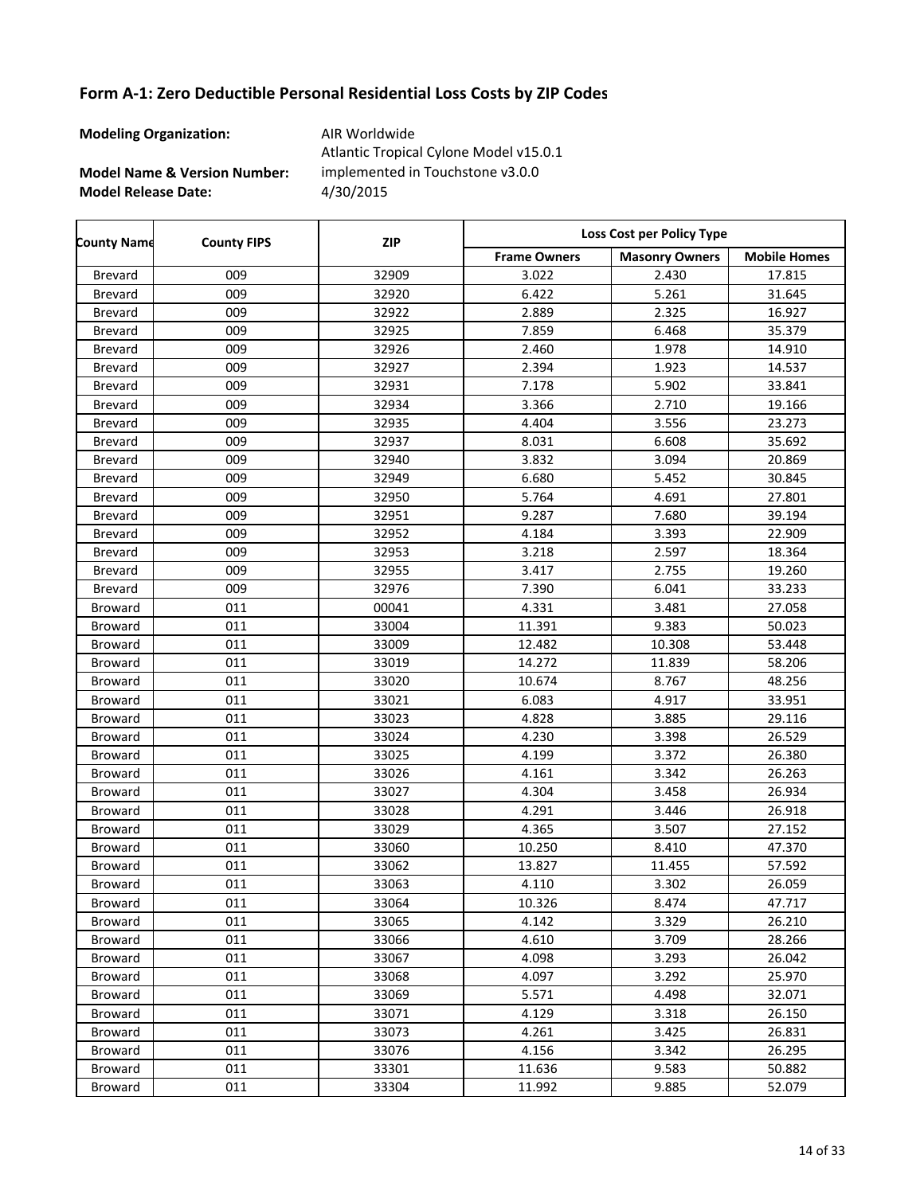**Modeling Organization:** AIR Worldwide

**Model Name & Version Number:**

**Model Release Date:** 4/30/2015 Atlantic Tropical Cylone Model v15.0.1 implemented in Touchstone v3.0.0

Frame Owners | Masonry Owners | Mobile Homes **County Name County FIPS Loss Cost per Policy Type ZIP** Brevard 009 32909 3.022 2.430 17.815 Brevard 009 32920 6.422 5.261 31.645 Brevard 009 32922 2.889 2.325 16.927 Brevard 009 32925 7.859 6.468 35.379 Brevard 009 32926 2.460 1.978 14.910 Brevard 009 32927 2.394 1.923 14.537 Brevard 009 32931 7.178 5.902 33.841 Brevard 009 32934 3.366 2.710 19.166 Brevard 009 32935 4.404 3.556 23.273 Brevard 009 32937 8.031 6.608 35.692 Brevard 009 32940 3.832 3.094 20.869 Brevard 009 32949 6.680 5.452 30.845 Brevard 009 32950 5.764 4.691 27.801 Brevard 009 32951 9.287 7.680 39.194 Brevard 009 32952 4.184 3.393 22.909 Brevard 009 32953 3.218 2.597 18.364 Brevard 009 32955 3.417 2.755 19.260 Brevard 009 32976 7.390 6.041 33.233 Broward 011 1 00041 4.331 3.481 27.058 Broward 011 33004 11.391 9.383 50.023 Broward 011 33009 12.482 10.308 53.448 Broward 011 33019 14.272 11.839 58.206 Broward 011 33020 10.674 8.767 48.256 Broward 011 33021 6.083 4.917 33.951 Broward 011 1 33023 4.828 3.885 29.116 Broward 011 33024 4.230 3.398 26.529 Broward 011 33025 4.199 3.372 26.380 Broward 011 33026 4.161 3.342 26.263 Broward 011 1 33027 4.304 3.458 26.934 Broward 011 1 33028 4.291 3.446 26.918 Broward 011 1 33029 4.365 3.507 27.152 Broward 011 133060 10.250 8.410 47.370 Broward 011 33062 13.827 11.455 57.592 Broward 011 1 33063 4.110 3.302 26.059 Broward 011 133064 10.326 8.474 47.717 Broward 011 1 33065 4.142 3.329 26.210 Broward 011 1 33066 4.610 3.709 28.266 Broward 011 1 33067 4.098 3.293 26.042 Broward 011 1 33068 4.097 3.292 25.970 Broward 011 33069 5.571 4.498 32.071 Broward 011 1 33071 4.129 3.318 26.150 Broward 011 1 33073 4.261 3.425 26.831 Broward 011 33076 4.156 3.342 26.295 Broward 011 133301 11.636 9.583 50.882 Broward 011 33304 11.992 9.885 52.079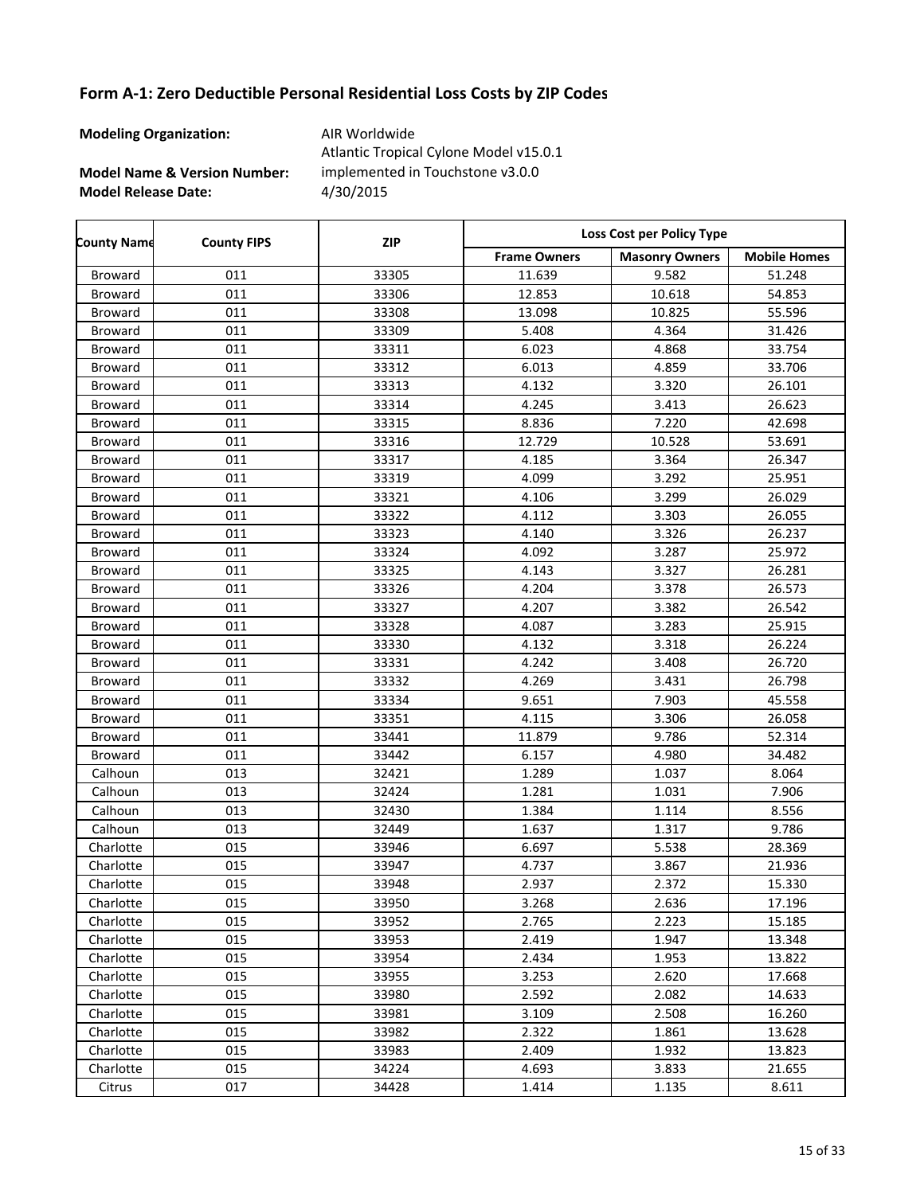**Modeling Organization:** AIR Worldwide

r

**Model Name & Version Number:**

**Model Release Date:** 4/30/2015 Atlantic Tropical Cylone Model v15.0.1 implemented in Touchstone v3.0.0

| <b>County Name</b> | <b>County FIPS</b> | <b>ZIP</b> | Loss Cost per Policy Type |                       |                     |
|--------------------|--------------------|------------|---------------------------|-----------------------|---------------------|
|                    |                    |            | <b>Frame Owners</b>       | <b>Masonry Owners</b> | <b>Mobile Homes</b> |
| Broward            | 011                | 33305      | 11.639                    | 9.582                 | 51.248              |
| Broward            | 011                | 33306      | 12.853                    | 10.618                | 54.853              |
| Broward            | 011                | 33308      | 13.098                    | 10.825                | 55.596              |
| Broward            | 011                | 33309      | 5.408                     | 4.364                 | 31.426              |
| Broward            | 011                | 33311      | 6.023                     | 4.868                 | 33.754              |
| Broward            | 011                | 33312      | 6.013                     | 4.859                 | 33.706              |
| Broward            | 011                | 33313      | 4.132                     | 3.320                 | 26.101              |
| Broward            | 011                | 33314      | 4.245                     | 3.413                 | 26.623              |
| Broward            | 011                | 33315      | 8.836                     | 7.220                 | 42.698              |
| Broward            | 011                | 33316      | 12.729                    | 10.528                | 53.691              |
| Broward            | 011                | 33317      | 4.185                     | 3.364                 | 26.347              |
| Broward            | 011                | 33319      | 4.099                     | 3.292                 | 25.951              |
| Broward            | 011                | 33321      | 4.106                     | 3.299                 | 26.029              |
| Broward            | 011                | 33322      | 4.112                     | 3.303                 | 26.055              |
| Broward            | 011                | 33323      | 4.140                     | 3.326                 | 26.237              |
| Broward            | 011                | 33324      | 4.092                     | 3.287                 | 25.972              |
| Broward            | 011                | 33325      | 4.143                     | 3.327                 | 26.281              |
| Broward            | 011                | 33326      | 4.204                     | 3.378                 | 26.573              |
| Broward            | 011                | 33327      | 4.207                     | 3.382                 | 26.542              |
| Broward            | 011                | 33328      | 4.087                     | 3.283                 | 25.915              |
| Broward            | 011                | 33330      | 4.132                     | 3.318                 | 26.224              |
| Broward            | 011                | 33331      | 4.242                     | 3.408                 | 26.720              |
| Broward            | 011                | 33332      | 4.269                     | 3.431                 | 26.798              |
| Broward            | 011                | 33334      | 9.651                     | 7.903                 | 45.558              |
| Broward            | 011                | 33351      | 4.115                     | 3.306                 | 26.058              |
| Broward            | 011                | 33441      | 11.879                    | 9.786                 | 52.314              |
| Broward            | 011                | 33442      | 6.157                     | 4.980                 | 34.482              |
| Calhoun            | 013                | 32421      | 1.289                     | 1.037                 | 8.064               |
| Calhoun            | 013                | 32424      | 1.281                     | 1.031                 | 7.906               |
| Calhoun            | 013                | 32430      | 1.384                     | 1.114                 | 8.556               |
| Calhoun            | 013                | 32449      | 1.637                     | 1.317                 | 9.786               |
| Charlotte          | 015                | 33946      | 6.697                     | 5.538                 | 28.369              |
| Charlotte          | 015                | 33947      | 4.737                     | 3.867                 | 21.936              |
| Charlotte          | 015                | 33948      | 2.937                     | 2.372                 | 15.330              |
| Charlotte          | 015                | 33950      | 3.268                     | 2.636                 | 17.196              |
| Charlotte          | 015                | 33952      | 2.765                     | 2.223                 | 15.185              |
| Charlotte          | 015                | 33953      | 2.419                     | 1.947                 | 13.348              |
| Charlotte          | 015                | 33954      | 2.434                     | 1.953                 | 13.822              |
| Charlotte          | 015                | 33955      | 3.253                     | 2.620                 | 17.668              |
| Charlotte          | 015                | 33980      | 2.592                     | 2.082                 | 14.633              |
| Charlotte          | 015                | 33981      | 3.109                     | 2.508                 | 16.260              |
| Charlotte          | 015                | 33982      | 2.322                     | 1.861                 | 13.628              |
| Charlotte          | 015                | 33983      | 2.409                     | 1.932                 | 13.823              |
| Charlotte          | 015                | 34224      | 4.693                     | 3.833                 | 21.655              |
| Citrus             | 017                | 34428      | 1.414                     | 1.135                 | 8.611               |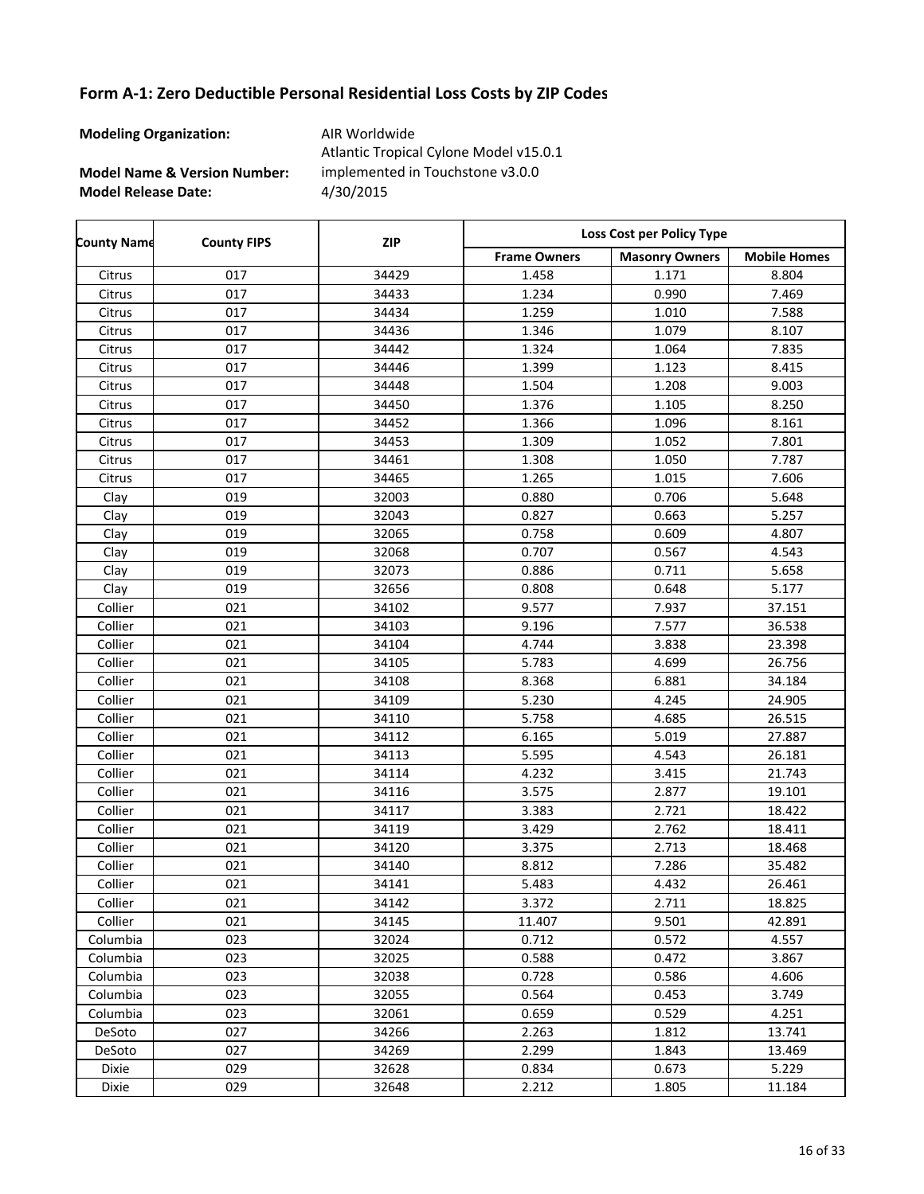**Modeling Organization:** AIR Worldwide

**Model Name & Version Number:**

**Model Release Date:** 4/30/2015 Atlantic Tropical Cylone Model v15.0.1 implemented in Touchstone v3.0.0

Frame Owners | Masonry Owners | Mobile Homes **County Name County FIPS Loss Cost per Policy Type ZIP** Citrus 017 34429 1.458 1.171 8.804 Citrus 017 34433 1.234 0.990 7.469 Citrus 017 34434 1.259 1.010 7.588 Citrus 017 34436 1.346 1.079 8.107 Citrus 017 34442 1.324 1.064 7.835 Citrus 017 34446 1.399 1.123 8.415 Citrus 017 34448 1.504 1.208 9.003 Citrus 017 34450 1.376 1.105 8.250 Citrus 017 34452 1.366 1.096 8.161 Citrus 017 34453 1.309 1.052 7.801 Citrus 017 34461 1.308 1.050 7.787 Citrus 017 34465 1.265 1.015 7.606 Clay 019 32003 0.880 0.706 5.648 Clay 019 32043 0.827 0.663 5.257 Clay 019 32065 0.758 0.609 4.807 Clay 019 32068 0.707 0.567 4.543 Clay | 019 | 32073 | 0.886 | 0.711 | 5.658 Clay | 019 | 32656 | 0.808 | 0.648 | 5.177 Collier 021 34102 9.577 7.937 37.151 Collier 021 34103 9.196 7.577 36.538 Collier 021 34104 4.744 3.838 23.398 Collier 021 34105 5.783 4.699 26.756 Collier | 021 | 34108 | 8.368 | 6.881 | 34.184 Collier 021 34109 5.230 4.245 24.905 Collier 021 34110 5.758 4.685 26.515 Collier | 021 | 34112 | 6.165 | 5.019 | 27.887 Collier 021 34113 5.595 4.543 26.181 Collier | 021 | 34114 | 4.232 | 3.415 | 21.743 Collier | 021 | 34116 | 3.575 | 2.877 | 19.101 Collier 021 34117 3.383 2.721 18.422 Collier 021 34119 3.429 2.762 18.411 Collier 021 34120 3.375 2.713 18.468 Collier 021 34140 8.812 7.286 35.482 Collier 021 34141 5.483 4.432 26.461 Collier 021 34142 3.372 2.711 18.825 Collier 021 34145 11.407 9.501 42.891 Columbia 023 32024 0.712 0.572 4.557 Columbia 023 32025 0.588 0.472 3.867 Columbia 023 32038 0.728 0.586 4.606 Columbia 023 32055 0.564 0.453 3.749 Columbia 023 32061 0.659 0.529 4.251 DeSoto 027 34266 2.263 1.812 13.741 DeSoto 027 34269 2.299 1.843 13.469 Dixie 029 32628 0.834 0.673 5.229 Dixie 029 32648 2.212 1.805 11.184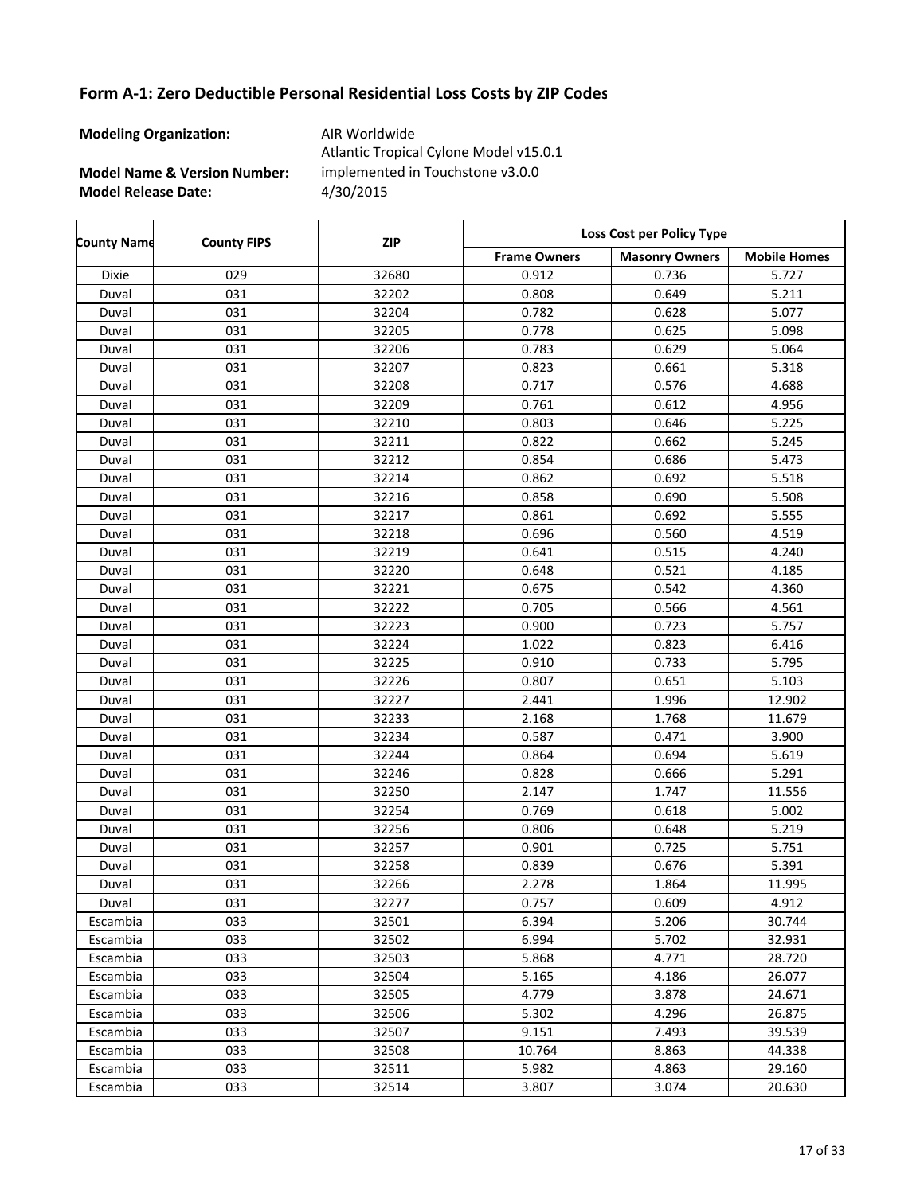**Modeling Organization:** AIR Worldwide

**Model Name & Version Number:**

**Model Release Date:** 4/30/2015 Atlantic Tropical Cylone Model v15.0.1 implemented in Touchstone v3.0.0

| <b>County Name</b> | <b>County FIPS</b> | <b>ZIP</b> | Loss Cost per Policy Type |                       |                     |
|--------------------|--------------------|------------|---------------------------|-----------------------|---------------------|
|                    |                    |            | <b>Frame Owners</b>       | <b>Masonry Owners</b> | <b>Mobile Homes</b> |
| Dixie              | 029                | 32680      | 0.912                     | 0.736                 | 5.727               |
| Duval              | 031                | 32202      | 0.808                     | 0.649                 | 5.211               |
| Duval              | 031                | 32204      | 0.782                     | 0.628                 | 5.077               |
| Duval              | 031                | 32205      | 0.778                     | 0.625                 | 5.098               |
| Duval              | 031                | 32206      | 0.783                     | 0.629                 | 5.064               |
| Duval              | 031                | 32207      | 0.823                     | 0.661                 | 5.318               |
| Duval              | 031                | 32208      | 0.717                     | 0.576                 | 4.688               |
| Duval              | 031                | 32209      | 0.761                     | 0.612                 | 4.956               |
| Duval              | 031                | 32210      | 0.803                     | 0.646                 | 5.225               |
| Duval              | 031                | 32211      | 0.822                     | 0.662                 | 5.245               |
| Duval              | 031                | 32212      | 0.854                     | 0.686                 | 5.473               |
| Duval              | 031                | 32214      | 0.862                     | 0.692                 | 5.518               |
| Duval              | 031                | 32216      | 0.858                     | 0.690                 | 5.508               |
| Duval              | 031                | 32217      | 0.861                     | 0.692                 | 5.555               |
| Duval              | 031                | 32218      | 0.696                     | 0.560                 | 4.519               |
| Duval              | 031                | 32219      | 0.641                     | 0.515                 | 4.240               |
| Duval              | 031                | 32220      | 0.648                     | 0.521                 | 4.185               |
| Duval              | 031                | 32221      | 0.675                     | 0.542                 | 4.360               |
| Duval              | 031                | 32222      | 0.705                     | 0.566                 | 4.561               |
| Duval              | 031                | 32223      | 0.900                     | 0.723                 | 5.757               |
| Duval              | 031                | 32224      | 1.022                     | 0.823                 | 6.416               |
| Duval              | 031                | 32225      | 0.910                     | 0.733                 | 5.795               |
| Duval              | 031                | 32226      | 0.807                     | 0.651                 | 5.103               |
| Duval              | 031                | 32227      | 2.441                     | 1.996                 | 12.902              |
| Duval              | 031                | 32233      | 2.168                     | 1.768                 | 11.679              |
| Duval              | 031                | 32234      | 0.587                     | 0.471                 | 3.900               |
| Duval              | 031                | 32244      | 0.864                     | 0.694                 | 5.619               |
| Duval              | 031                | 32246      | 0.828                     | 0.666                 | 5.291               |
| Duval              | 031                | 32250      | 2.147                     | 1.747                 | 11.556              |
| Duval              | 031                | 32254      | 0.769                     | 0.618                 | 5.002               |
| Duval              | 031                | 32256      | 0.806                     | 0.648                 | 5.219               |
| Duval              | 031                | 32257      | 0.901                     | 0.725                 | 5.751               |
| Duval              | 031                | 32258      | 0.839                     | 0.676                 | 5.391               |
| Duval              | 031                | 32266      | 2.278                     | 1.864                 | 11.995              |
| Duval              | 031                | 32277      | 0.757                     | 0.609                 | 4.912               |
| Escambia           | 033                | 32501      | 6.394                     | 5.206                 | 30.744              |
| Escambia           | 033                | 32502      | 6.994                     | 5.702                 | 32.931              |
| Escambia           | 033                | 32503      | 5.868                     | 4.771                 | 28.720              |
| Escambia           | 033                | 32504      | 5.165                     | 4.186                 | 26.077              |
| Escambia           | 033                | 32505      | 4.779                     | 3.878                 | 24.671              |
| Escambia           | 033                | 32506      | 5.302                     | 4.296                 | 26.875              |
| Escambia           | 033                | 32507      | 9.151                     | 7.493                 | 39.539              |
| Escambia           | 033                | 32508      | 10.764                    | 8.863                 | 44.338              |
| Escambia           | 033                | 32511      | 5.982                     | 4.863                 | 29.160              |
| Escambia           | 033                | 32514      | 3.807                     | 3.074                 | 20.630              |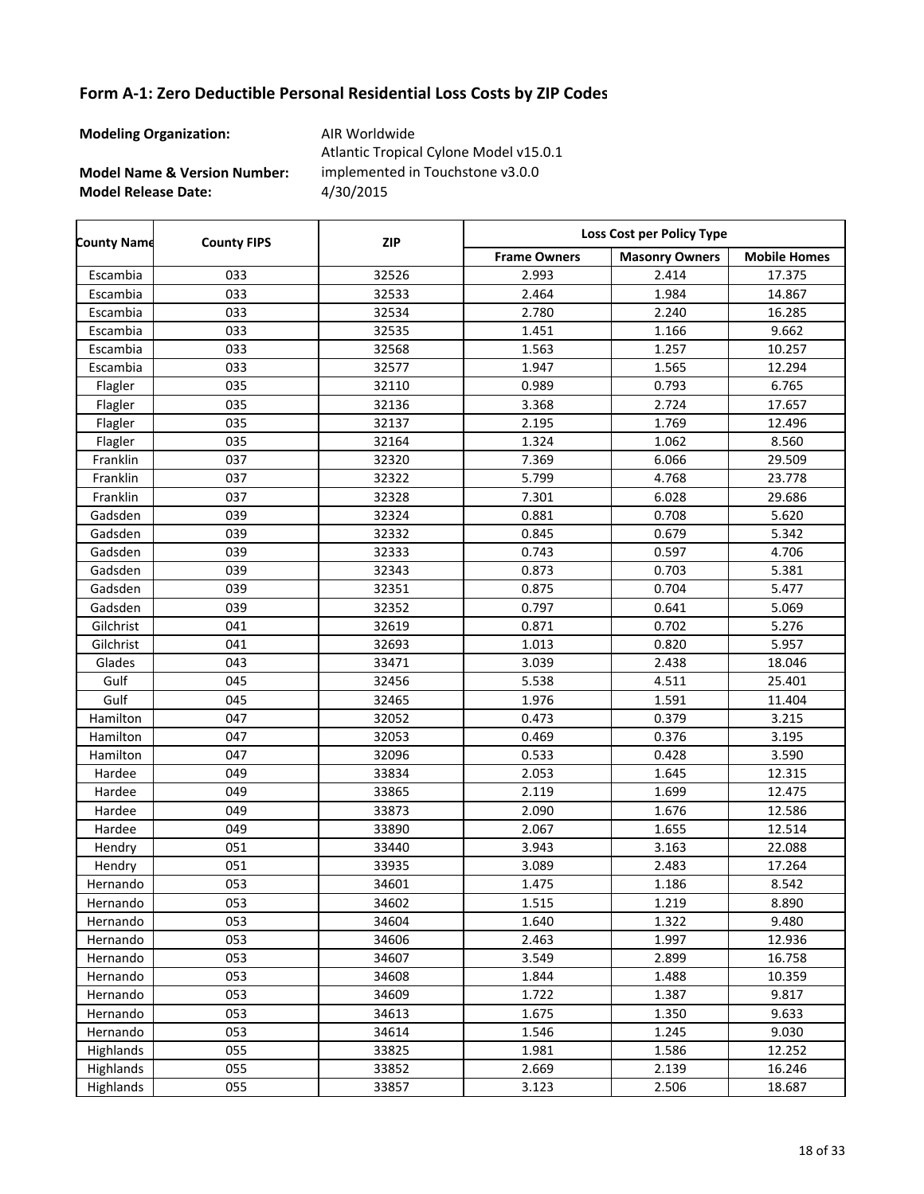**Modeling Organization:** AIR Worldwide

**Model Name & Version Number:**

**Model Release Date:** 4/30/2015 Atlantic Tropical Cylone Model v15.0.1 implemented in Touchstone v3.0.0

Frame Owners | Masonry Owners | Mobile Homes **County Name County FIPS Loss Cost per Policy Type ZIP** Escambia 033 32526 2.993 2.414 17.375 Escambia 033 32533 2.464 1.984 14.867 Escambia 033 32534 2.780 2.240 16.285 Escambia 033 32535 1.451 1.166 9.662 Escambia 033 32568 1.563 1.257 10.257 Escambia 033 32577 1.947 1.565 12.294 Flagler 035 32110 0.989 0.793 6.765 Flagler 035 32136 3.368 2.724 17.657 Flagler 035 32137 2.195 1.769 12.496 Flagler 035 32164 1.324 1.062 8.560 Franklin 037 32320 7.369 6.066 29.509 Franklin 037 32322 5.799 4.768 23.778 Franklin 037 32328 7.301 6.028 29.686 Gadsden | 039 | 32324 | 0.881 | 0.708 | 5.620 Gadsden | 039 | 32332 | 0.845 | 0.679 | 5.342 Gadsden 039 32333 0.743 0.597 4.706 Gadsden | 039 | 32343 | 0.873 | 0.703 | 5.381 Gadsden | 039 | 32351 | 0.875 | 0.704 | 5.477 Gadsden | 039 | 32352 | 0.797 | 0.641 | 5.069 Gilchrist 041 32619 0.871 0.702 5.276 Gilchrist | 041 | 32693 | 1.013 | 0.820 | 5.957 Glades 043 33471 3.039 2.438 18.046 Gulf 045 32456 5.538 4.511 25.401 Gulf 045 32465 1.976 1.591 11.404 Hamilton 047 32052 0.473 0.379 3.215 Hamilton 047 32053 0.469 0.376 3.195 Hamilton 047 32096 0.533 0.428 3.590 Hardee 049 33834 2.053 1.645 12.315 Hardee 049 33865 2.119 1.699 12.475 Hardee 049 33873 2.090 1.676 12.586 Hardee 049 33890 2.067 1.655 12.514 Hendry | 051 | 33440 | 3.943 | 3.163 | 22.088 Hendry 17.264 **17.264 17.264** 33935 1 3.089 2.483 17.264 Hernando | 053 | 34601 | 1.475 | 1.186 | 8.542 Hernando | 053 | 34602 | 1.515 | 1.219 | 8.890 Hernando | 053 | 34604 | 1.640 | 1.322 | 9.480 Hernando 053 34606 2.463 1.997 12.936 Hernando 053 34607 3.549 2.899 16.758 Hernando | 053 | 34608 | 1.844 | 1.488 | 10.359 Hernando | 053 | 34609 | 1.722 | 1.387 | 9.817 Hernando | 053 | 34613 | 1.675 | 1.350 | 9.633 Hernando | 053 | 34614 | 1.546 | 1.245 | 9.030 Highlands 055 33825 1.981 1.586 12.252 Highlands 055 33852 2.669 2.139 16.246 Highlands 055 33857 3.123 2.506 18.687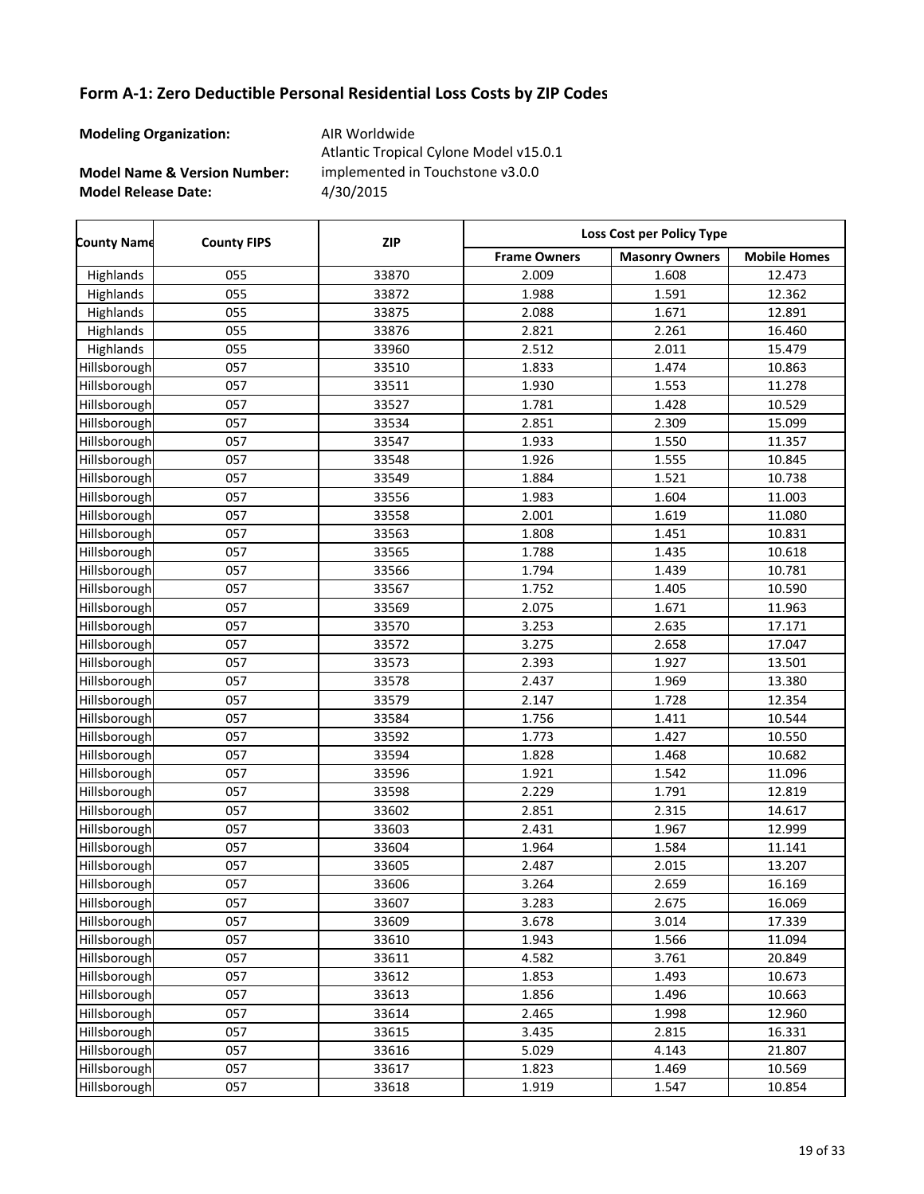**Modeling Organization:** AIR Worldwide

**Model Name & Version Number:**

**Model Release Date:** 4/30/2015 Atlantic Tropical Cylone Model v15.0.1 implemented in Touchstone v3.0.0

Frame Owners | Masonry Owners | Mobile Homes **County Name County FIPS Loss Cost per Policy Type ZIP** Highlands 055 33870 2.009 1.608 12.473 Highlands 055 33872 1.988 1.591 12.362 Highlands 055 33875 2.088 1.671 12.891 Highlands 055 33876 2.821 2.261 16.460 Highlands 055 33960 2.512 2.011 15.479 Hillsborough 057 | 33510 | 1.833 | 1.474 | 10.863 Hillsborough 057 33511 1.930 1.553 11.278 Hillsborough 057 | 33527 | 1.781 | 1.428 | 10.529 Hillsborough 057 33534 2.851 2.309 15.099 Hillsborough 057 | 33547 | 1.933 | 1.550 | 11.357 Hillsborough 057 | 33548 | 1.926 | 1.555 | 10.845 Hillsborough 057 | 33549 | 1.884 | 1.521 | 10.738 Hillsborough 057 | 33556 | 1.983 | 1.604 | 11.003 Hillsborough 057 | 33558 | 2.001 | 1.619 | 11.080 Hillsborough 057 | 33563 | 1.808 | 1.451 | 10.831 Hillsborough 057 | 33565 | 1.788 | 1.435 | 10.618 Hillsborough 057 | 33566 | 1.794 | 1.439 | 10.781 Hillsborough 057 | 33567 | 1.752 | 1.405 | 10.590 Hillsborough 057 33569 2.075 1.671 11.963 Hillsborough 057 33570 3.253 2.635 17.171 Hillsborough 057 | 33572 | 3.275 | 2.658 | 17.047 Hillsborough 057 | 33573 | 2.393 | 1.927 | 13.501 Hillsborough 057 | 33578 | 2.437 | 1.969 | 13.380 Hillsborough 057 33579 2.147 1.728 12.354 Hillsborough 057 | 33584 | 1.756 | 1.411 | 10.544 Hillsborough 057 | 33592 | 1.773 | 1.427 | 10.550 Hillsborough 057 | 33594 | 1.828 | 1.468 | 10.682 Hillsborough 057 | 33596 | 1.921 | 1.542 | 11.096 Hillsborough 057 33598 2.229 1.791 12.819 Hillsborough 057 33602 2.851 2.315 14.617 Hillsborough 057 33603 2.431 1.967 12.999 Hillsborough 057 | 33604 | 1.964 | 1.584 | 11.141 Hillsborough 057 33605 2.487 2.015 13.207 Hillsborough 057 | 33606 | 3.264 | 2.659 | 16.169 Hillsborough 057 | 33607 | 3.283 | 2.675 | 16.069 Hillsborough 057 | 33609 | 3.678 | 3.014 | 17.339 Hillsborough 057 | 33610 | 1.943 | 1.566 | 11.094 Hillsborough 057 33611 4.582 3.761 20.849 Hillsborough 057 | 33612 | 1.853 | 1.493 | 10.673 Hillsborough 057 | 33613 | 1.856 | 1.496 | 10.663 Hillsborough 057 | 33614 | 2.465 | 1.998 | 12.960 Hillsborough 057 | 33615 | 3.435 | 2.815 | 16.331 Hillsborough 057 33616 5.029 4.143 21.807 Hillsborough 057 | 33617 | 1.823 | 1.469 | 10.569 Hillsborough 057 | 33618 | 1.919 | 1.547 | 10.854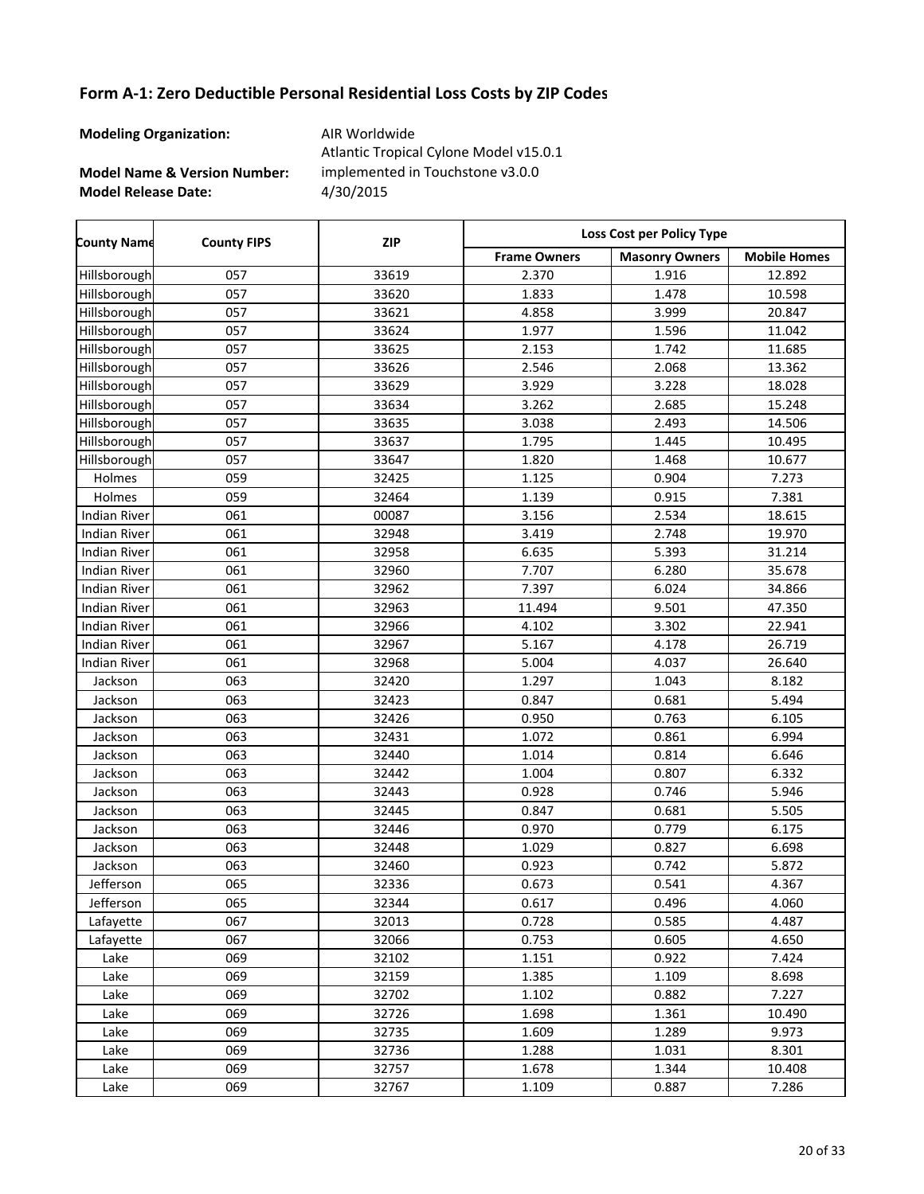**Modeling Organization:** AIR Worldwide

**Model Name & Version Number:**

**Model Release Date:** 4/30/2015 Atlantic Tropical Cylone Model v15.0.1 implemented in Touchstone v3.0.0

Frame Owners | Masonry Owners | Mobile Homes **County Name County FIPS Loss Cost per Policy Type ZIP** Hillsborough 057 33619 2.370 1.916 12.892 Hillsborough 057 | 33620 | 1.833 | 1.478 | 10.598 Hillsborough 057 33621 4.858 3.999 20.847 Hillsborough 057 | 33624 | 1.977 | 1.596 | 11.042 Hillsborough 057 33625 2.153 1.742 11.685 Hillsborough 057 33626 2.546 2.068 13.362 Hillsborough 057 33629 3.929 3.228 18.028 Hillsborough 057 | 33634 | 3.262 | 2.685 | 15.248 Hillsborough 057 | 33635 | 3.038 | 2.493 | 14.506 Hillsborough 057 | 33637 | 1.795 | 1.445 | 10.495 Hillsborough 057 33647 1.820 1.468 10.677 Holmes 059 32425 1.125 0.904 7.273 Holmes | 059 | 32464 | 1.139 | 0.915 | 7.381 Indian River | 061 | 00087 | 3.156 | 2.534 | 18.615 Indian River | 061 | 32948 | 3.419 | 2.748 | 19.970 Indian River | 061 | 32958 | 6.635 | 5.393 | 31.214 Indian River | 061 | 32960 | 7.707 | 6.280 | 35.678 Indian River 061 32962 7.397 6.024 34.866 Indian River | 061 | 32963 | 11.494 | 9.501 | 47.350 Indian River | 061 | 32966 | 4.102 | 3.302 | 22.941 Indian River | 061 | 32967 | 5.167 | 4.178 | 26.719 Indian River | 061 | 32968 | 5.004 | 4.037 | 26.640 Jackson | 063 | 32420 | 1.297 | 1.043 | 8.182 Jackson | 063 | 32423 | 0.847 | 0.681 | 5.494 Jackson | 063 | 32426 | 0.950 | 0.763 | 6.105 Jackson | 063 | 32431 | 1.072 | 0.861 | 6.994 Jackson | 063 | 32440 | 1.014 | 0.814 | 6.646 Jackson 063 32442 1.004 0.807 6.332 Jackson 063 32443 0.928 0.746 5.946 Jackson | 063 | 32445 | 0.847 | 0.681 | 5.505 Jackson 063 32446 0.970 0.779 6.175 Jackson | 063 | 32448 | 1.029 | 0.827 | 6.698 Jackson 063 32460 0.923 0.742 5.872 Jefferson 065 32336 0.673 0.541 4.367 Jefferson 065 32344 0.617 0.496 4.060 Lafayette 067 32013 0.728 0.585 4.487 Lafayette 067 32066 0.753 0.605 4.650 Lake 069 32102 1.151 0.922 7.424 Lake 069 32159 1.385 1.109 8.698 Lake 069 32702 1.102 0.882 7.227 Lake 069 32726 1.698 1.361 10.490 Lake 069 32735 1.609 1.289 9.973 Lake 069 32736 1.288 1.031 8.301 Lake 069 32757 1.678 1.344 10.408 Lake 069 32767 1.109 0.887 7.286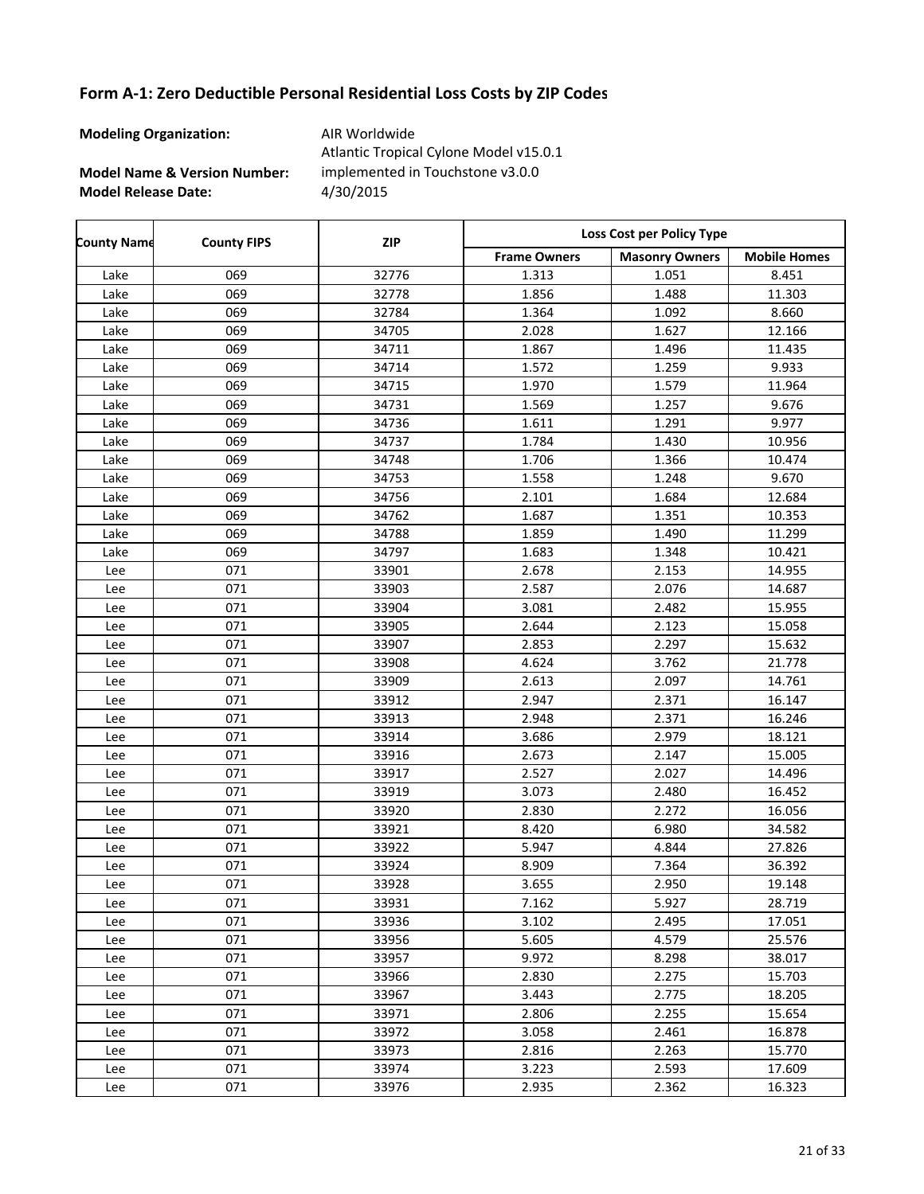**Modeling Organization:** AIR Worldwide

**Model Name & Version Number:**

**Model Release Date:** 4/30/2015 Atlantic Tropical Cylone Model v15.0.1 implemented in Touchstone v3.0.0

| <b>County Name</b> | <b>County FIPS</b> | <b>ZIP</b> | Loss Cost per Policy Type |                       |                     |  |
|--------------------|--------------------|------------|---------------------------|-----------------------|---------------------|--|
|                    |                    |            | <b>Frame Owners</b>       | <b>Masonry Owners</b> | <b>Mobile Homes</b> |  |
| Lake               | 069                | 32776      | 1.313                     | 1.051                 | 8.451               |  |
| Lake               | 069                | 32778      | 1.856                     | 1.488                 | 11.303              |  |
| Lake               | 069                | 32784      | 1.364                     | 1.092                 | 8.660               |  |
| Lake               | 069                | 34705      | 2.028                     | 1.627                 | 12.166              |  |
| Lake               | 069                | 34711      | 1.867                     | 1.496                 | 11.435              |  |
| Lake               | 069                | 34714      | 1.572                     | 1.259                 | 9.933               |  |
| Lake               | 069                | 34715      | 1.970                     | 1.579                 | 11.964              |  |
| Lake               | 069                | 34731      | 1.569                     | 1.257                 | 9.676               |  |
| Lake               | 069                | 34736      | 1.611                     | 1.291                 | 9.977               |  |
| Lake               | 069                | 34737      | 1.784                     | 1.430                 | 10.956              |  |
| Lake               | 069                | 34748      | 1.706                     | 1.366                 | 10.474              |  |
| Lake               | 069                | 34753      | 1.558                     | 1.248                 | 9.670               |  |
| Lake               | 069                | 34756      | 2.101                     | 1.684                 | 12.684              |  |
| Lake               | 069                | 34762      | 1.687                     | 1.351                 | 10.353              |  |
| Lake               | 069                | 34788      | 1.859                     | 1.490                 | 11.299              |  |
| Lake               | 069                | 34797      | 1.683                     | 1.348                 | 10.421              |  |
| Lee                | 071                | 33901      | 2.678                     | 2.153                 | 14.955              |  |
| Lee                | 071                | 33903      | 2.587                     | 2.076                 | 14.687              |  |
| Lee                | 071                | 33904      | 3.081                     | 2.482                 | 15.955              |  |
| Lee                | 071                | 33905      | 2.644                     | 2.123                 | 15.058              |  |
| Lee                | 071                | 33907      | 2.853                     | 2.297                 | 15.632              |  |
| Lee                | 071                | 33908      | 4.624                     | 3.762                 | 21.778              |  |
| Lee                | 071                | 33909      | 2.613                     | 2.097                 | 14.761              |  |
| Lee                | 071                | 33912      | 2.947                     | 2.371                 | 16.147              |  |
| Lee                | 071                | 33913      | 2.948                     | 2.371                 | 16.246              |  |
| Lee                | 071                | 33914      | 3.686                     | 2.979                 | 18.121              |  |
| Lee                | 071                | 33916      | 2.673                     | 2.147                 | 15.005              |  |
| Lee                | 071                | 33917      | 2.527                     | 2.027                 | 14.496              |  |
| Lee                | 071                | 33919      | 3.073                     | 2.480                 | 16.452              |  |
| Lee                | 071                | 33920      | 2.830                     | 2.272                 | 16.056              |  |
| Lee                | 071                | 33921      | 8.420                     | 6.980                 | 34.582              |  |
| Lee                | 071                | 33922      | 5.947                     | 4.844                 | 27.826              |  |
| Lee                | 071                | 33924      | 8.909                     | 7.364                 | 36.392              |  |
| Lee                | 071                | 33928      | 3.655                     | 2.950                 | 19.148              |  |
| Lee                | 071                | 33931      | 7.162                     | 5.927                 | 28.719              |  |
| Lee                | 071                | 33936      | 3.102                     | 2.495                 | 17.051              |  |
| Lee                | 071                | 33956      | 5.605                     | 4.579                 | 25.576              |  |
| Lee                | 071                | 33957      | 9.972                     | 8.298                 | 38.017              |  |
| Lee                | 071                | 33966      | 2.830                     | 2.275                 | 15.703              |  |
| Lee                | 071                | 33967      | 3.443                     | 2.775                 | 18.205              |  |
| Lee                | 071                | 33971      | 2.806                     | 2.255                 | 15.654              |  |
| Lee                | 071                | 33972      | 3.058                     | 2.461                 | 16.878              |  |
| Lee                | 071                | 33973      | 2.816                     | 2.263                 | 15.770              |  |
| Lee                | 071                | 33974      | 3.223                     | 2.593                 | 17.609              |  |
| Lee                | 071                | 33976      | 2.935                     | 2.362                 | 16.323              |  |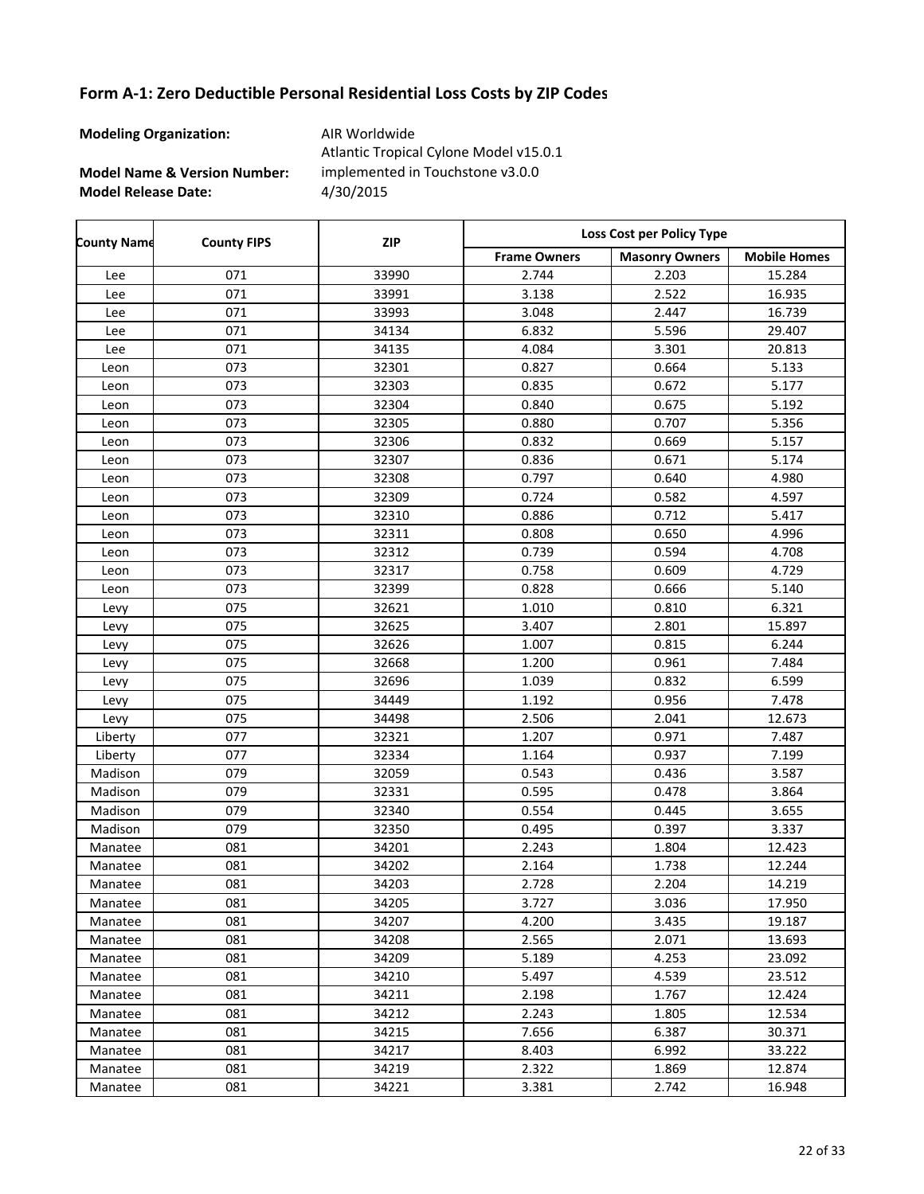**Modeling Organization:** AIR Worldwide

**Model Name & Version Number:**

**Model Release Date:** 4/30/2015 Atlantic Tropical Cylone Model v15.0.1 implemented in Touchstone v3.0.0

| <b>County Name</b> | <b>County FIPS</b> | <b>ZIP</b> | Loss Cost per Policy Type |                       |                     |
|--------------------|--------------------|------------|---------------------------|-----------------------|---------------------|
|                    |                    |            | <b>Frame Owners</b>       | <b>Masonry Owners</b> | <b>Mobile Homes</b> |
| Lee                | 071                | 33990      | 2.744                     | 2.203                 | 15.284              |
| Lee                | 071                | 33991      | 3.138                     | 2.522                 | 16.935              |
| Lee                | 071                | 33993      | 3.048                     | 2.447                 | 16.739              |
| Lee                | 071                | 34134      | 6.832                     | 5.596                 | 29.407              |
| Lee                | 071                | 34135      | 4.084                     | 3.301                 | 20.813              |
| Leon               | 073                | 32301      | 0.827                     | 0.664                 | 5.133               |
| Leon               | 073                | 32303      | 0.835                     | 0.672                 | 5.177               |
| Leon               | 073                | 32304      | 0.840                     | 0.675                 | 5.192               |
| Leon               | 073                | 32305      | 0.880                     | 0.707                 | 5.356               |
| Leon               | 073                | 32306      | 0.832                     | 0.669                 | 5.157               |
| Leon               | 073                | 32307      | 0.836                     | 0.671                 | 5.174               |
| Leon               | 073                | 32308      | 0.797                     | 0.640                 | 4.980               |
| Leon               | 073                | 32309      | 0.724                     | 0.582                 | 4.597               |
| Leon               | 073                | 32310      | 0.886                     | 0.712                 | 5.417               |
| Leon               | 073                | 32311      | 0.808                     | 0.650                 | 4.996               |
| Leon               | 073                | 32312      | 0.739                     | 0.594                 | 4.708               |
| Leon               | 073                | 32317      | 0.758                     | 0.609                 | 4.729               |
| Leon               | 073                | 32399      | 0.828                     | 0.666                 | 5.140               |
| Levy               | 075                | 32621      | 1.010                     | 0.810                 | 6.321               |
| Levy               | 075                | 32625      | 3.407                     | 2.801                 | 15.897              |
| Levy               | 075                | 32626      | 1.007                     | 0.815                 | 6.244               |
| Levy               | 075                | 32668      | 1.200                     | 0.961                 | 7.484               |
| Levy               | 075                | 32696      | 1.039                     | 0.832                 | 6.599               |
| Levy               | 075                | 34449      | 1.192                     | 0.956                 | 7.478               |
| Levy               | 075                | 34498      | 2.506                     | 2.041                 | 12.673              |
| Liberty            | 077                | 32321      | 1.207                     | 0.971                 | 7.487               |
| Liberty            | 077                | 32334      | 1.164                     | 0.937                 | 7.199               |
| Madison            | 079                | 32059      | 0.543                     | 0.436                 | 3.587               |
| Madison            | 079                | 32331      | 0.595                     | 0.478                 | 3.864               |
| Madison            | 079                | 32340      | 0.554                     | 0.445                 | 3.655               |
| Madison            | 079                | 32350      | 0.495                     | 0.397                 | 3.337               |
| Manatee            | 081                | 34201      | 2.243                     | 1.804                 | 12.423              |
| Manatee            | 081                | 34202      | 2.164                     | 1.738                 | 12.244              |
| Manatee            | 081                | 34203      | 2.728                     | 2.204                 | 14.219              |
| Manatee            | 081                | 34205      | 3.727                     | 3.036                 | 17.950              |
| Manatee            | 081                | 34207      | 4.200                     | 3.435                 | 19.187              |
| Manatee            | 081                | 34208      | 2.565                     | 2.071                 | 13.693              |
| Manatee            | 081                | 34209      | 5.189                     | 4.253                 | 23.092              |
| Manatee            | 081                | 34210      | 5.497                     | 4.539                 | 23.512              |
| Manatee            | 081                | 34211      | 2.198                     | 1.767                 | 12.424              |
| Manatee            | 081                | 34212      | 2.243                     | 1.805                 | 12.534              |
| Manatee            | 081                | 34215      | 7.656                     | 6.387                 | 30.371              |
| Manatee            | 081                | 34217      | 8.403                     | 6.992                 | 33.222              |
| Manatee            | 081                | 34219      | 2.322                     | 1.869                 | 12.874              |
| Manatee            | 081                | 34221      | 3.381                     | 2.742                 | 16.948              |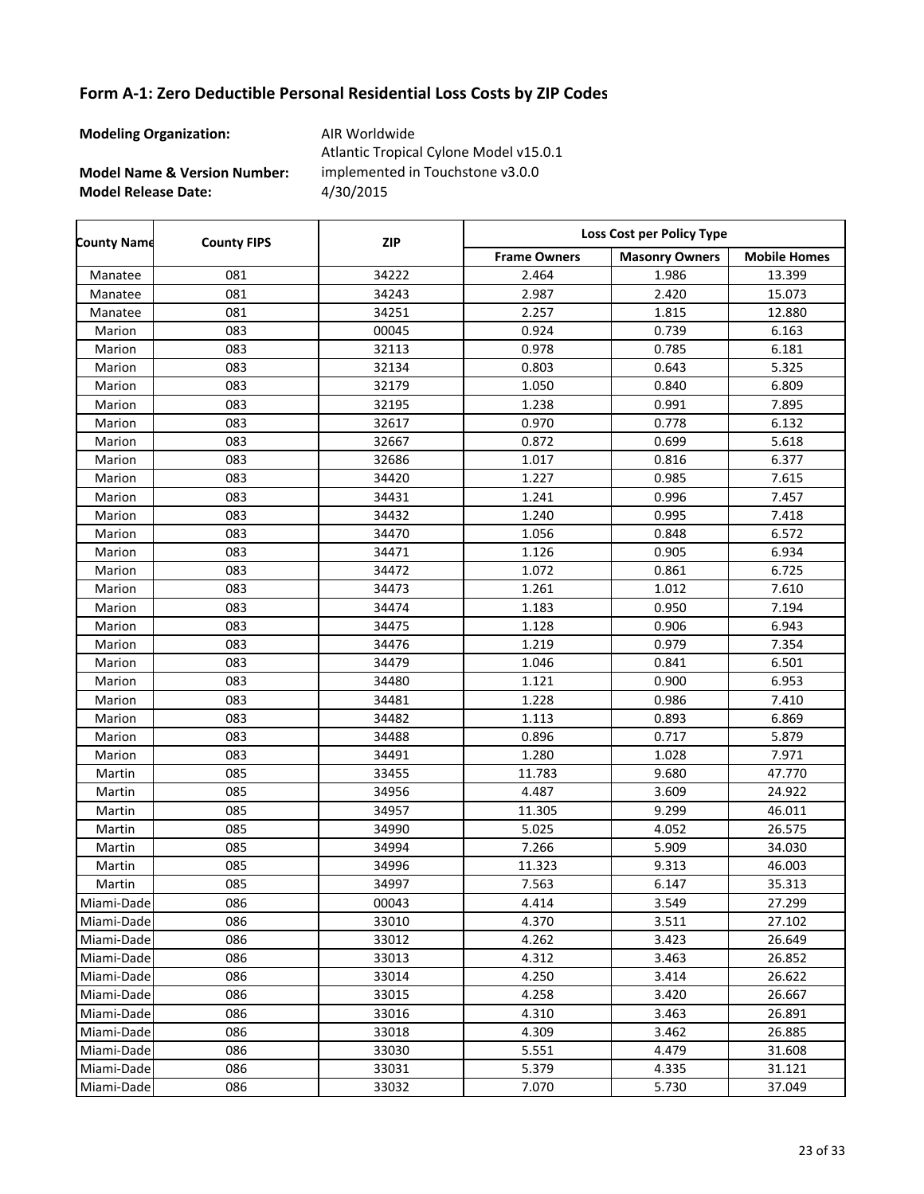**Modeling Organization:** AIR Worldwide

**Model Name & Version Number:**

**Model Release Date:** 4/30/2015 Atlantic Tropical Cylone Model v15.0.1 implemented in Touchstone v3.0.0

| <b>County Name</b> | <b>County FIPS</b> | <b>ZIP</b> | Loss Cost per Policy Type |                       |                     |  |
|--------------------|--------------------|------------|---------------------------|-----------------------|---------------------|--|
|                    |                    |            | <b>Frame Owners</b>       | <b>Masonry Owners</b> | <b>Mobile Homes</b> |  |
| Manatee            | 081                | 34222      | 2.464                     | 1.986                 | 13.399              |  |
| Manatee            | 081                | 34243      | 2.987                     | 2.420                 | 15.073              |  |
| Manatee            | 081                | 34251      | 2.257                     | 1.815                 | 12.880              |  |
| Marion             | 083                | 00045      | 0.924                     | 0.739                 | 6.163               |  |
| Marion             | 083                | 32113      | 0.978                     | 0.785                 | 6.181               |  |
| Marion             | 083                | 32134      | 0.803                     | 0.643                 | 5.325               |  |
| Marion             | 083                | 32179      | 1.050                     | 0.840                 | 6.809               |  |
| Marion             | 083                | 32195      | 1.238                     | 0.991                 | 7.895               |  |
| Marion             | 083                | 32617      | 0.970                     | 0.778                 | 6.132               |  |
| Marion             | 083                | 32667      | 0.872                     | 0.699                 | 5.618               |  |
| Marion             | 083                | 32686      | 1.017                     | 0.816                 | 6.377               |  |
| Marion             | 083                | 34420      | 1.227                     | 0.985                 | 7.615               |  |
| Marion             | 083                | 34431      | 1.241                     | 0.996                 | 7.457               |  |
| Marion             | 083                | 34432      | 1.240                     | 0.995                 | 7.418               |  |
| Marion             | 083                | 34470      | 1.056                     | 0.848                 | 6.572               |  |
| Marion             | 083                | 34471      | 1.126                     | 0.905                 | 6.934               |  |
| Marion             | 083                | 34472      | 1.072                     | 0.861                 | 6.725               |  |
| Marion             | 083                | 34473      | 1.261                     | 1.012                 | 7.610               |  |
| Marion             | 083                | 34474      | 1.183                     | 0.950                 | 7.194               |  |
| Marion             | 083                | 34475      | 1.128                     | 0.906                 | 6.943               |  |
| Marion             | 083                | 34476      | 1.219                     | 0.979                 | 7.354               |  |
| Marion             | 083                | 34479      | 1.046                     | 0.841                 | 6.501               |  |
| Marion             | 083                | 34480      | 1.121                     | 0.900                 | 6.953               |  |
| Marion             | 083                | 34481      | 1.228                     | 0.986                 | 7.410               |  |
| Marion             | 083                | 34482      | 1.113                     | 0.893                 | 6.869               |  |
| Marion             | 083                | 34488      | 0.896                     | 0.717                 | 5.879               |  |
| Marion             | 083                | 34491      | 1.280                     | 1.028                 | 7.971               |  |
| Martin             | 085                | 33455      | 11.783                    | 9.680                 | 47.770              |  |
| Martin             | 085                | 34956      | 4.487                     | 3.609                 | 24.922              |  |
| Martin             | 085                | 34957      | 11.305                    | 9.299                 | 46.011              |  |
| Martin             | 085                | 34990      | 5.025                     | 4.052                 | 26.575              |  |
| Martin             | 085                | 34994      | 7.266                     | 5.909                 | 34.030              |  |
| Martin             | 085                | 34996      | 11.323                    | 9.313                 | 46.003              |  |
| Martin             | 085                | 34997      | 7.563                     | 6.147                 | 35.313              |  |
| Miami-Dade         | 086                | 00043      | 4.414                     | 3.549                 | 27.299              |  |
| Miami-Dade         | 086                | 33010      | 4.370                     | 3.511                 | 27.102              |  |
| Miami-Dade         | 086                | 33012      | 4.262                     | 3.423                 | 26.649              |  |
| Miami-Dade         | 086                | 33013      | 4.312                     | 3.463                 | 26.852              |  |
| Miami-Dade         | 086                | 33014      | 4.250                     | 3.414                 | 26.622              |  |
| Miami-Dade         | 086                | 33015      | 4.258                     | 3.420                 | 26.667              |  |
| Miami-Dade         | 086                | 33016      | 4.310                     | 3.463                 | 26.891              |  |
| Miami-Dade         | 086                | 33018      | 4.309                     | 3.462                 | 26.885              |  |
| Miami-Dade         | 086                | 33030      | 5.551                     | 4.479                 | 31.608              |  |
| Miami-Dade         | 086                | 33031      | 5.379                     | 4.335                 | 31.121              |  |
| Miami-Dade         | 086                | 33032      | 7.070                     | 5.730                 | 37.049              |  |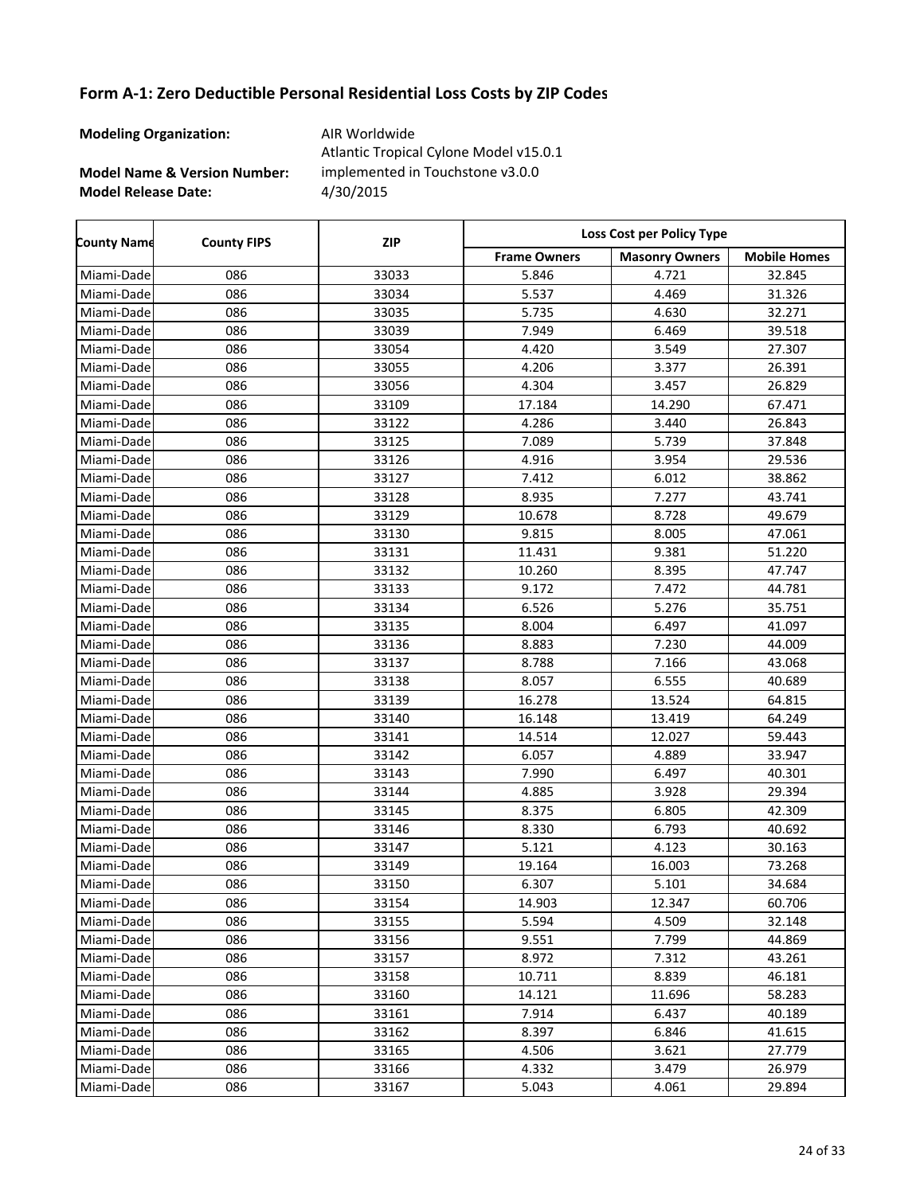**Modeling Organization:** AIR Worldwide

**Model Name & Version Number:**

**Model Release Date:** 4/30/2015 Atlantic Tropical Cylone Model v15.0.1 implemented in Touchstone v3.0.0

| <b>County Name</b> | <b>County FIPS</b> | <b>ZIP</b> | Loss Cost per Policy Type |                       |                     |
|--------------------|--------------------|------------|---------------------------|-----------------------|---------------------|
|                    |                    |            | <b>Frame Owners</b>       | <b>Masonry Owners</b> | <b>Mobile Homes</b> |
| Miami-Dade         | 086                | 33033      | 5.846                     | 4.721                 | 32.845              |
| Miami-Dade         | 086                | 33034      | 5.537                     | 4.469                 | 31.326              |
| Miami-Dade         | 086                | 33035      | 5.735                     | 4.630                 | 32.271              |
| Miami-Dade         | 086                | 33039      | 7.949                     | 6.469                 | 39.518              |
| Miami-Dade         | 086                | 33054      | 4.420                     | 3.549                 | 27.307              |
| Miami-Dade         | 086                | 33055      | 4.206                     | 3.377                 | 26.391              |
| Miami-Dade         | 086                | 33056      | 4.304                     | 3.457                 | 26.829              |
| Miami-Dade         | 086                | 33109      | 17.184                    | 14.290                | 67.471              |
| Miami-Dade         | 086                | 33122      | 4.286                     | 3.440                 | 26.843              |
| Miami-Dade         | 086                | 33125      | 7.089                     | 5.739                 | 37.848              |
| Miami-Dade         | 086                | 33126      | 4.916                     | 3.954                 | 29.536              |
| Miami-Dade         | 086                | 33127      | 7.412                     | 6.012                 | 38.862              |
| Miami-Dade         | 086                | 33128      | 8.935                     | 7.277                 | 43.741              |
| Miami-Dade         | 086                | 33129      | 10.678                    | 8.728                 | 49.679              |
| Miami-Dade         | 086                | 33130      | 9.815                     | 8.005                 | 47.061              |
| Miami-Dade         | 086                | 33131      | 11.431                    | 9.381                 | 51.220              |
| Miami-Dade         | 086                | 33132      | 10.260                    | 8.395                 | 47.747              |
| Miami-Dade         | 086                | 33133      | 9.172                     | 7.472                 | 44.781              |
| Miami-Dade         | 086                | 33134      | 6.526                     | 5.276                 | 35.751              |
| Miami-Dade         | 086                | 33135      | 8.004                     | 6.497                 | 41.097              |
| Miami-Dade         | 086                | 33136      | 8.883                     | 7.230                 | 44.009              |
| Miami-Dade         | 086                | 33137      | 8.788                     | 7.166                 | 43.068              |
| Miami-Dade         | 086                | 33138      | 8.057                     | 6.555                 | 40.689              |
| Miami-Dade         | 086                | 33139      | 16.278                    | 13.524                | 64.815              |
| Miami-Dade         | 086                | 33140      | 16.148                    | 13.419                | 64.249              |
| Miami-Dade         | 086                | 33141      | 14.514                    | 12.027                | 59.443              |
| Miami-Dade         | 086                | 33142      | 6.057                     | 4.889                 | 33.947              |
| Miami-Dade         | 086                | 33143      | 7.990                     | 6.497                 | 40.301              |
| Miami-Dade         | 086                | 33144      | 4.885                     | 3.928                 | 29.394              |
| Miami-Dade         | 086                | 33145      | 8.375                     | 6.805                 | 42.309              |
| Miami-Dade         | 086                | 33146      | 8.330                     | 6.793                 | 40.692              |
| Miami-Dade         | 086                | 33147      | 5.121                     | 4.123                 | 30.163              |
| Miami-Dade         | 086                | 33149      | 19.164                    | 16.003                | 73.268              |
| Miami-Dade         | 086                | 33150      | 6.307                     | 5.101                 | 34.684              |
| Miami-Dade         | 086                | 33154      | 14.903                    | 12.347                | 60.706              |
| Miami-Dade         | 086                | 33155      | 5.594                     | 4.509                 | 32.148              |
| Miami-Dade         | 086                | 33156      | 9.551                     | 7.799                 | 44.869              |
| Miami-Dade         | 086                | 33157      | 8.972                     | 7.312                 | 43.261              |
| Miami-Dade         | 086                | 33158      | 10.711                    | 8.839                 | 46.181              |
| Miami-Dade         | 086                | 33160      | 14.121                    | 11.696                | 58.283              |
| Miami-Dade         | 086                | 33161      | 7.914                     | 6.437                 | 40.189              |
| Miami-Dade         | 086                | 33162      | 8.397                     | 6.846                 | 41.615              |
| Miami-Dadel        | 086                | 33165      | 4.506                     | 3.621                 | 27.779              |
| Miami-Dade         | 086                | 33166      | 4.332                     | 3.479                 | 26.979              |
| Miami-Dade         | 086                | 33167      | 5.043                     | 4.061                 | 29.894              |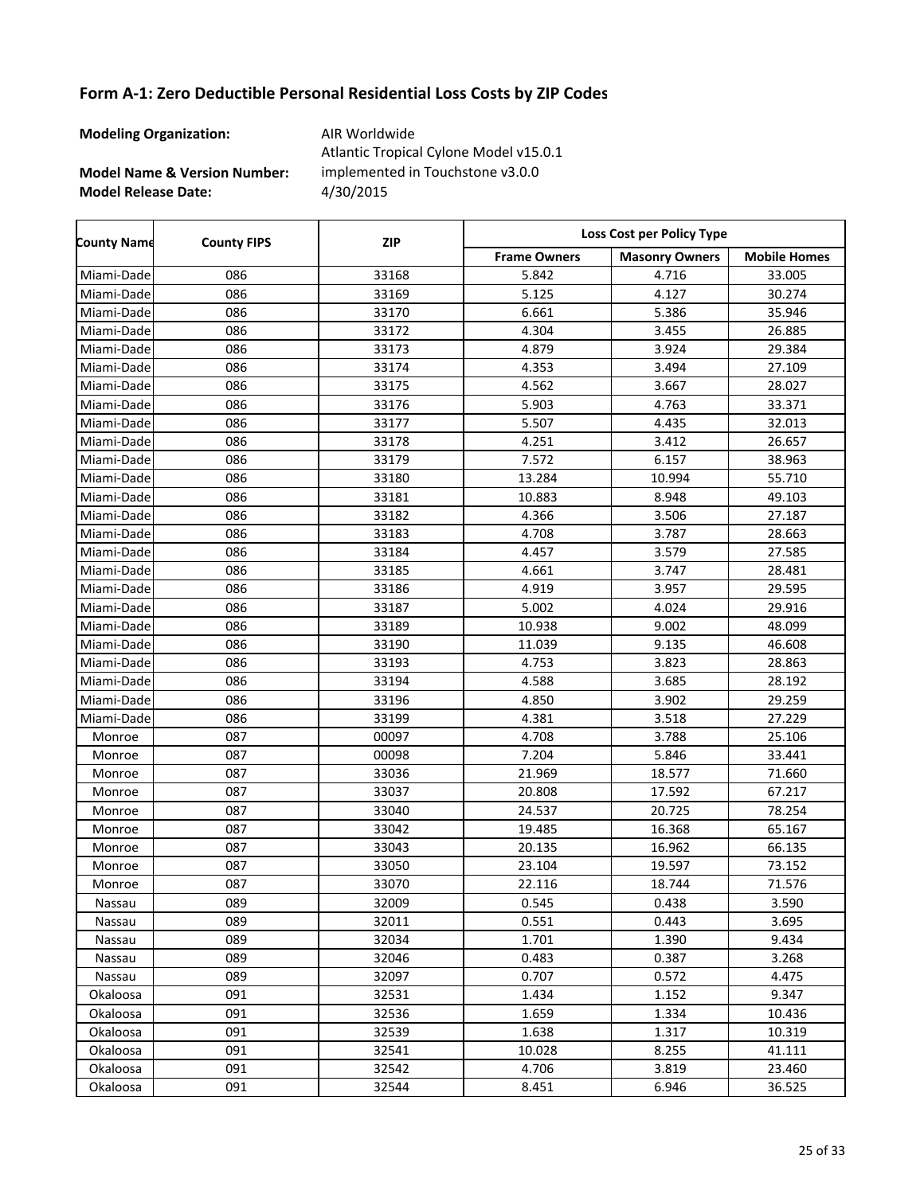**Modeling Organization:** AIR Worldwide

r

**Model Name & Version Number:**

**Model Release Date:** 4/30/2015 Atlantic Tropical Cylone Model v15.0.1 implemented in Touchstone v3.0.0

| <b>County Name</b> | <b>County FIPS</b> | <b>ZIP</b> | Loss Cost per Policy Type |                       |                     |  |
|--------------------|--------------------|------------|---------------------------|-----------------------|---------------------|--|
|                    |                    |            | <b>Frame Owners</b>       | <b>Masonry Owners</b> | <b>Mobile Homes</b> |  |
| Miami-Dade         | 086                | 33168      | 5.842                     | 4.716                 | 33.005              |  |
| Miami-Dade         | 086                | 33169      | 5.125                     | 4.127                 | 30.274              |  |
| Miami-Dade         | 086                | 33170      | 6.661                     | 5.386                 | 35.946              |  |
| Miami-Dade         | 086                | 33172      | 4.304                     | 3.455                 | 26.885              |  |
| Miami-Dade         | 086                | 33173      | 4.879                     | 3.924                 | 29.384              |  |
| Miami-Dade         | 086                | 33174      | 4.353                     | 3.494                 | 27.109              |  |
| Miami-Dade         | 086                | 33175      | 4.562                     | 3.667                 | 28.027              |  |
| Miami-Dade         | 086                | 33176      | 5.903                     | 4.763                 | 33.371              |  |
| Miami-Dade         | 086                | 33177      | 5.507                     | 4.435                 | 32.013              |  |
| Miami-Dade         | 086                | 33178      | 4.251                     | 3.412                 | 26.657              |  |
| Miami-Dade         | 086                | 33179      | 7.572                     | 6.157                 | 38.963              |  |
| Miami-Dade         | 086                | 33180      | 13.284                    | 10.994                | 55.710              |  |
| Miami-Dade         | 086                | 33181      | 10.883                    | 8.948                 | 49.103              |  |
| Miami-Dade         | 086                | 33182      | 4.366                     | 3.506                 | 27.187              |  |
| Miami-Dade         | 086                | 33183      | 4.708                     | 3.787                 | 28.663              |  |
| Miami-Dade         | 086                | 33184      | 4.457                     | 3.579                 | 27.585              |  |
| Miami-Dade         | 086                | 33185      | 4.661                     | 3.747                 | 28.481              |  |
| Miami-Dade         | 086                | 33186      | 4.919                     | 3.957                 | 29.595              |  |
| Miami-Dade         | 086                | 33187      | 5.002                     | 4.024                 | 29.916              |  |
| Miami-Dade         | 086                | 33189      | 10.938                    | 9.002                 | 48.099              |  |
| Miami-Dade         | 086                | 33190      | 11.039                    | 9.135                 | 46.608              |  |
| Miami-Dade         | 086                | 33193      | 4.753                     | 3.823                 | 28.863              |  |
| Miami-Dade         | 086                | 33194      | 4.588                     | 3.685                 | 28.192              |  |
| Miami-Dade         | 086                | 33196      | 4.850                     | 3.902                 | 29.259              |  |
| Miami-Dade         | 086                | 33199      | 4.381                     | 3.518                 | 27.229              |  |
| Monroe             | 087                | 00097      | 4.708                     | 3.788                 | 25.106              |  |
| Monroe             | 087                | 00098      | 7.204                     | 5.846                 | 33.441              |  |
| Monroe             | 087                | 33036      | 21.969                    | 18.577                | 71.660              |  |
| Monroe             | 087                | 33037      | 20.808                    | 17.592                | 67.217              |  |
| Monroe             | 087                | 33040      | 24.537                    | 20.725                | 78.254              |  |
| Monroe             | 087                | 33042      | 19.485                    | 16.368                | 65.167              |  |
| Monroe             | 087                | 33043      | 20.135                    | 16.962                | 66.135              |  |
| Monroe             | 087                | 33050      | 23.104                    | 19.597                | 73.152              |  |
| Monroe             | 087                | 33070      | 22.116                    | 18.744                | 71.576              |  |
| Nassau             | 089                | 32009      | 0.545                     | 0.438                 | 3.590               |  |
| Nassau             | 089                | 32011      | 0.551                     | 0.443                 | 3.695               |  |
| Nassau             | 089                | 32034      | 1.701                     | 1.390                 | 9.434               |  |
| Nassau             | 089                | 32046      | 0.483                     | 0.387                 | 3.268               |  |
| Nassau             | 089                | 32097      | 0.707                     | 0.572                 | 4.475               |  |
| Okaloosa           | 091                | 32531      | 1.434                     | 1.152                 | 9.347               |  |
| Okaloosa           | 091                | 32536      | 1.659                     | 1.334                 | 10.436              |  |
| Okaloosa           | 091                | 32539      | 1.638                     | 1.317                 | 10.319              |  |
| Okaloosa           | 091                | 32541      | 10.028                    | 8.255                 | 41.111              |  |
| Okaloosa           | 091                | 32542      | 4.706                     | 3.819                 | 23.460              |  |
| Okaloosa           | 091                | 32544      | 8.451                     | 6.946                 | 36.525              |  |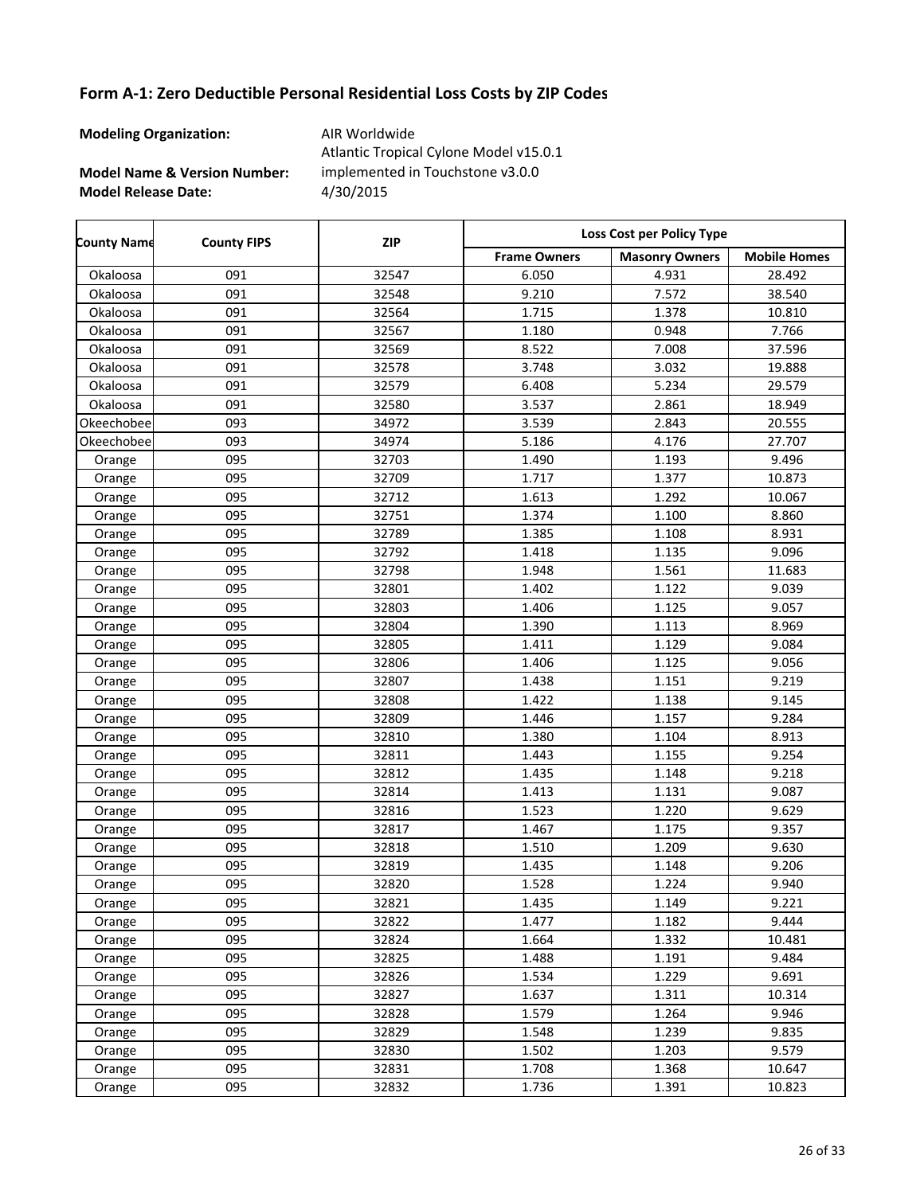**Modeling Organization:** AIR Worldwide

**Model Name & Version Number:**

**Model Release Date:** 4/30/2015 Atlantic Tropical Cylone Model v15.0.1 implemented in Touchstone v3.0.0

Frame Owners | Masonry Owners | Mobile Homes **County Name County FIPS Loss Cost per Policy Type ZIP** Okaloosa 091 32547 6.050 4.931 28.492 Okaloosa 091 32548 9.210 7.572 38.540 Okaloosa 091 32564 1.715 1.378 10.810 Okaloosa 091 32567 1.180 0.948 7.766 Okaloosa 091 32569 8.522 7.008 37.596 Okaloosa 091 32578 3.748 3.032 19.888 Okaloosa 091 32579 6.408 5.234 29.579 Okaloosa 091 32580 3.537 2.861 18.949 Okeechobee 093 34972 3.539 2.843 20.555 Okeechobee 093 34974 5.186 4.176 27.707 Orange | 095 | 32703 | 1.490 | 1.193 | 9.496 Orange 1 095 10.873 1.717 1.377 10.873 Orange 1 095 10.067 32712 1.613 1.292 10.067 Orange 1 095 1.32751 1.374 1.300 8.860 Orange | 095 | 32789 | 1.385 | 1.108 | 8.931 Orange 1 095 1.32792 1.418 1.135 9.096 Orange 1 095 1.92798 1.948 1.561 11.683 Orange 1 095 1.32801 1.402 1.122 9.039 Orange 1 095 1.32803 1 1.406 1.125 9.057 Orange | 095 | 32804 | 1.390 | 1.113 | 8.969 Orange | 095 | 32805 | 1.411 | 1.129 | 9.084 Orange 1 095 1.32806 1 1.406 1.125 9.056 Orange | 095 | 32807 | 1.438 | 1.151 | 9.219 Orange | 095 | 32808 | 1.422 | 1.138 | 9.145 Orange 1 095 1.32809 1 1.446 1.157 1.3884 Orange | 095 | 32810 | 1.380 | 1.104 | 8.913 Orange 1 095 1.32811 1.443 1.155 9.254 Orange 1 095 1.32812 1.435 1.148 9.218 Orange 1 095 1.32814 1.413 1.131 9.087 Orange 1 095 1.523 1.220 9.629 Orange 1 095 1.32817 1.467 1.175 1.357 Orange 1 095 1.518 1.510 1.209 9.630 Orange 1 095 1.32819 1.435 1.148 9.206 Orange 1 095 1.528 1.528 1.224 9.940 Orange 1 095 1.32821 1.435 1.149 9.221 Orange 1 095 1.32822 1.477 1.182 1.182 9.444 Orange 1 095 10.481 32824 1.664 1.332 10.481 Orange | 095 | 32825 | 1.488 | 1.191 | 9.484 Orange 1 095 1.52826 1 1.534 1.229 1.229 9.691 Orange 1 095 1.62827 1.637 1.311 10.314 Orange 1 095 1.264 1.579 1.264 9.946 Orange 1 095 1.548 1.239 9.835 Orange | 095 | 32830 | 1.502 | 1.203 | 9.579 Orange 1.095 10.647 32831 1.708 1.368 10.647 Orange 1 095 10.823 1.736 1.391 10.823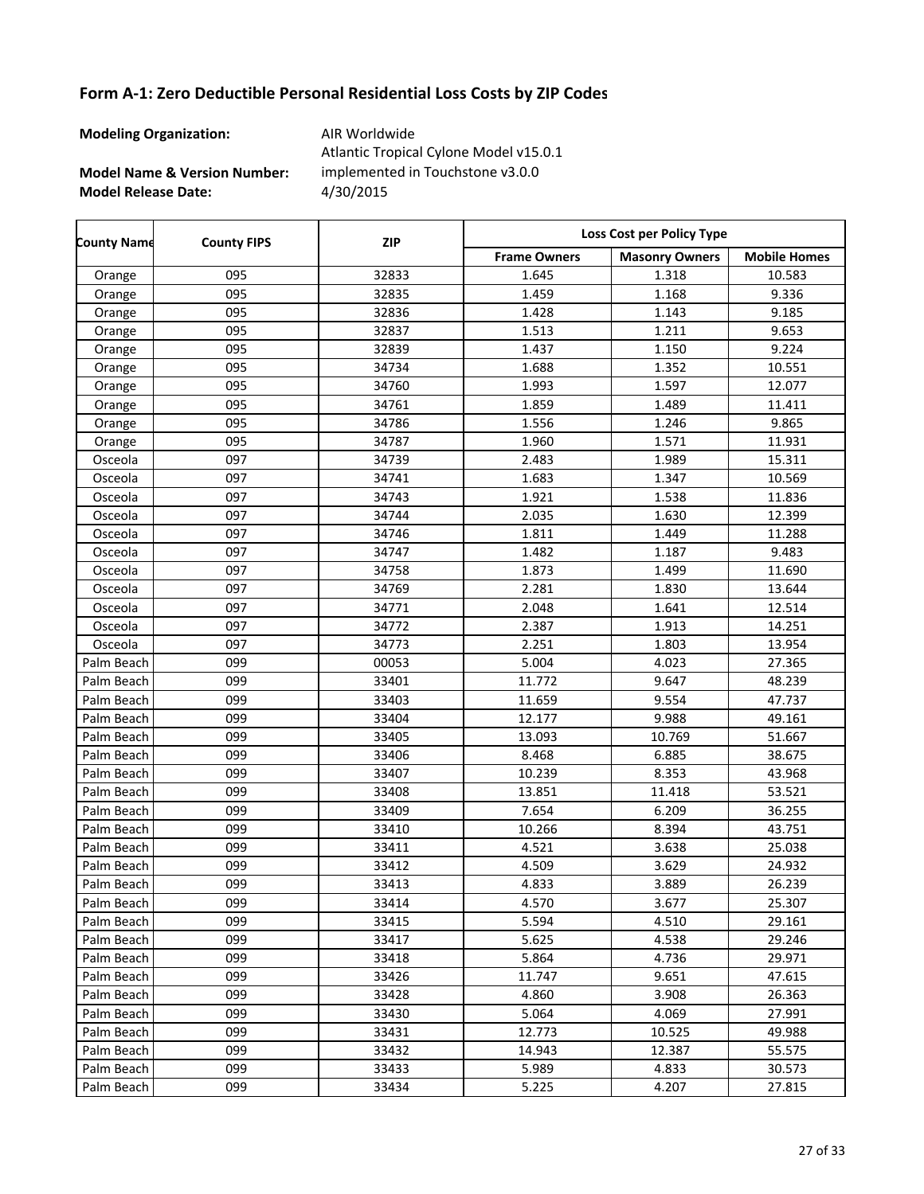**Modeling Organization:** AIR Worldwide

**Model Name & Version Number:**

**Model Release Date:** 4/30/2015 Atlantic Tropical Cylone Model v15.0.1 implemented in Touchstone v3.0.0

Frame Owners | Masonry Owners | Mobile Homes **County Name County FIPS Loss Cost per Policy Type ZIP** Orange 1 095 1.6233 1.645 1.318 10.583 Orange 1 095 1.32835 1 1.459 1.168 1.336 Orange 1 095 1.32836 1 1.428 1.143 1.143 9.185 Orange 1 095 1.32837 1.513 1.211 9.653 Orange | 095 | 32839 | 1.437 | 1.150 | 9.224 Orange 1 095 10.551 34734 1.688 1.352 10.551 Orange 1 095 12.077 1.993 1.597 12.077 Orange 1 095 11.411 34761 1.859 1.489 11.411 Orange 1 095 1.34786 1 1.556 1.246 1.246 9.865 Orange 1 095 1.987 1.960 1.571 11.931 Osceola 097 34739 2.483 1.989 15.311 Osceola 097 34741 1.683 1.347 10.569 Osceola 097 34743 1.921 1.538 11.836 Osceola 097 34744 2.035 1.630 12.399 Osceola 097 34746 1.811 1.449 11.288 Osceola | 097 | 34747 | 1.482 | 1.187 | 9.483 Osceola 097 34758 1.873 1.499 11.690 Osceola 097 34769 2.281 1.830 13.644 Osceola 097 34771 2.048 1.641 12.514 Osceola 097 34772 2.387 1.913 14.251 Osceola 097 34773 2.251 1.803 13.954 Palm Beach 099 00053 5.004 4.023 27.365 Palm Beach 099 33401 11.772 9.647 48.239 Palm Beach 099 33403 11.659 9.554 47.737 Palm Beach 099 33404 12.177 9.988 49.161 Palm Beach | 099 | 33405 | 13.093 | 10.769 | 51.667 Palm Beach 099 33406 | 8.468 | 6.885 | 38.675 Palm Beach 099 33407 10.239 8.353 43.968 Palm Beach 099 33408 13.851 11.418 53.521 Palm Beach 099 33409 7.654 6.209 36.255 Palm Beach 099 33410 10.266 8.394 43.751 Palm Beach 099 33411 4.521 3.638 25.038 Palm Beach 099 33412 4.509 3.629 24.932 Palm Beach | 099 | 33413 | 4.833 | 3.889 | 26.239 Palm Beach 099 33414 4.570 3.677 25.307 Palm Beach 099 33415 5.594 4.510 29.161 Palm Beach | 099 | 33417 | 5.625 | 4.538 | 29.246 Palm Beach 099 33418 5.864 4.736 29.971 Palm Beach 099 33426 11.747 9.651 47.615 Palm Beach 099 33428 4.860 3.908 26.363 Palm Beach | 099 | 33430 | 5.064 | 4.069 | 27.991 Palm Beach | 099 | 33431 | 12.773 | 10.525 | 49.988 Palm Beach 099 33432 14.943 12.387 55.575 Palm Beach | 099 | 33433 | 5.989 | 4.833 | 30.573 Palm Beach 099 33434 | 5.225 | 4.207 | 27.815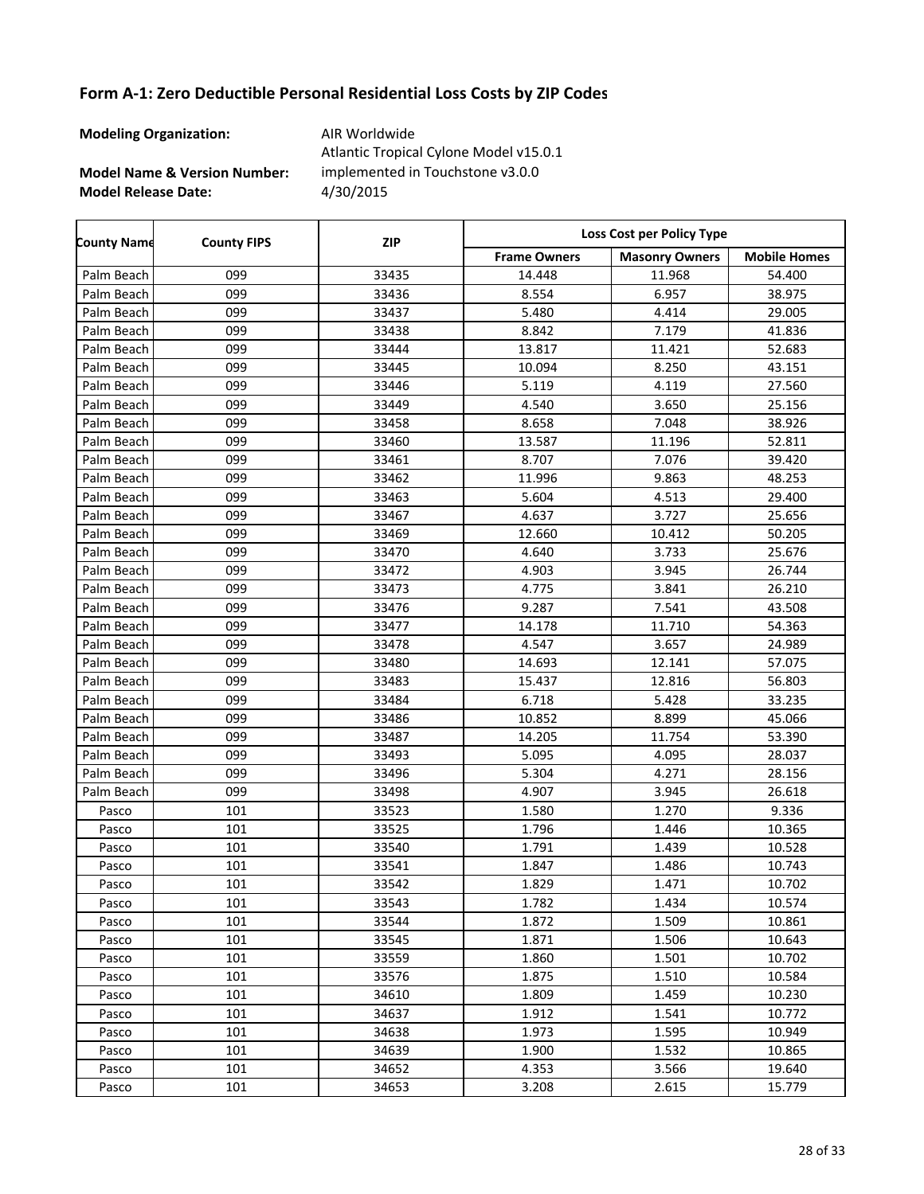**Modeling Organization:** AIR Worldwide

**Model Name & Version Number:**

**Model Release Date:** 4/30/2015 Atlantic Tropical Cylone Model v15.0.1 implemented in Touchstone v3.0.0

Frame Owners | Masonry Owners | Mobile Homes **County Name County FIPS Loss Cost per Policy Type ZIP** Palm Beach | 099 | 33435 | 14.448 | 11.968 | 54.400 Palm Beach | 099 | 33436 | 8.554 | 6.957 | 38.975 Palm Beach | 099 | 33437 | 5.480 | 4.414 | 29.005 Palm Beach | 099 | 33438 | 8.842 | 7.179 | 41.836 Palm Beach 099 33444 13.817 11.421 52.683 Palm Beach 099 33445 10.094 8.250 43.151 Palm Beach | 099 | 33446 | 5.119 | 4.119 | 27.560 Palm Beach 099 33449 4.540 3.650 25.156 Palm Beach 099 33458 8.658 7.048 38.926 Palm Beach | 099 | 33460 | 13.587 | 11.196 | 52.811 Palm Beach 099 33461 8.707 7.076 39.420 Palm Beach 099 33462 11.996 9.863 48.253 Palm Beach | 099 | 33463 | 5.604 | 4.513 | 29.400 Palm Beach 099 33467 4.637 3.727 25.656 Palm Beach | 099 | 33469 | 12.660 | 10.412 | 50.205 Palm Beach 099 33470 4.640 3.733 25.676 Palm Beach 099 33472 4.903 3.945 26.744 Palm Beach 099 33473 4.775 3.841 26.210 Palm Beach 099 33476 9.287 7.541 43.508 Palm Beach 099 33477 | 14.178 | 11.710 | 54.363 Palm Beach 099 33478 4.547 3.657 24.989 Palm Beach 099 33480 14.693 12.141 57.075 Palm Beach | 099 | 33483 | 15.437 | 12.816 | 56.803 Palm Beach | 099 | 33484 | 6.718 | 5.428 | 33.235 Palm Beach 099 33486 10.852 8.899 45.066 Palm Beach | 099 | 33487 | 14.205 | 11.754 | 53.390 Palm Beach 099 33493 5.095 4.095 28.037 Palm Beach 099 33496 5.304 4.271 28.156 Palm Beach 099 33498 4.907 3.945 26.618 Pasco | 101 | 33523 | 1.580 | 1.270 | 9.336 Pasco | 101 | 33525 | 1.796 | 1.446 | 10.365 Pasco | 101 | 33540 | 1.791 | 1.439 | 10.528 Pasco | 101 | 33541 | 1.847 | 1.486 | 10.743 Pasco | 101 1033542 | 1.829 | 1.471 | 10.702 Pasco | 101 | 33543 | 1.782 | 1.434 | 10.574 Pasco | 101 1033544 | 1.872 | 1.509 | 10.861 Pasco | 101 | 33545 | 1.871 | 1.506 | 10.643 Pasco | 101 1033559 | 1.860 | 1.501 | 10.702 Pasco | 101 | 33576 | 1.875 | 1.510 | 10.584 Pasco | 101 | 34610 | 1.809 | 1.459 | 10.230 Pasco | 101 1034637 | 1.912 | 1.541 | 10.772 Pasco | 101 1034638 | 1.973 | 1.595 | 10.949 Pasco | 101 1034639 | 1.900 | 1.532 | 10.865 Pasco | 101 | 34652 | 4.353 | 3.566 | 19.640 Pasco | 101 | 34653 | 3.208 | 2.615 | 15.779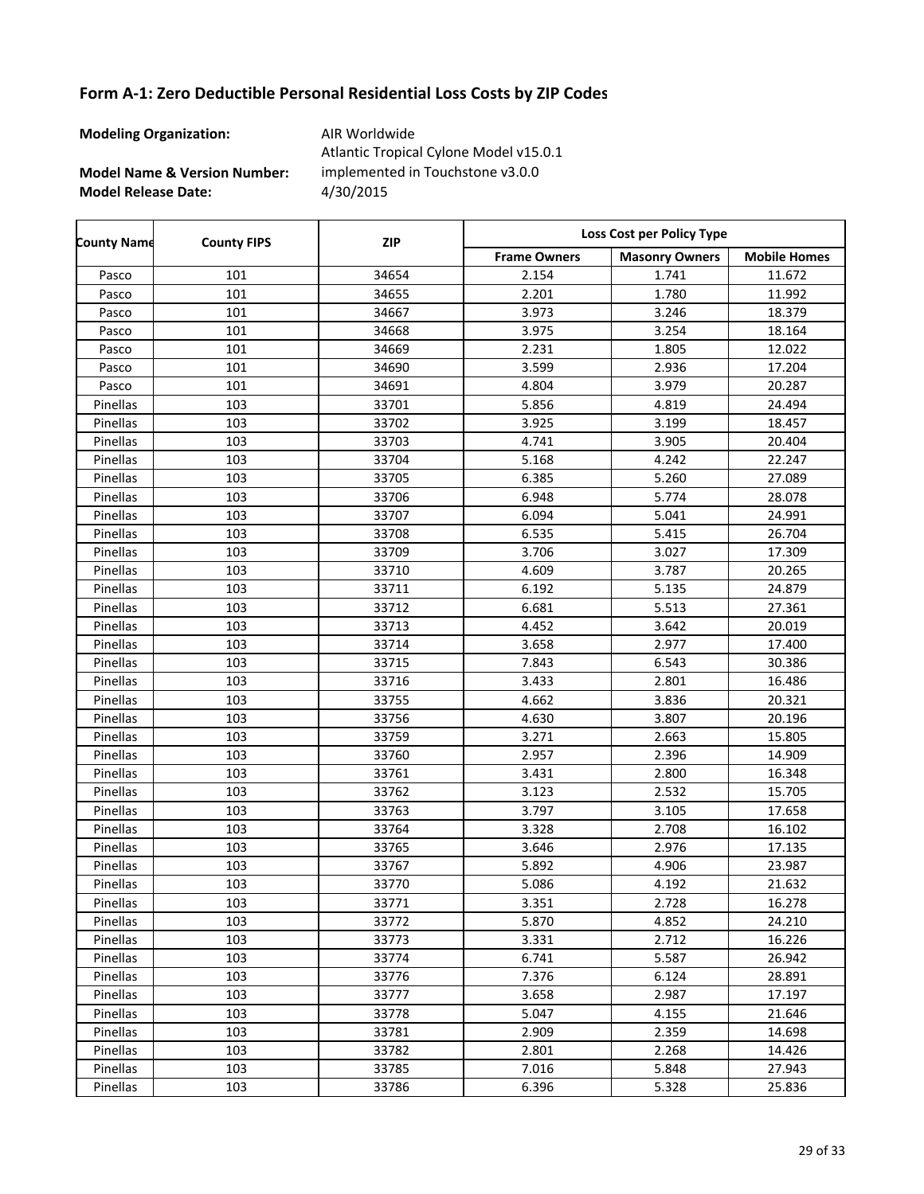**Modeling Organization:** AIR Worldwide

**Model Name & Version Number:**

**Model Release Date:** 4/30/2015 Atlantic Tropical Cylone Model v15.0.1 implemented in Touchstone v3.0.0

Frame Owners | Masonry Owners | Mobile Homes **County Name County FIPS Loss Cost per Policy Type ZIP** Pasco | 101 | 34654 | 2.154 | 1.741 | 11.672 Pasco | 101 | 34655 | 2.201 | 1.780 | 11.992 Pasco | 101 | 34667 | 3.973 | 3.246 | 18.379 Pasco | 101 | 34668 | 3.975 | 3.254 | 18.164 Pasco | 101 1034669 | 2.231 | 1.805 | 12.022 Pasco | 101 | 34690 | 3.599 | 2.936 | 17.204 Pasco | 101 | 34691 | 4.804 | 3.979 | 20.287 Pinellas 103 103 33701 5.856 4.819 24.494 Pinellas 103 103 33702 3.925 3.925 3.199 18.457 Pinellas | 103 | 33703 | 4.741 | 3.905 | 20.404 Pinellas 103 103 33704 5.168 4.242 22.247 Pinellas 103 103 33705 6.385 5.260 27.089 Pinellas 103 103 33706 6.948 5.774 28.078 Pinellas 103 103 33707 6.094 5.041 24.991 Pinellas 103 103 33708 6.535 5.415 26.704 Pinellas 103 103 33709 3.706 3.027 17.309 Pinellas 103 103 33710 4.609 3.787 20.265 Pinellas 103 103 33711 6.192 5.135 24.879 Pinellas 103 103 33712 6.681 5.513 27.361 Pinellas 103 103 33713 4.452 3.642 20.019 Pinellas 103 103 33714 3.658 2.977 17.400 Pinellas 103 103 33715 7.843 6.543 30.386 Pinellas 103 103 33716 3.433 2.801 2.801 36.486 Pinellas 103 103 33755 4.662 3.836 20.321 Pinellas 103 103 33756 4.630 3.807 20.196 Pinellas 103 103 33759 3.271 2.663 15.805 Pinellas 103 103 33760 2.957 2.396 14.909 Pinellas 103 103 33761 3.431 2.800 16.348 Pinellas 103 103 33762 3.123 2.532 15.705 Pinellas 103 103 33763 33763 3.797 3.105 3.105 3.797 Pinellas 103 103 33764 3.328 2.708 16.102 Pinellas 103 103 33765 3.646 2.976 17.135 Pinellas 103 103 33767 1 5.892 4.906 23.987 Pinellas 103 103 33770 5.086 4.192 21.632 Pinellas 103 103 33771 3.351 2.728 16.278 Pinellas 103 103 33772 5.870 4.852 24.210 Pinellas 103 103 33773 3331 2.712 16.226 Pinellas 103 103 33774 6.741 5.587 26.942 Pinellas 103 103 33776 7.376 6.124 28.891 Pinellas 103 103 33777 1 3.658 2.987 17.197 Pinellas 103 103 33778 5.047 4.155 21.646 Pinellas 103 103 33781 2.909 2.359 14.698 Pinellas 103 103 33782 2.801 2.268 14.426 Pinellas 103 103 33785 7.016 5.848 27.943 Pinellas 103 103 33786 6.396 5.328 25.836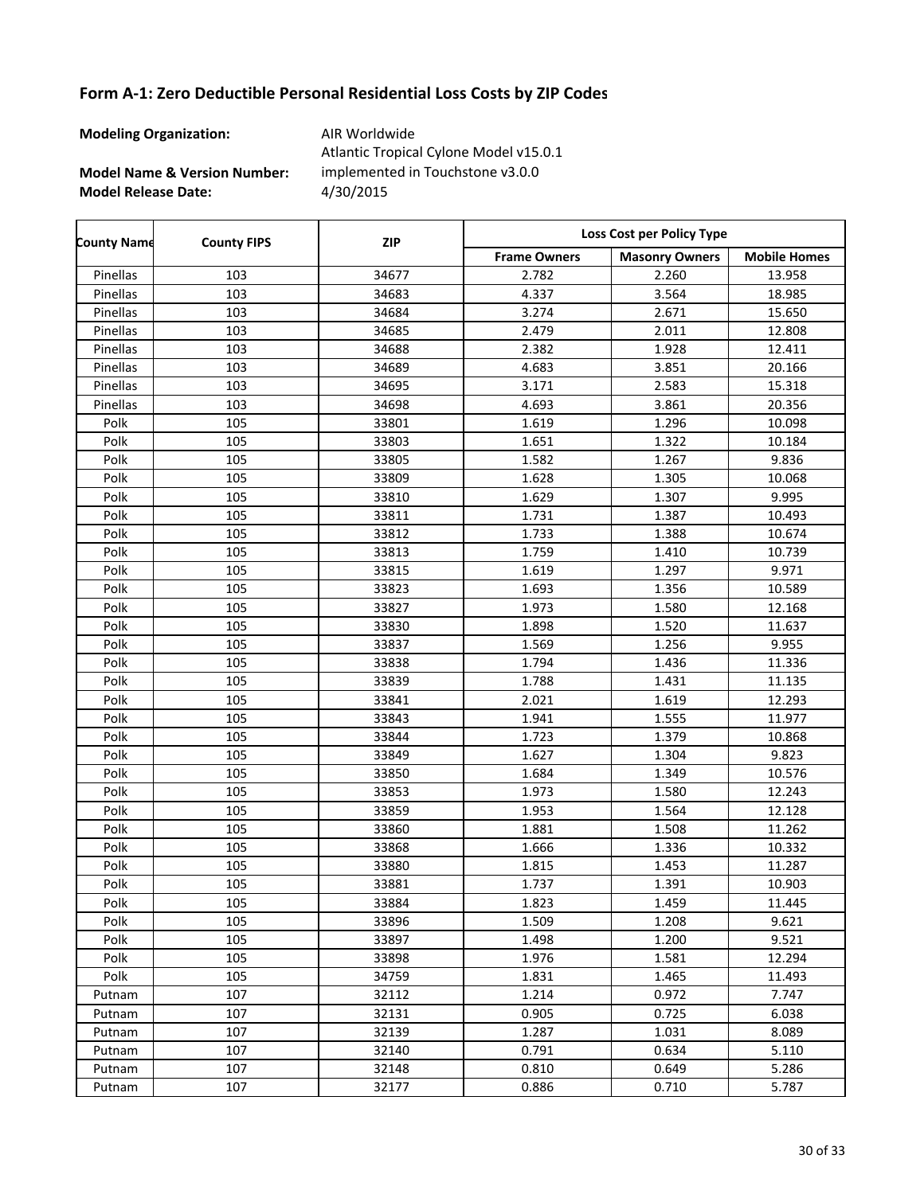**Modeling Organization:** AIR Worldwide

**Model Name & Version Number:**

**Model Release Date:** 4/30/2015 Atlantic Tropical Cylone Model v15.0.1 implemented in Touchstone v3.0.0

Frame Owners | Masonry Owners | Mobile Homes **County Name County FIPS Loss Cost per Policy Type ZIP** Pinellas 103 103 34677 2.782 2.260 13.958 Pinellas 103 103 34683 4.337 3.564 18.985 Pinellas 103 103 34684 3.274 2.671 15.650 Pinellas 103 103 34685 2.479 2.011 12.808 Pinellas 103 103 34688 2.382 1.928 12.411 Pinellas 103 103 34689 4.683 3.851 20.166 Pinellas 103 103 34695 15.318 2.583 15.318 Pinellas 103 103 34698 1.693 3.861 20.356 Polk | 105 | 33801 | 1.619 | 1.296 | 10.098 Polk | 105 | 33803 | 1.651 | 1.322 | 10.184 Polk | 105 | 33805 | 1.582 | 1.267 | 9.836 Polk | 105 | 33809 | 1.628 | 1.305 | 10.068 Polk | 105 | 33810 | 1.629 | 1.307 | 9.995 Polk 105 105 33811 1.731 1.387 10.493 Polk | 105 | 33812 | 1.733 | 1.388 | 10.674 Polk 105 33813 1.759 1.410 10.739 Polk | 105 | 33815 | 1.619 | 1.297 | 9.971 Polk | 105 | 33823 | 1.693 | 1.356 | 10.589 Polk 105 105 33827 1.973 1.580 12.168 Polk 105 13830 1.898 1.520 11.637 Polk | 105 | 33837 | 1.569 | 1.256 | 9.955 Polk 105 105 33838 1.794 1.436 11.336 Polk | 105 | 33839 | 1.788 | 1.431 | 11.135 Polk 105 33841 2.021 1.619 12.293 Polk 105 1.33843 1.941 1.555 1.11.977 Polk | 105 | 33844 | 1.723 | 1.379 | 10.868 Polk | 105 | 33849 | 1.627 | 1.304 | 9.823 Polk 105 105 33850 1.684 1.349 10.576 Polk | 105 | 33853 | 1.973 | 1.580 | 12.243 Polk 105 105 33859 1.953 1.564 12.128 Polk 105 133860 1.881 1.508 11.262 Polk | 105 | 33868 | 1.666 | 1.336 | 10.332 Polk | 105 | 33880 | 1.815 | 1.453 | 11.287 Polk | 105 | 33881 | 1.737 | 1.391 | 10.903 Polk | 105 | 33884 | 1.823 | 1.459 | 11.445 Polk | 105 | 33896 | 1.509 | 1.208 | 9.621 Polk | 105 | 33897 | 1.498 | 1.200 | 9.521 Polk | 105 | 33898 | 1.976 | 1.581 | 12.294 Polk 105 34759 1.831 1.465 11.493 Putnam | 107 | 32112 | 1.214 | 0.972 | 7.747 Putnam | 107 | 32131 | 0.905 | 0.725 | 6.038 Putnam | 107 | 32139 | 1.287 | 1.031 | 8.089 Putnam | 107 | 32140 | 0.791 | 0.634 | 5.110 Putnam | 107 | 32148 | 0.810 | 0.649 | 5.286 Putnam | 107 | 32177 | 0.886 | 0.710 | 5.787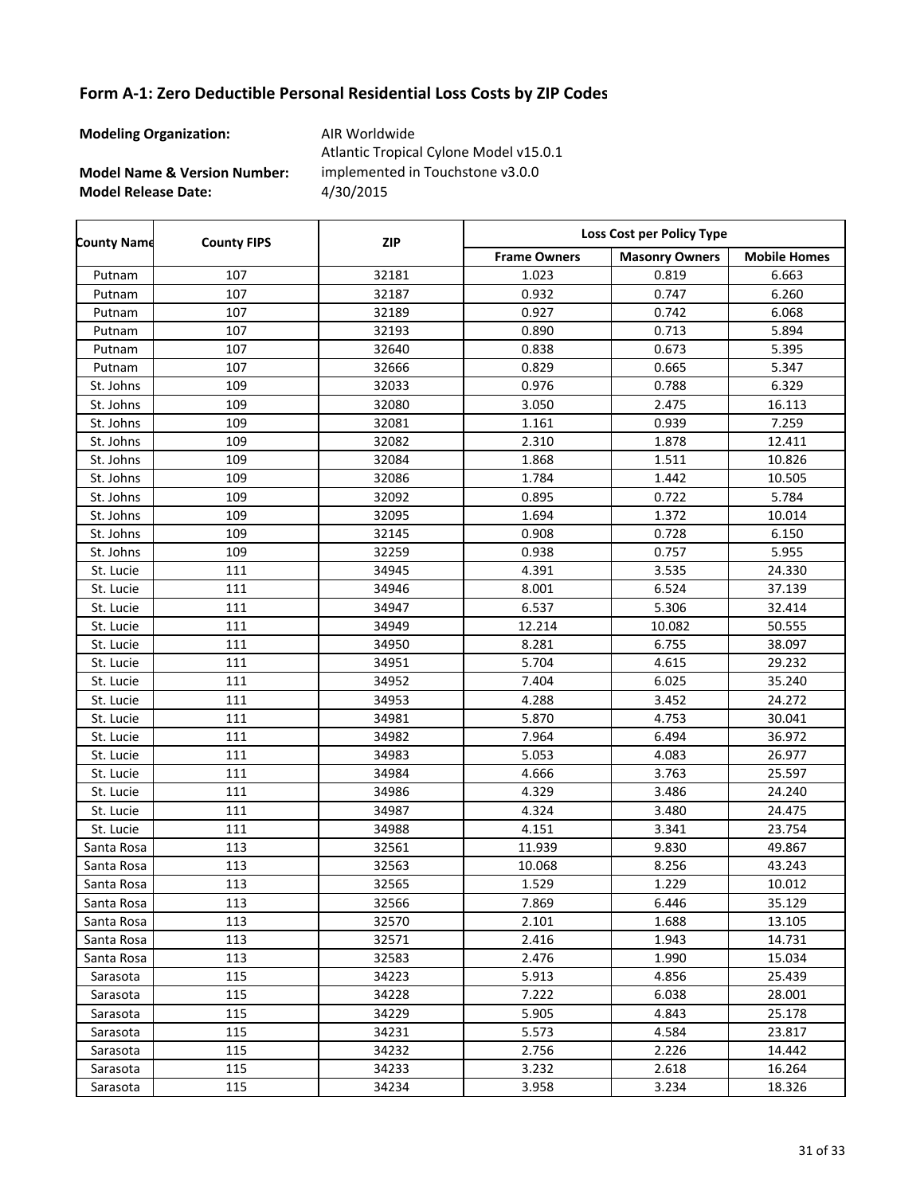**Modeling Organization:** AIR Worldwide

**Model Name & Version Number:**

**Model Release Date:** 4/30/2015 Atlantic Tropical Cylone Model v15.0.1 implemented in Touchstone v3.0.0

Frame Owners | Masonry Owners | Mobile Homes **County Name County FIPS Loss Cost per Policy Type ZIP** Putnam | 107 | 32181 | 1.023 | 0.819 | 6.663 Putnam | 107 | 32187 | 0.932 | 0.747 | 6.260 Putnam | 107 | 32189 | 0.927 | 0.742 | 6.068 Putnam | 107 | 32193 | 0.890 | 0.713 | 5.894 Putnam | 107 | 32640 | 0.838 | 0.673 | 5.395 Putnam | 107 | 32666 | 0.829 | 0.665 | 5.347 St. Johns | 109 | 32033 | 0.976 | 0.788 | 6.329 St. Johns 109 109 32080 3.050 2.475 16.113 St. Johns | 109 | 32081 | 1.161 | 0.939 | 7.259 St. Johns 109 109 32082 2.310 1.878 12.411 St. Johns 109 10.826 1.868 1.511 10.826 St. Johns 109 109 32086 1.784 1.442 10.505 St. Johns | 109 | 32092 | 0.895 | 0.722 | 5.784 St. Johns 109 10.014 1.694 1.594 10.014 St. Johns | 109 | 32145 | 0.908 | 0.728 | 6.150 St. Johns | 109 | 32259 | 0.938 | 0.757 | 5.955 St. Lucie 111 11 34945 4.391 3.535 3.5330 24.330 St. Lucie | 111 | 34946 | 8.001 | 6.524 | 37.139 St. Lucie 111 11 34947 6.537 5.306 32.414 St. Lucie | 111 | 34949 | 12.214 | 10.082 | 50.555 St. Lucie | 111 | 34950 | 8.281 | 6.755 | 38.097 St. Lucie 111 34951 5.704 4.615 29.232 St. Lucie 111 34952 7.404 6.025 35.240 St. Lucie | 111 | 34953 | 4.288 | 3.452 | 24.272 St. Lucie 111 11 34981 5.870 4.753 30.041 St. Lucie 111 11 34982 7.964 6.494 36.972 St. Lucie 111 11 34983 5.053 4.083 26.977 St. Lucie 111 11 34984 4.666 3.763 3.5597 St. Lucie | 111 | 34986 | 4.329 | 3.486 | 24.240 St. Lucie 111 11 34987 4.324 3.480 24.475 St. Lucie 111 11 34988 4.151 3.341 3.341 23.754 Santa Rosa | 113 | 32561 | 11.939 | 9.830 | 49.867 Santa Rosa | 113 | 32563 | 10.068 | 8.256 | 43.243 Santa Rosa | 113 | 32565 | 1.529 | 1.229 | 10.012 Santa Rosa | 113 | 32566 | 7.869 | 6.446 | 35.129 Santa Rosa | 113 | 32570 | 2.101 | 1.688 | 13.105 Santa Rosa | 113 | 32571 | 2.416 | 1.943 | 14.731 Santa Rosa | 113 | 32583 | 2.476 | 1.990 | 15.034 Sarasota 115 34223 5.913 4.856 25.439 Sarasota 115 34228 7.222 6.038 28.001 Sarasota 115 34229 5.905 4.843 25.178 Sarasota 115 34231 5.573 4.584 23.817 Sarasota 115 34232 2.756 2.226 14.442 Sarasota | 115 | 34233 | 3.232 | 2.618 | 16.264 Sarasota 115 34234 3.958 3.234 18.326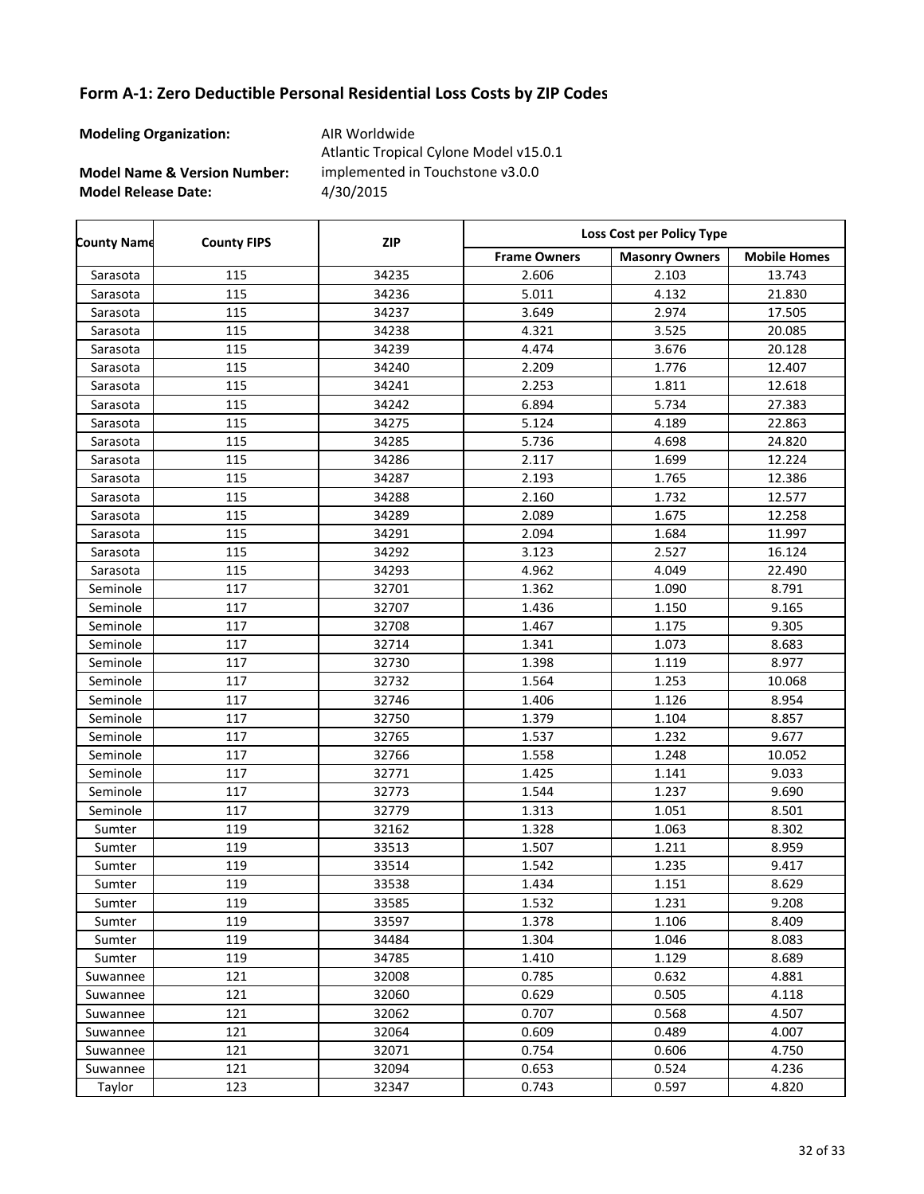**Modeling Organization:** AIR Worldwide

**Model Name & Version Number:**

**Model Release Date:** 4/30/2015 Atlantic Tropical Cylone Model v15.0.1 implemented in Touchstone v3.0.0

Frame Owners | Masonry Owners | Mobile Homes **County Name County FIPS Loss Cost per Policy Type ZIP** Sarasota 115 34235 2.606 2.103 13.743 Sarasota 115 34236 5.011 4.132 21.830 Sarasota 115 34237 3.649 2.974 17.505 Sarasota 115 34238 4.321 3.525 20.085 Sarasota 115 34239 4.474 3.676 20.128 Sarasota 115 34240 2.209 1.776 12.407 Sarasota 115 34241 2.253 1.811 12.618 Sarasota 115 34242 6.894 5.734 27.383 Sarasota 115 34275 5.124 4.189 22.863 Sarasota 115 34285 5.736 4.698 24.820 Sarasota 115 34286 2.117 1.699 12.224 Sarasota 115 34287 2.193 1.765 12.386 Sarasota 115 34288 2.160 1.732 12.577 Sarasota 115 34289 2.089 1.675 12.258 Sarasota 115 34291 2.094 1.684 11.997 Sarasota 115 34292 3.123 2.527 16.124 Sarasota 115 34293 4.962 4.049 22.490 Seminole | 117 | 32701 | 1.362 | 1.090 | 8.791 Seminole | 117 | 32707 | 1.436 | 1.150 | 9.165 Seminole | 117 | 32708 | 1.467 | 1.175 | 9.305 Seminole | 117 | 32714 | 1.341 | 1.073 | 8.683 Seminole | 117 | 32730 | 1.398 | 1.119 | 8.977 Seminole | 117 | 32732 | 1.564 | 1.253 | 10.068 Seminole | 117 | 32746 | 1.406 | 1.126 | 8.954 Seminole | 117 | 32750 | 1.379 | 1.104 | 8.857 Seminole | 117 | 32765 | 1.537 | 1.232 | 9.677 Seminole | 117 | 32766 | 1.558 | 1.248 | 10.052 Seminole | 117 | 32771 | 1.425 | 1.141 | 9.033 Seminole | 117 | 32773 | 1.544 | 1.237 | 9.690 Seminole | 117 | 32779 | 1.313 | 1.051 | 8.501 Sumter | 119 | 32162 | 1.328 | 1.063 | 8.302 Sumter | 119 | 33513 | 1.507 | 1.211 | 8.959 Sumter | 119 | 33514 | 1.542 | 1.235 | 9.417 Sumter | 119 | 33538 | 1.434 | 1.151 | 8.629 Sumter | 119 | 33585 | 1.532 | 1.231 | 9.208 Sumter | 119 | 33597 | 1.378 | 1.106 | 8.409 Sumter | 119 | 34484 | 1.304 | 1.046 | 8.083 Sumter | 119 | 34785 | 1.410 | 1.129 | 8.689 Suwannee | 121 | 32008 | 0.785 | 0.632 | 4.881 Suwannee | 121 | 32060 | 0.629 | 0.505 | 4.118 Suwannee | 121 | 32062 | 0.707 | 0.568 | 4.507 Suwannee | 121 | 32064 | 0.609 | 0.489 | 4.007 Suwannee | 121 | 32071 | 0.754 | 0.606 | 4.750 Suwannee | 121 | 32094 | 0.653 | 0.524 | 4.236 Taylor 123 32347 0.743 0.597 4.820